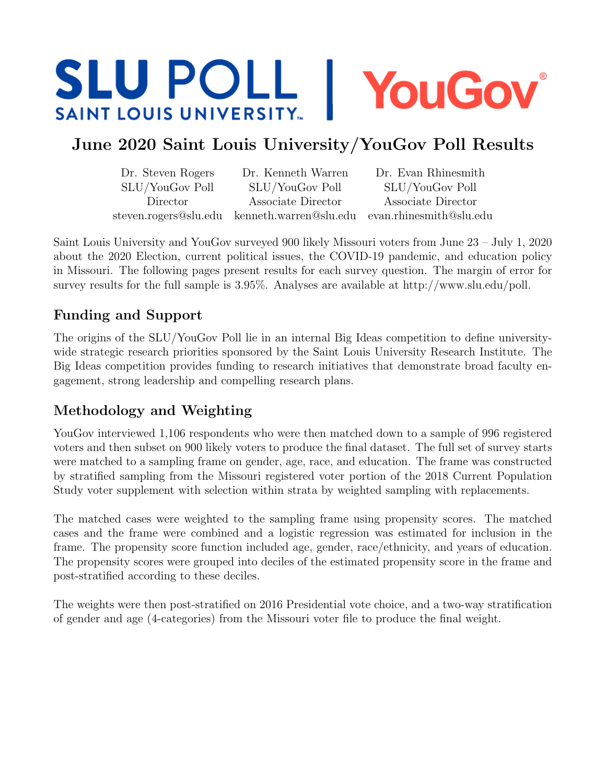# **SLU POLL 1** YouGov® **SAINT LOUIS UNIVERSITY...**

## June 2020 Saint Louis University/YouGov Poll Results

| Dr. Steven Rogers | Dr. Kenneth Warren                                                   | Dr. Evan Rhinesmith |
|-------------------|----------------------------------------------------------------------|---------------------|
| SLU/YouGov Poll   | SLU/YouGov Poll                                                      | SLU/YouGov Poll     |
| Director          | Associate Director                                                   | Associate Director  |
|                   | steven.rogers@slu.edu kenneth.warren@slu.edu evan.rhinesmith@slu.edu |                     |

Saint Louis University and YouGov surveyed 900 likely Missouri voters from June 23 – July 1, 2020 about the 2020 Election, current political issues, the COVID-19 pandemic, and education policy in Missouri. The following pages present results for each survey question. The margin of error for survey results for the full sample is 3.95%. Analyses are available at http://www.slu.edu/poll.

### Funding and Support

The origins of the SLU/YouGov Poll lie in an internal Big Ideas competition to define universitywide strategic research priorities sponsored by the Saint Louis University Research Institute. The Big Ideas competition provides funding to research initiatives that demonstrate broad faculty engagement, strong leadership and compelling research plans.

### Methodology and Weighting

YouGov interviewed 1,106 respondents who were then matched down to a sample of 996 registered voters and then subset on 900 likely voters to produce the final dataset. The full set of survey starts were matched to a sampling frame on gender, age, race, and education. The frame was constructed by stratified sampling from the Missouri registered voter portion of the 2018 Current Population Study voter supplement with selection within strata by weighted sampling with replacements.

The matched cases were weighted to the sampling frame using propensity scores. The matched cases and the frame were combined and a logistic regression was estimated for inclusion in the frame. The propensity score function included age, gender, race/ethnicity, and years of education. The propensity scores were grouped into deciles of the estimated propensity score in the frame and post-stratified according to these deciles.

The weights were then post-stratified on 2016 Presidential vote choice, and a two-way stratification of gender and age (4-categories) from the Missouri voter file to produce the final weight.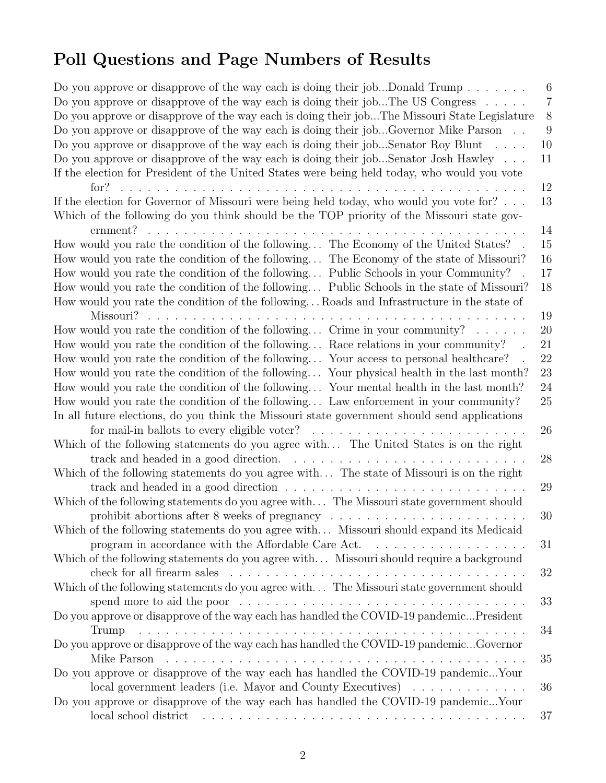# Poll Questions and Page Numbers of Results

| Do you approve or disapprove of the way each is doing their jobDonald Trump                            | 6                |
|--------------------------------------------------------------------------------------------------------|------------------|
| Do you approve or disapprove of the way each is doing their jobThe US Congress $\dots$ .               | $\overline{7}$   |
| Do you approve or disapprove of the way each is doing their jobThe Missouri State Legislature          | $8\phantom{1}$   |
| Do you approve or disapprove of the way each is doing their jobGovernor Mike Parson                    | $\boldsymbol{9}$ |
| Do you approve or disapprove of the way each is doing their jobSenator Roy Blunt $\dots$ .             | 10               |
| Do you approve or disapprove of the way each is doing their jobSenator Josh Hawley                     | 11               |
| If the election for President of the United States were being held today, who would you vote           |                  |
| for?<br>.                                                                                              | 12               |
| If the election for Governor of Missouri were being held today, who would you vote for? $\dots$        | 13               |
| Which of the following do you think should be the TOP priority of the Missouri state gov-              |                  |
| ernment?                                                                                               | 14               |
| How would you rate the condition of the following The Economy of the United States?                    | 15               |
| How would you rate the condition of the following The Economy of the state of Missouri?                | 16               |
| How would you rate the condition of the following Public Schools in your Community?                    | 17               |
| How would you rate the condition of the following Public Schools in the state of Missouri?             | 18               |
| How would you rate the condition of the following Roads and Infrastructure in the state of             |                  |
|                                                                                                        | 19               |
| How would you rate the condition of the following Crime in your community? $\ldots \ldots$             | 20               |
| How would you rate the condition of the following Race relations in your community?                    | 21               |
|                                                                                                        |                  |
| How would you rate the condition of the following Your access to personal healthcare?                  | 22               |
| How would you rate the condition of the following Your physical health in the last month?              | 23               |
| How would you rate the condition of the following Your mental health in the last month?                | 24               |
| How would you rate the condition of the following Law enforcement in your community?                   | $25\,$           |
| In all future elections, do you think the Missouri state government should send applications           |                  |
| for mail-in ballots to every eligible voter? $\ldots \ldots \ldots \ldots \ldots \ldots \ldots \ldots$ | 26               |
| Which of the following statements do you agree with The United States is on the right                  |                  |
| track and headed in a good direction.<br><u>. Kanadana amin' indrindra amin' indrindra amin' ind</u>   | 28               |
| Which of the following statements do you agree with The state of Missouri is on the right              |                  |
|                                                                                                        | 29               |
| Which of the following statements do you agree with The Missouri state government should               |                  |
| prohibit abortions after 8 weeks of pregnancy $\dots \dots \dots \dots \dots \dots \dots \dots$        | 30               |
| Which of the following statements do you agree with Missouri should expand its Medicaid                |                  |
| program in accordance with the Affordable Care Act.<br>.                                               | 31               |
| Which of the following statements do you agree with Missouri should require a background               |                  |
|                                                                                                        | 32               |
| Which of the following statements do you agree with The Missouri state government should               |                  |
|                                                                                                        | 33               |
| Do you approve or disapprove of the way each has handled the COVID-19 pandemic President               |                  |
| Trump                                                                                                  | 34               |
| Do you approve or disapprove of the way each has handled the COVID-19 pandemicGovernor                 |                  |
|                                                                                                        | 35               |
| Do you approve or disapprove of the way each has handled the COVID-19 pandemicYour                     |                  |
| local government leaders (i.e. Mayor and County Executives)                                            | 36               |
| Do you approve or disapprove of the way each has handled the COVID-19 pandemicYour                     |                  |
| local school district                                                                                  | 37               |
|                                                                                                        |                  |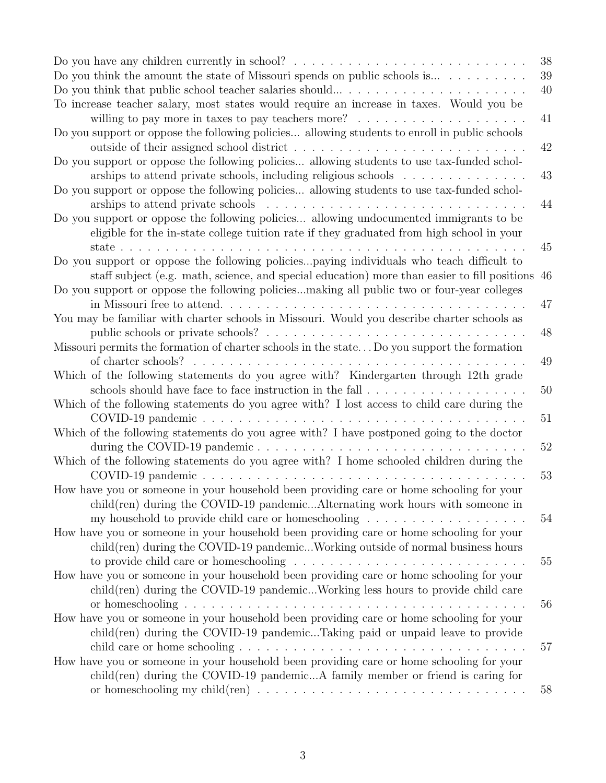| Do you think the amount the state of Missouri spends on public schools is $\dots \dots \dots$                                                                                                 | 38<br>39<br>40 |
|-----------------------------------------------------------------------------------------------------------------------------------------------------------------------------------------------|----------------|
| To increase teacher salary, most states would require an increase in taxes. Would you be<br>willing to pay more in taxes to pay teachers more? $\ldots \ldots \ldots \ldots \ldots \ldots$    | 41             |
| Do you support or oppose the following policies allowing students to enroll in public schools                                                                                                 | 42             |
| Do you support or oppose the following policies allowing students to use tax-funded schol-<br>archips to attend private schools, including religious schools $\ldots \ldots \ldots \ldots$    | 43             |
| Do you support or oppose the following policies allowing students to use tax-funded schol-                                                                                                    | 44             |
| Do you support or oppose the following policies allowing undocumented immigrants to be<br>eligible for the in-state college tuition rate if they graduated from high school in your           |                |
| state<br>Do you support or oppose the following policiespaying individuals who teach difficult to                                                                                             | 45             |
| staff subject (e.g. math, science, and special education) more than easier to fill positions 46<br>Do you support or oppose the following policiesmaking all public two or four-year colleges |                |
|                                                                                                                                                                                               | 47             |
| You may be familiar with charter schools in Missouri. Would you describe charter schools as                                                                                                   | 48             |
| Missouri permits the formation of charter schools in the state Do you support the formation                                                                                                   | 49             |
| Which of the following statements do you agree with? Kindergarten through 12th grade                                                                                                          | 50             |
| Which of the following statements do you agree with? I lost access to child care during the                                                                                                   | 51             |
| Which of the following statements do you agree with? I have postponed going to the doctor                                                                                                     |                |
| during the COVID-19 pandemic<br>Which of the following statements do you agree with? I home schooled children during the                                                                      | 52             |
| How have you or someone in your household been providing care or home schooling for your                                                                                                      | 53             |
| child(ren) during the COVID-19 pandemicAlternating work hours with someone in                                                                                                                 | 54             |
| How have you or someone in your household been providing care or home schooling for your<br>child(ren) during the COVID-19 pandemicWorking outside of normal business hours                   |                |
| How have you or someone in your household been providing care or home schooling for your                                                                                                      | 55             |
| child(ren) during the COVID-19 pandemicWorking less hours to provide child care                                                                                                               |                |
| How have you or someone in your household been providing care or home schooling for your<br>child(ren) during the COVID-19 pandemicTaking paid or unpaid leave to provide                     | 56             |
|                                                                                                                                                                                               | 57             |
| How have you or someone in your household been providing care or home schooling for your<br>$child$ (ren) during the COVID-19 pandemicA family member or friend is caring for                 |                |
| or homeschooling my child(ren) $\ldots \ldots \ldots \ldots \ldots \ldots \ldots \ldots \ldots \ldots$                                                                                        | 58             |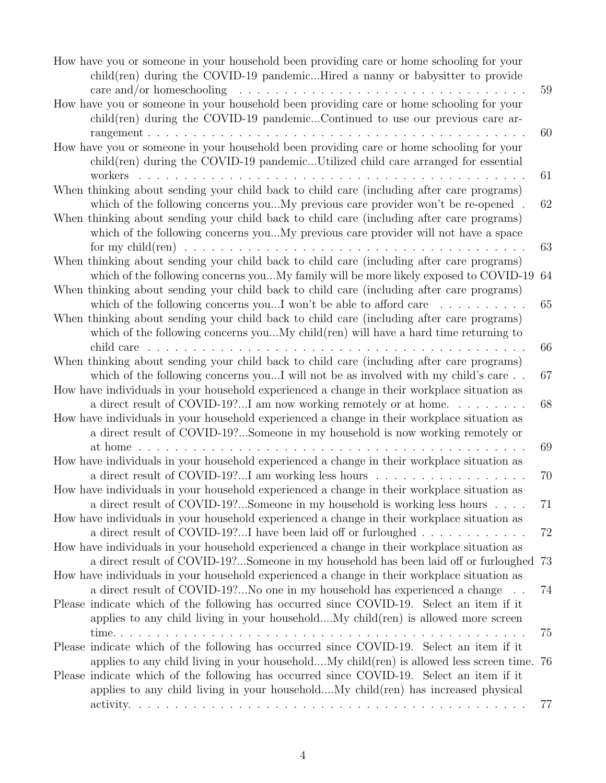| How have you or someone in your household been providing care or home schooling for your<br>child(ren) during the COVID-19 pandemicHired a nanny or babysitter to provide                                                                                                                                                                                        |    |
|------------------------------------------------------------------------------------------------------------------------------------------------------------------------------------------------------------------------------------------------------------------------------------------------------------------------------------------------------------------|----|
| care and/or homeschooling $\ldots \ldots \ldots \ldots \ldots \ldots \ldots \ldots \ldots \ldots \ldots$                                                                                                                                                                                                                                                         | 59 |
| How have you or someone in your household been providing care or home schooling for your                                                                                                                                                                                                                                                                         |    |
| $child$ (ren) during the COVID-19 pandemicContinued to use our previous care ar-                                                                                                                                                                                                                                                                                 |    |
|                                                                                                                                                                                                                                                                                                                                                                  | 60 |
| How have you or someone in your household been providing care or home schooling for your<br>child(ren) during the COVID-19 pandemicUtilized child care arranged for essential                                                                                                                                                                                    |    |
|                                                                                                                                                                                                                                                                                                                                                                  | 61 |
| When thinking about sending your child back to child care (including after care programs)<br>which of the following concerns youMy previous care provider won't be re-opened.<br>When thinking about sending your child back to child care (including after care programs)<br>which of the following concerns youMy previous care provider will not have a space | 62 |
|                                                                                                                                                                                                                                                                                                                                                                  | 63 |
| When thinking about sending your child back to child care (including after care programs)<br>which of the following concerns youMy family will be more likely exposed to COVID-19                                                                                                                                                                                | 64 |
| When thinking about sending your child back to child care (including after care programs)                                                                                                                                                                                                                                                                        |    |
|                                                                                                                                                                                                                                                                                                                                                                  |    |
| which of the following concerns youI won't be able to afford care $\dots \dots \dots$                                                                                                                                                                                                                                                                            | 65 |
| When thinking about sending your child back to child care (including after care programs)                                                                                                                                                                                                                                                                        |    |
| which of the following concerns youMy child(ren) will have a hard time returning to                                                                                                                                                                                                                                                                              |    |
|                                                                                                                                                                                                                                                                                                                                                                  | 66 |
| When thinking about sending your child back to child care (including after care programs)                                                                                                                                                                                                                                                                        |    |
| which of the following concerns youI will not be as involved with my child's care                                                                                                                                                                                                                                                                                | 67 |
| How have individuals in your household experienced a change in their workplace situation as                                                                                                                                                                                                                                                                      |    |
| a direct result of COVID-19?I am now working remotely or at home. $\dots \dots$                                                                                                                                                                                                                                                                                  | 68 |
| How have individuals in your household experienced a change in their workplace situation as                                                                                                                                                                                                                                                                      |    |
| a direct result of COVID-19?Someone in my household is now working remotely or                                                                                                                                                                                                                                                                                   |    |
|                                                                                                                                                                                                                                                                                                                                                                  | 69 |
| How have individuals in your household experienced a change in their workplace situation as                                                                                                                                                                                                                                                                      |    |
| a direct result of COVID-19?I am working less hours                                                                                                                                                                                                                                                                                                              | 70 |
|                                                                                                                                                                                                                                                                                                                                                                  |    |
| How have individuals in your household experienced a change in their workplace situation as                                                                                                                                                                                                                                                                      |    |
| a direct result of COVID-19?Someone in my household is working less hours                                                                                                                                                                                                                                                                                        | 71 |
| How have individuals in your household experienced a change in their workplace situation as<br>a direct result of COVID-19?I have been laid off or furloughed $\dots \dots \dots \dots$                                                                                                                                                                          | 72 |
| How have individuals in your household experienced a change in their workplace situation as                                                                                                                                                                                                                                                                      |    |
| a direct result of COVID-19?Someone in my household has been laid off or furloughed                                                                                                                                                                                                                                                                              | 73 |
| How have individuals in your household experienced a change in their workplace situation as                                                                                                                                                                                                                                                                      |    |
| a direct result of COVID-19?No one in my household has experienced a change                                                                                                                                                                                                                                                                                      | 74 |
| Please indicate which of the following has occurred since COVID-19. Select an item if it                                                                                                                                                                                                                                                                         |    |
| applies to any child living in your householdMy child(ren) is allowed more screen                                                                                                                                                                                                                                                                                |    |
|                                                                                                                                                                                                                                                                                                                                                                  | 75 |
| Please indicate which of the following has occurred since COVID-19. Select an item if it                                                                                                                                                                                                                                                                         |    |
| applies to any child living in your householdMy child(ren) is allowed less screen time.                                                                                                                                                                                                                                                                          |    |
|                                                                                                                                                                                                                                                                                                                                                                  | 76 |
| Please indicate which of the following has occurred since COVID-19. Select an item if it                                                                                                                                                                                                                                                                         |    |
| applies to any child living in your householdMy child (ren) has increased physical                                                                                                                                                                                                                                                                               |    |
|                                                                                                                                                                                                                                                                                                                                                                  | 77 |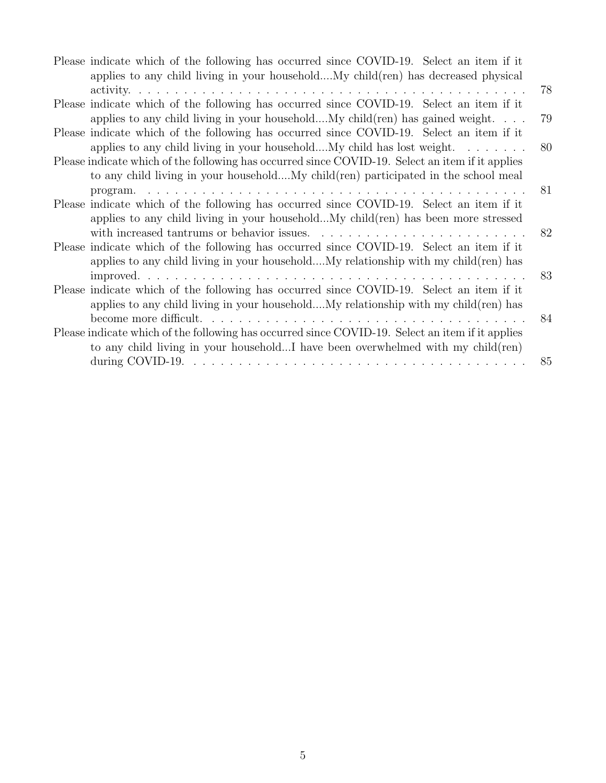| Please indicate which of the following has occurred since COVID-19. Select an item if it         |    |
|--------------------------------------------------------------------------------------------------|----|
| applies to any child living in your householdMy child (ren) has decreased physical               |    |
|                                                                                                  | 78 |
| Please indicate which of the following has occurred since COVID-19. Select an item if it         |    |
| applies to any child living in your householdMy child $(ren)$ has gained weight                  | 79 |
| Please indicate which of the following has occurred since COVID-19. Select an item if it         |    |
| applies to any child living in your householdMy child has lost weight.                           | 80 |
| Please indicate which of the following has occurred since COVID-19. Select an item if it applies |    |
| to any child living in your householdMy child (ren) participated in the school meal              |    |
|                                                                                                  | 81 |
| Please indicate which of the following has occurred since COVID-19. Select an item if it         |    |
| applies to any child living in your householdMy child (ren) has been more stressed               |    |
|                                                                                                  | 82 |
| Please indicate which of the following has occurred since COVID-19. Select an item if it         |    |
| applies to any child living in your householdMy relationship with my child (ren) has             |    |
|                                                                                                  | 83 |
| Please indicate which of the following has occurred since COVID-19. Select an item if it         |    |
| applies to any child living in your householdMy relationship with my child (ren) has             |    |
|                                                                                                  | 84 |
| Please indicate which of the following has occurred since COVID-19. Select an item if it applies |    |
| to any child living in your householdI have been overwhelmed with my child(ren)                  |    |
|                                                                                                  | 85 |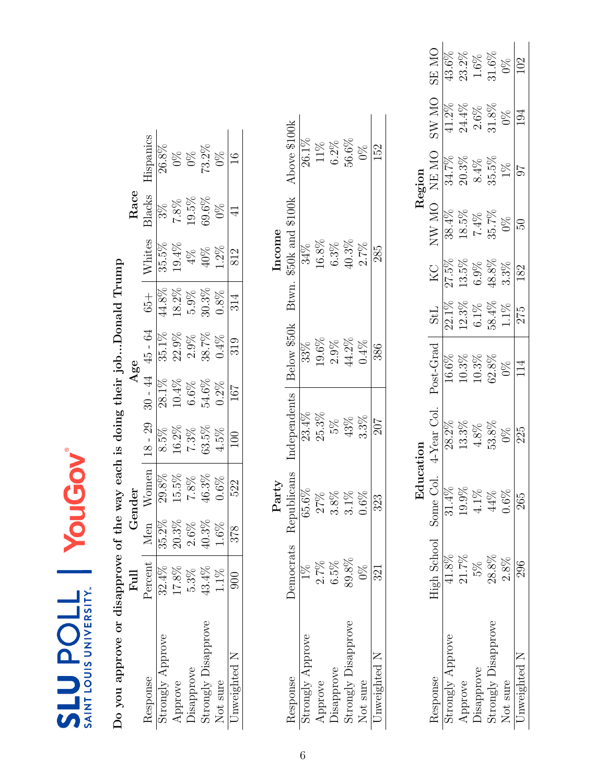| Do you approve or disapprove |                      |          |                          |           |          | of the way each is doing their jobDonald Trump |          |        |         |                                                 |
|------------------------------|----------------------|----------|--------------------------|-----------|----------|------------------------------------------------|----------|--------|---------|-------------------------------------------------|
|                              | Full                 |          | Gender                   |           |          | Age                                            |          |        | Race    |                                                 |
| Response                     | Percent              | Men      | $W$ omen                 | $18 - 29$ |          | $30 - 44$ 45 - 64                              | $65 +$   | Whites | Blacks  | Hispanics                                       |
| Strongly Approve             | 32.4%                | 35.2%    | 29.8%                    | $8.5\%$   | 28.1%    | $35.1\%$                                       | $44.8\%$ | 35.5%  | $3\%$   | 26.8%                                           |
| Approve                      | 17.8%                | 20.3%    | 15.5%                    | 16.2%     | $10.4\%$ | 22.9%                                          | $18.2\%$ | 19.4%  | $7.8\%$ | $0\%$                                           |
| <b>Disapprove</b>            | 5.3%                 | $2.6\%$  | 7.8%                     | 7.3%      | $6.6\%$  | 2.9%                                           | $5.9\%$  | $4\%$  | 19.5%   | 0%                                              |
| Strongly Disapprove          | 43.4%                | $40.3\%$ | $46.3\%$                 | $63.5\%$  | 54.6%    | 38.7%                                          | $30.3\%$ | 40%    | 69.6%   | 73.2%                                           |
| Not sure                     | 1.1%                 | 1.6%     | 0.6%                     | 4.5%      | $0.2\%$  | $0.4\%$                                        | 0.8%     | 1.2%   | 0%      | $9\%$                                           |
| Jnweighted N                 | 900                  | 378      | 522                      | $\Theta$  | 167      | 319                                            | 314      | 812    |         |                                                 |
|                              |                      |          |                          |           |          |                                                |          |        |         |                                                 |
|                              |                      |          | ${\rm Party}$            |           |          |                                                |          | Income |         |                                                 |
| Response                     | Democrats            |          | Republicans Independents |           |          |                                                |          |        |         | Below \$50k Btwn. \$50k and \$100k Above \$100k |
|                              | $\ddot{\phantom{0}}$ |          |                          |           |          | $\frac{2}{3}$                                  |          |        |         |                                                 |

| ncome | Above \$100k<br>\$50k and \$100k<br>Btwn.<br>Below \$50k<br>ndependents | 26.1%<br>34%<br>33%<br>23.4% | 11%<br>$16.8\%$<br>$.9.6\%$<br>25.3% | $6.2\%$<br>$6.3\%$<br>$2.9\%$<br>5% | 56.6%<br>$40.3\%$<br>14.2%<br>43% | $\frac{8}{2}$<br>2.7%<br>$0.4\%$<br>3.3% | ξg<br>285<br>386<br>707 |
|-------|-------------------------------------------------------------------------|------------------------------|--------------------------------------|-------------------------------------|-----------------------------------|------------------------------------------|-------------------------|
| Yarty | 'epublicans                                                             | 65.6%                        | 27%                                  | 3.8%                                | $.1\%$                            | 0.6%                                     | 323                     |
|       | <b>Jemocrats</b>                                                        |                              | $2.7\%$                              | 6.5%                                | $89.8\%$                          | $\frac{8}{3}$                            | 321                     |
|       | lesponse                                                                | strongly Approve             | Approve                              |                                     | Disapprove<br>Strongly Disapprove | <b>Vot</b> sure                          | Inweighted N            |

<span id="page-5-0"></span>

|                     |                       | n<br>Rr |                        |               |          |          |              | $\Omega_{\rm gion}$ |               |              |
|---------------------|-----------------------|---------|------------------------|---------------|----------|----------|--------------|---------------------|---------------|--------------|
| lesponse            | High School Some Col. |         | <sup>4-Year</sup> Col. | Post-Grad     | StL      | КC       | <b>ON WN</b> | <b>ON RN</b>        | <b>OIN WS</b> | <b>ON SE</b> |
| trongly Approve     | 11.8%                 | 31.4%   |                        | 16.6%         | $22.1\%$ | 27.5%    |              | 34.7%               | $41.2\%$      |              |
| pprove              | 21.7%                 | 19.9%   | $13.3\%$               | 10.3%         | 12.3%    | $13.5\%$ | $18.5\%$     | $20.3\%$            | 24.4%         | 23.2%        |
| Jisapprove          | 5%                    | 4.1%    | $4.8\%$                | $10.3\%$      | $6.1\%$  | $6.9\%$  | 7.4%         | 8.4%                | 2.6%          | $1.6\%$      |
| strongly Disapprove | $28.8\%$              | 44%     | 53.8%                  | $62.8\%$      | 58.4%    | 48.8%    | 35.7%        | 35.5%               | $31.8\%$      | $31.6\%$     |
| <b>Not</b> sure     | $2.8\%$               | 1.6%    | $\frac{8}{3}$          | $\frac{8}{2}$ | $1.1\%$  | 3.3%     | DK<br>1      |                     | 9X            | $0\%$        |
| Inweighted N        | 296                   | 265     | 225                    | 14            | 275      | 182      |              |                     |               | 102          |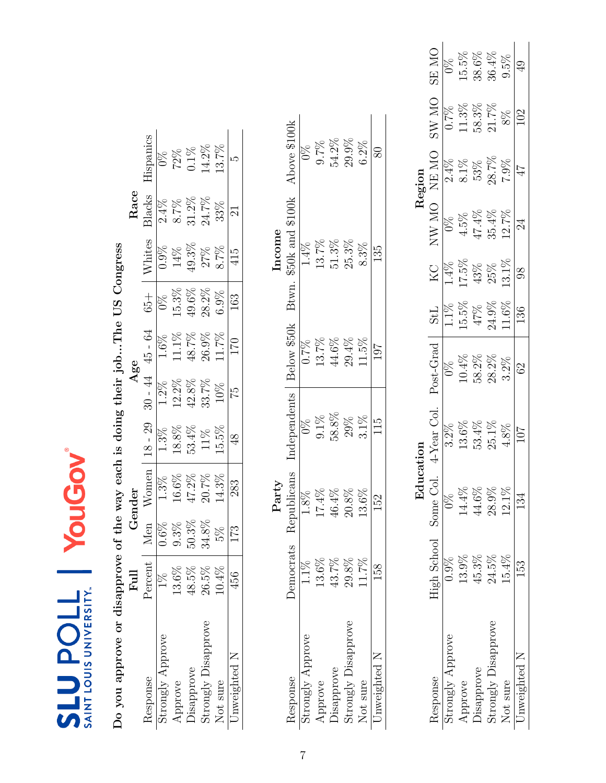| Do you approve or disapprove of the way each is doing their jobThe US Congress |                |          |             |               |           |             |               |                  |        |                     |
|--------------------------------------------------------------------------------|----------------|----------|-------------|---------------|-----------|-------------|---------------|------------------|--------|---------------------|
|                                                                                | $_{\rm{Full}}$ |          | Gender      |               |           | Age         |               |                  | Race   |                     |
| Response                                                                       | Percent        | Men      | Women       | $18 - 29$     | $30 - 44$ | 45 - 64     | $65 +$        | Whites           | Blacks | Hispanics           |
| Strongly Approve                                                               | $1\%$          | $0.6\%$  | 1.3%        | $1.3\%$       | $1.2\%$   | 1.6%        | $\frac{8}{2}$ | $0.9\%$          | 2.4%   | $\frac{8}{2}$       |
| Approve                                                                        | $13.6\%$       | 9.3%     | 16.6%       | 18.8%         | 12.2%     | 11.1%       | 15.3%         | 14%              | 8.7%   |                     |
| Disapprove                                                                     | 48.5%          | 50.3%    | 47.2%       | 53.4%         | 42.8%     | 48.7%       | 49.6%         | $49.3\%$         | 31.2%  | 72%<br>0.1%         |
| Strongly Disapprove                                                            | $26.5\%$       | $34.8\%$ | 20.7%       | 11%           | 33.7%     | 26.9%       | 28.2%         | 27%              | 24.7%  | 14.2%               |
| Not sure                                                                       | $10.4\%$       | 5%       | 14.3%       | 15.5%         | 10%       | 11.7%       | 6.9%          | 8.7%             | 33%    | 13.7%               |
| Unweighted N                                                                   | 456            | 173      | 283         | $\frac{8}{4}$ | 52        | 170         | 163           | 415              | $\Xi$  |                     |
|                                                                                |                |          | Party       |               |           |             |               | Income           |        |                     |
| Response                                                                       | Democrats      |          | Republicans | Independents  |           | Below \$50k | Btwn.         | \$50k and \$100k |        | Above \$100k        |
| Strongly Approve                                                               | 1.1%           |          | $1.8\%$     | $\frac{8}{2}$ |           | $0.7\%$     |               | $1.4\%$          |        | $\int_{0}^{\infty}$ |
| Approve                                                                        | 13.6%          |          | 17.4%       | $9.1\%$       |           | 13.7%       |               | $13.7\%$         |        | 0.7%                |
| Disapprove                                                                     | 43.7%          |          | $46.4\%$    | 58.8%         |           | 44.6%       |               | $51.3\%$         |        | $54.2\%$            |
| Strongly Disapprove                                                            | 29.8%          |          | 20.8%       |               |           | 29.4%       |               | 25.3%            |        | 29.9%               |
| Not sure                                                                       | 11.7%          |          | 13.6%       | 29%<br>3.1%   |           | 11.5%       |               | 8.3%             |        | $6.2\%$             |

<span id="page-6-0"></span>

|                                               |                       | Edu      |             |                |            |          |              | Region  |       |              |
|-----------------------------------------------|-----------------------|----------|-------------|----------------|------------|----------|--------------|---------|-------|--------------|
|                                               | High School Some Col. |          | t-Year Col. | Post-Grad      | <b>StL</b> | ZХ       | <b>ON WN</b> | NE MO   | ON WS | <b>ON RS</b> |
|                                               |                       |          |             | $\frac{8}{20}$ | $1.1\%$    | 1.4%     |              | 2.4%    | 0.7%  |              |
|                                               | 13.9%                 | $4.4\%$  |             | $10.4\%$       | 5.5%       | 17.5%    | 4.5%         | 8.1%    |       | 15.5%        |
|                                               | 45.3%                 | 14.6%    |             | 58.2%          | 47%        | 43%      | 47.4%        | 53%     | 58.3% | 38.6%        |
| $\operatorname{Strongly}\nolimits$ Disapprove | 24.5%                 | 28.9%    | $25.1\%$    | $28.2\%$       | 24.9%      | 25%      | $35.4\%$     | 28.7%   | 21.7% | $36.4\%$     |
|                                               | 15.4%                 | $12.1\%$ | 4.8%        | $3.2\%$        | $1.6\%$    | $13.1\%$ | 12.7%        | $7.9\%$ | 8%    | $9.5\%$      |
|                                               | 53                    |          | 70.         | $\Im$          | 136        | 89       | 24           |         | ව     |              |
|                                               |                       |          |             |                |            |          |              |         |       |              |

Not sure  $11.7\%$   $13.6\%$   $3.1\%$   $11.5\%$   $8.3\%$   $8.3\%$   $8.3\%$   $8.3\%$   $8.3\%$ Unweighted N  $158$   $152$   $115$   $197$   $135$   $135$   $80$ 

 $\frac{15}{11}$ 

152

158

Unweighted N Not sure

80

 $\overline{135}$ 

 $\overline{101}$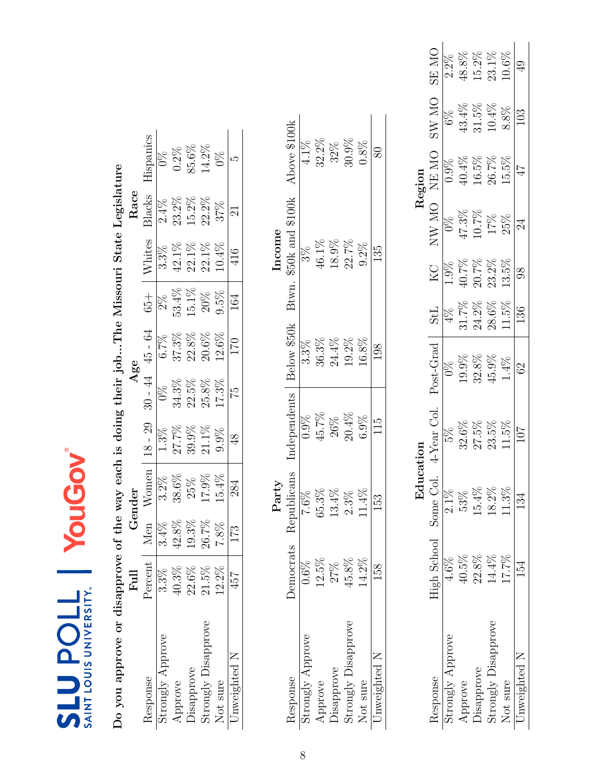| Response            | $_{\rm{Full}}$ |         | Gender      |                 |           | Age         |               |                  | Race    |               |
|---------------------|----------------|---------|-------------|-----------------|-----------|-------------|---------------|------------------|---------|---------------|
|                     | Percent        | Men     | Women       | $18 - 29$       | $30 - 44$ | $45 - 64$   | $65 +$        | Whites           | Blacks  | Hispanics     |
| Strongly Approve    | $3\%$          | $3.4\%$ | $3.2\%$     | 1.3%            | $0\%$     | 6.7%        | $\frac{8}{2}$ | $3.3\%$          | $2.4\%$ | $\Im$         |
|                     | 40.3%          | 42.8%   | 38.6%       | 27.7%           | 34.3%     | 37.3%       | 53.4%         | 42.1%            | 23.2%   | $0.2\%$       |
| <b>Jisapprove</b>   | 22.6%          | 19.3%   | 25%         | $39.9\%$        | $22.5\%$  | $22.8\%$    | 15.1%         | 22.1%            | 15.2%   | 85.6%         |
| Strongly Disapprove | 21.5%          | 26.7%   | 17.9%       | 21.1%           | $25.8\%$  | $20.6\%$    | $20\%$        | 22.1%            | 22.2%   | 14.2%         |
|                     | 12.2%          | 7.8%    | 15.4%       | 9.9%            | 17.3%     | 12.6%       | 9.5%          | 10.4%            | 37%     | $\frac{8}{2}$ |
| Unweighted N        | 457            | 173     | 284         | $\frac{8}{3}$   | 52        | 170         | 164           | 416              | $\Xi$   |               |
|                     |                |         | Party       |                 |           |             |               | Income           |         |               |
|                     | Democrats      |         | Republicans | Independents    |           | Below \$50k | Btwn.         | \$50k and \$100k |         | Above \$100k  |
| Strongly Approve    | $0.6\%$        |         | 7.6%        | 0.9%            |           | $3.3\%$     |               | $3\%$            |         | 4.1%          |
|                     | 12.5%          |         | 15.3%       | 45.7%           |           | 36.3%       |               | 46.1%            |         | 32.2%         |
| <b>Disapprove</b>   | 27%            |         | 13.4%       | 26%             |           | 24.4%       |               | 18.9%            |         | 32%           |
| Strongly Disapprove | 45.8%          |         | 2.3%        | $20.4\%$        |           | 19.2%       |               | 22.7%            |         | 30.9%         |
|                     | 14.2%          |         | $1.4\%$     | 6.9%            |           | 16.8%       |               | 9.2%             |         | 0.8%          |
| Unweighted N        | 158            |         | 153         | $\frac{51}{11}$ |           | 198         |               | 135              |         | $80\,$        |

<span id="page-7-0"></span>

|                     |                       |       |                |           |            |                         |          | Region |                 |              |
|---------------------|-----------------------|-------|----------------|-----------|------------|-------------------------|----------|--------|-----------------|--------------|
| tesponse            | High School Some Col. |       | $4$ -Year Col. | Post-Grad | <b>StL</b> | $\overline{\mathrm{S}}$ | NW MO    | NE MO  | DIN WS          | <b>ON RS</b> |
| strongly Approve    |                       | 2.1%  |                |           |            |                         |          |        | $6\%$           | 2.2%         |
| pprove              | $10.5\%$              | 53%   | 32.6%          | $0.9\%$   | 31.7%      | 40.7%                   | $47.3\%$ | 4%     | 13.4%           | 48.8%        |
| Jisapprove          | 22.8%                 | 15.4% | 27.5%          | 32.8%     | 24.2%      | 20.7%                   | $10.7\%$ | 16.5%  | 31.5%           | 15.2%        |
| Strongly Disapprove | 14.4%                 | 18.2% | 23.5%          | 45.9%     | $28.6\%$   | $23.2\%$                | 17%      | 26.7%  | $10.4\%$        | 23.1%        |
| Not sure            | 261.71                | 11.3% | $1.5\%$        | 1.4%      | 11.5%      | 13.5%                   | 25%      | 15.5%  | 8.8%            | 0.6%         |
| Inweighted N        |                       | 134   | 107            | 29        | 136        |                         | 24       |        | $\overline{03}$ |              |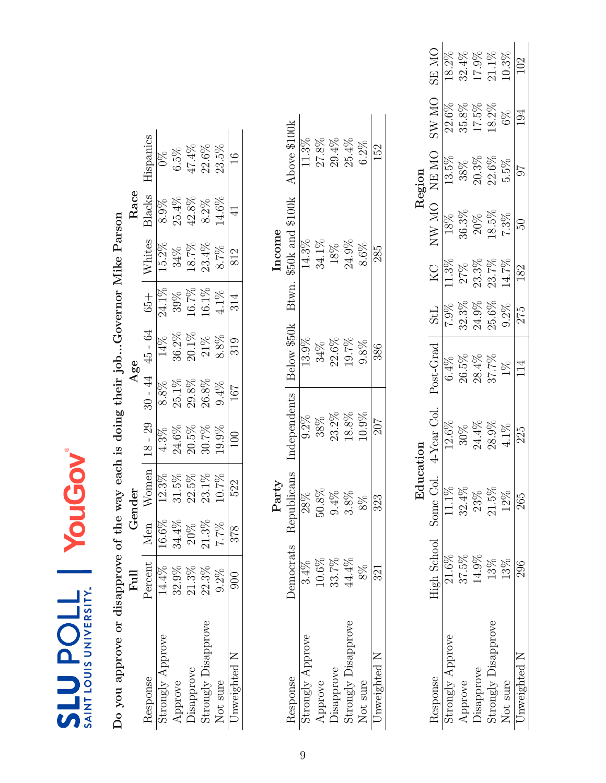| Do you approve or disapprove of the way each is doing their jobGovernor Mike Parson |           |                |            |              |          |                     |          |                        |           |               |
|-------------------------------------------------------------------------------------|-----------|----------------|------------|--------------|----------|---------------------|----------|------------------------|-----------|---------------|
|                                                                                     | Full      |                | Gender     |              |          | Age                 |          |                        | Race      |               |
| Response                                                                            | Percent   | Men            | Women      | $18 - 29$    |          | $30 - 44$ $45 - 64$ | $65 +$   | Whites                 | Blacks    | Hispanics     |
| Strongly Approve                                                                    | 14.4%     |                | 12.3%      | 4.3%         | $8.8\%$  | 14%                 | $24.1\%$ | 15.2%                  | 8.9%      | $\Im$         |
| Approve                                                                             | 32.9%     | 16.6%<br>34.4% | $31.5\%$   | 24.6%        | 25.1%    | 36.2%               | $39\%$   | 34%                    | 25.4%     | 6.5%          |
| Disapprove                                                                          | 21.3%     | $20\%$         | $22.5\%$   | $20.5\%$     | $29.8\%$ | 20.1%               | 16.7%    | 18.7%                  | 42.8%     | $47.4\%$      |
| Strongly Disapprove                                                                 | 22.3%     | $21.3\%$       | $23.1\%$   | 30.7%        | 26.8%    | 21%                 | 16.1%    | 23.4%                  | 8.2%      | 22.6%         |
| Not sure                                                                            | $9.2\%$   | 7.7%           | 10.7%      | 19.9%        | 9.4%     | 8.8%                | 4.1%     | 8.7%                   | 14.6%     | 23.5%         |
| Jnweighted N                                                                        | 900       | 378            | 522        |              | 167      | 319                 | 314      | 812                    | $\exists$ | $\frac{6}{1}$ |
|                                                                                     |           |                | Party      |              |          |                     |          | Income                 |           |               |
| Response                                                                            | Democrats | $\approx$      | epublicans | Independents |          | Below \$50k         |          | Btwn. \$50k and \$100k |           | Above \$100k  |
| Strongly Approve                                                                    | 3.4%      |                | $28\%$     | $9.2\%$      |          | 13.9%               |          | 14.3%                  |           | 11.3%         |
| Approve                                                                             | 10.6%     |                | $50.8\%$   | 38%          |          | 34%                 |          | 34.1%                  |           | 27.8%         |
| <b>Disapprove</b>                                                                   | 33.7%     |                | $9.4\%$    | $23.2\%$     |          | $22.6\%$            |          | 18%                    |           | $29.4\%$      |
| Strongly Disapprove                                                                 | 44.4%     |                | $3.8\%$    | 18.8%        |          | 19.7%               |          | $24.9\%$               |           | 25.4%         |
| Not sure                                                                            | $8\%$     |                | $8\%$      | 10.9%        |          | 9.8%                |          | 8.6%                   |           | $6.2\%$       |

<span id="page-8-0"></span>

|         | ON ES<br>$_{\rm N_O}$ | 18.2%            | $32.4\%$              | 17.9%                                         | $21.1\%$                   | 10.3%    |              |
|---------|-----------------------|------------------|-----------------------|-----------------------------------------------|----------------------------|----------|--------------|
|         | $\geq$                | 22.6%            | 35.8%                 | $17.5\%$                                      | 18.2%                      | $6\%$    | $\Xi$        |
| Region  | NE MO                 | 13.5%            |                       | $\frac{38\%}{20.3\%}$ $\frac{22.6\%}{22.6\%}$ |                            | $5.5\%$  |              |
|         | <b>ON WN</b>          | 18%              | 36.3%                 | 20%                                           | $18.5\%$                   | $7.3\%$  | B            |
|         | ZХ                    | 11.3%            | 27%                   | 23.3%                                         | 23.7%                      | 14.7%    | 182          |
|         | <b>StL</b>            | 7.9%             | 32.3%                 | 24.9%                                         | 25.6%                      | $9.2\%$  | 275          |
|         | ost-Grad              | 6.4%             | 26.5%                 | 28.4%                                         | 37.7%                      | $1\%$    | 14           |
|         | 4-Year Col.           | 12.6%            | $\frac{30\%}{24.4\%}$ |                                               | $28.9\%$                   | 4.1%     | 225          |
| ਦੂ<br>ਜ |                       | 11.1%            | 32.4%                 | $23\%$                                        | $21.5\%$                   | 12%      | 265          |
|         | High School Some Co.  | $21.6\%$         | 37.5%                 | 14.9%                                         | 13%                        | 13%      | 296          |
|         | <i>lesponse</i>       | strongly Approve | Approve               | Oisapprove                                    | $\rm strongly\ Disapprove$ | Not sure | Jnweighted N |

Not sure  $8\%$   $8\%$   $8\%$   $8\%$   $10.9\%$   $9.8\%$   $8.6\%$   $8.6\%$   $8.6\%$   $8.6\%$ Unweighted N  $321$   $323$   $207$   $386$   $285$   $285$ 

**207** 

323

 $\overline{321}$ 

Unweighted N Not sure

 $\overline{152}$ 

285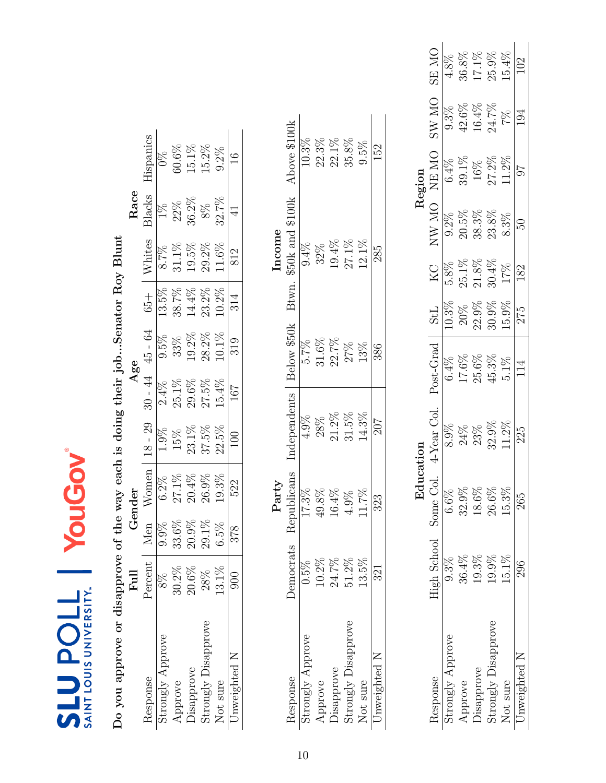| י<br>ו                                                                                                                                                                                                                              |
|-------------------------------------------------------------------------------------------------------------------------------------------------------------------------------------------------------------------------------------|
| ļ                                                                                                                                                                                                                                   |
|                                                                                                                                                                                                                                     |
|                                                                                                                                                                                                                                     |
|                                                                                                                                                                                                                                     |
|                                                                                                                                                                                                                                     |
| Ì                                                                                                                                                                                                                                   |
| ו<br>וו<br>ו                                                                                                                                                                                                                        |
|                                                                                                                                                                                                                                     |
| -<br>-<br>-<br>><br>><br>><br>-                                                                                                                                                                                                     |
|                                                                                                                                                                                                                                     |
| )<br> <br>                                                                                                                                                                                                                          |
| in the communication of the strip of the strip of the strip of the strip of the strip of the strip of the strip of the strip of the strip of the strip of the strip of the strip of the strip of the strip of the strip of the<br>ı |
|                                                                                                                                                                                                                                     |
| ı                                                                                                                                                                                                                                   |
|                                                                                                                                                                                                                                     |
| Ì<br>$\mathfrak{c}$                                                                                                                                                                                                                 |

<span id="page-9-0"></span>

|                             |                              | Educ     |                |           |            |                  |          | Region |                 |              |
|-----------------------------|------------------------------|----------|----------------|-----------|------------|------------------|----------|--------|-----------------|--------------|
| tesponse                    | <b>High School</b> Some Col. |          | $4$ -Year Col. | Post-Grad | <b>StL</b> | <b>Z</b>         | NW MO    | NE MO  | ON WS           | <b>ON ES</b> |
| Strongly Approve            |                              | $6.6\%$  |                | 6.4%      | $0.3\%$    |                  | $9.2\%$  | 6.4%   | 9.3%            | 4.8%         |
| Approve                     | $36.4\%$                     | $32.9\%$ |                | 17.6%     | $20\%$     | $5.8\%$<br>25.1% | 20.5%    | 39.1%  | 42.6%           | 36.8%        |
| Jisapprove                  | 19.3%                        | 18.6%    | 23%            | 25.6%     | $22.9\%$   | $21.8\%$         | 38.3%    | $16\%$ | 16.4%           | $17.1\%$     |
| $\rm{strongly\,Disapprove}$ | 19.9%                        | 26.6%    | 32.9%          | 45.3%     | $30.9\%$   | $30.4\%$         | $23.8\%$ | 27.2%  | 24.7%           | $25.9\%$     |
| Not sure                    | $15.1\%$                     | $15.3\%$ | 1.2%           | $5.1\%$   | $15.9\%$   | $17\%$           | $8.3\%$  | 11.2%  | 7%              | $15.4\%$     |
| Jnweighted N                | 296                          | 265      | 225            | 114       | 275        | 182              | S0       |        | $\overline{54}$ |              |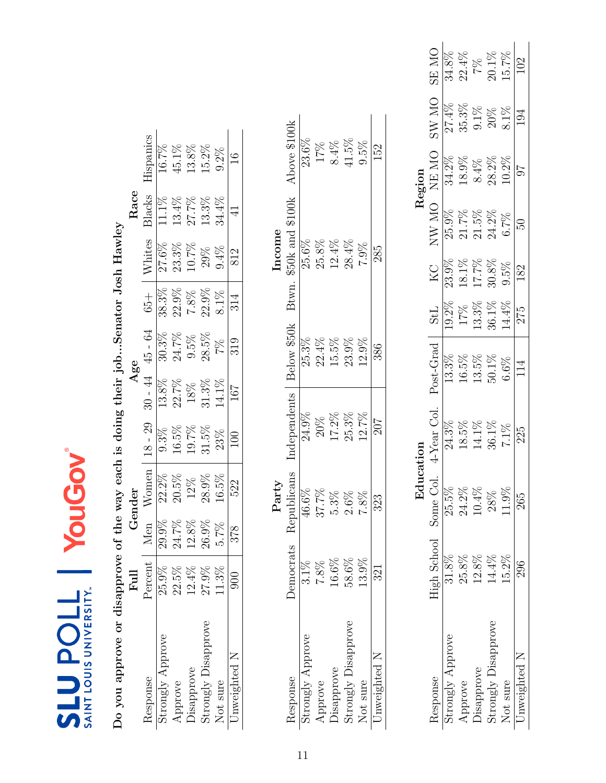<span id="page-10-0"></span>

|  | <b>INIVERSITY</b><br>i<br>$\overline{11}$ LOU. |
|--|------------------------------------------------|

Do you approve or disapprove of the way each is doing their job...Senator Josh Hawley  $Full$  Gender  $Age$ Do you approve or disapprove of the way each is doing their job...Senator Josh Hawley

|                             | Full     |                   | Gender   |                                                           | Age                                                     |                          |                                                                                              |                                                  | Race                    |                                   |
|-----------------------------|----------|-------------------|----------|-----------------------------------------------------------|---------------------------------------------------------|--------------------------|----------------------------------------------------------------------------------------------|--------------------------------------------------|-------------------------|-----------------------------------|
| Response                    | Percent  | Men               | Nomen    | $18 - 29$                                                 |                                                         |                          |                                                                                              |                                                  | Blacks                  |                                   |
| Strongly Approve            | 25.9%    | 29.9%             | $22.2\%$ | $\frac{1}{9.3\%}$                                         | $\frac{30 - 44}{13.8\%}$                                | $\frac{45 - 64}{30.3\%}$ |                                                                                              |                                                  | $\frac{11.1\%}{13.4\%}$ | $\frac{\text{Hispanics}}{16.7\%}$ |
| Approve                     | 22.5%    |                   | $20.5\%$ |                                                           | 22.7%                                                   | 24.7%                    |                                                                                              |                                                  |                         | $45.1\%$                          |
| Jisapprove                  | $12.4\%$ | $24.7\%$<br>12.8% | $12\%$   |                                                           |                                                         | $9.5\%$                  |                                                                                              |                                                  |                         |                                   |
| $\rm{strongly\;Disapprove}$ | 27.9%    | $26.9\%$          | $28.9\%$ | $\begin{array}{c} 16.5\% \\ 19.7\% \\ 31.5\% \end{array}$ | $\begin{array}{c} 18\% \\ 31.3\% \\ 14.1\% \end{array}$ | $28.5\%$                 |                                                                                              | Whites<br>27.6%<br>23.3%<br>10.7%<br>29%<br>2.4% | 27.7%<br>13.3%          | $13.8\%$<br>15.2%                 |
| Not sure                    | $11.3\%$ | $5.7\%$           | $16.5\%$ | $23\%$                                                    |                                                         | $7\%$                    | $\begin{array}{r} 65+ \\ 38.3\% \\ 22.9\% \\ 7.8\% \\ 22.9\% \\ 8.1\% \\ \hline \end{array}$ |                                                  | $34.4\%$                | $9.2\%$                           |
| Jnweighted N                | 900      | 378               | 522      | 100                                                       | $\frac{101}{20}$                                        | 319                      |                                                                                              | 812                                              |                         |                                   |
|                             |          |                   |          |                                                           |                                                         |                          |                                                                                              |                                                  |                         |                                   |
|                             |          |                   |          |                                                           |                                                         |                          |                                                                                              |                                                  |                         |                                   |
|                             |          |                   | Party    |                                                           |                                                         |                          |                                                                                              | ncome                                            |                         |                                   |

|       | Above \$100k              | 23.6%            | 17%      | $8.4\%$           | 11.5%                       | $9.5\%$  | 152          |
|-------|---------------------------|------------------|----------|-------------------|-----------------------------|----------|--------------|
| ncome | \$50k and \$100k<br>Btwn. | 25.6%            | 25.8%    | 12.4%             | 28.4%                       | 7.9%     | 285          |
|       | Below \$50k               | 25.3%            | $22.4\%$ | 15.5%             | 23.9%                       | $12.9\%$ | 386          |
|       | ndependents               | 24.9%            | $20\%$   | $17.2\%$          | 25.3%                       | $12.7\%$ | 707          |
| Party | publicans<br>Ret          | 46.6%            | 37.7%    | $5.3\%$           |                             |          | 323          |
|       | <b>Democrats</b>          | $3.1\%$          | 7.8%     | $16.6\%$          | 58.6%                       | 13.9%    | 321          |
|       | lesponse                  | Strongly Approve | Approve  | <b>Jisapprove</b> | $\rm{strongly\,Disapprove}$ | Not sure | Jnweighted N |

|                     |                       | np.<br>Fi |             |           |              |       |          | Region   |              |                   |
|---------------------|-----------------------|-----------|-------------|-----------|--------------|-------|----------|----------|--------------|-------------------|
| <b>Lesponse</b>     | High School Some Col. |           | 4-Year Col. | Post-Grad | <b>StL</b>   | КC    | NW MO    | NE MO    | <b>ON WS</b> | ON ES             |
| trongly Approve     | 31.8%                 | 25.5%     |             |           | $0.2\%$      | 23.9% |          | 34.2%    |              |                   |
| Approve             | 25.8%                 | 24.2%     |             |           | $17\%$ 13.3% | 18.1% | 21.7%    | $18.9\%$ |              | 22.4%             |
| <b>Oisapprove</b>   | 12.8%                 | 10.4%     |             | 13.5%     |              | 17.7% | $21.5\%$ | 8.4%     | $9.1\%$      | 28                |
| Strongly Disapprove | 14.4%                 | 28%       | 36.1%       | $50.1\%$  | 36.1%        | 30.8% | $24.2\%$ | 28.2%    | $20\%$       | $20.1\%$<br>15.7% |
| <b>Not</b> sure     | $15.2\%$              | 1.9%      | $7.1\%$     | $6.6\%$   | $4.4\%$      | 9.5%  | 6.7%     | $10.2\%$ | 8.1%         |                   |
| Jnweighted N        | 296                   | 265       | 225         |           | 275          | 182   | F.       |          |              |                   |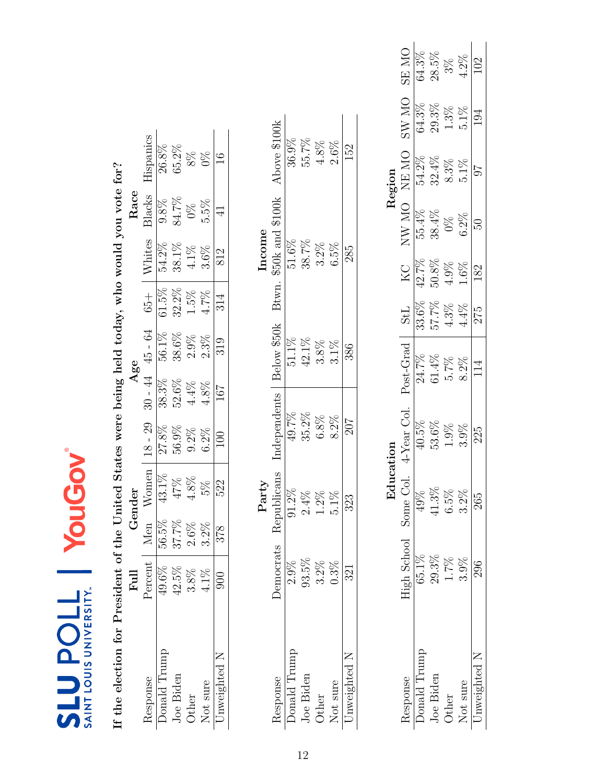<span id="page-11-0"></span>

| SAINT LOUIS UNIVERSITY.<br><b>710den3</b>   |                | YouG  |                                      | DVO                                                   |           |             |            |               |                  |               |          |              |
|---------------------------------------------|----------------|-------|--------------------------------------|-------------------------------------------------------|-----------|-------------|------------|---------------|------------------|---------------|----------|--------------|
| If the election for President of the United |                |       |                                      | States were being held today, who would you vote for? |           |             |            |               |                  |               |          |              |
|                                             | $_{\rm{Full}}$ |       | Gender                               |                                                       |           | Agee        |            |               | ${\rm Race}$     |               |          |              |
| Response                                    | Percent        | Men   | Women                                | $18 - 29$                                             | $30 - 44$ | $45 - 64$   | $65 +$     | Whites        | Blacks           | Hispanics     |          |              |
| Donald Trump                                | 49.6%          | 56.5% |                                      | 27.8%                                                 | 38.3%     | 56.1%       | $61.5\%$   | 54.2%         | $9.8\%$          | 26.8%         |          |              |
| Joe Biden                                   | 42.5%          | 37.7% | $\frac{\sqrt{43.1\%}}{47\%}$<br>4.8% | $56.9\%$                                              | $52.6\%$  | $38.6\%$    | 32.2%      | $38.1\%$      | 84.7%            | 65.2%         |          |              |
| Other                                       | 3.8%           | 2.6%  |                                      | $9.2\%$                                               | $4.4\%$   | $2.9\%$     | $1.5\%$    | $4.1\%$       | $0\%$            | 8%            |          |              |
| Not sure                                    | 4.1%           | 3.2%  | $5\%$                                | $6.2\%$                                               | $4.8\%$   | 2.3%        | 4.7%       | $3.6\%$       | 5.5%             | $0\%$         |          |              |
| Unweighted N                                | 900            | 378   | 522                                  | 100                                                   | 167       | 319         | 314        | 812           | $\exists$        | $\frac{6}{1}$ |          |              |
|                                             |                |       | Party                                |                                                       |           |             |            | Income        |                  |               |          |              |
| Response                                    | Democrats      |       | Republicans                          | Independents                                          |           | Below \$50k | Btwn       |               | \$50k and \$100k | Above \$100k  |          |              |
| Donald Trump                                | 2.9%           |       | $91.2\%$                             | 49.7%                                                 |           | $51.1\%$    |            | 51.6%         |                  | $36.9\%$      |          |              |
| Joe Biden                                   | $93.5\%$       |       | $2.4\%$                              | 35.2%                                                 |           | $42.1\%$    |            | 38.7%         |                  | $55.7\%$      |          |              |
| Other                                       | $3.2\%$        |       | $1.2\%$                              | $6.8\%$                                               |           | 3.8%        |            | $3.2\%$       |                  | $4.8\%$       |          |              |
| Not sure                                    | 0.3%           |       | $5.1\%$                              | $8.2\%$                                               |           | $3.1\%$     |            | $6.5\%$       |                  | $2.6\%$       |          |              |
| Unweighted N                                | 321            |       | 323                                  | 207                                                   |           | 386         |            | 285           |                  | 152           |          |              |
|                                             |                |       |                                      |                                                       |           |             |            |               |                  |               |          |              |
|                                             |                |       | Education                            |                                                       |           |             |            |               |                  | Region        |          |              |
| Response                                    | High School    |       | Some Col.                            | 4-Year Col.                                           |           | Post-Grad   | <b>StL</b> | $\rm{KC}$     | $\text{NW}$ MO   | <b>NEMO</b>   | SW MO    | <b>ON RS</b> |
| Donald Trump                                | 65.1%          |       | 49%                                  | 40.5%                                                 |           | 24.7%       | 33.6%      | 42.7%         | 55.4%            | 54.2%         | 64.3%    | 64.3%        |
| Joe Biden                                   | 29.3%          |       | 41.3%                                | 53.6%                                                 |           | $61.4\%$    | 57.7%      | $50.8\%$      | 38.4%            | $32.4\%$      | $29.3\%$ | 28.5%        |
| Other                                       | 1.7%           |       | $6.5\%$                              | $1.9\%$                                               |           | 5.7%        | $4.3\%$    | $4.9\%$       | $0\%$            | $8.3\%$       | $1.3\%$  | $3\%$        |
| Not sure                                    | 3.9%           |       | $3.2\%$                              | 3.9%                                                  |           | $8.2\%$     | $4.4\%$    | 1.6%          | $6.2\%$          | $5.1\%$       | 5.1%     | $4.2\%$      |
|                                             |                |       |                                      | ç                                                     |           |             |            | $\frac{1}{2}$ |                  |               |          | $\tilde{C}$  |

225

265

296

Unweighted N

114

102

194

 $\pm 6$ 

 $62$ 

182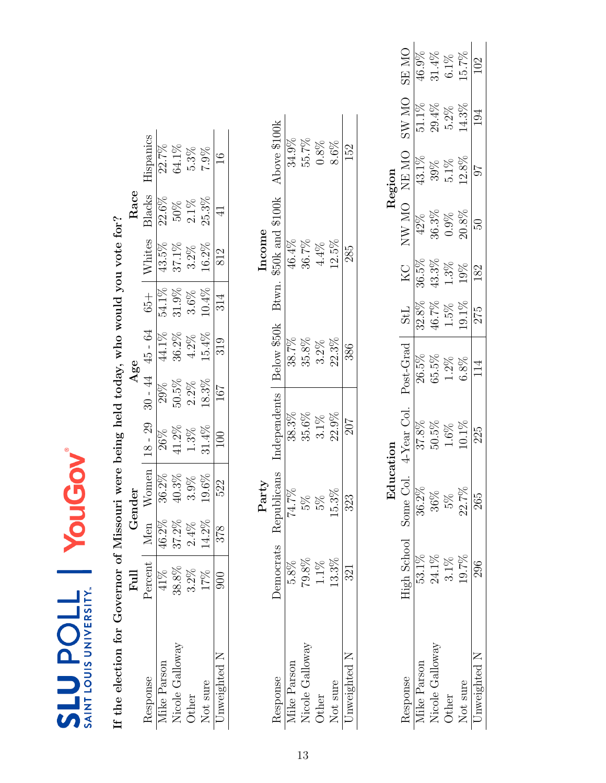<span id="page-12-0"></span>

| SAINT LOUIS UNIVERSITY.<br><b>710den3</b>                                               |                | YouG    |                        |              |           |             |            |           |                  |               |          |              |
|-----------------------------------------------------------------------------------------|----------------|---------|------------------------|--------------|-----------|-------------|------------|-----------|------------------|---------------|----------|--------------|
| If the election for Governor of Missouri were being held today, who would you vote for? |                |         |                        |              |           |             |            |           |                  |               |          |              |
|                                                                                         | $_{\rm{Full}}$ |         | Gender                 |              |           | Age         |            |           | Race             |               |          |              |
| Response                                                                                | Percent        | Men     | Women                  | $18 - 29$    | $30 - 44$ | 45 - 64     | $65 +$     | Whites    | Blacks           | Hispanics     |          |              |
| Mike Parson                                                                             | 41%            | 46.2%   | 36.2%                  | 26%          | 29%       | 44.1%       | 54.1%      | 43.5%     | 22.6%            | 22.7%         |          |              |
| Nicole Galloway                                                                         | $38.8\%$       | 37.2%   | $40.3\%$               | $41.2\%$     | $50.5\%$  | $36.2\%$    | $31.9\%$   | 37.1%     | 50%              | 64.1%         |          |              |
| Other                                                                                   | $3.2\%$        | $2.4\%$ | 3.9%                   | $1.3\%$      | $2.2\%$   | $4.2\%$     | $3.6\%$    | $3.2\%$   | $2.1\%$          | $5.3\%$       |          |              |
| Not sure                                                                                | 17%            | 14.2%   | 19.6%                  | 31.4%        | 18.3%     | 15.4%       | 10.4%      | 16.2%     | 25.3%            | 7.9%          |          |              |
| Unweighted N                                                                            | 900            | 378     | 522                    | 100          | 167       | 319         | 314        | 812       | $\overline{4}$   | $\frac{6}{1}$ |          |              |
|                                                                                         |                |         | Party                  |              |           |             |            | Income    |                  |               |          |              |
| Response                                                                                | Democrats      |         | $\Omega$<br>Republican | Independents |           | Below \$50k | Btwn.      |           | \$50k and \$100k | Above \$100k  |          |              |
| Mike Parson                                                                             | $5.8\%$        |         | 74.7%                  | 38.3%        |           | 38.7%       |            | 46.4%     |                  | 34.9%         |          |              |
| Nicole Galloway                                                                         | $79.8\%$       |         | 5%                     | 35.6%        |           | 35.8%       |            | 36.7%     |                  | 55.7%         |          |              |
| Other                                                                                   | $1.1\%$        |         | $5\%$                  | $3.1\%$      |           | $3.2\%$     |            | $4.4\%$   |                  | $0.8\%$       |          |              |
| Not sure                                                                                | 13.3%          |         | 15.3%                  | 22.9%        |           | 22.3%       |            | 12.5%     |                  | 8.6%          |          |              |
| Unweighted N                                                                            | 321            |         | 323                    | 207          |           | 386         |            | 285       |                  | 152           |          |              |
|                                                                                         |                |         |                        |              |           |             |            |           |                  |               |          |              |
|                                                                                         |                |         | Education              |              |           |             |            |           |                  | Region        |          |              |
| Response                                                                                | High School    |         | Some Col.              | 4-Year Col.  |           | Post-Grad   | <b>TPS</b> | <b>ZN</b> | NW MO            | <b>ON RN</b>  | SW MO    | <b>ON SE</b> |
| Mike Parson                                                                             | 53.1%          |         | 36.2%                  | 37.8%        |           | 26.5%       | 32.8%      | 36.5%     | 42%              | 43.1%         | $51.1\%$ | 46.9%        |
| Nicole Galloway                                                                         | 24.1%          |         | $36\%$                 | $50.5\%$     |           | 65.5%       | 46.7%      | $43.3\%$  | $36.3\%$         | 39%           | $29.4\%$ | $31.4\%$     |
| $_{\rm Other}$                                                                          | $3.1\%$        |         | 5%                     | $1.6\%$      |           | $1.2\%$     | 1.5%       | 1.3%      | 0.9%             | $5.1\%$       | $5.2\%$  | $6.1\%$      |
| Not sure                                                                                | 19.7%          |         | 22.7%                  | $10.1\%$     |           | $6.8\%$     | 19.1%      | 19%       | 20.8%            | 12.8%         | 14.3%    | 15.7%        |

Not sure 19.7% 22.7% 10.1% 6.8% 13.1% 20.8% 20.8% 12.8% 14.3% 15.7% Unweighted N  $296$   $265$   $225$   $114$   $275$   $182$   $50$   $97$   $194$   $102$ 

 $10.1\%$ 225

102

194

 $\pm 6$ 

 $\overline{50}$ 

182

275

114

265

296

Unweighted N Not sure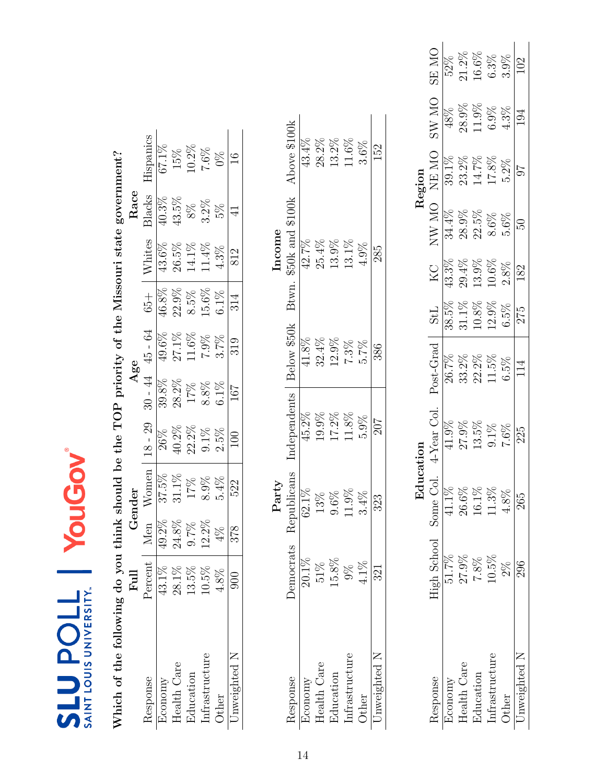| Which of the following do you think |                  |         |             |              |          | should be the TOP priority of the Missouri state government? |          |                   |           |               |
|-------------------------------------|------------------|---------|-------------|--------------|----------|--------------------------------------------------------------|----------|-------------------|-----------|---------------|
|                                     | $_{\rm{Full}}$   |         | Gender      |              |          | Age                                                          |          |                   | Race      |               |
| Response                            | Percent          | Men     | Women       | $18 - 29$    |          | $30 - 44$ $45 - 64$                                          | $+50$    | Whites            | Blacks    | Hispanics     |
| Economy                             | 43.1%            | 49.2%   | 37.5%       | 26%          | $39.8\%$ | $49.6\%$                                                     | 46.8%    | $43.6\%$          | 40.3%     | 67.1%         |
| Health Care                         | 28.1%            | 24.8%   | $31.1\%$    | $40.2\%$     | 28.2%    | $27.1\%$                                                     | $22.9\%$ |                   | 43.5%     | 15%           |
| Education                           | 13.5%            | $9.7\%$ | 17%         | $22.2\%$     | 17%      | $11.6\%$                                                     | 8.5%     | $26.5\%$<br>14.1% | $8\%$     | $10.2\%$      |
| Infrastructure                      | 10.5%            | 12.2%   | 8.9%        | $9.1\%$      | $8.8\%$  | $7.9\%$                                                      | 15.6%    | 11.4%             | $3.2\%$   | 7.6%          |
| Other                               | $4.8\%$          | 4%      | 5.4%        | 2.5%         | 6.1%     | 3.7%                                                         | $6.1\%$  | 4.3%              | 5%        | $0\%$         |
| Jnweighted N                        | 900              | 878     | 522         | 100          | 167      | 319                                                          | 314      | 812               | $\vec{4}$ | $\frac{6}{1}$ |
|                                     |                  |         | Party       |              |          |                                                              |          | Income            |           |               |
| Response                            | <b>Democrats</b> |         | Republicans | Independents |          | Below \$50k                                                  | Btwn.    | \$50k and \$100k  |           | Above \$100k  |
| Economy                             | $20.1\%$         |         | 62.1%       | 45.2%        |          | 41.8%                                                        |          | 42.7%             |           | 43.4%         |
| Health Care                         | 51%              |         | 13%         | 19.9%        |          | $32.4\%$                                                     |          | 25.4%             |           | 28.2%         |
| Education                           | 15.8%            |         | $9.6\%$     | 17.2%        |          | 12.9%                                                        |          | $13.9\%$          |           | $13.2\%$      |
| Infrastructure                      | $\frac{8}{2}$    |         | 11.9%       | $11.8\%$     |          | 7.3%                                                         |          | 13.1%             |           | $11.6\%$      |
| Other                               | 4.1%             |         | 3.4%        | $5.9\%$      |          | 5.7%                                                         |          | 4.9%              |           | $3.6\%$       |

|       | Above \$100k                   | 43.4%    | 28.2%   | 13.2%                                          | 11.6%                                                                                            | $3.6\%$ | 152          |
|-------|--------------------------------|----------|---------|------------------------------------------------|--------------------------------------------------------------------------------------------------|---------|--------------|
| ncome | $3twn.$ \$50 $k$ and \$100 $k$ | 42.7%    | 25.4%   | 13.9%                                          | 13.1%                                                                                            | 4.9%    | 285          |
|       | Below \$50k                    | 1.8%     | 32.4%   | 12.9%                                          | 7.3%                                                                                             | 5.7%    | 386          |
|       | Independents                   | 15.2%    | $0.9\%$ | 17.2%                                          | 11.8%                                                                                            | 5.9%    | 707          |
| Party | Republicans                    | $62.1\%$ |         | 9.6%                                           |                                                                                                  | $3.4\%$ | 323          |
|       | <b>Democrats</b>               |          |         | $\frac{20.1\%}{51\%}$<br>$\frac{51\%}{15.8\%}$ |                                                                                                  | $4.1\%$ | 321          |
|       | tesponse                       |          |         | Economy<br>Health Care<br>Education            | $In {\bf fractions} true {\bf t} {\boldsymbol{\rm u}} {\boldsymbol{\rm r}} {\boldsymbol{\rm e}}$ | Other   | Jnweighted N |

<span id="page-13-0"></span>

|                    |                      | ਦ<br>ਸੁ |             |                    |            |          |              | Region            |              |          |
|--------------------|----------------------|---------|-------------|--------------------|------------|----------|--------------|-------------------|--------------|----------|
| <i>lesponse</i>    | High School Some Col |         | 4-Year Col. | $_{\rm Post-Grad}$ | <b>TIS</b> | КC       | <b>ON WN</b> | NE MO             | <b>ON WS</b> | ON ES    |
| conomy             | $51.7\%$             | 41.1%   |             | 26.7%              | 38.5%      | 13.3%    | 34.4%        | 39.1%             | 48%          |          |
| <b>Jealth Care</b> |                      | 26.6%   |             | 2%<br>33.          | 31.1%      | 29.4%    | 28.9%        | 23.2%             | $28.9\%$     | $21.2\%$ |
| Education          | 27.9%<br>7.8%        | 16.1%   | 13.5%       | 22.2%              | $10.8\%$   | 13.9%    | 22.5%        | $14.7\%$ $17.8\%$ | 11.9%        | $16.6\%$ |
| infrastructure     | $10.5\%$             | 11.3%   | 9.1%        | $1.5\%$            | 12.9%      | $10.6\%$ | $8.6\%$      |                   | $6.9\%$      | $6.3\%$  |
| Other              | $2\%$                | $4.8\%$ | 7.6%        | 6.5%               | 6.5%       | 2.8%     | 5.6%         | 5.2%              | 4.3%         | 3.9%     |
| Inweighted N       | 296                  | 265     | 225         |                    | 275        | 182      | 50           |                   | 194          |          |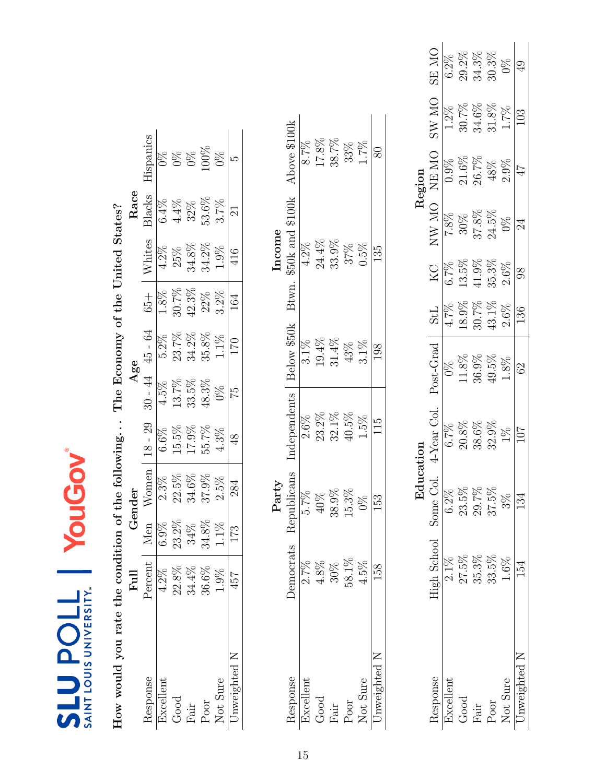| How would you rate the condition of the following |           |          |             |               |          | The Economy of the United States? |         |                        |          |                |
|---------------------------------------------------|-----------|----------|-------------|---------------|----------|-----------------------------------|---------|------------------------|----------|----------------|
|                                                   | Full      |          | Gender      |               |          | Age                               |         |                        | Race     |                |
| Response                                          | Percent   | Men      | Women       | $18 - 29$     |          | $30 - 44$ $45 - 64$               | $65 +$  | Whites                 | Blacks   | Hispanics      |
| Excellent                                         | 4.2%      | 6.9%     | 2.3%        | $6.6\%$       | 4.5%     | $5.2\%$                           | 1.8%    | $4.2\%$                | $6.4\%$  | $\frac{8}{20}$ |
| Good                                              | 22.8%     | 23.2%    | $22.5\%$    | 15.5%         | $13.7\%$ | $23.7\%$                          | 30.7%   | 25%                    | $4.4\%$  | $\frac{8}{20}$ |
| ${\rm Fair}$                                      | $34.4\%$  | 34%      | $34.6\%$    | 17.9%         | 33.5%    | $34.2\%$                          | 42.3%   | $34.8\%$               | 32%      | $0\%$          |
| $_{\mathrm{Poor}}$                                | 36.6%     | $34.8\%$ | 37.9%       | 55.7%         | 48.3%    | $35.8\%$                          | 22%     | 34.2%                  | $53.6\%$ | $00\%$         |
| Not Sure                                          | 1.9%      | $1.1\%$  | 2.5%        | $4.3\%$       | $0\%$    | 1.1%                              | $3.2\%$ | 1.9%                   | 3.7%     | $9\%$          |
| Unweighted N                                      | 457       | 173      | 284         | $\frac{8}{3}$ | 52       | 170                               | 164     | 416                    | $\Xi$    | ΓĊ             |
|                                                   |           |          | Party       |               |          |                                   |         | Income                 |          |                |
| Response                                          | Democrats |          | Republicans | Independents  |          | Below \$50k                       |         | Btwn. \$50k and \$100k |          | Above \$100k   |
| Excellent                                         | 2.7%      |          | 5.7%        | 2.6%          |          | $3.1\%$                           |         | 4.2%                   |          | 8.7%           |
| Good                                              | $4.8\%$   |          | 40%         | 23.2%         |          | 19.4%                             |         | 24.4%                  |          | 17.8%          |
| ${\rm Fair}$                                      | $30\%$    |          | 38.9%       | 32.1%         |          | $31.4\%$                          |         | 33.9%                  |          | 38.7%          |
| $_{\mathrm{Poor}}$                                | $58.1\%$  |          | 15.3%       | 40.5%         |          | 43%                               |         | 37%                    |          | 33%            |
| $N_{L-L}$ $C_{L}$                                 | 4.507     |          | <b>NU</b>   | $T \approx 0$ |          | $\frac{1}{2}$                     |         | $\cap$ $\in$ $\cap$    |          | $404 +$        |

<span id="page-14-0"></span>

| Region | <b>ON RS</b><br>ON WS<br>NE MO | $6.2\%$<br>$1.2\%$<br>$0.9\%$ | $29.2\%$<br>30.7%<br>$21.6\%$ | $34.3\%$<br>34.6%<br>26.7%        | 30.3%<br>$31.8\%$<br>48% | $9\%$<br>$1.7\%$<br>$2.9\%$ | $\overline{49}$<br>103<br>47 |
|--------|--------------------------------|-------------------------------|-------------------------------|-----------------------------------|--------------------------|-----------------------------|------------------------------|
|        | NW MO                          | 7.8%                          |                               | $\frac{30\%}{37.8\%}$<br>$24.5\%$ |                          | $0\%$                       | 24                           |
|        | КC<br>К                        | $6.7\%$                       |                               | $13.5\%$<br>41.9%                 | 35.3%                    | $2.6\%$                     | 98                           |
|        | <b>TPS</b>                     | 4.7%                          | 18.9%                         | $30.7\%$                          | $43.1\%$                 | $2.6\%$                     | 136                          |
|        | Post-Grad                      | $0\%$                         | $11.8\%$                      | $36.9\%$                          | 49.5%                    | $1.8\%$                     | $\Im$                        |
|        | 4-Year Col.                    | 6.7%                          | $20.8\%$                      | 38.6%                             | $32.9\%$                 | $1\%$                       | 107                          |
|        | High School Some Col.          | $6.2\%$                       | 23.5%                         | 29.7%                             | 37.5%                    | $3\%$                       | 134                          |
|        |                                |                               | 27.5%                         | 35.3%                             | 33.5%                    | 1.6%                        |                              |
|        | lesponse                       | lxcellent                     | Good                          | Tist                              | Poor                     | Not Sure                    | Jnweighted N                 |

Not Sure  $4.5\%$  0%  $1.5\%$  1.5% 0.5% 0.5% 1.7% Unweighted N 158 158 153 115 1298 135 135 80

 $1.5\%$ 115

 $0\%$ 153

 $4.5\%$ 158

 $\frac{\text{Not Sure}}{\text{Unweighted N}}$ 

 $1.7\%$ 80

 $0.5\%$  $\overline{135}$ 

 $3.1\%$ 198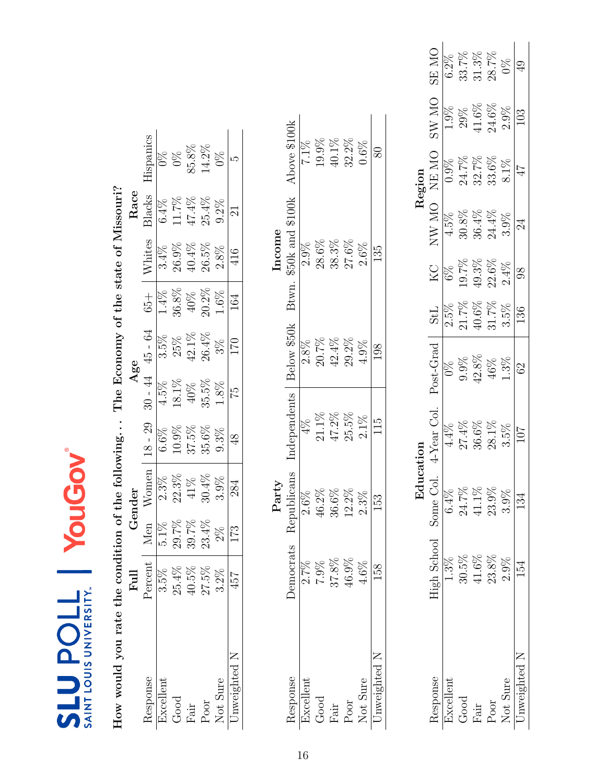| How would you rate the condition of the following |                  |                |             |                |       | The Economy of the state of Missouri? |         |                  |        |               |
|---------------------------------------------------|------------------|----------------|-------------|----------------|-------|---------------------------------------|---------|------------------|--------|---------------|
|                                                   | Full             |                | Gender      |                |       | Age                                   |         |                  | Race   |               |
| Response                                          | Percent          | Men            | $W$ omen    | $18 - 29$      |       | $30 - 44$ $45 - 64$                   | $65 +$  | Whites           | Blacks | Hispanics     |
| Excellent                                         | 3.5%             | $5.1\%$        | 2.3%        | $6.6\%$        | 4.5%  | 3.5%                                  | $1.4\%$ | 3.4%             | 6.4%   | $0\%$         |
| Good                                              | 25.4%            |                | $22.3\%$    | 10.9%          | 18.1% | 25%                                   | 36.8%   | 26.9%            | 11.7%  | $\frac{8}{2}$ |
| Fair                                              | 40.5%            | 29.7%<br>39.7% | 41%         | 37.5%          | 40%   | $42.1\%$                              | 40%     | 40.4%            | 47.4%  | 85.8%         |
| Poor                                              | 27.5%            | $23.4\%$       | 30.4%       | $35.6\%$       | 35.5% | 26.4%                                 | 20.2%   | 26.5%            | 25.4%  | 14.2%         |
| Not Sure                                          | $3.2\%$          | $2\%$          | 3.9%        | 9.3%           | 1.8%  | $3\%$                                 | 1.6%    | 2.8%             | 9.2%   | $9\%$         |
| Jnweighted N                                      | 457              | 173            | 284         | $\frac{8}{3}$  | 51    | 170                                   | 164     | 416              | $\Xi$  | عد            |
|                                                   |                  |                | Party       |                |       |                                       |         | Income           |        |               |
| Response                                          | <b>Democrats</b> |                | Republicans | Independents   |       | Below \$50k                           | Btwn.   | \$50k and \$100k |        | Above \$100k  |
| Excellent                                         | $2.7\%$          |                | $2.6\%$     | $4\%$          |       | $2.8\%$                               |         | $2.9\%$          |        | $7.1\%$       |
| Good                                              | 7.9%             |                | 46.2%       | $21.1\%$       |       | $20.7\%$                              |         | $28.6\%$         |        | 19.9%         |
| ${\rm Fair}$                                      | 37.8%            |                | 36.6%       | $47.2\%$       |       | $42.4\%$                              |         | 38.3%            |        | 40.1%         |
| Poor                                              | 46.9%            |                | 12.2%       | 25.5%          |       | 29.2%                                 |         | 27.6%            |        | 32.2%         |
| Not Sure                                          | 4.6%             |                | 2.3%        | 2.1%           |       | 4.9%                                  |         | 2.6%             |        | 0.6%          |
| Unweighted N                                      | 158              |                | 153         | $\frac{51}{1}$ |       | 198                                   |         | 135              |        | 80            |
|                                                   |                  |                |             |                |       |                                       |         |                  |        |               |

**SLU POLL | YOUGOV** 

Education<br>Education<br>Region

<span id="page-15-0"></span>**ON RE** 

SW MO

NE MO

 $\rm N\rm W~MO$ 

 $\rm_{KO}$  $6\%$ 

Region

 $\frac{6.2\%}{33.7\%}$ 

 $\frac{1.9\%}{29\%}$ 

 $31.3\%$  $28.7\%$  $0\%$  $\overline{49}$ 

 $41.6\%$  $24.6\%$ 

0.9%<br>24.7%<br>32.7%<br>33.6%

 $30.8\%$  $36.4\%$  $24.4\%$ 

 $19.7\%$ <br>49.3%

 $40.6\%$ 

 $42.8\%$  $9.9\%$ 

 $41.1\%$  $24.7\%$ 

> $41.6\%$  $23.8\%$

 $30.5\%$  $1.3\%$ 

 $23.9\%$ 

 $\frac{2.5\%}{21.7\%}$ 

 $22.6\%$  $2.4\%$ 

 $31.7\%$  $3.5\%$ 

 $46\%$  $1.3\%$ 

> $3.5\%$ 101

 $3.9\%$ 134

 $2.9\%$ 154

Unweighted N

Not Sure

Poor  ${\rm Fair}$ 

4.5%

 $2.9\%$ 103

 $8.1\%$  $47$ 

 $3.9\%$ 24

98

136

62

Response High School Some Col. 4-Year Col. Post-Grad StL KC NW MO NE MO SW MO SE MO NE MO Excellent 1.3% 6.4% 4.4% 0% 8% 4.5% 0.9% 1.9% 1.9% 6.2% 6.2% Good 30.5% 24.7% 27.4% 9.9% 21.7% 19.7% 30.8% 24.7% 29% 33.7% Fair 41.6% 41.1% 36.6% 42.8% 40.6% 49.3% 36.4% 32.7% 41.6% 31.3%  $\rm Poor$  23.8% 23.8% 23.9% 28.1% 46% 31.7% 22.6% 24.4% 33.6% 24.6% 28.7%<br>Note that a result of the contract of the contract of the contract of the contract of contract of the contract Not Sure 2.9% 3.9% 3.5%  $1.3\%$  3.5%  $2.4\%$  3.9%  $8.1\%$  2.9% 0% Unweighted N  $154$   $134$   $107$   $62$   $|136$   $98$   $24$   $47$   $103$   $103$ 

 $0\%$ 

 $27.4\%$  $36.6\%$  $28.1\%$ 

 $4.4\%$ 

 $6.4%$ 

4-Year Col. Post-Grad | StL

Education

Some Col.

High School

Response

Excellent Good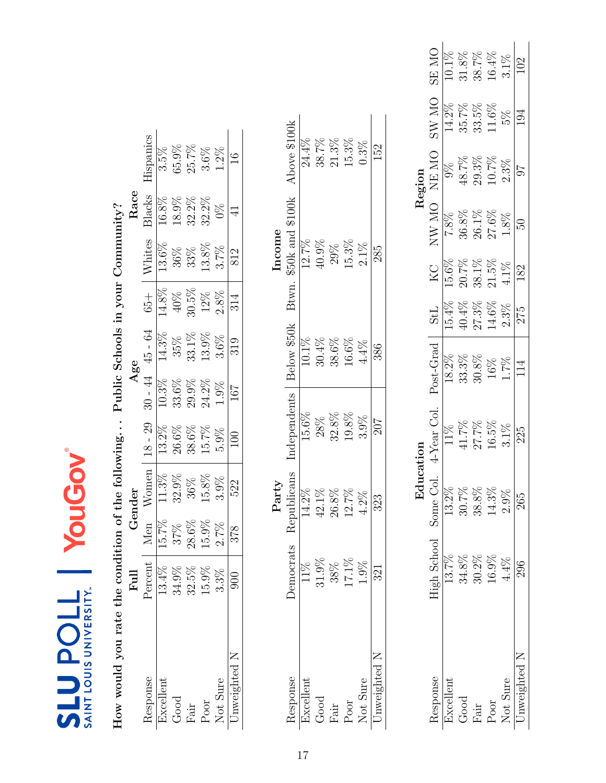| How would you rate the condition |               |          |            |                  |          | of the following Public Schools in your Community? |          |                        |               |               |
|----------------------------------|---------------|----------|------------|------------------|----------|----------------------------------------------------|----------|------------------------|---------------|---------------|
|                                  | Full          |          | Gender     |                  |          | Age                                                |          |                        | Race          |               |
| Response                         | Percent       | Men      |            | Women $ 18 - 29$ |          | $30 - 44$ $45 - 64$                                | $65 +$   | Whites                 | Blacks        | Hispanics     |
| Excellent                        | 13.4%         | 15.7%    | 11.3%      | 13.2%            | 10.3%    | 14.3%                                              | 14.8%    | 13.6%                  | 16.8%         | $3.5\%$       |
| Good                             | 34.9%         | 37%      | 32.9%      | 26.6%            | $33.6\%$ | 35%                                                | $40\%$   | 36%                    | 18.9%         | 65.9%         |
| ${\rm Fair}$                     | 32.5%         | $28.6\%$ | 36%        | 38.6%            | 29.9%    | $33.1\%$                                           | $30.5\%$ | 33%                    | 32.2%         | 25.7%         |
| Poor                             | 15.9%         | 15.9%    | 15.8%      | 15.7%            | 24.2%    | 13.9%                                              | 12%      | 13.8%                  | $32.2\%$      | 3.6%          |
| Not Sure                         | 3.3%          | 2.7%     | 3.9%       | 5.9%             | 1.9%     | 3.6%                                               | 2.8%     | 3.7%                   | $\frac{8}{2}$ | 1.2%          |
| Jnweighted N                     | $\frac{8}{2}$ | 378      | 522        | 100              | 167      | 319                                                | 314      | 812                    |               | $\frac{6}{1}$ |
|                                  |               |          |            |                  |          |                                                    |          |                        |               |               |
|                                  |               |          | Party      |                  |          |                                                    |          | Income                 |               |               |
| Response                         | Democrats     | ≃        | epublicans | Independents     |          | Below \$50k                                        |          | Btwn. \$50k and \$100k |               | Above \$100k  |
| Excellent                        | 11%           |          | 14.2%      | 15.6%            |          | 10.1%                                              |          | 12.7%                  |               | 24.4%         |
| Good                             | 31.9%         |          | 42.1%      | 28%              |          | $30.4\%$                                           |          | 40.9%                  |               | 38.7%         |
| ${\rm Fair}$                     | 38%           |          | $26.8\%$   | 32.8%            |          | 38.6%                                              |          | 29%                    |               | $21.3\%$      |
| Poor                             | 17.1%         |          | 12.7%      | 19.8%            |          | 16.6%                                              |          | 15.3%                  |               | 15.3%         |
| $N - 1$ $C$                      | 1001          |          | 4.007      | $\Omega$         |          | 1011                                               |          | $\sim 10$              |               | V U           |

<span id="page-16-0"></span>

|                  |                      | <u>du</u> |                |                  |            |          |              | Region   |                                |         |
|------------------|----------------------|-----------|----------------|------------------|------------|----------|--------------|----------|--------------------------------|---------|
| lesponse         | High School Some Col |           | $4$ -Year Col. | Post-Grac        | <b>StL</b> | К<br>С   | <b>ON WN</b> | NE MO    | $_{\rm N_O}$<br>$\mathbf{W}$ . | ON RS   |
| <b>Excellent</b> | 13.7%                | 13.2%     |                | $18.2\%$         | 15.4%      | 15.6%    | 7.8%         |          | 14.2%                          | 10.1%   |
| Good             | 34.8%                | 30.7%     | 1.7%           | $33.3\%$         | 40.4%      | 20.7%    | 36.8%        | 48.7%    | 35.7%                          | 31.8%   |
| Fair             | $30.2\%$             | $38.8\%$  | $\frac{9}{26}$ | 30.8%            | $27.3\%$   | 38.1%    | 26.1%        | $29.3\%$ | 33.5%                          | 38.7%   |
| Poor             | 16.9%                | $14.3\%$  | 16.5%          | 16%              | 14.6%      | $21.5\%$ | 27.6%        | $10.7\%$ | 11.6%                          | 16.4%   |
| Not Sure         | $4.4\%$              | $2.9\%$   | $3.1\%$        | 1.7%             | 2.3%       | $4.1\%$  | $1.8\%$      | 2.3%     | 5%                             | $3.1\%$ |
| Inweighted N     | 296                  | 265       | 225            | $11\overline{4}$ | 275        | 182      | 50           | 70       | 194                            |         |

Not Sure  $\frac{1.9\%}{\text{or}}$   $\frac{4.2\%}{\text{or}}$   $\frac{3.9\%}{\text{or}}$   $\frac{4.4\%}{\text{or}}$   $\frac{2.1\%}{\text{or}}$   $\frac{0.3\%}{\text{or}}$ Unweighted N  $321$   $323$   $207$   $386$   $285$   $285$ 

 $3.9\%$  $\overline{207}$ 

 $4.2\%$  $\overline{323}$ 

 $1.9\%$  $\overline{321}$ 

 $\frac{\text{Not Sure}}{\text{Unweighted N}}$ 

 $0.3\%$ **152** 

 $2.1\%$ 285

 $4.4\%$ 386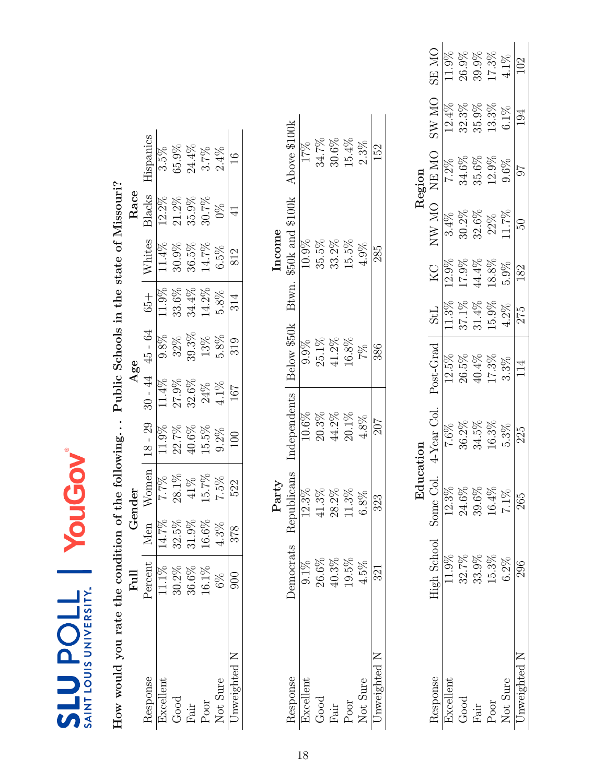| \$50k and \$100k<br>Btwn.<br>Below \$50k<br>Independents |
|----------------------------------------------------------|
|                                                          |
| 9.9%<br>10.6%                                            |
|                                                          |
|                                                          |
| 35.5%<br>25.1%<br>$20.3\%$                               |
| 10.9%                                                    |
|                                                          |
|                                                          |

<span id="page-17-0"></span>

|        | SE MO                 | 11.9%     | 26.9%    | 39.9%    | 17.3%    | $4.1\%$      |                |
|--------|-----------------------|-----------|----------|----------|----------|--------------|----------------|
|        | ON WS                 |           | 32.3%    | 35.9%    | 13.3%    | $6.1\%$      | 194            |
| Region | NE MO                 | 7.2%      | 34.6%    | 35.6%    | $12.9\%$ | 9.6%         | 7 <sup>7</sup> |
|        | <b>ON WN</b>          |           | $30.2\%$ | 32.6%    |          | $22\%$ 11.7% | 13             |
|        | KC.                   | 12.9%     | 17.9%    | 44.4%    | $18.8\%$ | $5.9\%$      | 182            |
|        | StL                   | 1.3%      | $37.1\%$ | $31.4\%$ | 15.9%    | 1.2%         | 275            |
|        | Post-Grad             | 12.5%     | 26.5%    | 40.4%    | 17.3%    | $3.3\%$      | 114            |
|        | 4-Year Col.           | 7.6%      | 36.2%    | 34.5%    | 16.3%    | 5.3%         | 225            |
| 召      |                       | 12.3%     | 24.6%    | 39.6%    | 16.4%    | 7.1%         | 265            |
|        | High School Some Col. |           | 32.7%    | 33.9%    | 15.3%    | $6.2\%$      |                |
|        | desponse              | ixcellent | Good     | Fair     | Poor     | Not Sure     | Inweighted N   |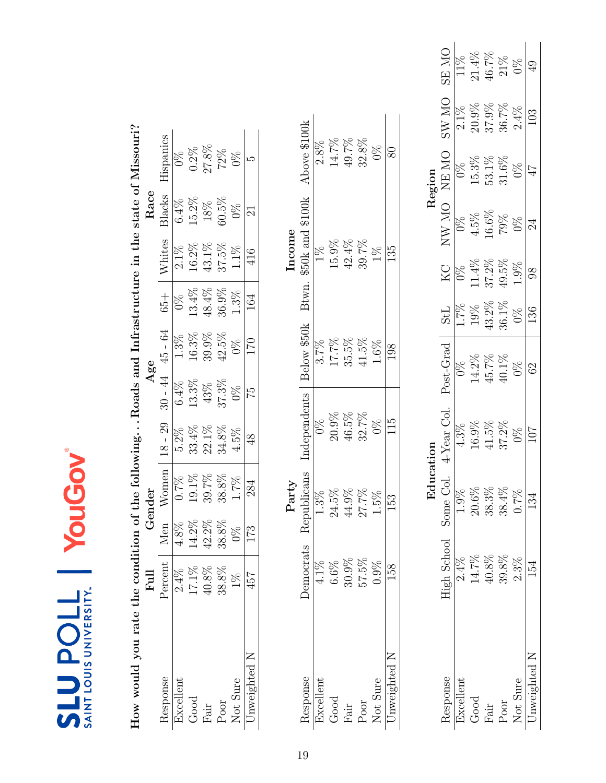<span id="page-18-0"></span>

| How would you rate the condition of the followingRoads and Infrastructure in the state of Missouri? |                |               |             |                |                      |             |               |                   |                          |                                                           |                         |                |
|-----------------------------------------------------------------------------------------------------|----------------|---------------|-------------|----------------|----------------------|-------------|---------------|-------------------|--------------------------|-----------------------------------------------------------|-------------------------|----------------|
|                                                                                                     | $_{\rm{Eul}}$  |               | Gender      |                | Age                  |             |               |                   | Race                     |                                                           |                         |                |
| Response                                                                                            | Percent        | Men           | Women       | $18 - 29$      | $30 - 44$            | $45 - 64$   | $65 +$        | Whites            | Blacks                   | Hispanics                                                 |                         |                |
| Excellent                                                                                           | 2.4%           | $4.8\%$       | $0.7\%$     | $5.2\%$        | 6.4%                 | 1.3%        | $\frac{8}{2}$ | $2.1\%$           | 6.4%                     | $\%$                                                      |                         |                |
| Good                                                                                                | $17.1\%$       | 14.2%         | $19.1\%$    | $33.4\%$       | 13.3%                | $16.3\%$    | 13.4%         | $16.2\%$          | 15.2%                    | $0.2\%$                                                   |                         |                |
| Fair                                                                                                | $40.8\%$       | 42.2%         | $39.7\%$    | $22.1\%$       | 43%                  | 39.9%       | $48.4\%$      | $43.1\%$          | $18\%$                   |                                                           |                         |                |
| Poor                                                                                                | 38.8%          | 38.8%         | $38.8\%$    | $34.8\%$       | $37.3\%$             | $42.5\%$    | $36.9\%$      | $37.5\%$          | $60.5\%$                 | 27.8%<br>72%                                              |                         |                |
| Not Sure                                                                                            | $\frac{8}{10}$ | $\frac{8}{2}$ | 1.7%        | 4.5%           | $0\%$                | 0%          | 1.3%          | 1.1%              | $\frac{8}{2}$            | $0\%$                                                     |                         |                |
| Unweighted N                                                                                        | 457            | 173           | 284         | $\frac{8}{3}$  | 52                   | 170         | 164           | 416               | $\overline{\mathcal{E}}$ | LΩ                                                        |                         |                |
|                                                                                                     |                |               |             |                |                      |             |               |                   |                          |                                                           |                         |                |
|                                                                                                     |                |               | Party       |                |                      |             |               | Income            |                          |                                                           |                         |                |
| Response                                                                                            | Democrats      |               | Republicans | Independents   |                      | Below \$50k | Btwn.         | \$50k and \$100k  |                          | Above \$100k                                              |                         |                |
| Excellent                                                                                           | 4.1%           |               | 1.3%        | $\frac{8}{20}$ |                      | 3.7%        |               | $\frac{8}{10}$    |                          | $2.8\%$                                                   |                         |                |
| $_{\rm Good}$                                                                                       | 6.6%           |               | $24.5\%$    | $20.9\%$       |                      | $17.7\%$    |               | $15.9\%$          |                          | $14.7\%$                                                  |                         |                |
| Fair                                                                                                | $30.9\%$       |               | 44.9%       | $46.5\%$       |                      | $35.5\%$    |               | $42.4\%$          |                          | $49.7\%$                                                  |                         |                |
| Poor                                                                                                | 57.5%          |               | 27.7%       | 32.7%          |                      | $41.5\%$    |               | $39.7\%$          |                          | $32.8\%$                                                  |                         |                |
| Not Sure                                                                                            | 0.9%           |               | 1.5%        | $0\%$          |                      | $1.6\%$     |               | $1\%$             |                          | $0\%$                                                     |                         |                |
| Unweighted                                                                                          | 158            |               | 153         | 115            |                      | 198         |               | 135               |                          | $80\,$                                                    |                         |                |
|                                                                                                     |                |               |             |                |                      |             |               |                   |                          |                                                           |                         |                |
|                                                                                                     |                |               | Education   |                |                      |             |               |                   |                          | Region                                                    |                         |                |
| Response                                                                                            | High School    |               | Some Col    | 4-Year Col.    | Post-Grad            |             | <b>TPS</b>    | $K_{\rm C}$       | NW MO                    | NE MO                                                     | <b>ON WS</b>            | <b>ON SE</b>   |
| Excellent                                                                                           | 2.4%           |               | $1.9\%$     | 4.3%           | $\frac{8}{2}$        |             | $\frac{6}{2}$ | $\frac{8}{2}$     | $\frac{8}{2}$            | $\frac{8}{2}$                                             | $2.1\%$                 | 11%            |
| $_{\rm Good}$                                                                                       | $14.7\%$       |               | $20.6\%$    | $16.9\%$       | $14.2\%$             |             | $19\%$        | $11.4\%$<br>37.2% | $\frac{4.5\%}{16.6\%}$   | $\begin{array}{c} 15.3\% \\ 53.1\% \\ 31.6\% \end{array}$ | $\frac{20.9\%}{37.9\%}$ | $21.4\%$       |
| Fair                                                                                                | $40.8\%$       |               | 38.3%       | $41.5\%$       | $45.7\%$<br>$40.1\%$ |             | $43.2\%$      |                   |                          |                                                           |                         | $46.7\%$ 21%   |
| Poor                                                                                                | 39.8%          |               | 38.4%       | $37.2\%$       |                      |             | $36.1\%$      | $49.5\%$          |                          |                                                           |                         |                |
| Not Sure                                                                                            | $2.3\%$        |               | $0.7\%$     | $\frac{8}{20}$ | $0\%$                |             | $0\%$         | 1.9%              | $0\%$                    | $0\%$                                                     | $2.4\%$                 | $\frac{8}{20}$ |
| Unweighted N                                                                                        | 154            |               | 134         | 107            | 62                   |             | 136           | $\infty$          | 24                       | 47                                                        | 103                     | 49             |

YouGov

SLU POLL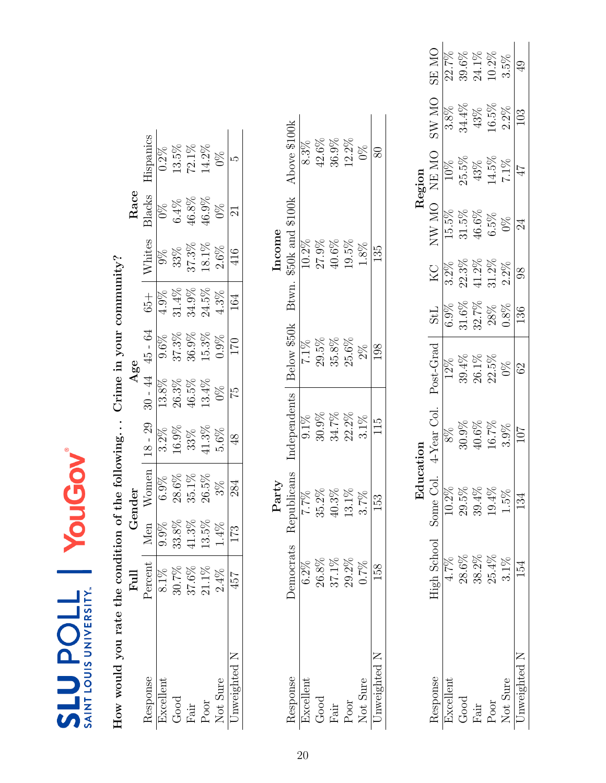| How would you rate the condition of the following Crime in your community? |           |       |             |               |               |                     |          |                        |          |               |
|----------------------------------------------------------------------------|-----------|-------|-------------|---------------|---------------|---------------------|----------|------------------------|----------|---------------|
|                                                                            | Full      |       | Gender      |               |               | Age                 |          |                        | Race     |               |
| Response                                                                   | Percent   | Men   | Women       | $18 - 29$     |               | $30 - 44$ $45 - 64$ | $+50$    | Whites                 | Blacks   | Hispanics     |
| Excellent                                                                  | 8.1%      | 9.9%  | 6.9%        | $3.2\%$       | 13.8%         | $9.6\%$             | $4.9\%$  | $9\%$                  | $0\%$    | $0.2\%$       |
| Good                                                                       | 30.7%     | 33.8% | 28.6%       | $16.9\%$      | 26.3%         | $37.3\%$            | 31.4%    | 33%                    | 6.4%     | 13.5%         |
| Fair                                                                       | 37.6%     | 41.3% | $35.1\%$    | 33%           | 46.5%         | $36.9\%$            | $34.9\%$ | $37.3\%$               | $46.8\%$ | 72.1%         |
| $_{\mathrm{Poor}}$                                                         | 21.1%     | 13.5% | $26.5\%$    | $41.3\%$      | 13.4%         | 15.3%               | 24.5%    | 18.1%                  | 46.9%    | 14.2%         |
| Not Sure                                                                   | $2.4\%$   | 1.4%  | $3\%$       | 5.6%          | $\frac{8}{2}$ | 0.9%                | 4.3%     | $2.6\%$                | 0%       | $\frac{8}{2}$ |
| Unweighted N                                                               | 457       | 173   | 284         | $\frac{8}{3}$ | 52            | 170                 | 164      | 416                    | $\Xi$    | ω             |
|                                                                            |           |       | Party       |               |               |                     |          | Income                 |          |               |
| Response                                                                   | Democrats |       | Republicans | Independents  |               | Below \$50k         |          | Btwn. \$50k and \$100k |          | Above \$100k  |
| Excellent                                                                  | $6.2\%$   |       | 7.7%        | $9.1\%$       |               | $7.1\%$             |          | 10.2%                  |          | $8.3\%$       |
| $_{\rm Good}$                                                              | 26.8%     |       | 35.2%       | $30.9\%$      |               | 29.5%               |          | 27.9%                  |          | 42.6%         |
| Fair                                                                       | 37.1%     |       | 40.3%       | $34.7\%$      |               | $35.8\%$            |          | $40.6\%$               |          | 36.9%         |
| Poor                                                                       | 29.2%     |       | 13.1%       | $22.2\%$      |               | 25.6%               |          | 19.5%                  |          | 12.2%         |
| Not Sure                                                                   | 0.7%      |       | 3.7%        | $3.1\%$       |               | $2\%$               |          | 1.8%                   |          | $0\%$         |

<span id="page-19-0"></span>

| High School Some Col    |
|-------------------------|
| 10.2%<br>29.5%<br>28.6% |
| 39.4%<br>38.2%          |
| $19.4\%$<br>25.4%       |
| $5\%$<br>$3.1\%$        |
| 134                     |

Not Sure  $0.7\%$   $3.7\%$   $3.1\%$   $2\%$   $1.8\%$   $1.8\%$   $0\%$ Unweighted N 158 158 153 115 1298 135 135 80

 $\frac{15}{11}$ 

**EGI** 

158

Not Sure<br>Unweighted N

 $\sqrt{80}$ 

 $\overline{135}$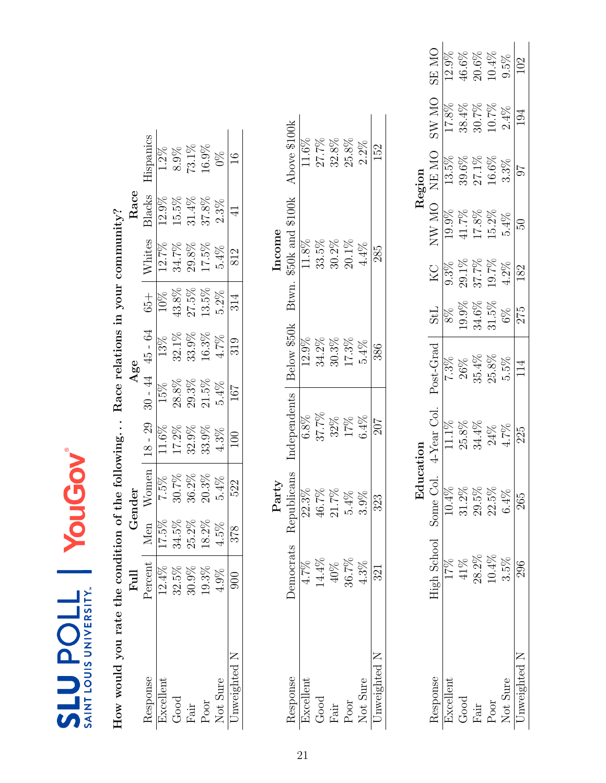|                                                    |        | Hispanics           | $1.2\%$   | 8.9%     | 73.1%        | 16.9% | $\%$     | $\frac{6}{1}$  |        | Above \$100k | $11.6\%$  | 27.7%    | 32.8%    | 25.8%              | 2.2%     | 152          |
|----------------------------------------------------|--------|---------------------|-----------|----------|--------------|-------|----------|----------------|--------|--------------|-----------|----------|----------|--------------------|----------|--------------|
|                                                    | Race   | Blacks              | 12.9%     | 15.5%    | $31.4\%$     | 37.8% | 2.3%     | $\vec{4}$      |        | 100k         |           |          |          |                    |          |              |
|                                                    |        | Whites              | 12.7%     | $34.7\%$ | $29.8\%$     | 17.5% | 5.4%     | 812            | Income | $$50k$ and   | 11.8%     | $33.5\%$ | $30.2\%$ | 20.1%              | $4.4\%$  | 285          |
|                                                    |        | $65 +$              | $10\%$    | $43.8\%$ | 27.5%        | 13.5% | 5.2%     | 314            |        | Btwn.        |           |          |          |                    |          |              |
| of the following Race relations in your community? | Age    | $30 - 44$ $45 - 64$ | 13%       | 32.1%    | 33.9%        | 16.3% | 4.7%     | 319            |        | Below \$50k  | 12.9%     | 34.2%    | $30.3\%$ | 17.3%              | 5.4%     | 386          |
|                                                    |        |                     | 15%       | $28.8\%$ | $29.3\%$     | 21.5% | 5.4%     | 167            |        |              |           |          |          |                    |          |              |
|                                                    |        | $18 - 29$           | 11.6%     | $17.2\%$ | 32.9%        | 33.9% | 4.3%     | $_{\rm 50}$    |        | Independents | $6.8\%$   | 37.7%    | $32\%$   | $17\%$             | 6.4%     | 207          |
|                                                    | Gender | Women               | 7.5%      | 30.7%    | $36.2\%$     | 20.3% | 5.4%     | 522            | Party  | epublicans   | 22.3%     | 46.7%    | 21.7%    | 5.4%               | 3.9%     | 323          |
|                                                    |        | Men                 | 17.5%     | 34.5%    | 25.2%        | 18.2% | 4.5%     | 378            |        | ≊            |           |          |          |                    |          |              |
|                                                    | Ful    | Percent             | 12.4%     | 32.5%    | 30.9%        | 19.3% | $4.9\%$  | $\mathbb{S}^0$ |        | Democrats    | 4.7%      | 14.4%    | 40%      | 36.7%              | 4.3%     | 321          |
| How would you rate the condition                   |        | Response            | Excellent | Good     | ${\rm Fair}$ | Poor  | Not Sure | Jnweighted N   |        | Response     | Excellent | Good     | Fair     | $_{\mathrm{Poor}}$ | Not Sure | Unweighted N |

<span id="page-20-0"></span>

| Region | <b>ON RS</b><br>ON WS<br>NE MO | 12.9%<br>17.8%<br>13.5% | 46.6%<br>38.4%<br>39.6% | $20.6\%$<br>30.7%<br>27.1% | $10.4\%$<br>10.7%<br>16.6% | $9.5\%$<br>$2.4\%$<br>$3.3\%$ | 102<br>194<br>70 |
|--------|--------------------------------|-------------------------|-------------------------|----------------------------|----------------------------|-------------------------------|------------------|
|        | NW MO                          | 19.9%                   | 41.7%                   | $17.8\%$                   | $15.2\%$                   | 5.4%                          | SO.              |
|        | КC                             | $9.3\%$                 | 29.1%                   | 37.7%                      | $19.7\%$                   | $4.2\%$                       | 182              |
|        | 115                            | $8\%$                   | $9.9\%$                 | 34.6%                      | $31.5\%$                   | $6\%$                         | 275              |
|        | Post-Grad                      | 7.3%                    | 26%                     | $35.4\%$<br>$25.8\%$       |                            | $5\%$                         | 114              |
|        | 4-Year Col.                    |                         | 25.8%                   | 34.4%                      | $24\%$                     | $4.7\%$                       | 225              |
| 모<br>모 | High School Some Col.          | 10.4%                   | $31.2\%$                | 29.5%                      | 22.5%                      | 6.4%                          | 265              |
|        |                                |                         | 41%                     | 28.2%                      | 10.4%                      | 3.5%                          | 296              |
|        | <i>lesponse</i>                | kcellent                | Good                    | $\vec{a}$ ir               | Poor                       | Not Sure                      | nweighted N      |

Not Sure  $4.3\%$   $3.9\%$   $6.4\%$   $5.4\%$   $4.4\%$   $3.2\%$ Unweighted N  $321$   $323$   $207$   $386$   $285$   $285$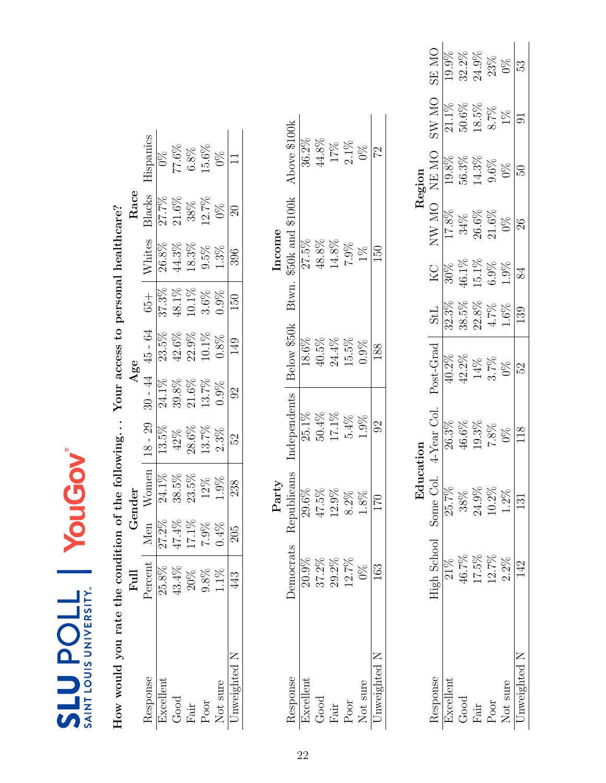| How would you rate the condition |           |         |                      |              |                | of the following Your access to personal healthcare? |        |                            |          |               |
|----------------------------------|-----------|---------|----------------------|--------------|----------------|------------------------------------------------------|--------|----------------------------|----------|---------------|
|                                  | Ful       |         | Gender               |              |                | Age                                                  |        |                            | Race     |               |
| Response                         | Percent   | Men     | Women                | $18 - 29$    |                | $30 - 44$ $45 - 64$                                  | $65 +$ | Whites                     | Blacks   | Hispanics     |
| Excellent                        | 25.8%     | 27.2%   | 24.1%                | 13.5%        | 24.1%          | 23.5%                                                | 37.3%  | 26.8%                      | 27.7%    | $\frac{8}{2}$ |
| Good                             | 43.4%     | 47.4%   | 38.5%                | 42%          | $39.8\%$       | $42.6\%$                                             | 48.1%  | 44.3%                      | $21.6\%$ | 77.6%         |
| ${\rm Fair}$                     | $20\%$    | 17.1%   | 23.5%                | 28.6%        | $21.6\%$       | $22.9\%$                                             | 10.1%  | 18.3%                      | 38%      | $6.8\%$       |
| Poor                             | 9.8%      | $7.9\%$ | 12%                  | 13.7%        | 13.7%          | 10.1%                                                | 3.6%   | 9.5%                       | $12.7\%$ | 15.6%         |
| Not sure                         | 1.1%      | $0.4\%$ | $1.9\%$              | 2.3%         | 0.9%           | 0.8%                                                 | 0.9%   | 1.3%                       | $0\%$    | $\frac{8}{2}$ |
| Unweighted N                     | 443       | 205     | 238                  | 5S           | $\mathfrak{S}$ | $\frac{49}{5}$                                       | 150    | 396                        | $\Omega$ |               |
| Response                         | Democrats |         | Republicans<br>Party | Independents |                | Below \$50k                                          | Btwn.  | \$50k and \$100k<br>Income |          | Above \$100k  |
| Excellent                        | 20.9%     |         | 29.6%                | 25.1%        |                | 18.6%                                                |        | 27.5%                      |          | 36.2%         |
| Good                             | $37.2\%$  |         | 47.5%                | $50.4\%$     |                | 40.5%                                                |        | 48.8%                      |          | 44.8%         |
| ${\rm Fair}$                     | $29.2\%$  |         | $12.9\%$             | 17.1%        |                | $24.4\%$                                             |        | $14.8\%$                   |          | $17\%$        |
| $\mathop{\mathrm{Poor}}$         | $12.7\%$  |         | $8.2\%$              | 5.4%         |                | 15.5%                                                |        | 7.9%                       |          | $2.1\%$       |
| Not sure                         | $0\%$     |         | $1.8\%$              | $0.9\%$      |                | 0.9%                                                 |        | $1\%$                      |          | $0\%$         |
| Unweighted N                     | 163       |         | 170                  | $\Im$        |                | 188                                                  |        | 150                        |          | 22            |

<span id="page-21-0"></span>

|              |             | Edu       | 22170                  |           |            |         |               | Region |          |                    |
|--------------|-------------|-----------|------------------------|-----------|------------|---------|---------------|--------|----------|--------------------|
| desponse     | High School | Some Col. | <sup>4-Year</sup> Col. | Post-Grad | <b>StL</b> | КC      | <b>ON WN</b>  | NE MO  | ON WS    | <b>ON RS</b>       |
| xcellen      |             | 25.7%     | 26.3%                  | 40.2%     | 32.3%      | $30\%$  | 17.8%         | 19.8%  | $21.1\%$ |                    |
| Good         | 46.7%       | $38\%$    | 46.6%                  | 42.2%     | 38.5%      | 16.1%   | 34%           | 56.3%  | 50.6%    | 32.2%              |
| Fair         | 17.5%       | 24.9%     | 19.3%                  | 14%       | 22.8%      | 15.1%   | $26.6\%$      | 14.3%  | 18.5%    | $24.9\%$           |
| Poor         | 12.7%       | $10.2\%$  | $7.8\%$                | $3.7\%$   | $4.7\%$    | $6.9\%$ | $21.6\%$      | 9.6%   | $8.7\%$  | $\frac{23\%}{0\%}$ |
| Not sure     | $2.2\%$     | $1.2\%$   | $\frac{5}{2}$          | 0%        | 1.6%       | $1.9\%$ | $0\%$         | $0\%$  | 1%       |                    |
| Inweighted N |             |           | 118                    | 52        | 139        | 84      | $\mathcal{S}$ | 50     |          | 53                 |

Not sure  $0\%$  1.8%  $1.9\%$  0.9% 1.9% 1.9% 1% 0.9% 0.9% 1% 0.9% Unweighted N  $163$   $170$   $92$   $188$   $150$   $150$ 

Unweighted N Not sure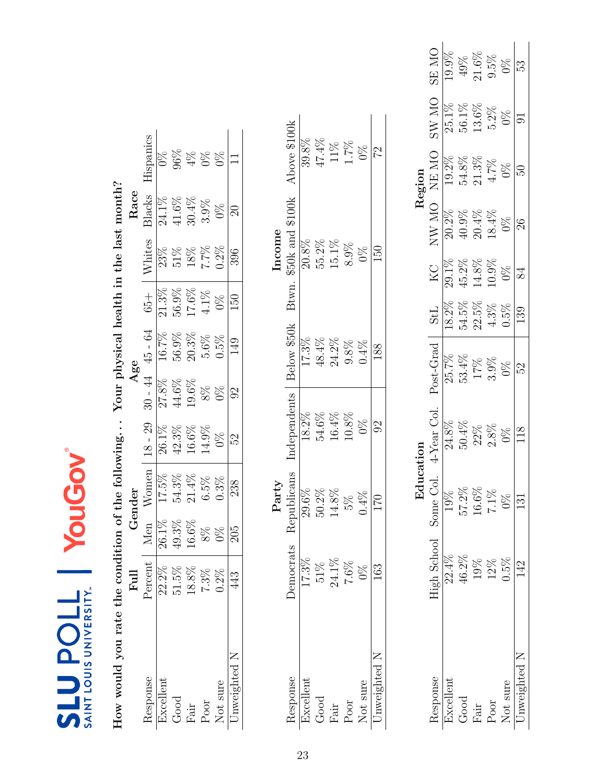| How would you rate the condition of the following |           |       |             |                |           | Your physical health in the last month? |             |                  |               |                                              |
|---------------------------------------------------|-----------|-------|-------------|----------------|-----------|-----------------------------------------|-------------|------------------|---------------|----------------------------------------------|
|                                                   | Full      |       | Gender      |                |           | Age                                     |             |                  | Race          |                                              |
|                                                   | Percent   | Men   | Women       | $18 - 29$      | $30 - 44$ | 45 - 64                                 | $65 +$      | Whites           | Blacks        | Hispanics                                    |
|                                                   | 22.2%     | 26.1% | 17.5%       | 26.1%          | 27.8%     | 16.7%                                   | 21.3%       | 23%              | $24.1\%$      | $\Im$                                        |
|                                                   | 51.5%     | 49.3% | 54.3%       | $42.3\%$       | $44.6\%$  | $56.9\%$                                | 56.9%       | $51\%$           | $41.6\%$      | 896                                          |
|                                                   | 18.8%     | 16.6% | 21.4%       | 16.6%          | 19.6%     | $20.3\%$                                | $17.6\%$    | $18\%$           | $30.4\%$      | $4\%$                                        |
|                                                   | 7.3%      | $8\%$ | 6.5%        | 14.9%          | $8\%$     | 5.6%                                    | $4.1\%$     | $7.7\%$          | 3.9%          | $0\%$                                        |
|                                                   | $0.2\%$   | $0\%$ | 0.3%        | $\frac{8}{2}$  | $0\%$     | 0.5%                                    | $0\%$       | $0.2\%$          | $\frac{8}{2}$ | $9\%$                                        |
| Unweighted N                                      | 443       | 205   | 238         | S              | $\Im$     | $\frac{1}{4}$                           | 150         | 396              | $\Im$         |                                              |
|                                                   |           |       | Party       |                |           |                                         |             | Income           |               |                                              |
|                                                   | Democrats |       | Republicans | Independents   |           | Below \$50k                             | <b>Btwn</b> | \$50k and \$100k |               | Above \$100k                                 |
|                                                   | 17.3%     |       | 29.6%       | 18.2%          |           | 17.3%                                   |             | $20.8\%$         |               | 39.8%                                        |
|                                                   | $51\%$    |       | 50.2%       | $54.6\%$       |           | $48.4\%$                                |             | 55.2%            |               | 47.4%                                        |
|                                                   | 24.1%     |       | 14.8%       | 16.4%          |           | 24.2%                                   |             | 15.1%            |               |                                              |
|                                                   | 7.6%      |       | 5%          | $10.8\%$       |           | $9.8\%$                                 |             | 8.9%             |               | $\begin{array}{l} 11\% \\ 1.7\% \end{array}$ |
|                                                   | 0%        |       | $0.4\%$     | 0%             |           | $0.4\%$                                 |             | $0\%$            |               | 0%                                           |
| Unweighted N                                      | 163       |       | 170         | $\overline{6}$ |           | 188                                     |             | 150              |               | 22                                           |

<span id="page-22-0"></span>

|                 |                             | ن<br>نا  |                   |                               |              |                   |                   | Region                                                             |          |                               |
|-----------------|-----------------------------|----------|-------------------|-------------------------------|--------------|-------------------|-------------------|--------------------------------------------------------------------|----------|-------------------------------|
| <b>Lesponse</b> | <b>Tigh School</b> Some Col |          | 4-Year Col.       | $\mathop{\mathsf{Post-Grad}}$ | StL          | KC                | ON WN             | NE MO                                                              | ON WS    | SE MO                         |
| xcellen         | $22.4\%$                    |          | 24.8%             |                               | 18.2%        |                   | $20.2\%$          |                                                                    | 25.1%    | 19.9%                         |
| Good            | $46.2\%$                    | $57.2\%$ | $50.4\%$          | 25.7%<br>53.4%                | 54.5%        | $29.1\%$<br>45.2% | $40.9\%$          | $\begin{array}{c} 19.2\% \\ 54.8\% \\ 21.3\% \\ 4.7\% \end{array}$ | $56.1\%$ |                               |
| itel            | 19%                         | $16.6\%$ | $22\%$<br>$2.8\%$ | 17%<br>3.9%                   | $22.5\%$     | $14.8\%$          |                   |                                                                    | $13.6\%$ |                               |
| Poor            | 12%                         | $7.1\%$  |                   |                               | 4.3%<br>0.5% | $10.9\%$          | $20.4\%$<br>18.4% |                                                                    | $5.2\%$  | $49\%$<br>21.6%<br>9.5%<br>0% |
| <b>Vot sure</b> | 0.5%                        | $9\%$    | 0%                | $0\%$                         |              | 0%                | $0\%$             | $0\%$                                                              | 0%       |                               |
| nweighted N     |                             |          |                   | 52                            | 139          |                   |                   |                                                                    |          | 53                            |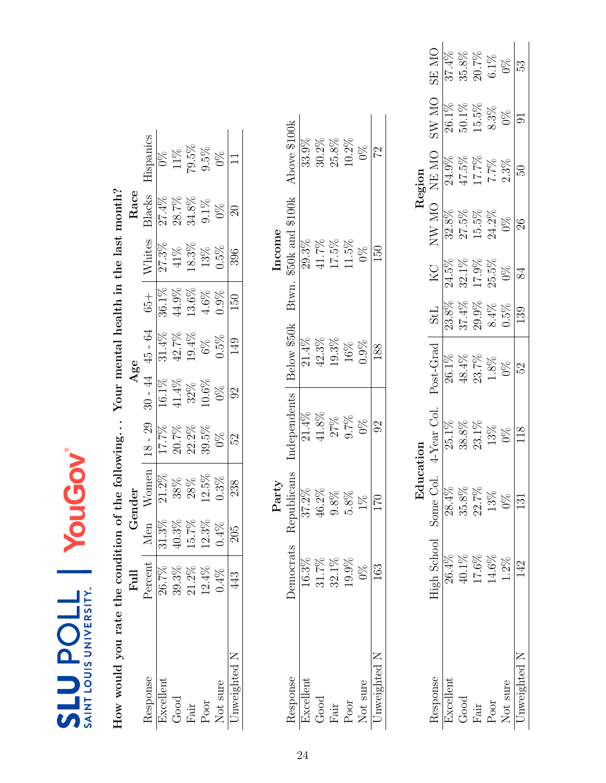| How would you rate the condition of the following |                      |                                                           |             |                |          | Your mental health in the last month? |                |                  |          |               |
|---------------------------------------------------|----------------------|-----------------------------------------------------------|-------------|----------------|----------|---------------------------------------|----------------|------------------|----------|---------------|
|                                                   | Full                 |                                                           | Gender      |                |          | Age                                   |                |                  | Race     |               |
| Response                                          | Percent              | Men                                                       | Women       | $18 - 29$      |          | $30 - 44$ $45 - 64$                   | $65 +$         | Whites           | Blacks   | Hispanics     |
| Excellent                                         | 26.7%                |                                                           | 21.2%       | 17.7%          | 16.1%    | 31.4%                                 | 36.1%          | 27.3%            | 27.4%    | $\frac{8}{2}$ |
| Good                                              |                      |                                                           | 38%         | $20.7\%$       | $41.4\%$ | 42.7%                                 | $44.9\%$       | 41%              | $28.7\%$ | 11%           |
| ${\rm Fair}$                                      | $39.3\%$<br>$21.2\%$ | $\begin{array}{c} 31.3\% \\ 40.3\% \\ 15.7\% \end{array}$ | 28%         | $22.2\%$       | 32%      | 19.4%                                 | 13.6%          | 18.3%            | $34.8\%$ | 79.5%         |
| $_{\mathrm{Poor}}$                                | $12.4\%$             | $12.3\%$                                                  | 12.5%       | 39.5%          | 10.6%    | $6\%$                                 | 4.6%           | 13%              | $9.1\%$  | $9.5\%$       |
| Not sure                                          | $0.4\%$              | $0.4\%$                                                   | 0.3%        | $0\%$          | $0\%$    | 0.5%                                  | 0.9%           | $0.5\%$          | 0%       | $\frac{8}{2}$ |
| Unweighted N                                      | 443                  | 205                                                       | 238         | 32             | $\Im$    | 149                                   | $\frac{50}{2}$ | 396              | $\Omega$ |               |
|                                                   |                      |                                                           |             |                |          |                                       |                |                  |          |               |
|                                                   |                      |                                                           | Party       |                |          |                                       |                | Income           |          |               |
| Response                                          | <b>Democrats</b>     |                                                           | Republicans | Independents   |          | Below \$50k                           | Btwn.          | \$50k and \$100k |          | Above \$100k  |
| Excellent                                         | 16.3%                |                                                           | 37.2%       | $21.4\%$       |          | 21.4%                                 |                | 29.3%            |          | 33.9%         |
| Good                                              | 31.7%                |                                                           | 46.2%       | $41.8\%$       |          | 42.3%                                 |                | 41.7%            |          | $30.2\%$      |
| Fair                                              | $32.1\%$             |                                                           | 9.8%        |                |          | 19.3%                                 |                | 17.5%            |          | $25.8\%$      |
| Poor                                              | 19.9%                |                                                           | $5.8\%$     | 27%<br>9.7%    |          | $16\%$                                |                | 11.5%            |          | 10.2%         |
| Not sure                                          | $\frac{8}{2}$        |                                                           | 1%          | $0\%$          |          | 0.9%                                  |                | $0\%$            |          | $0\%$         |
| Unweighted N                                      | 163                  |                                                           | 170         | $\overline{6}$ |          | 188                                   |                | 150              |          | 22            |

<span id="page-23-0"></span>

|          | <b>ON RS</b>                | 37.4%    | $35.8\%$ | $20.7\%$           | $6.1\%$ | $0\%$    | 53           |
|----------|-----------------------------|----------|----------|--------------------|---------|----------|--------------|
|          | <b>ON WS</b>                | $26.1\%$ | $50.1\%$ | 15.5%              | $8.3\%$ | $9\%$    |              |
| Region   | NE MO                       | 24.9%    | 47.5%    | 17.7%              | 7.7%    | $2.3\%$  | 50           |
|          | <b>ON WN</b>                | 32.8%    | 27.5%    | $15.5\%$           | 24.2%   | $0\%$    | 26           |
|          | ΚC                          | 24.5%    | 32.1%    | $17.9\%$           | 25.5%   | 0%       | 84           |
|          | <b>StL</b>                  | 23.8%    | 37.4%    | 29.9%              | $8.4\%$ | 1.5%     | 139          |
|          | Post-Grad                   | 26.1%    | 48.4%    | $23.7\%$           | $1.8\%$ | 9%       | 52           |
|          | 4-Year Col.                 | 25.1%    | 38.8%    | $23.1\%$<br>$13\%$ |         | $0\%$    | 118          |
| $\rm Ed$ |                             | $28.4\%$ | $35.8\%$ | 22.7%              | $13\%$  | $9\%$    |              |
|          | <b>High School</b> Some Co. |          | 40.1%    | 17.6%              | 14.6%   | $1.2\%$  |              |
|          | lesponse                    | hxcellen | Good     | Fair               | Poor    | Not sure | Inweighted N |

Not sure  $0\%$  1%  $0\%$  0.9%  $0\%$  0.9% 0% 0% 0% 0% 0% 0% 0% Unweighted N  $163$   $170$   $92$   $188$   $150$   $150$ 

 $\frac{\text{Not sure}}{\text{Unweighted N}}$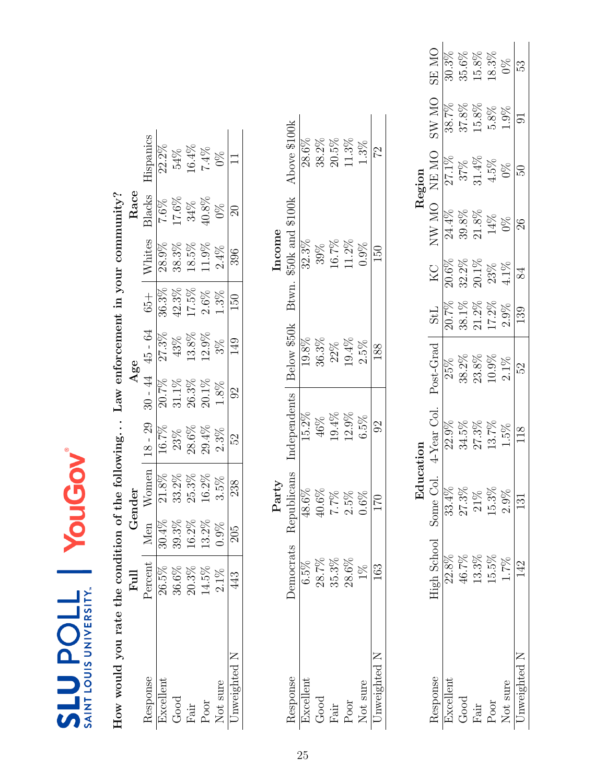| How would you rate the condition |                                                           |                               |              |              |                         | of the following Law enforcement in your community? |          |                         |              |               |
|----------------------------------|-----------------------------------------------------------|-------------------------------|--------------|--------------|-------------------------|-----------------------------------------------------|----------|-------------------------|--------------|---------------|
|                                  | Full                                                      |                               | Gender       |              |                         | Age                                                 |          |                         | Race         |               |
| Response                         | Percent                                                   | Men                           | Women        | $18 - 29$    | $30 - 44$               | $45 - 64$                                           | $65 +$   | Whites                  | Blacks       | Hispanics     |
| Excellent                        | 26.5%                                                     |                               | $21.8\%$     | 16.7%        |                         | 27.3%                                               | 36.3%    | 28.9%                   | 7.6%         | 22.2%         |
| Good                             |                                                           |                               | $33.2\%$     | 23%          | $\frac{20.7\%}{31.1\%}$ | 43%                                                 | $42.3\%$ |                         |              | 54%           |
| ${\rm Fair}$                     | $\begin{array}{c} 36.6\% \\ 20.3\% \\ 14.5\% \end{array}$ | $\frac{30.4\%}{39.3\%}$ 16.2% | 25.3%        | 28.6%        | $26.3\%$                | $13.8\%$                                            | $17.5\%$ | $\frac{38.3\%}{18.5\%}$ | 17.6%<br>34% | 16.4%         |
| $_{\mathrm{Poor}}$               |                                                           | $13.2\%$                      | $16.2\%$     | 29.4%        | $20.1\%$                | 12.9%                                               | $2.6\%$  | 11.9%                   | 40.8%        | 7.4%          |
| Not sure                         | $2.1\%$                                                   | 0.9%                          | 3.5%         | 2.3%         | 1.8%                    | $3\%$                                               | 1.3%     | $2.4\%$                 | 0%           | $\frac{8}{2}$ |
| Jnweighted N                     | 443                                                       | 205                           | 238          | 5S           | $\Im$                   | 149                                                 | 150      | 396                     | $\Omega$     |               |
|                                  |                                                           |                               | Party        |              |                         |                                                     |          | Income                  |              |               |
| Response                         | <b>Democrats</b>                                          |                               | Republicans  | Independents |                         | Below \$50k                                         |          | Btwn. \$50k and \$100k  |              | Above \$100k  |
| Excellent                        | 6.5%                                                      |                               | 48.6%        | 15.2%        |                         | 19.8%                                               |          | 32.3%                   |              | 28.6%         |
| Good                             |                                                           |                               | $40.6\%$     | 46%          |                         | 36.3%                                               |          | 39%                     |              | $38.2\%$      |
| ${\rm Fair}$                     | $28.7\%$<br>$35.3\%$                                      |                               | 7.7%<br>2.5% | 19.4%        |                         | $22\%$                                              |          | 16.7%<br>11.2%          |              | $20.5\%$      |
| $\rm{Poor}$                      | $28.6\%$                                                  |                               |              | 12.9%        |                         | 19.4%                                               |          |                         |              | $11.3\%$      |
| Not sure                         | $1\%$                                                     |                               | 0.6%         | 6.5%         |                         | 2.5%                                                |          | 0.9%                    |              | 1.3%          |

<span id="page-24-0"></span>

|          | ON RS                 | 30.3%    | 35.6%    | $15.8\%$                                                  | 18.3%                 | 9X            | 53           |
|----------|-----------------------|----------|----------|-----------------------------------------------------------|-----------------------|---------------|--------------|
|          | ON WS                 | 38.7%    | 37.8%    | 15.8%                                                     | 5.8%                  | 1.9%          |              |
| Region   | NE MO                 | $27.1\%$ |          | $\begin{array}{c} 37 \% \\ 31.4 \% \\ 4.5 \% \end{array}$ |                       | $0\%$         | $50\,$       |
|          | NW MO                 | 24.4%    | 39.8%    | 21.8%                                                     | 14%                   | $\frac{8}{3}$ | $\infty$     |
|          | KС                    | $20.6\%$ | $32.2\%$ | $20.1\%$                                                  | 23%                   | $4.1\%$       | 84           |
|          | StL                   | $20.7\%$ | 38.1%    | $21.2\%$                                                  | $17.2\%$              | $2.9\%$       | 139          |
|          | Post-Grad             | 25%      | 38.2%    | 23.8%                                                     | 10.9%                 | $2.1\%$       | 52           |
|          | 4-Year Col.           |          |          | 27.3%                                                     | 13.7%                 | 1.5%          |              |
| ਦੂ<br>ਦਿ |                       | 33.4%    | 27.3%    |                                                           | $\frac{21\%}{15.3\%}$ | $2.9\%$       | 131          |
|          | High School Some Col. | 22.8%    | 46.7%    | 13.3%                                                     | 15.5%                 | 1.7%          |              |
|          | tesponse              | ixcellen | Good     | $\vec{L}$                                                 | $P_{00I}$             | Not sure      | Jnweighted N |

25

Poor 28.6%  $25\%$  2.5%  $12.9\%$  19.4% 11.2% 11.2% 11.2% 11.3% Not sure  $1\%$  0.6% 6.5% 2.5% 0.9% 1.3% 1.3% Unweighted N  $163$   $170$   $92$   $188$   $150$   $150$ 

 $1.3\%$  $\overline{2}$ 

 $\overline{150}$ 

88

 $\sqrt{92}$ 

 $\overline{170}$ 

163

Unweighted N Not sure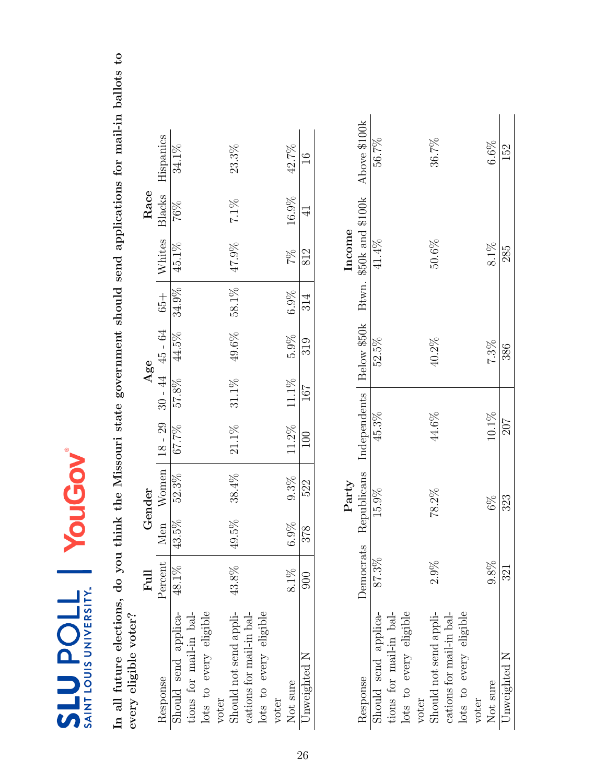<span id="page-25-0"></span>In all future elections, do you think the Missouri state government should send applications for mail-in ballots to In all future elections, do you think the Missouri state government should send applications for mail-in ballots to

| every eligible voter?           |               |          |             |                    |          |                   |       |               |           |                                                 |
|---------------------------------|---------------|----------|-------------|--------------------|----------|-------------------|-------|---------------|-----------|-------------------------------------------------|
|                                 | Full          |          | Gender      |                    |          | Age               |       |               | Race      |                                                 |
| Response                        | Percent       | Men      |             | $W$ omen   18 - 29 |          | $30 - 44$ 45 - 64 |       | $65 +$ Whites | Blacks    | Hispanics                                       |
| Should send applica-            | 48.1%         | $43.5\%$ | 52.3%       | 67.7%              | $57.8\%$ | 44.5%             | 34.9% | 45.1%         | $76\%$    | 34.1%                                           |
| tions for mail-in bal-          |               |          |             |                    |          |                   |       |               |           |                                                 |
| lots to every eligible<br>voter |               |          |             |                    |          |                   |       |               |           |                                                 |
| Should not send appli-          | 43.8%         | $49.5\%$ | 38.4%       | 21.1%              | 31.1%    | 49.6%             | 58.1% | 47.9%         | 7.1%      | 23.3%                                           |
| cations for mail-in bal-        |               |          |             |                    |          |                   |       |               |           |                                                 |
| lots to every eligible          |               |          |             |                    |          |                   |       |               |           |                                                 |
| voter                           |               |          |             |                    |          |                   |       |               |           |                                                 |
| Not sure                        | 8.1%          | 6.9%     | 9.3%        | $11.2\%$           | 11.1%    | 5.9%              | 6.9%  | 7%            | 16.9%     | 42.7%                                           |
| Jnweighted N                    | $\frac{8}{2}$ | 378      | 522         | $\overline{00}$    | 167      | 319               | 314   | 812           | $\exists$ | $\frac{6}{1}$                                   |
|                                 |               |          |             |                    |          |                   |       |               |           |                                                 |
|                                 |               |          | Party       |                    |          |                   |       | Income        |           |                                                 |
| Response                        | Democrats     |          | Republicans | Independents       |          |                   |       |               |           | Below \$50k Btwn. \$50k and \$100k Above \$100k |
| Should send applica-            | 87.3%         |          | 15.9%       | 45.3%              |          | 52.5%             |       | 41.4%         |           | 56.7%                                           |
| tions for mail-in bal-          |               |          |             |                    |          |                   |       |               |           |                                                 |
| lots to every eligible          |               |          |             |                    |          |                   |       |               |           |                                                 |
| $\tau$                          |               |          |             |                    |          |                   |       |               |           |                                                 |

|                          |       | Party    |       |       | Income                                                                             |       |
|--------------------------|-------|----------|-------|-------|------------------------------------------------------------------------------------|-------|
| Response                 |       |          |       |       | Democrats Republicans Independents Below \$50k Btwn. \$50k and \$100k Above \$100k |       |
| Should send applica-     | 87.3% | $15.9\%$ | 45.3% | 52.5% | 41.4%                                                                              | 56.7% |
| tions for mail-in bal-   |       |          |       |       |                                                                                    |       |
| lots to every eligible   |       |          |       |       |                                                                                    |       |
| voter                    |       |          |       |       |                                                                                    |       |
| should not send appli-   | 2.9%  | 78.2%    | 44.6% | 40.2% | $50.6\%$                                                                           | 36.7% |
| cations for mail-in bal- |       |          |       |       |                                                                                    |       |
| lots to every eligible   |       |          |       |       |                                                                                    |       |
| voter                    |       |          |       |       |                                                                                    |       |
| Not sure                 | 9.8%  | $6\%$    | 10.1% | 7.3%  | 8.1%                                                                               | 6.6%  |
| Unweighted N             | 321   | 323      | 207   | 386   | 285                                                                                | 152   |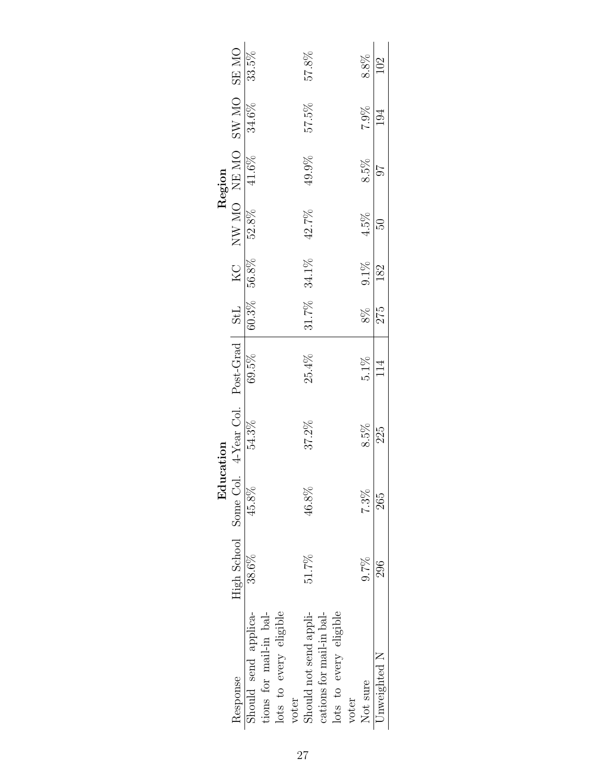| SW MO SE MO<br>57.8%<br>8.8%<br><b>102</b><br>34.6%<br>7.9%<br>57.5%<br>$\overline{194}$<br>NW MO NE MO<br>$\overline{41.6\%}$<br>49.9%<br>8.5%<br>52.8%<br>42.7%<br>$4.5\%$<br>B<br>8% 9.1%<br>$60.3\%$ 56.8%<br>31.7% 34.1%<br>182<br>4-Year Col. Post-Grad   $StL$<br>275<br>69.5%<br>25.4%<br>$5.1\%$<br>54.3%<br>37.2%<br>8.5%<br>225 |                       | Edu   | reation |  |    | Region |       |
|--------------------------------------------------------------------------------------------------------------------------------------------------------------------------------------------------------------------------------------------------------------------------------------------------------------------------------------------|-----------------------|-------|---------|--|----|--------|-------|
|                                                                                                                                                                                                                                                                                                                                            | High School Some Col. |       |         |  | KC |        |       |
|                                                                                                                                                                                                                                                                                                                                            | 38.6%                 | 45.8% |         |  |    |        | 33.5% |
|                                                                                                                                                                                                                                                                                                                                            |                       |       |         |  |    |        |       |
|                                                                                                                                                                                                                                                                                                                                            |                       |       |         |  |    |        |       |
|                                                                                                                                                                                                                                                                                                                                            |                       |       |         |  |    |        |       |
|                                                                                                                                                                                                                                                                                                                                            | 46.8%<br>51.7%        |       |         |  |    |        |       |
|                                                                                                                                                                                                                                                                                                                                            |                       |       |         |  |    |        |       |
|                                                                                                                                                                                                                                                                                                                                            |                       |       |         |  |    |        |       |
|                                                                                                                                                                                                                                                                                                                                            |                       |       |         |  |    |        |       |
|                                                                                                                                                                                                                                                                                                                                            | $7.3\%$<br>9.7%       |       |         |  |    |        |       |
|                                                                                                                                                                                                                                                                                                                                            | 265<br>296            |       |         |  |    |        |       |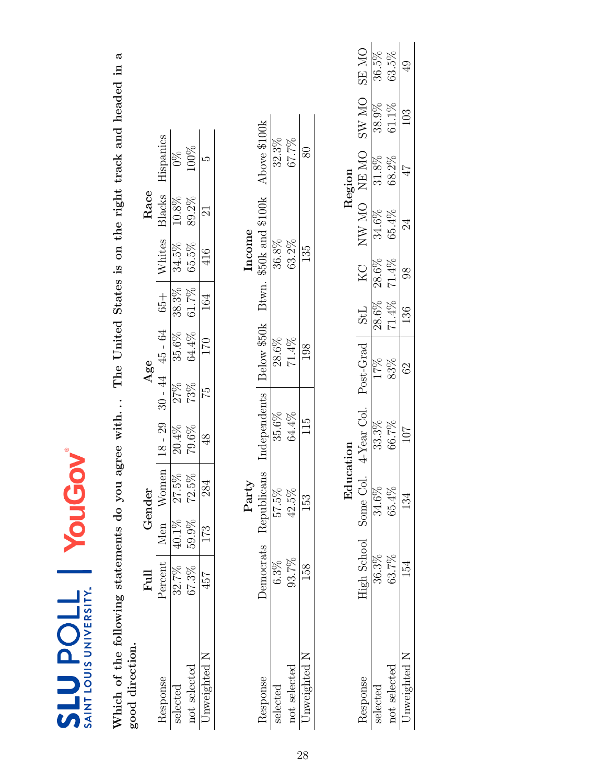| ⊛ |  |                                                     |
|---|--|-----------------------------------------------------|
|   |  | ŋ<br>ě<br>∑<br>7<br><b>IDDIS UN</b><br>E<br>こく<br>ì |

Which of the following statements do you agree with... The United States is on the right track and headed in a<br>good direction. Which of the following statements do you agree with. . . The United States is on the right track and headed in a good direction.

|              | $_{\rm{Full}}$ |             | ende     |           |                     | 48e               |          |                                       | $_{\rm Rac}$ |                            |
|--------------|----------------|-------------|----------|-----------|---------------------|-------------------|----------|---------------------------------------|--------------|----------------------------|
| esponse      | Percen         | len         | Vomen    | $18 - 29$ | $30 - 44$ $45 - 64$ |                   | $+99$    |                                       | Blacks       | $\operatorname{Lispanics}$ |
| selected     | 32.7%          | $0.1\%$     | $27.5\%$ | 20.4%     |                     |                   | 38.3%    | $\frac{\text{Whites}}{\text{34.5\%}}$ | $10.8\%$     |                            |
| not selected | 67.3%          | $9\%$<br>Ğ, | $72.5\%$ | $79.6\%$  | 27%<br>73%          | $35.6\%$<br>64.4% | $61.7\%$ | 65.5%                                 | 89.2%        | $\frac{0\%}{100\%}$        |
| nweighted    | 457            | 52          | 284      |           | 52                  | 170               | 164      | 416                                   |              |                            |

|        | Above \$100k                                    | 32.3%    | 67.7%        |           |
|--------|-------------------------------------------------|----------|--------------|-----------|
| Income | $\$50\mathrm{k}$ and $\$100\mathrm{k}$<br>Btwn. | 36.8%    | 63.2%        | 135       |
|        | Below \$50k                                     | 28.6%    | 71.4%        |           |
|        | Independents                                    | 35.6%    | 64.4%        | 115       |
| Part   | emocrats Republicans                            | 97.5%    | $2.5\%$      | 153       |
|        |                                                 |          | 93.7%        | ξg        |
|        | esponse                                         | selected | not selected | ıweightec |

<span id="page-27-0"></span>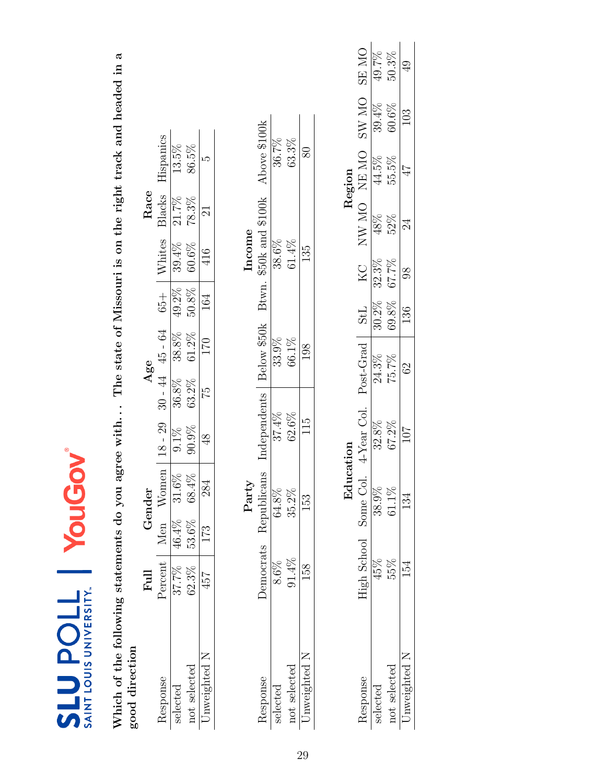| ඔ |                                                |
|---|------------------------------------------------|
|   | UNIVERSITY<br>$\frac{1}{2}$<br><b>UOLINIAS</b> |

Which of the following statements do you agree with... The state of Missouri is on the right track and headed in a<br>good direction Which of the following statements do you agree with. . . The state of Missouri is on the right track and headed in a good direction

|                                                                                                                                                                                                                                                             | ${\rm Eul}$ |          | dender   |           | Age                 |          |        |               | Race          |                  |
|-------------------------------------------------------------------------------------------------------------------------------------------------------------------------------------------------------------------------------------------------------------|-------------|----------|----------|-----------|---------------------|----------|--------|---------------|---------------|------------------|
| <espons<< th=""><th>Percen</th><th>Men</th><th>Vomen</th><th><math>18 - 29</math></th><th><math>30 - 44</math> <math>45 - 64</math></th><th></th><th><math>65 +</math></th><th><b>Vhites</b></th><th><b>Blacks</b></th><th><b>Tispanics</b></th></espons<<> | Percen      | Men      | Vomen    | $18 - 29$ | $30 - 44$ $45 - 64$ |          | $65 +$ | <b>Vhites</b> | <b>Blacks</b> | <b>Tispanics</b> |
| velected                                                                                                                                                                                                                                                    | 37.7%       | 46.4%    | $31.6\%$ | $9.1\%$   | $36.8\%$            | $38.8\%$ | 49.2%  | 39.4%         | 21.7%         | 13.5%            |
| not selected                                                                                                                                                                                                                                                | 62.3%       | $53.6\%$ | 68.4%    | 90.9%     | $63.2\%$            | $61.2\%$ | 50.8%  | 60.6%         | 78.3%         | 86.5%            |
| ~weighted                                                                                                                                                                                                                                                   | 457         | 173      | 284      |           | $\frac{51}{2}$      | 170      | 164    |               |               |                  |

|           | Above \$100k              | 36.7%    | 63.3%        |             |
|-----------|---------------------------|----------|--------------|-------------|
| $1000m$ e | \$50k and \$100k<br>Btwn. | 38.6%    | 61.4%        | 135         |
|           | Below \$50k               | 33.9%    | 66.1%        | 198         |
|           | <i>independents</i>       | 37.4%    | 52.6%        | 15          |
| Party     | blicans<br>Kepu           | 64.8%    | 35.2%        | 53<br>S     |
|           | Jemocrats                 |          | $91.4\%$     |             |
|           | <i>lesponse</i>           | selected | not selected | nweighted 1 |

<span id="page-28-0"></span>

|              |                    |           |                |          |            |       |                          | Region |              |               |
|--------------|--------------------|-----------|----------------|----------|------------|-------|--------------------------|--------|--------------|---------------|
|              | <b>Jigh School</b> | Some Col. | $4$ -Year Col. | bet-Grad | <b>TPS</b> | ZХ    | <b>ON WN</b>             | NE MO  | <b>ON WS</b> | SE MO         |
|              |                    | 38.9%     | 32.8%          | 24.3%    | 30.2%      | 32.3% | $48\%$                   | 44.5%  | 39.4%        | 49.7%         |
| aot selected | 35%                | 51.1%     | 67.2%          | 75.7%    | 59.8%      | 67.7% | 52%                      | 55.5%  | $60.6\%$     | $50.3\%$      |
| ~weighted .  |                    |           | 107            | $\Im$    | 136        | 86    | $\overline{\mathcal{A}}$ | 47     | $\approx$    | $\frac{1}{4}$ |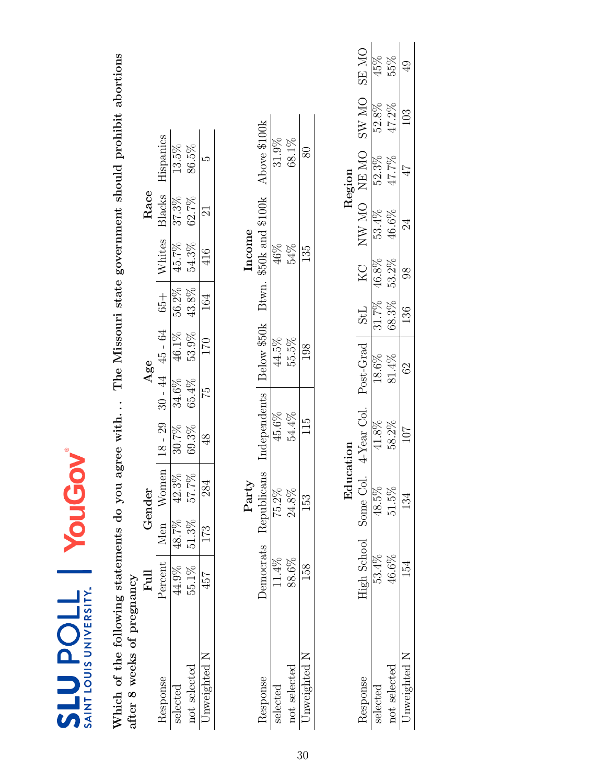<span id="page-29-0"></span>

| Which of the following statements do you<br>after 8 weeks of pregnancy |                       |       |             | agree with    |           |             |            |                |                 | The Missouri state government should prohibit abortions |              |               |
|------------------------------------------------------------------------|-----------------------|-------|-------------|---------------|-----------|-------------|------------|----------------|-----------------|---------------------------------------------------------|--------------|---------------|
|                                                                        | $_{\rm{Full}}$        |       | Gender      |               | Age       |             |            |                | Race            |                                                         |              |               |
| Response                                                               | Percent               | Men   | Women       | $18 - 29$     | $30 - 44$ | $45 - 64$   | $65 +$     | Whites         | Blacks          | Hispanics                                               |              |               |
| selected                                                               | 44.9%                 | 48.7% | 42.3%       | 30.7%         | 34.6%     | 46.1%       | 56.2%      | 45.7%          | 37.3%           | 13.5%                                                   |              |               |
| not selected                                                           | 55.1%                 | 51.3% | 57.7%       | 69.3%         | 65.4%     | 53.9%       | 43.8%      | 54.3%          | 62.7%           | 86.5%                                                   |              |               |
| Jnweighted N                                                           | 457                   | 173   | 284         | $\frac{8}{3}$ | 51        | 170         | 164        | 416            | $\Xi$           | ŗΩ                                                      |              |               |
|                                                                        |                       |       | Party       |               |           |             |            | Income         |                 |                                                         |              |               |
| Response                                                               | Democrats             |       | Republicans | Independents  |           | Below \$50k | Btwn.      |                |                 | $$50k$ and $$100k$ Above $$100k$                        |              |               |
| selected                                                               | 11.4%                 |       | 75.2%       | 45.6%         |           | 44.5%       |            | 46%            |                 | 31.9%                                                   |              |               |
| not selected                                                           | 88.6%                 |       | $24.8\%$    | 54.4%         |           | 55.5%       |            | 54%            |                 | 68.1%                                                   |              |               |
| Unweighted N                                                           | 158                   |       | 153         | 115           |           | 198         |            | 135            |                 | 80                                                      |              |               |
|                                                                        |                       |       |             |               |           |             |            |                |                 |                                                         |              |               |
|                                                                        |                       |       | Education   |               |           |             |            |                |                 | Region                                                  |              |               |
| Response                                                               | High School Some Col. |       |             | 4-Year Col.   |           | Post-Grad   | <b>StL</b> | KC             |                 | NW MO NEMO                                              | <b>OM WS</b> | <b>ON AB</b>  |
| selected                                                               | 53.4%                 |       | 48.5%       | 41.8%         |           | 18.6%       | 31.7%      | 46.8%          | 53.4%           | 52.3%                                                   | 52.8%        | 45%           |
| not selected                                                           | $46.6\%$              |       | 51.5%       | 58.2%         |           | 81.4%       | 68.3%      | 53.2%          | 46.6%           | 47.7%                                                   | 47.2%        | 55%           |
| Unweighted N                                                           | 154                   |       | 134         | 107           |           | 62          | 136        | $\overline{6}$ | $\overline{24}$ | 47                                                      | 103          | $\frac{1}{4}$ |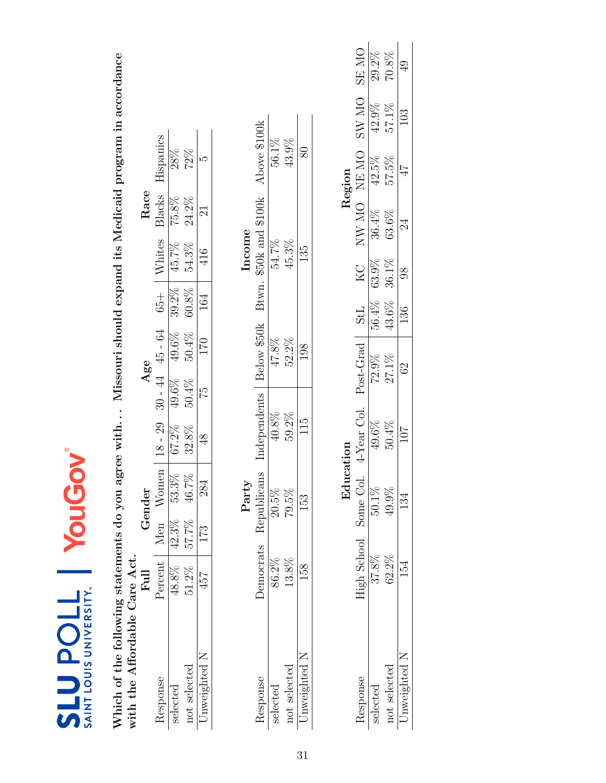|  | @ |                                                             |
|--|---|-------------------------------------------------------------|
|  |   | ř<br>JNIVERSITY<br>į<br><b>NU TON</b><br>$\frac{1}{4}$<br>ù |

Which of the following statements do you agree with... Missouri should expand its Medicaid program in accordance with the Affordable Care Act. Which of the following statements do you agree with. . . Missouri should expand its Medicaid program in accordance with the Affordable Care Act.

|              | ${\rm Fl}$          |       | ender |       |       | Age     |                               |                | Race           |                  |
|--------------|---------------------|-------|-------|-------|-------|---------|-------------------------------|----------------|----------------|------------------|
| esponse      | 'ercen <sup>.</sup> | Vlen  | Vomer |       | $-44$ | 45 - 64 |                               | Whites         | 3lacks         | lispanics        |
| relected     | $48.8\%$            | 42.3% | 53.3% | 57.2% | 49.6% | 49.6%   | $\frac{65+}{39.2\%}$<br>50.8% | 45.7%<br>54.3% | 75.8%<br>24.2% | $\frac{1}{28\%}$ |
| not selected | $51.2\%$            | 57.7% | 16.7% | 32.8% | 50.4% | 50.4%   |                               |                |                | 72%              |
| nweightec    | io<br>#             | 173   | 284   |       | 52    | 02.     | 164                           | $\frac{16}{1}$ |                |                  |

|              |                  | ä          |             |             | ncome                     |              |
|--------------|------------------|------------|-------------|-------------|---------------------------|--------------|
|              | <b>Jemocrats</b> | epublicans | ndependents | Below \$50k | \$50k and \$100k<br>Btwn. | Above \$100k |
| ectec        | 86.2%            | $20.5\%$   | 40.8%       | $47.8\%$    | 54.7%                     | 56.1%        |
| not selected | 13.8%            | 79.5%      | 59.2%       | 52.2%       | 45.3%                     | 43.9%        |
| nweighted    |                  | 13<br>13   | 115         |             | 135                       |              |

<span id="page-30-0"></span>

|        | <b>ON RS</b> | 29.2%    | $70.8\%$       | Q<br>4          |
|--------|--------------|----------|----------------|-----------------|
|        | <b>ON WS</b> | 42.9%    | 57.1%          | 103             |
| Region | NE MO        | 42.5%    | 57.5%          | $\overline{47}$ |
|        | NW MO        |          | 36.4%<br>63.6% |                 |
|        | КC           | $63.9\%$ | 36.1%          |                 |
|        | StL          | 56.4%    | 43.6%          | 136             |
|        | post-Grad    | 72.9%    | 27.1%          | $\Im$           |
|        | 4-Year Col.  | 49.6%    | 50.4%          | 107             |
|        | Some Col.    | 50.1%    | $49.9\%$       |                 |
|        | Tigh School  | 37.8%    | 52.2%          |                 |
|        |              | electe   | not selecter   | weighteo        |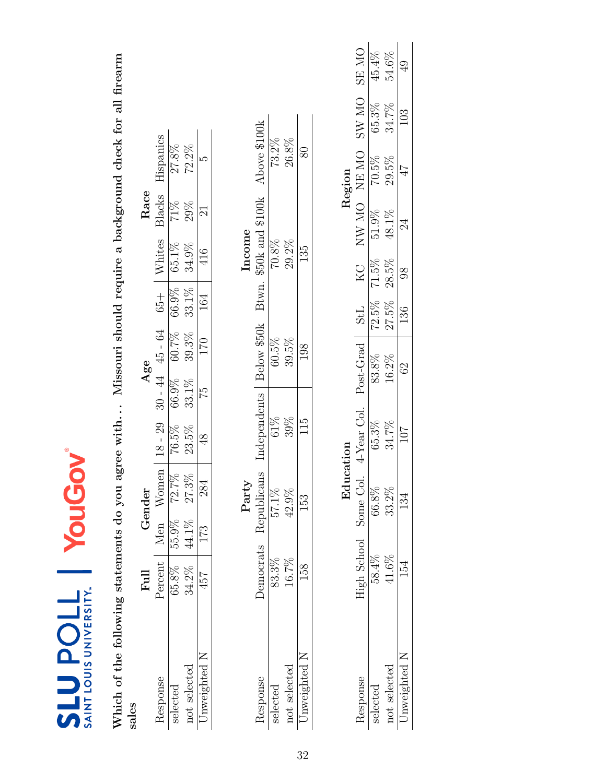<span id="page-31-0"></span>

| SAINT LOUIS UNIVERSITY.<br><b>TIOdENS</b>         |             | YouG  | <b>NOI</b>    |                                                                       |                     |          |        |          |             |                                                 |              |              |  |
|---------------------------------------------------|-------------|-------|---------------|-----------------------------------------------------------------------|---------------------|----------|--------|----------|-------------|-------------------------------------------------|--------------|--------------|--|
| Which of the following statements do you<br>sales |             |       |               | agree with Missouri should require a background check for all firearm |                     |          |        |          |             |                                                 |              |              |  |
|                                                   | Full        |       | Gender        |                                                                       | Age                 |          |        |          | Race        |                                                 |              |              |  |
| Response                                          | Percent     | Men   | Women         | $18 - 29$                                                             | $30 - 44$ $45 - 64$ |          | $65 +$ | Whites   | Blacks      | Hispanics                                       |              |              |  |
| selected                                          | 65.8%       | 55.9% | 72.7%         | 76.5%                                                                 | 66.9%               | 60.7%    | 66.9%  | 65.1%    | 71%         | $27.8\%$                                        |              |              |  |
| not selected                                      | 34.2%       | 44.1% | 27.3%         | 23.5%                                                                 | 33.1%               | 39.3%    | 33.1%  | 34.9%    | 29%         | $72.2\%$                                        |              |              |  |
| Unweighted N                                      | 457         | 173   | 284           | $\frac{8}{3}$                                                         | 52                  | 170      | 164    | 416      | 21          | ນລ                                              |              |              |  |
|                                                   |             |       | Party         |                                                                       |                     |          |        | Income   |             |                                                 |              |              |  |
| Response                                          | Democrats   |       |               | Republicans Independents                                              |                     |          |        |          |             | Below \$50k Btwn. \$50k and \$100k Above \$100k |              |              |  |
| selected                                          | 83.3%       |       | 57.1%         | $61\%$                                                                |                     | $60.5\%$ |        | $70.8\%$ |             | $73.2\%$                                        |              |              |  |
| not selected                                      | 16.7%       |       | 42.9%         | 39%                                                                   |                     | 39.5%    |        | 29.2%    |             | 26.8%                                           |              |              |  |
| Unweighted N                                      | 158         |       | 153           | 115                                                                   |                     | 198      |        | 135      |             | $80\,$                                          |              |              |  |
|                                                   |             |       | Education     |                                                                       |                     |          |        |          |             | Region                                          |              |              |  |
| Response                                          | High School |       | Some Col.     | 4-Year Col. Post-Grad                                                 |                     |          | StL    | KC       | NW MO NE MO |                                                 | <b>ON WS</b> | <b>ON RS</b> |  |
| د م+م1                                            | 50.407      |       | <b>CC 007</b> | $c \epsilon$ ob                                                       | 50000               |          | しこ ドワ  | 71 ED    | 5100        | 70 LO                                           | 6502         | 45M          |  |

|        | <b>ON RS</b> | 45.4%    | 54.6%        | $\mathbb{Q}^1$ |
|--------|--------------|----------|--------------|----------------|
|        | <b>ON WS</b> | 65.3%    | 34.7%        | $\frac{3}{10}$ |
| Region | NE MO        | 70.5%    | 29.5%        | 47             |
|        | NW MO        | $51.9\%$ | $48.1\%$     | 24             |
|        | KС           | $71.5\%$ | 28.5%        |                |
|        | StL          | $72.5\%$ | 27.5%        | 136            |
|        | Post-Grad    | 83.8%    | $16.2\%$     | $\Im$          |
|        | 4-Year Col.  | 65.3%    | 34.7%        | 107            |
|        | ತ<br>Some    | 56.8%    | 33.2%        |                |
|        | High School  | 58.4%    | $41.6\%$     |                |
|        |              | electec  | not selected | iweightec      |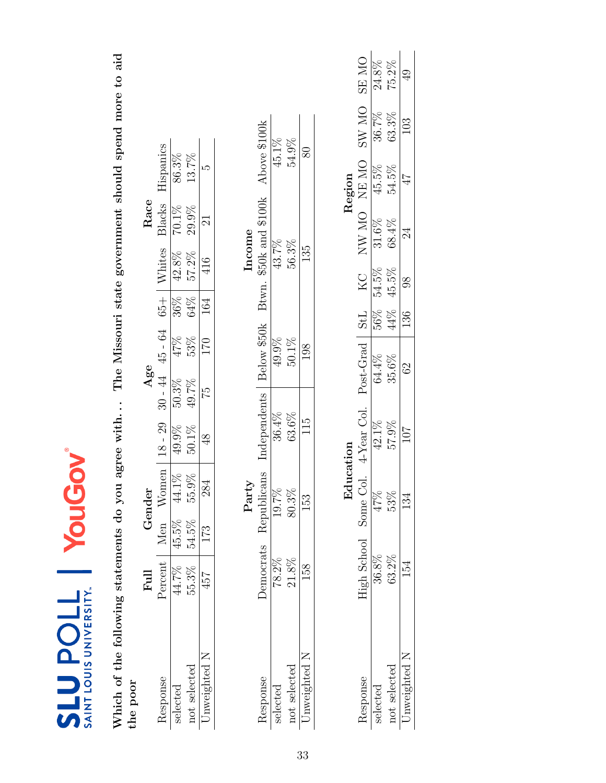<span id="page-32-0"></span>

| SAINT LOUIS UNIVERSITY.<br><b>710den13</b>          |           |       | YouGov        |                                   |           |               |     |               |                        |              |                                                        |                |
|-----------------------------------------------------|-----------|-------|---------------|-----------------------------------|-----------|---------------|-----|---------------|------------------------|--------------|--------------------------------------------------------|----------------|
| Which of the following statements do you agree with |           |       |               |                                   |           |               |     |               |                        |              | The Missouri state government should spend more to aid |                |
| the poor                                            |           |       |               |                                   |           |               |     |               |                        |              |                                                        |                |
|                                                     | Full      |       | Gender        |                                   |           | Age           |     |               | Race                   |              |                                                        |                |
| Response                                            | Percent   | Men   | Women         | $18 - 29$                         | $30 - 44$ | $45 - 64$     |     | $65 +$ Whites | Blacks                 | Hispanics    |                                                        |                |
| selected                                            | 44.7%     | 45.5% | 44.1%         | 49.9%                             | 50.3%     | 47%           | 36% | 42.8%         | $70.1\%$               | 86.3%        |                                                        |                |
| not selected                                        | 55.3%     | 54.5% | 55.9%         | $50.1\%$                          | 49.7%     | 53%           | 64% | 57.2%         | 29.9%                  | 13.7%        |                                                        |                |
| Unweighted N                                        | 457       | 173   | 284           | $\frac{8}{3}$                     | 51        | 170           | 164 | 416           | $\Xi$                  | ĽΩ           |                                                        |                |
|                                                     |           |       | Party         |                                   |           |               |     |               | Income                 |              |                                                        |                |
| Response                                            | Democrats |       | Republicans   | Independents                      |           | Below \$50k   |     |               | Btwn. \$50k and \$100k | Above \$100k |                                                        |                |
| selected                                            | $78.2\%$  |       | 19.7%         | 36.4%                             |           | 49.9%         |     | 43.7%         |                        | 45.1%        |                                                        |                |
| not selected                                        | 21.8%     |       | 80.3%         | 63.6%                             |           | $50.1\%$      |     | 56.3%         |                        | 54.9%        |                                                        |                |
| Unweighted N                                        | 158       |       | 153           | 115                               |           | 198           |     | 135           |                        | $80\,$       |                                                        |                |
|                                                     |           |       |               |                                   |           |               |     |               |                        |              |                                                        |                |
|                                                     |           |       | Education     |                                   |           |               |     |               |                        | Region       |                                                        |                |
| Response                                            |           |       |               | High School Some Col. 4-Year Col. |           | Post-Grad StL |     | KC            | NW MO NEMO             |              | SW MO                                                  | <b>ON RS</b>   |
| selected                                            | $36.8\%$  |       | $\sqrt{47\%}$ | $42.1\%$                          |           | 64.4%         | 56% | 54.5%         | 31.6%                  | 45.5%        | 36.7%                                                  | 24.8%          |
| not selected                                        | 63.2%     |       | 53%           | 57.9%                             |           | 35.6%         | 44% | 45.5%         | 68.4%                  | 54.5%        | 63.3%                                                  | 75.2%          |
| Unweighted N                                        | 154       |       | 134           | 107                               |           | 62            | 136 | $\frac{8}{6}$ | 24                     | 47           | 103                                                    | $\overline{6}$ |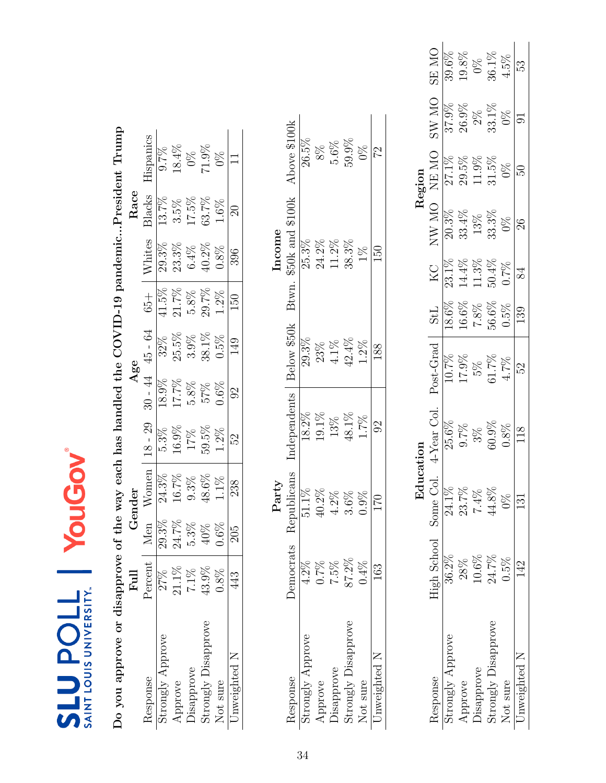<span id="page-33-0"></span>

| Do you approve or disapprove of the way each has handled the COVID-19 pandemicPresident Trump |                  |         |                   |              |           |             |            |                      |                  |                                              |                |               |
|-----------------------------------------------------------------------------------------------|------------------|---------|-------------------|--------------|-----------|-------------|------------|----------------------|------------------|----------------------------------------------|----------------|---------------|
|                                                                                               | $_{\rm{Full}}$   |         | Gender            |              |           | Age         |            |                      | Race             |                                              |                |               |
| Response                                                                                      | Percent          | Men     | Women             | $18 - 29$    | $30 - 44$ | $45 - 64$   | $65 +$     | Whites               | Blacks           | Hispanics                                    |                |               |
| Strongly Approve                                                                              | 27%              | 29.3%   |                   | 5.3%         | 18.9%     | $32\%$      | 41.5%      |                      | 13.7%            | 0.7%                                         |                |               |
| Approve                                                                                       | $21.1\%$         | 24.7%   | $24.3\%$<br>16.7% | 16.9%        | 17.7%     | $25.5\%$    | 21.7%      | $29.3\%$<br>$23.3\%$ | $3.5\%$          | $18.4\%$                                     |                |               |
| Disapprove                                                                                    | $7.1\%$          | $5.3\%$ | $9.3\%$           | 17%          | $5.8\%$   | $3.9\%$     | $5.8\%$    | $6.4\%$              | 17.5%            |                                              |                |               |
| Strongly Disapprove                                                                           | 43.9%            | 40%     | $48.6\%$          | $59.5\%$     | 57%       | 38.1%       | 29.7%      | 40.2%                | 63.7%            | $\begin{array}{c} 0\% \\ 71.9\% \end{array}$ |                |               |
| Not sure                                                                                      | 0.8%             | $0.6\%$ | 1.1%              | $1.2\%$      | 0.6%      | 0.5%        | $1.2\%$    | 0.8%                 | $1.6\%$          | $\frac{8}{20}$                               |                |               |
| Unweighted N                                                                                  | 443              | 205     | 238               | 52           | $\Im$     | 149         | 150        | 396                  | $\Omega$         |                                              |                |               |
|                                                                                               |                  |         |                   |              |           |             |            |                      |                  |                                              |                |               |
|                                                                                               |                  |         | Party             |              |           |             |            | Income               |                  |                                              |                |               |
| Response                                                                                      | <b>Democrats</b> |         | Republicans       | Independents |           | Below \$50k | Btwn.      |                      | \$50k and \$100k | Above \$100k                                 |                |               |
| Strongly Approve                                                                              | $4.2\%$          |         | $51.1\%$          | 18.2%        |           | 29.3%       |            | 25.3%                |                  | 26.5%                                        |                |               |
| Approve                                                                                       | $0.7\%$          |         | 40.2%             | $19.1\%$     |           | 23%         |            | $24.2\%$             |                  | 8%                                           |                |               |
| Disapprove                                                                                    | $7.5\%$          |         | $4.2\%$           | $13\%$       |           | $4.1\%$     |            | $11.2\%$             |                  | $5.6\%$                                      |                |               |
| Strongly Disapprove                                                                           | 87.2%            |         | 3.6%              | 48.1%        |           | $42.4\%$    |            | 38.3%                |                  | 59.9%                                        |                |               |
| Not sure                                                                                      | 0.4%             |         | 0.9%              | $1.7\%$      |           | $1.2\%$     |            | $1\%$                |                  | $0\%$                                        |                |               |
| Unweighted N                                                                                  | 163              |         | 170               | $\Im$        |           | 188         |            | 150                  |                  | 22                                           |                |               |
|                                                                                               |                  |         |                   |              |           |             |            |                      |                  |                                              |                |               |
|                                                                                               |                  |         | Education         |              |           |             |            |                      |                  | Region                                       |                |               |
| Response                                                                                      | High School      |         | Some Col          | 4-Year Col.  |           | Post-Grad   | <b>StL</b> | $K_{\rm C}$          | NW MO            | NE MO                                        | <b>ON WS</b>   | <b>ON SE</b>  |
| Strongly Approve                                                                              | 36.2%            |         | 24.1%             | 25.6%        |           | 10.7%       | 18.6%      | 23.1%                | $20.3\%$         | 27.1%                                        | 37.9%          | 39.6%         |
| Approve                                                                                       | 28%              |         | 23.7%             | 9.7%         |           | $17.9\%$    | 16.6%      | $14.4\%$             | 33.4%            | 29.5%                                        | $26.9\%$       | $19.8\%$      |
| Disapprove                                                                                    | $10.6\%$         |         | 7.4%              | $3\%$        |           | $5\%$       | $7.8\%$    | $11.3\%$             | 13%              | $11.9\%$                                     | $2\%$          | $\frac{8}{2}$ |
| Strongly Disapprove                                                                           | 24.7%            |         | $44.8\%$          | $60.9\%$     |           | $61.7\%$    | 56.6%      | 50.4%                | $33.3\%$         | $31.5\%$                                     | $33.1\%$       | $36.1\%$      |
| Not sure                                                                                      | $0.5\%$          |         | $\frac{8}{2}$     | 0.8%         |           | 4.7%        | 0.5%       | 0.7%                 | $0\%$            | $0\%$                                        | $0\%$          | 4.5%          |
| Unweighted N                                                                                  | 142              |         | $\overline{131}$  | 118          |           | 52          | 139        | 84                   | 26               | PS.                                          | $\overline{5}$ | 53            |

Disapprove 10.6% 7.4% 3% 5% 7.8% 11.3% 13% 11.9% 2% 0%  $\begin{array}{cccccccc} \text{Strongly Disappropriate} & 24.7\% & 44.8\% & 60.9\% & 61.7\% & 50.4\% & 33.3\% & 31.5\% & 33.1\% & 36.1\% & 36.1\% \end{array}$ Not sure 0.5% 0% 0.8% 4.7% 0.5% 0.7% 0% 0% 0% 4.5% 4.5% Unweighted N  $142$  131 118 52 139 84 26 50 51 91 53

 $\frac{\text{Not sure}}{\text{Unweighted N}}$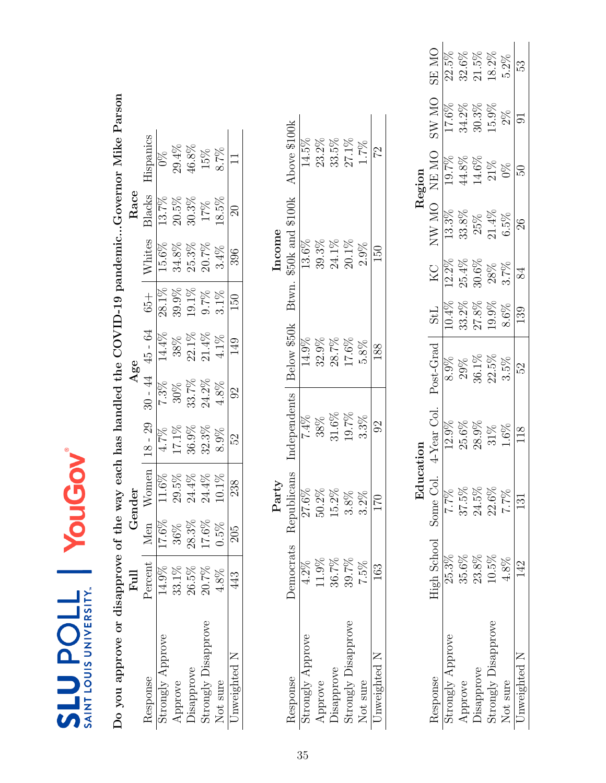<span id="page-34-0"></span>

| Gender                                    |
|-------------------------------------------|
| $18 - 29$<br>en<br>W <sub>om</sub><br>Men |
| 4.7%<br>17.6%                             |
| $17.1\%$<br>36%                           |
| $36.9\%$<br>$28.3\%$                      |
| 11.6%<br>29.5%<br>24.4%<br>24.4%<br>17.6% |
| $10.1\%$<br>0.5%                          |
| 238<br>205                                |
| Party                                     |
| Independents<br>Republicans<br>Democrats  |
| 27.6%                                     |
| $50.2\%$                                  |
| 15.2%                                     |
| 3.8%                                      |
| $3.2\%$                                   |
| 170                                       |
|                                           |
| Education                                 |
| 4-Year Col.<br>Some Col.<br>High School   |
| 7.7%<br>25.3%                             |
| $37.5\%$<br>35.6%                         |
| $24.5\%$<br>$23.8\%$                      |
| $22.6\%$<br>10.5%                         |
| 7.7%                                      |
| 131                                       |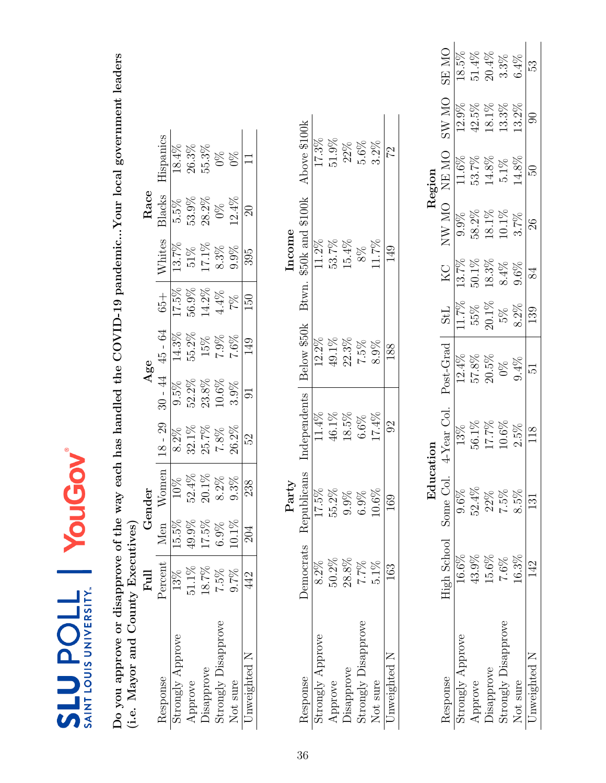| ම                                                                  |  |
|--------------------------------------------------------------------|--|
| M<br>NIVERS<br>Ē<br>i<br>V<br>$\bar{c}$<br>$\bar{\mathsf{o}}$<br>5 |  |

<span id="page-35-0"></span>Do you approve or disapprove of the way each has handled the COVID-19 pandemic...Your local government leaders (i.e. Mayor and County Executives) Do you approve or disapprove of the way each has handled the COVID-19 pandemic...Your local government leaders (i.e. Mayor and County Executives)

|                                              | Full                           |          | render-  |            | Age      |           |          |                     | Race     |                  |
|----------------------------------------------|--------------------------------|----------|----------|------------|----------|-----------|----------|---------------------|----------|------------------|
| tesponse                                     | Percent                        |          | /omen    | $8$ - $29$ | 44       | $45 - 64$ | $+53$    | <b>Nhites</b>       | 3lacks   | <b>Hispanics</b> |
| strongly Approve                             |                                | 15.5)    |          |            | $9.5\%$  | 14.3%     | 17.5%    | $\overline{13.7\%}$ | 5.5%     | 18.4%            |
|                                              | $\frac{13\%}{51.1\%}$<br>51.1% | 49.9%    | $52.4\%$ | $32.1\%$   | 52.2%    | 55.2%     | $56.9\%$ | $51\%$              | $53.9\%$ | $26.3\%$         |
| Approve<br>Disapprove<br>Strongly Disapprove |                                | $17.5\%$ | $20.1\%$ | 25.7%      | 23.8%    | 15%       | $14.2\%$ | $17.1\%$            | 28.2%    | 55.3%            |
|                                              | 7.5%                           |          | $8.2\%$  | 7.8%       | $10.6\%$ | 7.9%      | $1.4\%$  | 3.3%                | $0\%$    |                  |
| Vot sure                                     | 9.7%                           | $10.1\%$ | 0.3%     | 26.2%      | $3.9\%$  | 7.6%      | 7%       | 1.9%                | 12.4%    | $\frac{8}{2}$    |
| Jnweighted N                                 | 442                            |          | 238      | 52         |          |           |          | 395                 |          |                  |

|       | Above \$100k              | 17.3%            | 51.9%   | 22%   | $5.6\%$                           | 3.2%            | 22             |
|-------|---------------------------|------------------|---------|-------|-----------------------------------|-----------------|----------------|
| ncome | \$50k and \$100k<br>Btwn. | 11.2%            | 53.7%   | 15.4% | $8\%$                             | $11.7\%$        |                |
|       | Below \$50k               | 12.2%            | 49.1%   | 22.3% | 7.5%                              | 8.9%            | 188            |
|       | ndependents               | $11.4\%$         | 46.1%   | 18.5% | 6.6%                              | 17.4%           | $\mathfrak{S}$ |
| Party | Republicans               | 17.5%            | 55.2%   | 9.9%  | 6.9%                              | 0.6%            | 169            |
|       | emocrats 1                | 8.2%             | 50.2%   | 28.8% | 7.7%                              | $5.1\%$         | 63             |
|       | <b>lesponse</b>           | strongly Approve | Approve |       | Disapprove<br>Strongly Disapprove | <b>Vot</b> sure | Jnweighted N   |

|           | <b>ON RS</b>                                           | 18.5%                      | $51.4\%$ | $20.4\%$                                          | $3.3%$<br>$6.4%$           |          | 53            |
|-----------|--------------------------------------------------------|----------------------------|----------|---------------------------------------------------|----------------------------|----------|---------------|
|           | $_{\rm N}$<br>$\sum_{i=1}^{n}$                         | $12.9\%$                   | 42.5%    | $18.1\%$                                          | $13.3\%$                   | $13.2\%$ | ටි            |
| Region    |                                                        | $\frac{\rm NE~MO}{11.6\%}$ |          | $53.7\%$<br>14.8%                                 | $5.1\%$<br>14.8%           |          | Z             |
|           | $\overline{\text{M}}$<br>$N$ $\mathbf{W}$ $\mathbf{V}$ | 9.9%                       | 58.2%    | $18.1\%$                                          | $10.1\%$                   | 3.7%     | $\mathcal{S}$ |
|           | KC                                                     | 13.7%                      | $50.1\%$ | $18.3\%$                                          | 8.4%                       | 9.6%     | 84            |
|           | <b>StL</b>                                             |                            |          | $\frac{11.7\%}{155\%}$<br>55%<br>5%<br>5%<br>5.2% |                            |          | 139           |
|           | $Post-Grad$                                            | 12.4%                      | 57.8%    | 20.5%                                             | 0%                         | 9.4%     | 51            |
|           | 4-Year Col.                                            | 13%                        | 56.1%    | $17.7\%$                                          | $10.6\%$                   | 2.5%     |               |
| Edu<br>Ed |                                                        | $9.6\%$                    | 52.4%    | 22%                                               | 7.5%                       | 8.5%     |               |
|           | <b>High School</b> Some Col                            | $16.6\%$                   | 43.9%    | 15.6%                                             | 7.6%                       | 16.3%    |               |
|           | tesponse                                               | strongly Approve           | Approve  | Disapprove                                        | $\rm Strongly\ Disapprove$ | Not sure | Inweighted N  |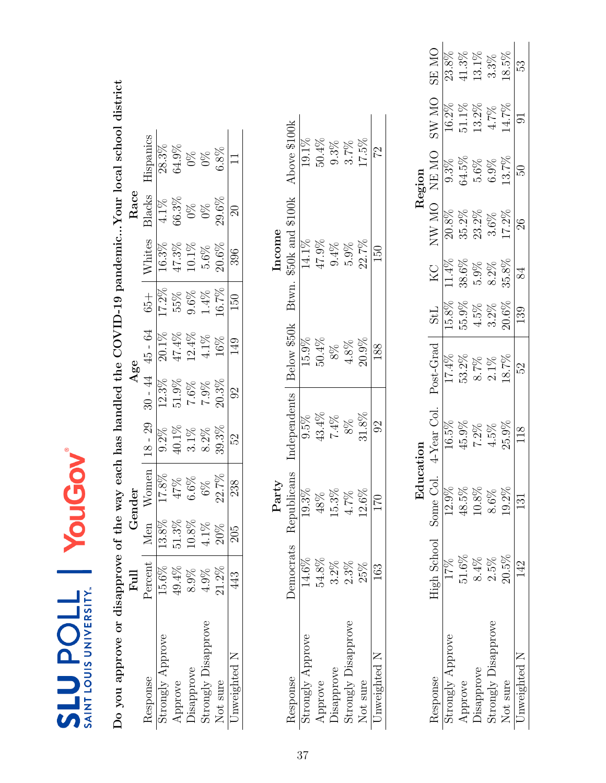| Ξ |                                             |
|---|---------------------------------------------|
|   | Ì<br><b>UNIVERS'</b><br><b>SAINT LOUS L</b> |

Do you approve or disapprove of the way each has handled the COVID-19 pandemic...Your local school district Do you approve or disapprove of the way each has handled the COVID-19 pandemic...Your local school district

| $\begin{array}{r} \text{dispaities} \ \text{is} \ \text{98.3\%} \ \text{64.9\%} \ \text{69.8\%} \ \text{69.8\%} \ \text{69.8\%} \ \text{60.8\%} \end{array}$<br>$\begin{array}{l} \frac{3 \text{ lacks}}{4.1 \%} \\ 66.3 \% \\ 0 \ \% \\ 0 \ \% \\ 29.6 \% \\ \end{array}$<br>Whites<br>16.3%<br>47.3%<br>10.1%<br>5.6%<br>50.6%<br>$\begin{array}{r} 65+ \\ \hline 17.2\% \\ 55\% \\ 9.6\% \\ 1.4\% \\ \hline 1.7\% \\ 1.50 \end{array}$<br>$\begin{array}{r l} 45 & -64 \\ \hline 20.1\% \\ 47.4\% \\ 12.4\% \\ 4.1\% \\ \hline \end{array}$<br>$\frac{30 - 44}{5}$<br>$\frac{12.3\%}{12.3\%}$<br>51.9%<br>7.6%<br>20.3%<br>92<br>$18 - 29$<br>$\begin{array}{l} 9.2\% \\ 40.1\% \\ 3.1\% \\ 8.2\% \\ 99.3\% \end{array}$<br>5S<br>S<br>Nomen<br>$\frac{17.8\%}{47\%}\$<br>6.6%<br>6.6%<br>22.7%<br>238<br>13.8%<br>51.3%<br>Men<br>10.8%<br>4.1%<br>20%<br>$\overline{205}$<br>Percent<br>$15.6\%$<br>49.4%<br>$21.2\%$<br>$4.9\%$<br>$8.9\%$<br>443 | Full | ↺ | nder | Age |  | Race |  |
|---------------------------------------------------------------------------------------------------------------------------------------------------------------------------------------------------------------------------------------------------------------------------------------------------------------------------------------------------------------------------------------------------------------------------------------------------------------------------------------------------------------------------------------------------------------------------------------------------------------------------------------------------------------------------------------------------------------------------------------------------------------------------------------------------------------------------------------------------------------------------------------------------------------------------------------------------------|------|---|------|-----|--|------|--|
|                                                                                                                                                                                                                                                                                                                                                                                                                                                                                                                                                                                                                                                                                                                                                                                                                                                                                                                                                         |      |   |      |     |  |      |  |
|                                                                                                                                                                                                                                                                                                                                                                                                                                                                                                                                                                                                                                                                                                                                                                                                                                                                                                                                                         |      |   |      |     |  |      |  |
|                                                                                                                                                                                                                                                                                                                                                                                                                                                                                                                                                                                                                                                                                                                                                                                                                                                                                                                                                         |      |   |      |     |  |      |  |
|                                                                                                                                                                                                                                                                                                                                                                                                                                                                                                                                                                                                                                                                                                                                                                                                                                                                                                                                                         |      |   |      |     |  |      |  |
|                                                                                                                                                                                                                                                                                                                                                                                                                                                                                                                                                                                                                                                                                                                                                                                                                                                                                                                                                         |      |   |      |     |  |      |  |
|                                                                                                                                                                                                                                                                                                                                                                                                                                                                                                                                                                                                                                                                                                                                                                                                                                                                                                                                                         |      |   |      |     |  |      |  |
|                                                                                                                                                                                                                                                                                                                                                                                                                                                                                                                                                                                                                                                                                                                                                                                                                                                                                                                                                         |      |   |      |     |  |      |  |
|                                                                                                                                                                                                                                                                                                                                                                                                                                                                                                                                                                                                                                                                                                                                                                                                                                                                                                                                                         |      |   |      |     |  |      |  |
|                                                                                                                                                                                                                                                                                                                                                                                                                                                                                                                                                                                                                                                                                                                                                                                                                                                                                                                                                         |      |   |      |     |  |      |  |

|       | Above \$100k              | 19.1%           | 50.4%    | 9.3%     | 3.7%                                                                                  | 17.5%           | 22           |
|-------|---------------------------|-----------------|----------|----------|---------------------------------------------------------------------------------------|-----------------|--------------|
| ncome | \$50k and \$100k<br>Btwn. | 14.1%           | $47.9\%$ | 9.4%     | 5.9%                                                                                  | 22.7%           | 50           |
|       | Below \$50k               | 15.9%           | 50.4%    | $8\%$    | $4.8\%$                                                                               | $20.9\%$        | 188          |
|       | ndependents               | 9.5%            | $13.4\%$ | 74%      | $8\%$                                                                                 | $31.8\%$        |              |
| Party | oublicans                 | 19.3%           |          | $15.3\%$ | 4.79                                                                                  |                 | 7<br>T       |
|       | Democrats Rep             | 14.6%           | 54.8%    | 3.2%     | 2.3%                                                                                  | 25%             |              |
|       | tesponse                  | trongly Approve |          |          | ${\large \bf Approve} \\ {\large \bf Disapprove} \\ {\large \bf Strongly Disapprove}$ | <b>Vot</b> sure | Jnweighted N |

|                     |                       | $_{\rm Edu}$ |                        |           |            |          |         | Region |               |              |
|---------------------|-----------------------|--------------|------------------------|-----------|------------|----------|---------|--------|---------------|--------------|
| lesponse            | High School Some Col. |              | <sup>L</sup> Year Col. | Post-Grad | <b>StL</b> | KC       | VIV MO  | ON EN  | <b>OIN WS</b> | <b>ON RS</b> |
| trongly Approve     |                       | 12.9%        |                        | 17.4%     | 15.8%      | $11.4\%$ | 20.8%   |        | 16.2%         |              |
| Approve             | $51.6\%$              | 48.5%        |                        | 53.2%     | 5.9%       | 38.6%    | 35.2%   | 34.5%  |               | 11.3%        |
| Jisapprove          | $8.4\%$               | 10.8%        |                        | 8.7%      | 4.5%       | 5.9%     | 23.2%   |        | 13.2%         | 13.1%        |
| Strongly Disapprove | 2.5%                  | 8.6%         |                        | $2.1\%$   | 3.2%       | $8.2\%$  | $3.6\%$ | 6.9%   | 4.7%          | 3.3%         |
| Not sure            | 20.5%                 | $19.2\%$     | 25.9%                  | 18.7%     | 20.6%      | 35.8%    | 17.2%   | 13.7%  | 14.7%         | 18.5%        |
| Inweighted N        | 42<br>P               |              |                        | 52        | 139        |          |         | SO     |               | 53           |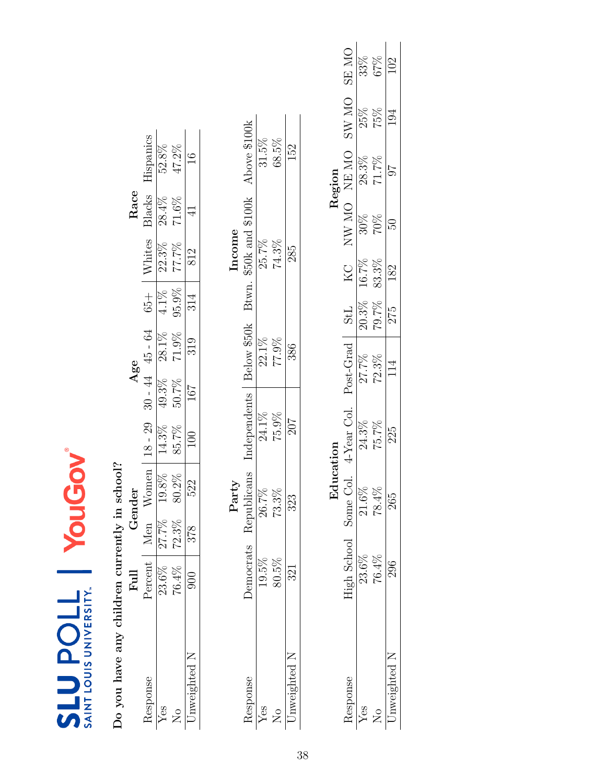| SAINT LOUIS UNIVERSI |
|----------------------|

Do you have any children currently in school? Do you have any children currently in school?

| $\mathfrak{S}$<br>14.3%<br>85.7%<br>$18 -$<br>Vomen<br>$\frac{19.8\%}{80.2\%}$<br>Men<br>27.7%<br>72.3%<br>ercen<br>$23.6\%$<br>$76.4\%$<br>$\frac{1}{2}$ | Gender     |     |                   | Age               |                  |                          | Race           |               |
|-----------------------------------------------------------------------------------------------------------------------------------------------------------|------------|-----|-------------------|-------------------|------------------|--------------------------|----------------|---------------|
|                                                                                                                                                           |            |     |                   | $30 - 44$ 45 - 64 | $\frac{+1}{50}$  |                          | 31acks         | Hispanics     |
|                                                                                                                                                           |            |     |                   |                   |                  |                          | 28.4%          | 52.8%         |
|                                                                                                                                                           |            |     | $49.3\%$<br>50.7% | 28.1%<br>71.9%    | $4.1\%$<br>95.9% | Whites<br>22.3%<br>77.7% | $71.6\%$       | $47.2\%$      |
|                                                                                                                                                           | 522<br>378 | 100 | 167               | 319               | 314              | 812                      | $\overline{4}$ | $16 \text{ }$ |

| Above \$100k<br>68.5%<br>31.5%<br>152<br>Btwn. $\$50k$ and $\$100k$<br>74.3%<br>25.7%<br>285<br>Below \$50k<br>$22.1\%$<br>77.9%<br>386<br>Independents<br>75.9%<br>24.1%<br>707<br>publicans<br>73.3%<br>26.7%<br>323<br>Ϋ́β<br>emocrats<br>80.5%<br>esponse |  | Party |  | Income |  |
|---------------------------------------------------------------------------------------------------------------------------------------------------------------------------------------------------------------------------------------------------------------|--|-------|--|--------|--|
|                                                                                                                                                                                                                                                               |  |       |  |        |  |
|                                                                                                                                                                                                                                                               |  |       |  |        |  |
|                                                                                                                                                                                                                                                               |  |       |  |        |  |
|                                                                                                                                                                                                                                                               |  |       |  |        |  |

|        | <b>ON RS</b>       | 33%<br>67% |               | 102 |
|--------|--------------------|------------|---------------|-----|
|        | OM WS              | 25%        | 75%           | 194 |
| Regior | NE MC              | 28.3%      | $71.7\%$      | 76  |
|        | <b>ON WN</b>       | $30\%$     | 70%           | 50  |
|        | KC<br>X            | 16.7%      | 83.3%         | 182 |
|        | <b>TPS</b>         | 20.3%      | 79.7%         | 275 |
|        | Post-Grad          | 27.7%      | 72.3%         | 114 |
|        | $i$ -Year Col.     | 24.3%      | 75.7%         | 225 |
|        | some Col.          | $21.6\%$   | $78.4\%$      |     |
|        | <b>High School</b> | 23.6%      | 76.4%         |     |
|        | espons             |            | $\frac{1}{2}$ |     |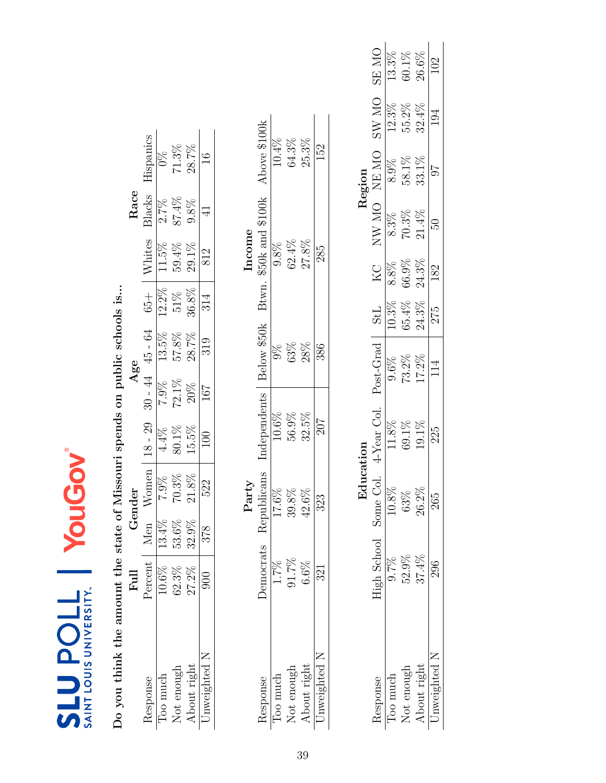| $\geq$<br>LOUIS UNIVERS<br>$\frac{1}{5}$ |
|------------------------------------------|

Do you think the amount the state of Missouri spends on public schools is... Do you think the amount the state of Missouri spends on public schools is...

|              | $_{\rm{Full}}$   |          | Fender        |           | Age               |                            |           |                                | Race    |              |
|--------------|------------------|----------|---------------|-----------|-------------------|----------------------------|-----------|--------------------------------|---------|--------------|
| Response     | $Percent \mid$ . | Men      | Women         | $18 - 29$ | $30 - 44$ 45 - 64 |                            | $-1.65 +$ |                                | Blacks  | Hispanics    |
| loo much     | $10.6\%$         | $13.4\%$ | 7.9%          | $4.4\%$   | $7.9\%$           | 13.5%                      | $12.2\%$  | $\frac{\text{Whites}}{11.5\%}$ | 2.7%    |              |
| Not enough   | 62.3%            | 53.6%    | $70.3\%$      | 80.1%     | $72.1\%$          | $57.8\%$                   | $51\%$    | 59.4%                          | 87.4%   | $71.3\%$     |
| About right  | 27.2%            | $32.9\%$ | $21.8\%$      | 15.5%     | 20%               | 28.7%                      | $36.8\%$  | 29.1%                          | $9.8\%$ | 28.7%        |
| Jnweighted N | 000              | 378      | 522           | 100       | 167               | 319                        | 314       | 812                            |         |              |
|              |                  |          |               |           |                   |                            |           |                                |         |              |
|              |                  |          | ${\rm Party}$ |           |                   |                            |           | ncome                          |         |              |
| Response     | Democrats        |          | Republicans   |           |                   | Independents   Below \$50k | Btwn.     | \$50k and \$100k               |         | Above \$100k |

| THOMP                          | Above \$100k<br>$50\rm k$ and $5100\rm k$ $\,$ $\,$ $\,$ $\,$ $\,$ $\,$ | $10.4\%$<br>9.8% | $64.3\%$<br>$62.4\%$ | 25.3%<br>27.8% | 152<br>285 |
|--------------------------------|-------------------------------------------------------------------------|------------------|----------------------|----------------|------------|
|                                | Btwn.<br>Below \$50k                                                    | $9\%$            | 53%                  | 28%            | 386        |
|                                | independents                                                            | $10.6\%$         | 56.9%                | 32.5%          | 207        |
| $\frac{1}{2}$ or $\frac{1}{2}$ | cans                                                                    | 17.6%            | 39.8%                | $42.6\%$       | 323        |
|                                | lemocrats Republic                                                      | $1.7\%$          | 91.7%                | 6.6%           | 321        |
|                                | tesponse                                                                | l'oo much        | Not enough           | bout right     | Inweighted |

|            |                       |                  |            |                        |                |                  |                   | Region                       |          |                   |
|------------|-----------------------|------------------|------------|------------------------|----------------|------------------|-------------------|------------------------------|----------|-------------------|
| lesponse   | High School Some Col. |                  | 4-Year Col | Post-Grad              | <b>TPS</b>     | КC               | <b>OIN WN</b>     | NE MO                        | ON WS    | ON ES             |
| loo much   | 0.7%                  | $10.8\%$         | 11.8%      |                        |                |                  | 8.3%              |                              | 12.3%    |                   |
| Not enougl | 52.9%                 |                  | 59.1%      | $\frac{9.6\%}{13.2\%}$ | 10.3%<br>65.4% | $8.8\%$<br>36.9% | $70.3\%$<br>21.4% |                              | 55.2%    | $13.3\%$<br>60.1% |
| bout right | 37.4%                 | $63%$<br>$26.2%$ | $19.1\%$   |                        | 24.3%          | 24.3%            |                   | $\frac{8.9\%}{58.1\%}$ 58.1% | $32.4\%$ | $26.6\%$          |
| nweighted  |                       | 265              | 225        | 114                    | 275            | 182              |                   | 16                           | 194      | $\geq$            |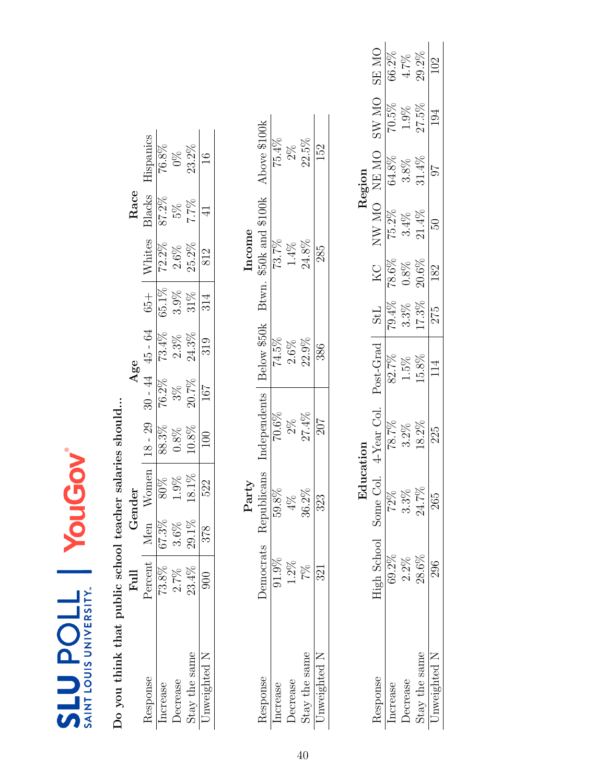| Ξ |                                                |
|---|------------------------------------------------|
|   | 'ERSI<br>≦<br>N<br><b>ISINOT</b><br>Ĺ.<br>SAIN |

Do you think that public school teacher salaries should... Do you think that public school teacher salaries should...

|                | $_{\rm{Full}}$ |               | render                                |                                                                        | Age |                                                                                                                                    |                                       |                                                                       | ${\rm Race}$                                                   |                      |
|----------------|----------------|---------------|---------------------------------------|------------------------------------------------------------------------|-----|------------------------------------------------------------------------------------------------------------------------------------|---------------------------------------|-----------------------------------------------------------------------|----------------------------------------------------------------|----------------------|
| lesponse       | Percent        | len           | Women                                 | $-29$<br>$18 -$                                                        |     |                                                                                                                                    | $65 +$                                |                                                                       |                                                                |                      |
| ncrease        | $73.8\%$       | $.3\%$<br>79  |                                       |                                                                        |     |                                                                                                                                    |                                       |                                                                       |                                                                | Hispanics<br>76.8%   |
| <b>ecrease</b> | 2.7%           | $6\%$         |                                       |                                                                        |     |                                                                                                                                    |                                       |                                                                       |                                                                |                      |
| itay the same  | 23.4%          | $.1\%$<br>Š.  | $\frac{80\%}{1.9\%}$<br>1.9%<br>18.1% | $\begin{array}{r} 88.3\% \\ 0.8\% \\ 10.8\% \\ \hline 100 \end{array}$ |     | $\begin{array}{c cc} 30-44 & 45-64 \\ \hline 76.2\% & 73.4\% \\ 3\% & 2.3\% \\ 20.7\% & 24.3\% \\ \hline 167 & 319 \\ \end{array}$ | $\frac{65.1\%}{3.9\%}$<br>3.9%<br>31% | $\frac{W\text{hits}}{72.2\%}\ \frac{2.5\%}{2.6\%}\ \frac{2.5\%}{812}$ | $\frac{3 \text{ lacks}}{87.2\%}$<br>5%<br>5%<br>5%<br>5%<br>41 | $\frac{0\%}{23.2\%}$ |
| nweighted      |                | $\frac{8}{1}$ |                                       |                                                                        |     |                                                                                                                                    |                                       |                                                                       |                                                                | 16                   |
|                |                |               |                                       |                                                                        |     |                                                                                                                                    |                                       |                                                                       |                                                                |                      |

|             | Above \$100k           | 75.4%        | $2\%$            | 22.5%                  | 152          |
|-------------|------------------------|--------------|------------------|------------------------|--------------|
| $rac{1}{2}$ | Btwn. \$50k and \$100k |              | $73.7\%$<br>1.4% | 24.8%                  | 285          |
|             | Below \$50k            | 74.5%        | $2.6\%$          | $22.9\%$               | 386          |
|             | ndependents            | 70.6%        | $2\%$            | 27.4%                  | 207          |
|             | blicans                | $8\%$<br>59. |                  | $2\%$<br>36.           | 53           |
|             | Jemocrats Repul        | 91.9%        | 1.2%             | 2%                     | 321          |
|             | lesponse               | ncrease      | <b>Decrease</b>  | $\mbox{Stay}$ the same | Jnweighted N |

|                        |                       |         |                        |                  |                                 |                   |                 | Region                     |          |                  |
|------------------------|-----------------------|---------|------------------------|------------------|---------------------------------|-------------------|-----------------|----------------------------|----------|------------------|
| <b>Lesponse</b>        | High School Some Col. |         | <sup>1-Year</sup> Col. | Post-Grad        | <b>TPS</b>                      | Ž                 | <b>OIN NN</b>   | $\frac{\rm NE~MO}{64.8\%}$ | ON WS    | ON ES            |
|                        | $59.2\%$              |         | 78.7%                  | 82.7%            |                                 | $78.6\%$          | $75.2\%$        |                            | 70.5%    | 66.2%            |
|                        | $2.2\%$               | $3.3\%$ | $3.2\%$                | $1.5\%$<br>15.8% | $\frac{79.4\%}{3.3\%}$<br>17.3% | $0.8\%$ 20.6 $\%$ | $3.4\%$         |                            | $1.9\%$  | $4.7\%$<br>29.2% |
| $\mbox{Stay}$ the same | 28.6%                 | 24.7%   | $18.2\%$               |                  |                                 |                   | $21.4\%$        | $3.8\%$ $31.4\%$           | $27.5\%$ |                  |
| nweighted N            |                       | 265     | 225                    | 114              | 275                             | 182               | $\overline{50}$ | 16                         | 194      | 102              |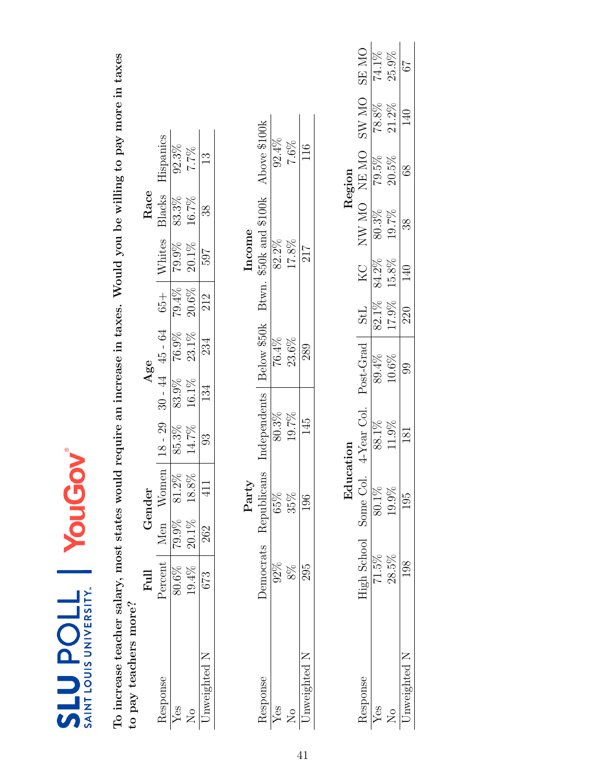| To increase teacher salary, most states woul<br>to pay teachers more? |                |          |             |              |       |                     |            |        |        |                                                 | d require an increase in taxes. Would you be willing to pay more in taxes |              |
|-----------------------------------------------------------------------|----------------|----------|-------------|--------------|-------|---------------------|------------|--------|--------|-------------------------------------------------|---------------------------------------------------------------------------|--------------|
|                                                                       | $_{\rm{Full}}$ |          | Gender      |              |       | Age                 |            |        | Race   |                                                 |                                                                           |              |
| Response                                                              | Percent        | Men      | Women       | $18 - 29$    |       | $30 - 44$ $45 - 64$ | $65 +$     | Whites | Blacks | Hispanics                                       |                                                                           |              |
| Yes                                                                   | 80.6%          | 79.9%    | 81.2%       | 85.3%        | 83.9% | 76.9%               | 79.4%      | 79.9%  | 83.3%  | 92.3%                                           |                                                                           |              |
| $\mathcal{L}_{\mathsf{O}}$                                            | 19.4%          | $20.1\%$ | $18.8\%$    | 14.7%        | 16.1% | 23.1%               | 20.6%      | 20.1%  | 16.7%  | 7.7%                                            |                                                                           |              |
| Jnweighted N                                                          | 673            | 262      | 411         | 33           | 134   | 234                 | 212        | 769    | 38     | $\frac{3}{1}$                                   |                                                                           |              |
|                                                                       |                |          |             |              |       |                     |            |        |        |                                                 |                                                                           |              |
|                                                                       |                |          | Party       |              |       |                     |            | Income |        |                                                 |                                                                           |              |
| Response                                                              | Democrats      |          | Republicans | Independents |       |                     |            |        |        | Below \$50k Btwn. \$50k and \$100k Above \$100k |                                                                           |              |
| Yes                                                                   | $92\%$         |          | 65%         | 80.3%        |       | 76.4%               |            | 82.2%  |        | 92.4%                                           |                                                                           |              |
| $\overline{\mathsf{X}}$                                               | $8\%$          |          | 35%         | 19.7%        |       | 23.6%               |            | 17.8%  |        | $7.6\%$                                         |                                                                           |              |
| Jnweighted N                                                          | 295            |          | 196         | 145          |       | 289                 |            | 217    |        | 116                                             |                                                                           |              |
|                                                                       |                |          |             |              |       |                     |            |        |        |                                                 |                                                                           |              |
|                                                                       |                |          | Education   |              |       |                     |            |        |        | Region                                          |                                                                           |              |
| Response                                                              | High School    |          | Some Col    | 4-Year Col.  |       | Post-Grad           | <b>StL</b> | KC     |        | NW MO NEMO                                      | <b>SW MO</b>                                                              | <b>ON RS</b> |
| Yes                                                                   | $71.5\%$       |          | 80.1%       | 88.1%        |       | 89.4%               | $82.1\%$   | 84.2%  | 80.3%  | 79.5%                                           | 78.8%                                                                     | 74.1%        |
| $\mathcal{L}_{\mathsf{O}}$                                            | $28.5\%$       |          | 19.9%       | 11.9%        |       | 10.6%               | 17.9%      | 15.8%  | 19.7%  | 20.5%                                           | 21.2%                                                                     | 25.9%        |
| Unweighted N                                                          | 198            |          | 195         | 181          |       | 99                  | 220        | 140    | 38     | 8 <sup>8</sup>                                  | 140                                                                       | 79           |

To increase to pay

SLU POLL | YouGov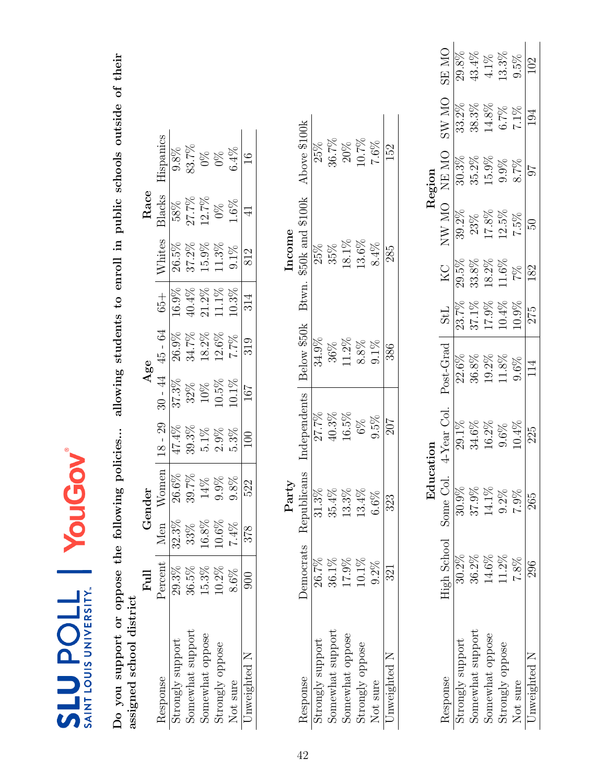| $\mathbf{r}$<br>AINT LOUIS UNIVERSITY.<br>ù<br>j |
|--------------------------------------------------|

Do you support or oppose the following policies... allowing students to enroll in public schools outside of their<br>assigned school district Do you support or oppose the following policies... allowing students to enroll in public schools outside of their assigned school district

|                                                                                                    | Ful      |          |         |        |         | ăs             |          |               | Race           |               |
|----------------------------------------------------------------------------------------------------|----------|----------|---------|--------|---------|----------------|----------|---------------|----------------|---------------|
| desponse                                                                                           | Percent  |          | Vomen   | 8 - 29 | $-44$   | 45 - 64        | $65 +$   | <b>Vhites</b> | 3lacks         | lispanics     |
|                                                                                                    | 29.3%    | $32.3\%$ |         |        | 37.3%   | $26.9\%$       | 16.9%    | 26.5%         | 58%            |               |
| Strongly support<br>Somewhat support                                                               | 36.5%    | 33%      | 39.7%   |        | 32%     | 34.7%          | $40.4\%$ | 37.2%         |                | 33.7%         |
|                                                                                                    | $15.3\%$ | $16.8\%$ | 14%     |        | 10%     | 18.2%          | 21.2%    | 15.9%         | 27.7%<br>12.7% | $\frac{8}{3}$ |
| $\begin{array}{c} \text{Somewhat oppose} \\ \text{Strongly oppose} \\ \text{Not sure} \end{array}$ | $10.2\%$ | $10.6\%$ | $9.9\%$ | $-9\%$ | 10.5%   | 12.6%          | 11.1%    | 11.3%         |                | $0\%$         |
|                                                                                                    | $8.6\%$  |          | 0.8%    | $.3\%$ | $0.1\%$ | $\frac{6}{26}$ | 10.3%    | $9.1\%$       | $0.6\%$        | 6.4%          |
| Jnweighted N                                                                                       | 900      |          | 522     |        | 167     | 319            |          | 812           |                |               |

| 26.7%<br>17.9%<br>$10.1\%$<br>$36.1\%$<br>$9.2\%$ | Democrats Republicans<br>Party<br>$1.3\%$<br>$3.3\%$<br>$6.6\%$ | Independents<br>27.7%<br>$40.3\%$<br>16.5%<br>9.5%<br>$6\%$ | Below \$50k<br>34.9%<br>$11.2\%$<br>8.8%<br>9.1%<br>36% | Btwn. | $$50k$ and $$100k$<br>ncome<br>13.6%<br>$18.1\%$<br>8.4%<br>35%<br>25% | Above \$100k<br>$10.7\%$<br>36.7%<br>$7.6\%$<br>$20\%$<br>25% |
|---------------------------------------------------|-----------------------------------------------------------------|-------------------------------------------------------------|---------------------------------------------------------|-------|------------------------------------------------------------------------|---------------------------------------------------------------|
| 321                                               | 323                                                             | 207                                                         | 386                                                     |       | 285                                                                    | 152                                                           |

|                  |                       | Edu     |               |                 |          |          |              | Region            |       |               |
|------------------|-----------------------|---------|---------------|-----------------|----------|----------|--------------|-------------------|-------|---------------|
| lesponse         | High School Some Col. |         | $4$ -Year Col | Post-Grad       | 135      | КC       | <b>ON WN</b> | NE MO             | ON WS | SE MO         |
| trongly support  | $30.2\%$              | 30.9%   |               | $22.6\%$        | 23.7%    | 29.5%    | 39.2%        | 30.3%             | 33.2% | 29.8%         |
| somewhat support | 36.2%                 | 37.9%   |               | 36.8%           | 37.1%    | 33.8%    | 23%          | $35.2\%$<br>15.9% | 38.3% | 43.4%         |
| Somewhat oppose  | 14.6%                 | 14.1%   | 16.2%         | $19.2\%$        | 17.9%    | $18.2\%$ | $17.8\%$     |                   | 14.8% | $4.1\%$ 13.3% |
| Strongly oppose  | 11.2%                 | $9.2\%$ | 1.6%          | 11.8%           | 10.4%    | 11.6%    | $12.5\%$     | 9.9%              | 6.7%  |               |
| <b>Vot sure</b>  | 7.8%                  | 7.9%    | 10.4%         | 3.6%            | $10.9\%$ | 7%       | 7.5%         | 8.7%              | 7.1%  | 9.5%          |
| Jnweighted N     |                       | 265     | 225           | $11\frac{4}{5}$ | 275      | 82       |              |                   |       |               |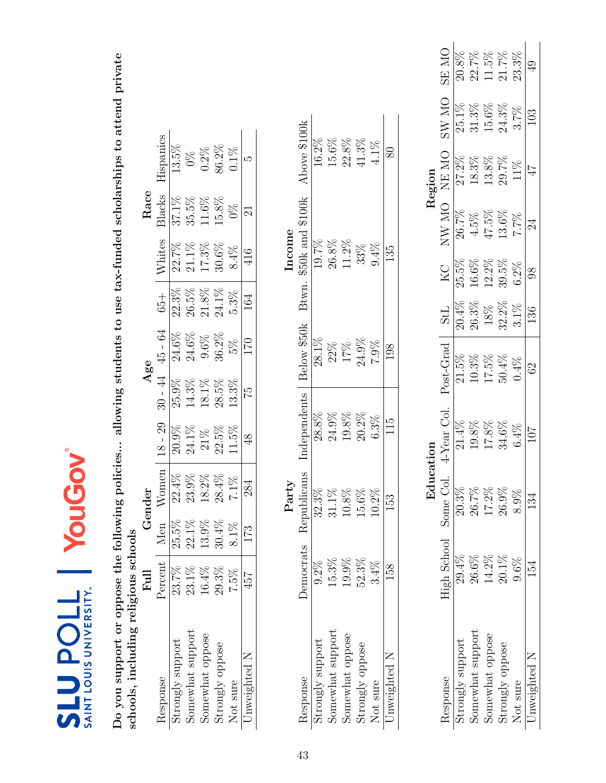| <b>IERS</b><br>IS UNIY<br>Inot<br>L<br><b>SAIN</b> |  |
|----------------------------------------------------|--|

Do you support or oppose the following policies... allowing students to use tax-funded scholarships to attend private<br>schools, including religious schools Do you support or oppose the following policies... allowing students to use tax-funded scholarships to attend private schools, including religious schools

|                                      | $_{\rm{Full}}$    |          | Fender   |               | $\mathbf{A}\mathbf{ge}$ e |         |                     |                   | Kace   |               |
|--------------------------------------|-------------------|----------|----------|---------------|---------------------------|---------|---------------------|-------------------|--------|---------------|
| Response                             | Percent           |          | Vomen    | $8$ - $29$    | $-44$                     | 45 - 64 | $65 +$              | <b>Nhites</b>     | 31acks | lispanics     |
| $\overline{\text{strongly support}}$ | 23.7%             | $25.5\%$ | $22.4\%$ | $20.9\%$      | 25.9%                     | 24.6%   | 22.3%               | 22.7%             | 37.1%  | 13.5%         |
| Somewhat support                     |                   | $22.1\%$ | 23.9%    | 24.1%         | 14.3%                     | 24.6%   | 26.5%               |                   | 35.5%  |               |
| Somewhat oppose                      | $23.1\%$<br>16.4% | $13.9\%$ | $18.2\%$ | $21\%$        | 18.1%                     | $9.6\%$ | $21.8\%$            | $21.1\%$<br>17.3% | 11.6%  | $0.2\%$       |
| Strongly oppose                      | 29.3%             | $30.4\%$ | $28.4\%$ | 22.5%         | $28.5\%$                  | 36.2%   |                     | 30.6%             | 15.8%  |               |
| Not sure                             | 7.5%              |          | $7.1\%$  | $1.5\%$       | 13.3%                     | 5%      | $24.1\%$<br>$5.3\%$ | 8.4%              | $9\%$  | 86.2%<br>0.1% |
| Jnweighted N                         | 457               |          | 284      | $\frac{8}{3}$ | 75                        | 170     |                     | 416               |        |               |

|               | Above \$100k                | 16.2%                                          | 15.6%            | 22.8%           | 41.3%           | 4.1%     |              |
|---------------|-----------------------------|------------------------------------------------|------------------|-----------------|-----------------|----------|--------------|
| Income        | $$50k$ and $$100k$<br>Btwn. | 19.7%                                          | 26.8%            | 11.2%           | 33%             | $9.4\%$  | 135          |
|               | Below \$50k                 | 28.1%                                          | 22%              | $17\%$          | 24.9%           | 7.9%     | 861          |
|               | Independents                | 28.8%                                          | 24.9%            | 19.8%           | $20.2\%$        | $6.3\%$  | 115          |
| $\rm {Partv}$ | Democrats Republicans       | $2.3\%$                                        | $1.1\%$          | $0.8\%$         |                 | $0.2\%$  | 153          |
|               |                             | $9.2\%$                                        | 15.3%            | 19.9%           | 52.3%           | $3.4\%$  |              |
|               | <b>Response</b>             | $\mathop{\textup{strongly} \textup{ support}}$ | Somewhat support | somewhat oppose | strongly oppose | Not sure | Inweighted N |

|                  |                      | Edu   |            |                |            |                 |       | Region                  |         |                            |
|------------------|----------------------|-------|------------|----------------|------------|-----------------|-------|-------------------------|---------|----------------------------|
|                  | High School Some Col |       | 4-Year Col | Post-Grad      | <b>TPS</b> | КC              | NW MO | NE MO                   | ON WS   | $\overline{\text{M}}$<br>띥 |
| trongly support  | 19.4%                | 20.3% |            | 21.5%          | 20.4%      | 25.5%           | 26.7% | $\frac{27.2\%}{27.2\%}$ | 25.1%   |                            |
| Somewhat support | 26.6%                | 26.7% | 19.8%      | $10.3\%$       | 26.3%      | 16.6%           | 4.5%  | $18.3\%$                | 31.3%   | 22.7%                      |
| somewhat oppose  | 14.2%                | 17.2% | $17.8\%$   | 17.5%          | $18\%$     | 12.2%           | 47.5% | 13.8%                   | 15.6%   | 11.5%                      |
| Strongly oppose  | $20.1\%$             | 26.9% | 34.6%      | 50.4%          | 32.2%      | 39.5%           | 13.6% | 29.7%                   | 24.3%   | 21.7%                      |
|                  | $9.6\%$              | 8.9%  | 6.4%       | 0.4%           | $3.1\%$    | $6.2\%$         | 7.7%  | 11%                     | $3.7\%$ | 23.3%                      |
| Inweighted N     |                      | 134   | 107        | $\mathbb{S}^3$ | 136        | $\overline{98}$ | 24    |                         | 103     |                            |
|                  |                      |       |            |                |            |                 |       |                         |         |                            |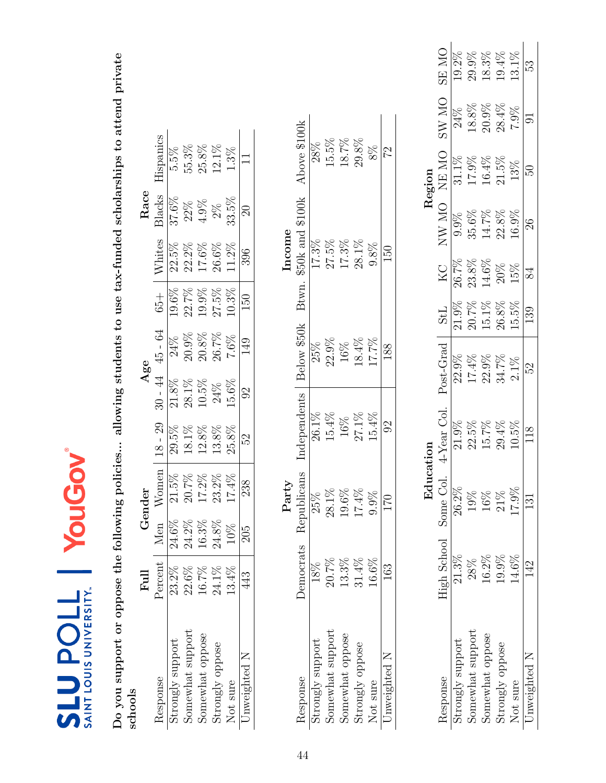| ř<br><b>LOUIS UNIVERSI</b><br>I<br>I<br>N<br>I<br>A<br>I<br>A<br>I<br>I<br>I<br>I<br>I<br>i<br><br><br><br><br><br><br><br> |
|-----------------------------------------------------------------------------------------------------------------------------|

Do you support or oppose the following policies... allowing students to use tax-funded scholarships to attend private Do you support or oppose the following policies... allowing students to use tax-funded scholarships to attend private<br>schools

|                                      | Full        |                                   |          |            |                                              | 186       |          |          | Race          |           |
|--------------------------------------|-------------|-----------------------------------|----------|------------|----------------------------------------------|-----------|----------|----------|---------------|-----------|
| <b>Aesponse</b>                      | Percent   M |                                   | men      | $8$ - $29$ | $\stackrel{4}{\scriptstyle\sim}$<br>$30 - 4$ | $45 - 64$ | $65 +$   | Vhites   | 31acks        | lispanics |
|                                      | 23.2%       | 24.                               | 21.5%    |            | 21.8%                                        | 24%       | $19.6\%$ | $22.5\%$ | 37.6%         | 5.5%      |
| Strongly support<br>Somewhat support | 22.6%       | $\frac{8}{2}$<br>24.              | 20.7%    | 18.1%      |                                              | 20.9%     | 22.7%    | 22.2%    | 22%           | 55.3%     |
|                                      | $16.7\%$    | <u>َي</u>                         | $17.2\%$ | 12.8%      | $28.1\%$<br>$10.5\%$                         | $20.8\%$  | 19.9%    | 17.6%    | 1.9%          | 25.8%     |
| Somewhat oppose<br>Strongly oppose   | $24.1\%$    | $8\%$<br>$\overline{\mathcal{U}}$ | $23.2\%$ | 13.8%      | 24%                                          | $26.7\%$  | 27.5%    | 26.6%    | $\frac{8}{2}$ | $12.1\%$  |
| Not sure                             | 13.4%       |                                   | 17.4%    | 25.8%      | 15.6%                                        | 7.6%      | $10.3\%$ | $1.2\%$  | 33.5%         | $.3\%$    |
| Jnweighted N                         | 443         |                                   | 238      | 5S         |                                              | 149       | 150      | 396      |               |           |

|       | Above \$100k                         | 28%             | 15.5%            | 18.7%                 | $29.8\%$              | $8\%$        | 22             |
|-------|--------------------------------------|-----------------|------------------|-----------------------|-----------------------|--------------|----------------|
| ncome | $$50k$ and $$100k$ $17.3\%$<br>Btwn. |                 | $27.5\%$         | $17.3\%$              | $28.1\%$              | 9.8%         | $\Xi$          |
|       | Below \$50k                          | 25%             | 22.9%            | $\frac{16\%}{18.4\%}$ |                       | 17.7%        | 188            |
|       | ndependents                          | $26.1\%$        | 15.4%            |                       | $\frac{16\%}{27.1\%}$ | 15.4%        | $\mathfrak{S}$ |
| arty  | Democrats Republicans                | 25%             | $28.1\%$         | 19.6%                 | $17.4\%$              | X<br>ි.<br>උ |                |
|       |                                      |                 | 20.7%            | 13.3%                 | 31.4%                 | 16.6%        | 63             |
|       | lesponse                             | trongly support | somewhat support | somewhat oppose       | strongly oppose       | Not sure     | Inweighted N   |

|                  |                             | Edu<br>El |             |           |            |       |          | Region            |       |       |
|------------------|-----------------------------|-----------|-------------|-----------|------------|-------|----------|-------------------|-------|-------|
| <i>lesponse</i>  | <b>High School</b> Some Col |           | 4-Year Col. | Post-Grad | <b>TPS</b> | ŽЯ    | NW MO    | NE MO             | ON WS | SE MO |
| strongly support | $21.3\%$                    | $26.2\%$  |             | 22.9%     | 21.9%      |       |          | 31.1%             | 24%   |       |
| Somewhat support | 28%                         | 19%       | 22.5%       | $17.4\%$  | $20.7\%$   | 23.8% | 35.6%    | $17.9\%$          | 18.8% | 29.9% |
| Somewhat oppose  | $16.2\%$                    | $16\%$    | 15.7%       | $22.9\%$  | 15.1%      | 14.6% | $14.7\%$ | $16.4\%$<br>21.5% | 20.9% | 18.3% |
| Strongly oppose  | 19.9%                       | $21\%$    | 29.4%       | 34.7%     | $26.8\%$   | 20%   | 22.8%    |                   | 28.4% | 19.4% |
| <b>Not</b> sure  | 14.6%                       | 17.9%     | 10.5%       | 2.1%      | $5.5\%$    | 15%   | $16.9\%$ | 13%               | 7.9%  | 13.1% |
| Inweighted N     |                             | 131       |             | 52        | 139        |       |          | B                 |       | 53    |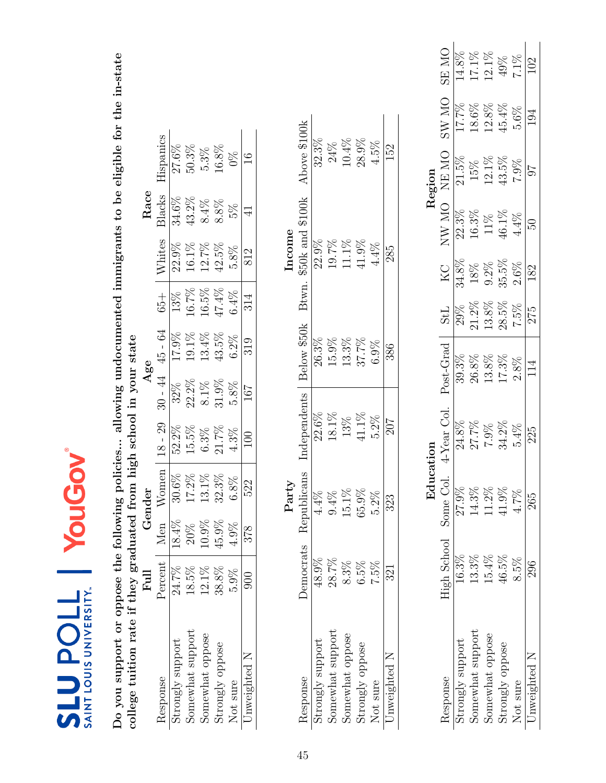| ř<br><b>VERS'</b><br><b>NNN SINOT</b><br>Ë<br>$\frac{1}{2}$ |
|-------------------------------------------------------------|

Do you support or oppose the following policies... allowing undocumented immigrants to be eligible for the in-state<br>college tuition rate if they graduated from high school in your state Do you support or oppose the following policies... allowing undocumented immigrants to be eligible for the in-state college tuition rate if they graduated from high school in your state

|                                    | Full     |          | -ender         |          | Age                                                               |                |                         |          | ${\rm Race}$ |           |
|------------------------------------|----------|----------|----------------|----------|-------------------------------------------------------------------|----------------|-------------------------|----------|--------------|-----------|
| Response                           | Percent  |          | $N$ omen       |          | $30 - 44$                                                         | $45 - 64$      | $+50$                   | Whites   | 3lacks       | lispanics |
| strongly support                   | 24.7%    | $.8.4\%$ | $30.6\%$       | 52.2%    | $32\%$                                                            | 17.9%          | 13%                     | 22.9%    | 34.6%        | 27.6%     |
| Somewhat support                   | 18.5%    | 20%      |                | $15.5\%$ |                                                                   |                |                         | $16.1\%$ | $13.2\%$     | 50.3%     |
|                                    | $12.1\%$ | $10.9\%$ | 17.2%<br>13.1% | $5.3\%$  |                                                                   | 19.1%<br>13.4% | $\frac{16.7\%}{16.5\%}$ | 12.7%    | $8.4\%$      | $5.3\%$   |
| Somewhat oppose<br>Strongly oppose | 38.8%    | $45.9\%$ | $32.3\%$       | $1.7\%$  |                                                                   | $43.5\%$       | 47.4%                   | $42.5\%$ | 8.8%         | $16.8\%$  |
| Not sure                           | 5.9%     | $4.9\%$  | $5.8\%$        | 1.3%     | $\begin{array}{c} 22.2\% \\ 8.1\% \\ 51.9\% \\ 5.8\% \end{array}$ | $6.2\%$        | $6.4\%$                 | $5.8\%$  | 5%           | 0%        |
| Jnweighted N                       | 900      | 378      | 522            | 100      | 167                                                               | 319            | 314                     | 812      |              |           |

|              | Above \$100k              | 32.3%           | 24%              | 10.4%           | 28.9%           | $4.5\%$  | 52           |
|--------------|---------------------------|-----------------|------------------|-----------------|-----------------|----------|--------------|
| ncome        | \$50k and \$100k<br>Btwn. | 22.9%           | 19.7%            | 11.1%           | 41.9%           | $4.4\%$  | 285          |
|              | Below \$50k               | $26.3\%$        | 15.9%            | 13.3%           | 37.7%           | 6.9%     | 386          |
|              | ndependents               | 22.6%           | 18.1%            | 13%             | 11.1%           | $5.2\%$  | 207          |
| $\rm Part_V$ | Democrats Republicans     |                 | $9.4\%$          | $15.1\%$        | $65.9\%$        | $5.2\%$  | 323          |
|              |                           | 48.9%           | 28.7%            | $8.3\%$         | 6.5%            | 7.5%     | 321          |
|              | Response                  | trongly support | Somewhat support | somewhat oppose | Strongly oppose | Not sure | Jnweighted N |

|                  |                      | Edu   |            |                 |          |         |              | Region                                                  |              |                       |
|------------------|----------------------|-------|------------|-----------------|----------|---------|--------------|---------------------------------------------------------|--------------|-----------------------|
| desponse         | High School Some Col |       | 4-Year Col | Post-Grad       | 115      | КC      | <b>ON WN</b> | NE MO                                                   | <b>ON WS</b> | $\sum_{i=1}^{n}$<br>띥 |
| trongly support  | 16.3%                | 27.9% | 24.8%      | 39.3%           | 29%      | 34.8%   | 22.3%        | $21.5\%$                                                | 17.7%        | 14.8%                 |
| Somewhat support | $13.3\%$             | 14.3% | 27.7%      | $26.8\%$        | 21.2%    | $18\%$  | 16.3%        |                                                         | 18.6%        | 17.1%<br>12.1%        |
| Somewhat oppose  | 15.4%                | 11.2% | 7.9%       | 13.8%           | 13.8%    | $9.2\%$ | 11%          | $\begin{array}{c} 15\% \\ 12.1\% \\ 43.5\% \end{array}$ | 12.8%        |                       |
| Strongly oppose  | 16.5%                | 11.9% | 34.2%      | $17.3\%$        | $28.5\%$ | 35.5%   | $46.1\%$     |                                                         | $45.4\%$     | 49%<br>7.1%           |
| <b>Vot sure</b>  | $8.5\%$              | 4.7%  | 5.4%       | $2.8\%$         | 7.5%     | $2.6\%$ | $4.4\%$      | $7.9\%$                                                 | 5.6%         |                       |
| Jnweighted N     | 296                  | 265   | 225        | $11\frac{4}{5}$ | 275      | 182     | 50           |                                                         |              |                       |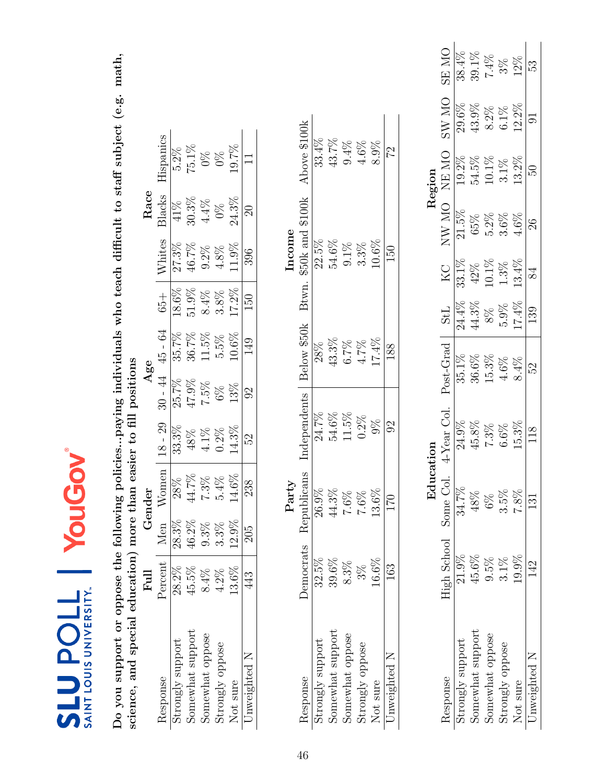| ම |                                                                                       |
|---|---------------------------------------------------------------------------------------|
|   | ř<br>NIVERS<br>$\overline{\overline{\overline{u}}}$<br>əo<br>╰<br>$\frac{1}{4}$<br>≳ี |

Do you support or oppose the following policies...paying individuals who teach difficult to staff subject (e.g. math, science, and special education) more than easier to fill positions Do you support or oppose the following policies...paying individuals who teach difficult to staff subject (e.g. math, science, and special education) more than easier to fill positions

|                                    | $_{\rm{Full}}$ |          | -ender            |          |                     | 18e               |         |                     | Race          |                  |
|------------------------------------|----------------|----------|-------------------|----------|---------------------|-------------------|---------|---------------------|---------------|------------------|
| Response                           | Percent        | den      | $\chi_{\rm omen}$ |          | $30 - 44$           | 45 - 64           | $+99$   | <b>Vhites</b>       | Blacks        | lispanic         |
| trongly support                    | 28.2%          | 28.3%    | $28\%$            | $33.3\%$ | $25.7\%$            | $35.7\%$          | 18.6%   | $\overline{27.3\%}$ | $\frac{1}{8}$ |                  |
| Somewhat support                   | 15.5%          | 46.2%    |                   | 48%      | $^{17.9\%}_{7.5\%}$ |                   | 51.9%   | 16.7%               | 30.3%         | $5.2\%$<br>75.1% |
|                                    | $8.4\%$        | 9.3%     | 14.7%<br>7.3%     | $4.1\%$  |                     | $36.7\%$<br>11.5% | $8.4\%$ | 9.2%                | $4.4\%$       | $0\%$            |
| Somewhat oppose<br>Strongly oppose | $4.2\%$        | $3.3\%$  | ,4%               | $0.2\%$  |                     | 5.5%              | $3.8\%$ | $4.8\%$             | $0\%$         | $0\%$            |
| Not sure                           | 13.6%          | $12.9\%$ | $14.6\%$          | $4.3\%$  | 13%                 | $0.6\%$           | 17.2%   | 1.9%                | $24.3\%$      | $0.7\%$          |
| Jnweighted N                       | 443            | 205      | 238               | S        | 92                  | 149               | 150     | 396                 | 20            |                  |

|       | Above \$100k              | 33.4%           | 43.7%            | 9.4%            | $4.6\%$         | $8.9\%$  | 22                                 |
|-------|---------------------------|-----------------|------------------|-----------------|-----------------|----------|------------------------------------|
| ncome | \$50k and \$100k<br>Btwn. | 22.5%           | 54.6%            | $9.1\%$         | $3.3\%$         | $10.6\%$ | 150                                |
|       | Below \$50k               | 28%             | 13.3%            | 6.7%            | 4.7%            | 17.4%    | 188                                |
|       | Independents              | 24.7%           | 54.6%            | 11.5%           | $0.2\%$         | $9\%$    | $\mathfrak{S}% _{A}^{\alpha\beta}$ |
| Party | Democrats Republicans     | 26.9%           | 44.3%            | $-6\%$          | $.6\%$          | 3.6%     | 170                                |
|       |                           | 32.5%           | 39.6%            | $8.3\%$         | $3\%$           | $16.6\%$ |                                    |
|       | Response                  | trongly support | Somewhat support | Somewhat oppose | strongly oppose | Not sure | Jnweighted N                       |

|                  |                      | Edu<br>Ed |             |           |                   |          |              | Region   |         |              |
|------------------|----------------------|-----------|-------------|-----------|-------------------|----------|--------------|----------|---------|--------------|
| <i>lesponse</i>  | High School Some Col |           | 4-Year Col. | Post-Grad | <b>StL</b>        | КC       | <b>ON WN</b> | NE MO    | ON WS   | <b>ON RS</b> |
| trongly support  | $21.9\%$             | 34.7%     |             | 35.1%     | $\frac{1}{4.4\%}$ | 33.1%    | $21.5\%$     | 19.2%    | 29.6%   |              |
| Somewhat support | 45.6%                | $18\%$    | 45.8%       |           | 14.3%             | 42%      | 65%          | 54.5%    | 43.9%   | 39.1%        |
| somewhat oppose  | 9.5%                 | $6\%$     |             | 15.3%     | 8%                | $10.1\%$ | $5.2\%$      | $10.1\%$ | 8.2%    | $7.4\%$      |
| strongly oppose  | $3.1\%$              | 3.5%      | 1.6%        | 4.6%      | $5.9\%$           | $1.3\%$  | 3.6%         | $3.1\%$  | $6.1\%$ | $3\%$        |
| Not sure         | 19.9%                | $7.8\%$   | $15.3\%$    | 8.4%      | 17.4%             | 13.4%    | 1.6%         | 13.2%    | 12.2%   | 12%          |
| Jnweighted N     |                      | $\Xi$     |             | 5S        | 139               |          | $\%$         |          |         | ES.          |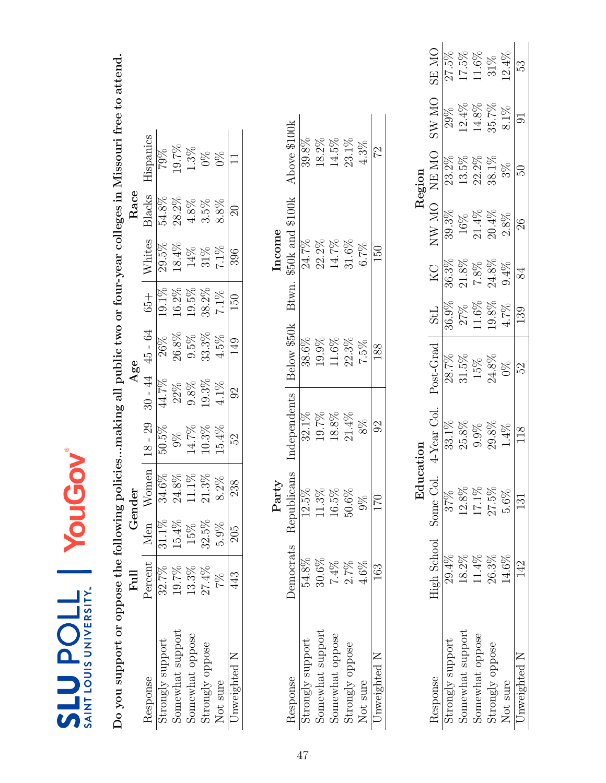| ම                                         |
|-------------------------------------------|
| VEDSITY<br><b>N SINOT</b><br><b>TNIAS</b> |

Do you support or oppose the following policies...making all public two or four-year colleges in Missouri free to attend. Do you support or oppose the following policies...making all public two or four-year colleges in Missouri free to attend.

|                       | $_{\rm{Full}}$ |          | Gender                                                             |                                                                            | Age                                                                                   |                                                                                                   |                                                          |                                                | Race                                                                                                             |                            |
|-----------------------|----------------|----------|--------------------------------------------------------------------|----------------------------------------------------------------------------|---------------------------------------------------------------------------------------|---------------------------------------------------------------------------------------------------|----------------------------------------------------------|------------------------------------------------|------------------------------------------------------------------------------------------------------------------|----------------------------|
| Response              | Percent        | · Men    | $W$ omer                                                           | $8 - 29$                                                                   |                                                                                       |                                                                                                   |                                                          |                                                |                                                                                                                  | <b>lispanics</b>           |
| strongly support      | 32.7%          | $31.1\%$ | 34.6%                                                              |                                                                            |                                                                                       |                                                                                                   |                                                          |                                                |                                                                                                                  |                            |
| Somewhat support      | 19.7%          | $15.4\%$ |                                                                    |                                                                            |                                                                                       |                                                                                                   |                                                          |                                                |                                                                                                                  |                            |
| Somewhat oppose       | 13.3%          | 15%      |                                                                    |                                                                            |                                                                                       |                                                                                                   |                                                          |                                                |                                                                                                                  |                            |
| $\rm strongly$ oppose | 27.4%          | 32.5%    |                                                                    |                                                                            |                                                                                       |                                                                                                   |                                                          |                                                |                                                                                                                  |                            |
| Not sure              | 7%             | 5.9%     | $\begin{array}{c} 24.8\% \\ 11.1\% \\ 21.3\% \\ 8.2\% \end{array}$ | $\begin{array}{r} 10.5\% \\ 9\% \\ 14.7\% \\ 10.3\% \\ 15.4\% \end{array}$ | $\begin{array}{l} 30-44\\ \hline 44.7\%\\ 22\%\\ 9.8\%\\ 19.3\%\\ 4.1\% \end{array}.$ | $\frac{45 - 64}{26\%}$<br>$\frac{26.8\%}{26.8\%}$<br>$\frac{35\%}{33.3\%}$<br>$\frac{4.5\%}{149}$ | $\frac{65+}{19.1\%}\$<br>19.1%<br>19.5%<br>38.2%<br>7.1% | Whites<br>29.5%<br>18.4%<br>14%<br>31%<br>7.1% | $\begin{array}{l} \underline{\text{3} \text{ lacks}} \\ 54.8\% \\ 28.2\% \\ 4.8\% \\ 3.5\% \\ 8.8\% \end{array}$ | 79%<br>19.7%<br>1.3%<br>0% |
| Inweighted N          | 43             | 205      | 238                                                                | $\overline{S}$                                                             |                                                                                       |                                                                                                   |                                                          | 396                                            | $\overline{20}$                                                                                                  |                            |
|                       |                |          |                                                                    |                                                                            |                                                                                       |                                                                                                   |                                                          |                                                |                                                                                                                  |                            |

|        | Above \$100k              | 39.8%           | 18.2%    | 14.5%                               | 23.1%           | 4.3%     | 22           |
|--------|---------------------------|-----------------|----------|-------------------------------------|-----------------|----------|--------------|
| Income | \$50k and \$100k<br>Btwn. | 24.7%           | 22.2%    | 14.7%                               | 31.6%           | 6.7%     | 150          |
|        | Below \$50k               | 38.6%           | 19.9%    | 11.6%                               | 22.3%           | 7.5%     | 188          |
|        | ndependents               | 32.1%           | 19.7%    | $18.8\%$                            | $21.4\%$        | $8\%$    |              |
| Party  | Democrats Republicans     |                 |          | $0.5\%$                             | 0.6%            |          | ا ہے<br>ا    |
|        |                           | 54.8%           | $30.6\%$ | $7.4\%$                             | 2.7%            | 4.6%     |              |
|        | lesponse                  | trongly support |          | Somewhat support<br>Somewhat oppose | strongly oppose | Not sure | Jnweighted N |

|                  |                       | $_{\rm Edu}$    |                    |                 |            |          |              | Region   |          |        |
|------------------|-----------------------|-----------------|--------------------|-----------------|------------|----------|--------------|----------|----------|--------|
| desponse         | High School Some Col. |                 | $\text{LYear}$ Col | Post-Grad       | <b>TPS</b> | КC       | <b>ON WN</b> | NE MO    | ON WS    | ON ES  |
| trongly support  | 29.4%                 | 37%             |                    | 28.7%           | 86.9%      | $36.3\%$ | 39.3%        | $23.2\%$ |          |        |
| Somewhat support | 18.2%                 | 12.8%           |                    | 31.5%           | 27%        | 21.8%    | $16\%$       | 13.5%    | $12.4\%$ | 17.5%  |
| Somewhat oppose  | 11.4%                 | $17.1\%$        |                    |                 | $1.6\%$    | $7.8\%$  | $21.4\%$     | 22.2%    | $14.8\%$ | 1.6%   |
| Strongly oppose  | 26.3%                 | 27.5%           |                    | $15\%$<br>24.8% | .9.8%      | 24.8%    | $20.4\%$     | 38.1%    | 35.7%    | $31\%$ |
| Not sure         | $14.6\%$              | 5.6%            | $\frac{4\%}{4}$    | $\frac{8}{2}$   | 1.7%       | 9.4%     | 2.8%         | $3\%$    | $8.1\%$  | 12.4%  |
| Jnweighted N     | $\mathfrak{P}$        | $\overline{31}$ |                    | 52              | 139        |          | 26           |          |          | 53     |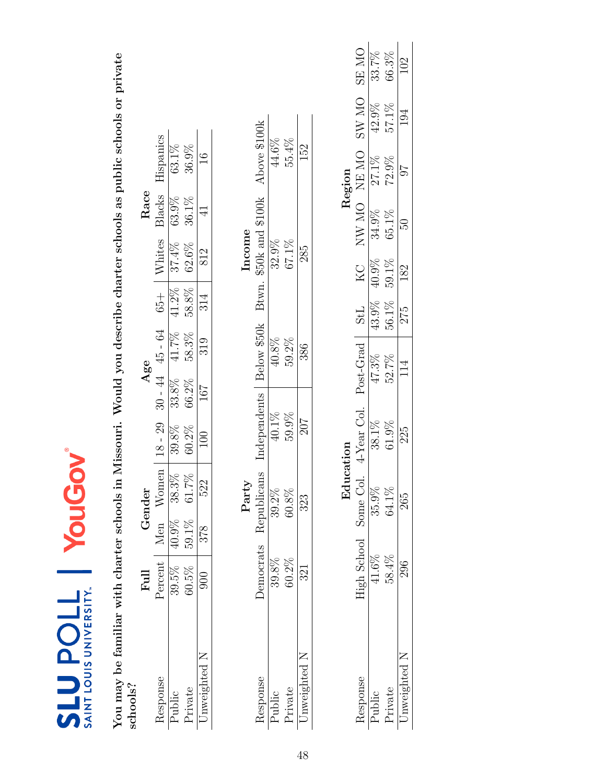| SAINT LOUIS UNIVERSITY.<br><b>710dents</b>  |                | YouGo     |             |                                                                           |       |                     |            |               |                  |               |              |              |
|---------------------------------------------|----------------|-----------|-------------|---------------------------------------------------------------------------|-------|---------------------|------------|---------------|------------------|---------------|--------------|--------------|
| You may be familiar with charter schools in |                |           |             | Missouri. Would you describe charter schools as public schools or private |       |                     |            |               |                  |               |              |              |
| schools?                                    |                |           |             |                                                                           |       |                     |            |               |                  |               |              |              |
|                                             | $_{\rm{Full}}$ | Gender    |             |                                                                           | Age   |                     |            |               | Race             |               |              |              |
| Response                                    | Percent        | Men Women |             | $18 - 29$                                                                 |       | $30 - 44$ $45 - 64$ |            | $65 +$ Whites | Blacks           | Hispanics     |              |              |
| Public                                      | 39.5%          | 40.9%     | $38.3\%$    | 39.8%                                                                     | 33.8% | 41.7%               | 41.2%      | 37.4%         | 63.9%            | 63.1%         |              |              |
| Private                                     | 60.5%          | 59.1%     | $61.7\%$    | 60.2%                                                                     | 66.2% | 58.3%               | 58.8%      | 62.6%         | 36.1%            | 36.9%         |              |              |
| Unweighted N                                | $\Im$          | 378       | 522         | $\approx 0$                                                               | 167   | 319                 | 314        | 812           | $\overline{4}$   | $\frac{6}{1}$ |              |              |
|                                             |                |           | Party       |                                                                           |       |                     |            | Income        |                  |               |              |              |
| Response                                    | Democrats      |           | Republicans | Independents                                                              |       | Below \$50k         | Btwn.      |               | \$50k and \$100k | Above \$100k  |              |              |
| Public                                      | 39.8%          |           | 39.2%       | $40.1\%$                                                                  |       | $40.8\%$            |            | 32.9%         |                  | 44.6%         |              |              |
| Private                                     | 60.2%          |           | 60.8%       | 59.9%                                                                     |       | 59.2%               |            | 67.1%         |                  | 55.4%         |              |              |
| Unweighted N                                | 321            |           | 323         | 207                                                                       |       | 386                 |            | 285           |                  | 152           |              |              |
|                                             |                |           |             |                                                                           |       |                     |            |               |                  |               |              |              |
|                                             |                |           | Education   |                                                                           |       |                     |            |               |                  | Region        |              |              |
| Response                                    | High School    |           | Some Col.   | 4-Year Col.                                                               |       | Post-Grad           | <b>StL</b> | KC            |                  | NE ON NE NE   | <b>ON WS</b> | <b>ON RS</b> |
| Public                                      | 41.6%          |           | 35.9%       | 38.1%                                                                     |       | 47.3%               | 43.9%      | 40.9%         | 34.9%            | 27.1%         | 42.9%        | 33.7%        |
| Private                                     | 58.4%          |           | 64.1%       | 61.9%                                                                     |       | 52.7%               | 56.1%      | 59.1%         | 65.1%            | 72.9%         | 57.1%        | 66.3%        |
| Unweighted N                                | 296            |           | 265         | 225                                                                       |       | $\overline{14}$     | 275        | 182           | <b>CG</b>        | 76            | 194          | 102          |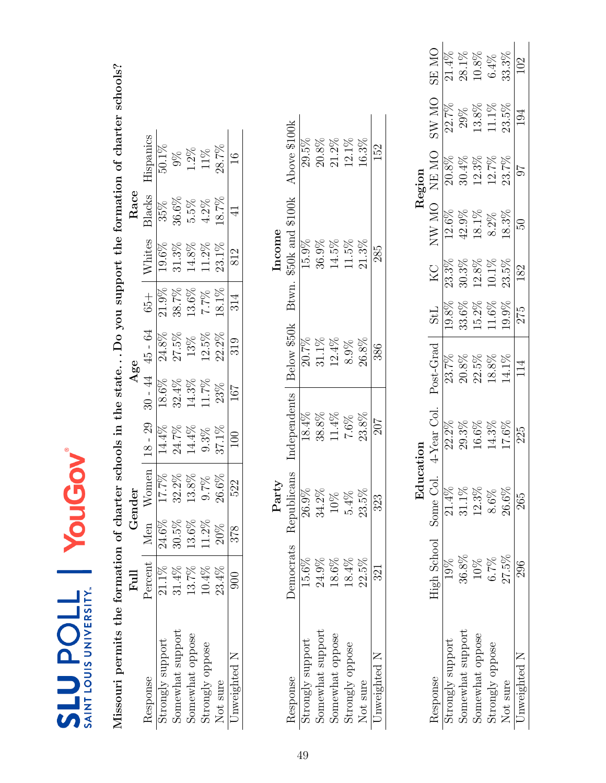| ම                                                      |
|--------------------------------------------------------|
| ノトロロニトン<br>$\frac{1}{2}$<br><b>NOT</b><br><b>TNIAS</b> |

Missouri permits the formation of charter schools in the state...Do you support the formation of charter schools? Missouri permits the formation of charter schools in the state. . . Do you support the formation of charter schools?

|                  | Full     |          | Gender                            |           | Age                 |               |                     |                                       | Race                 |                     |
|------------------|----------|----------|-----------------------------------|-----------|---------------------|---------------|---------------------|---------------------------------------|----------------------|---------------------|
| Response         | Percent  | Men      | $N$ omen                          | $18 - 29$ | $30 - 44$           | $45 - 64$     | $+99$               |                                       | 31acks               | lispanics           |
| strongly support | $21.1\%$ | $24.6\%$ | $\underline{\underline{\%2}2.21}$ | $14.4\%$  | $\overline{18.6\%}$ | 24.8%         | $2\overline{1.9\%}$ | $\frac{\text{Whites}}{\text{19.6\%}}$ |                      | $50.1\%$            |
| Somewhat support | 31.4%    | $30.5\%$ | $32.2\%$                          | $24.7\%$  | 32.4%               | $27.5\%$      | 38.7%               | $31.3\%$                              | 35%<br>36.6%<br>5.5% |                     |
| Somewhat oppose  | 13.7%    | $13.6\%$ | $13.8\%$                          | $14.4\%$  | 14.3%               | $13\%$<br>13% | $13.6\%$            | $14.8\%$                              |                      | $\frac{9\%}{1.2\%}$ |
| strongly oppose  | 10.4%    | $11.2\%$ | 0.7%                              | $9.3\%$   | $11.7\%$            |               | $7.7\%$             | $11.2\%$                              | $4.2\%$              | $11\%$ 28.7%        |
| Not sure         | 23.4%    | 20%      | $26.6\%$                          | $37.1\%$  | 23%                 | $22.2\%$      | 18.1%               | $23.1\%$                              | $18.7\%$             |                     |
| Inweighted N     | 900      | 378      | 522                               | 100       | 167                 | 319           | 314                 | 812                                   |                      |                     |

|                      | Above \$100k              | 29.5%            | $20.8\%$         | 21.2%                                        | 12.1%           | 16.3%    | 152          |
|----------------------|---------------------------|------------------|------------------|----------------------------------------------|-----------------|----------|--------------|
| mcome                | \$50k and \$100k<br>Btwn. | 15.9%            | 36.9%            | 14.5%                                        | 11.5%           | $21.3\%$ | 285          |
|                      | Below \$50k               | 20.7%            | 31.1%            | 12.4%                                        | 8.9%            | $26.8\%$ | 386          |
|                      | Independents              | 18.4%            | 38.8%            | $11.4\%$                                     | 7.6%            | $23.8\%$ | 207          |
| ${\rm Part}_{\rm V}$ | hlicans                   |                  | 34.2%            |                                              |                 |          | 323          |
|                      | Democrats Repu            | 15.6%            | 24.9%            | 18.6%                                        | 18.4%           | 22.5%    | 321          |
|                      | Response                  | strongly support | Somewhat support | $\ensuremath{\mathrm{5} \mathrm{om}}$ expose | Strongly oppose | Not sure | Jnweighted N |

|                  |                       | Edu      |                       |           |            |          |              | Region   |          |       |
|------------------|-----------------------|----------|-----------------------|-----------|------------|----------|--------------|----------|----------|-------|
| lesponse         | High School Some Col. |          | $\mathsf{LYear}$ Col. | Post-Grad | <b>TPS</b> | КC       | <b>ON WN</b> | NE MO    | ON W.    | ON RS |
| strongly support |                       | $21.4\%$ |                       | 23.7%     | $0.8\%$    | 23.3%    | 12.6%        | $20.8\%$ | 22.7%    |       |
| Somewhat suppor  | 36.8%                 | 31.1%    |                       | 20.8%     | $33.6\%$   | 30.3%    | 42.9%        | $30.4\%$ | 29%      | 28.1% |
| Somewhat oppose  | $10\%$                | 12.3%    |                       | 22.5%     | $5.2\%$    | $12.8\%$ | 18.1%        | 12.3%    | 13.8%    | 10.8% |
| Strongly oppose  | 6.7%                  | 8.6%     |                       | 18.8%     | 1.6%       | $10.1\%$ | $8.2\%$      | 12.7%    | $11.1\%$ | 6.4%  |
| Not sure         | 27.5%                 | $26.6\%$ | $7.6\%$               | 14.1%     | 19.9%      | 23.5%    | $18.3\%$     | 23.7%    | 23.5%    | 33.3% |
| Inweighted N     | 296                   | 265      | 225                   | 114       | 275        | 182      | SO           |          | 194      |       |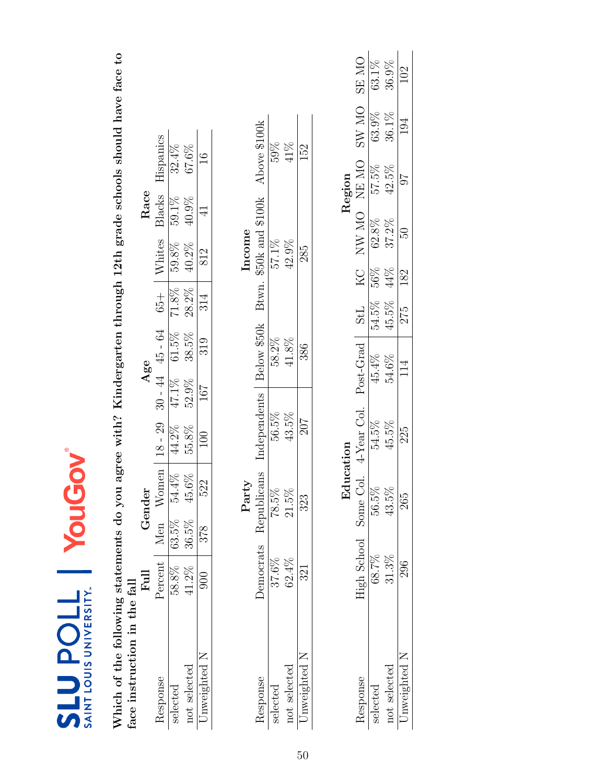| œ |                                    |
|---|------------------------------------|
|   | <b>LOUIS UNIVERSITY</b><br>I LNIVS |

Which of the following statements do you agree with? Kindergarten through 12th grade schools should have face to<br>face instruction in the fall Which of the following statements do you agree with? Kindergarten through 12th grade schools should have face to face instruction in the fall

|              | $\rm H_{\rm H}$ |       | ender |                  |                | Age             |                               |          | Race     |                  |
|--------------|-----------------|-------|-------|------------------|----------------|-----------------|-------------------------------|----------|----------|------------------|
| esponse      | ercen           | Vlen  | Vomen | 18 - 29          | $-44$          | 45 - 64         |                               | Whites   | 31acks   | <b>Hispanics</b> |
| lecte        | 58.8%           | 53.5% | 54.4% | 44.2%            |                | $\sqrt{61.5\%}$ | $\frac{65+}{71.8\%}$<br>28.2% | 59.8%    | 59.1%    | 32.4%            |
| not selected | $41.2\%$        | 36.5% | 45.6% | 55.8%            | 47.1%<br>52.9% | 38.5%           |                               | $40.2\%$ | $40.9\%$ | 67.6%            |
|              |                 | 378   | 522   | $\overline{100}$ | 167            | 319             | 314                           | 812      |          |                  |

|              |          |            |             |             | ncome                     |              |
|--------------|----------|------------|-------------|-------------|---------------------------|--------------|
| esponse      | emocrats | epublicans | ndependents | Below \$50k | \$50k and \$100k<br>Btwn. | Above \$100k |
|              | 37.6%    | $78.5\%$   | 56.5%       | 58.2%       | 57.1%                     | 59%          |
| not selected | 52.4%    | 21.5%      | 13.5%       | 41.8%       | 42.9%                     | 41%          |
| aweightec    |          | 323        | 207         | 386         | 285                       | 152          |

|                     | <b>DN RS</b>          | $63.1\%$<br>$36.9\%$ |              | 102             |
|---------------------|-----------------------|----------------------|--------------|-----------------|
|                     | ON WS                 | 63.9%                | 36.1%        | $\overline{94}$ |
| $\mathfrak{tegior}$ | NE MC                 | 57.5%                | $42.5\%$     | 76              |
|                     | NW MO                 | $62.8\%$             | 37.2%        | 50              |
|                     | КC                    | $56\%$               | 49%          | 182             |
|                     | <b>TPS</b>            | 54.5%                | $45.5\%$     | 275             |
|                     | Post-Grad             | 45.4%                | 54.6%        | 114             |
|                     | $i$ -Year Col.        | 54.5%                | 45.5%        | 225             |
|                     |                       | $56.5\%$             | $43.5\%$     | 265             |
|                     | High School Some Col. | 58.7%                | 31.3%        |                 |
|                     | esponse               |                      | not selected | nweighted       |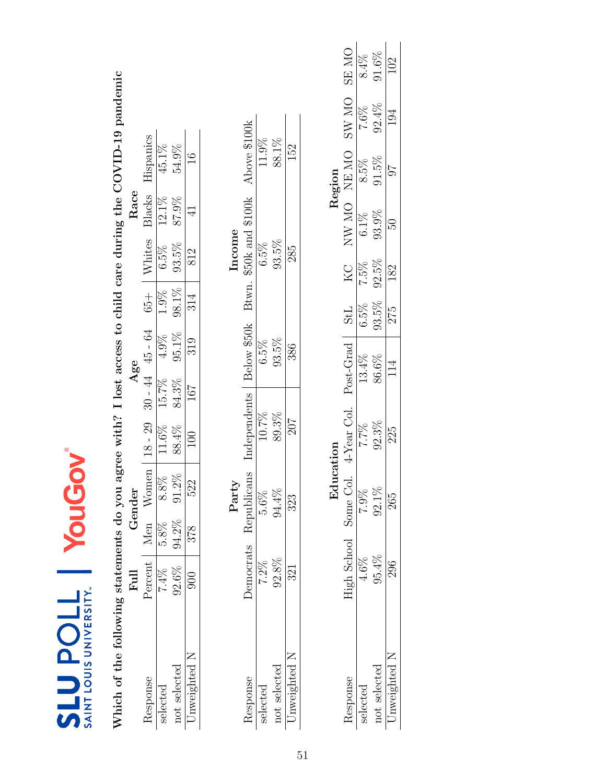| SAINT LOUIS UNIVERSITY.<br><b>710den13</b> |                | YouGov   |           |                                                                      |                   |         |            |         |                |                                                 |             |             |
|--------------------------------------------|----------------|----------|-----------|----------------------------------------------------------------------|-------------------|---------|------------|---------|----------------|-------------------------------------------------|-------------|-------------|
| Which of the following statements do you   |                |          |           | agree with? I lost access to child care during the COVID-19 pandemic |                   |         |            |         |                |                                                 |             |             |
|                                            | $_{\rm{Full}}$ | Gender   |           |                                                                      | Age               |         |            |         | Race           |                                                 |             |             |
| Response                                   | Percent        | Men      | Women     | $18 - 29$                                                            | $30 - 44$ 45 - 64 |         | $65 +$     | Whites  | Blacks         | Hispanics                                       |             |             |
| selected                                   | $7.4\%$        | 5.8%     | $8.8\%$   | 11.6%                                                                | 15.7%             | 4.9%    | 1.9%       | $6.5\%$ | 12.1%          | 45.1%                                           |             |             |
| not selected                               | 92.6%          | 94.2%    | $91.2\%$  | 88.4%                                                                | 84.3%             | 95.1%   | 98.1%      | 93.5%   | 87.9%          | 54.9%                                           |             |             |
| Unweighted N                               | $\frac{1}{2}$  | 378      | 522       | 100                                                                  | 167               | 319     | 314        | 812     | $\overline{4}$ | $\frac{6}{1}$                                   |             |             |
|                                            |                | Party    |           |                                                                      |                   |         |            | Income  |                |                                                 |             |             |
| Response                                   | Democrats      |          |           | Republicans Independents                                             |                   |         |            |         |                | Below \$50k Btwn. \$50k and \$100k Above \$100k |             |             |
| selected                                   | $7.2\%$        | $5.6\%$  |           | 10.7%                                                                |                   | $6.5\%$ |            | $6.5\%$ |                | 11.9%                                           |             |             |
| not selected                               | 92.8%          | 94.4%    |           | 89.3%                                                                |                   | 93.5%   |            | 93.5%   |                | 88.1%                                           |             |             |
| Unweighted N                               | 321            | 323      |           | <b>207</b>                                                           |                   | 386     |            | 285     |                | 152                                             |             |             |
|                                            |                |          |           |                                                                      |                   |         |            |         |                |                                                 |             |             |
|                                            |                |          | Education |                                                                      |                   |         |            |         |                | Region                                          |             |             |
| Response                                   | High School    |          |           | Some Col. 4-Year Col. Post-Grad                                      |                   |         | <b>StL</b> | KC      |                | NW MO NEMO                                      | SW MO SE MO |             |
| selected                                   | 4.6%           | 7.9%     |           | 7.7%                                                                 | 13.4%             |         | $6.5\%$    | 7.5%    | $6.1\%$        | $8.5\%$                                         | 7.6%        | 8.4%        |
| not selected                               | 95.4%          | $92.1\%$ |           | 92.3%                                                                | 86.6%             |         | 93.5%      | 92.5%   | 93.9%          | 91.5%                                           | $92.4\%$    | $91.6\%$    |
|                                            |                |          |           | C<br>C                                                               |                   | ć       |            |         |                |                                                 |             | $\tilde{C}$ |

225

265

296

Unweighted N

114

102

194

 $16$ 

 $\overline{50}$ 

182

275

51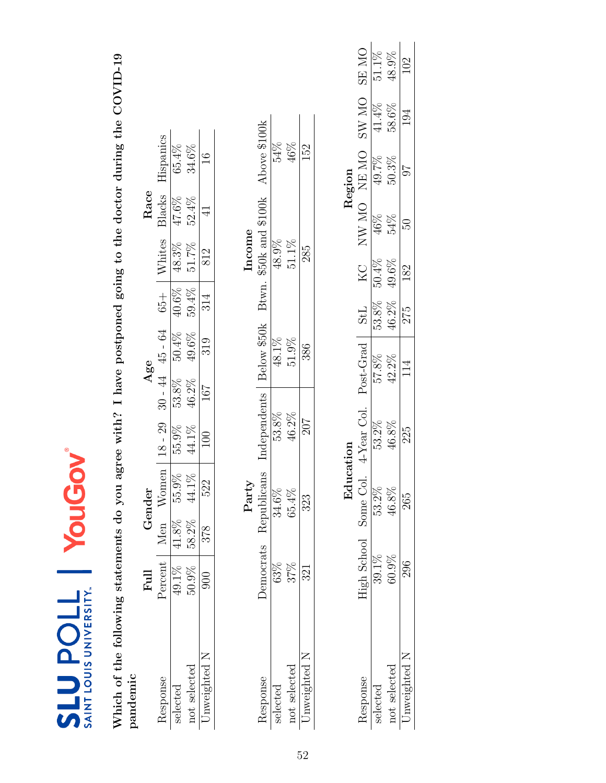| Which of the following statements do you<br>pandemic |                  |          |             | agree with? I have postponed going to the doctor during the COVID-19 |       |                   |            |          |                  |               |              |              |
|------------------------------------------------------|------------------|----------|-------------|----------------------------------------------------------------------|-------|-------------------|------------|----------|------------------|---------------|--------------|--------------|
|                                                      | Full             |          | Gender      |                                                                      |       | Age               |            |          | Race             |               |              |              |
| Response                                             | Percent          |          | Men Women   | $18 - 29$                                                            |       | $30 - 44$ 45 - 64 | $65 +$     | Whites   | Blacks           | Hispanics     |              |              |
| selected                                             | 49.1%            | $41.8\%$ | 55.9%       | 55.9%                                                                | 53.8% | $50.4\%$          | 40.6%      | 48.3%    | 47.6%            | 65.4%         |              |              |
| not selected                                         | 50.9%            | 58.2%    | 44.1%       | 44.1%                                                                | 46.2% | 49.6%             | 59.4%      | 51.7%    | 52.4%            | 34.6%         |              |              |
| Jnweighted N                                         | $\frac{8}{3}$    | 378      | 522         | $\Xi$                                                                | 167   | 319               | 314        | 812      | Ч                | $\frac{6}{1}$ |              |              |
|                                                      |                  |          |             |                                                                      |       |                   |            |          |                  |               |              |              |
|                                                      |                  |          | Party       |                                                                      |       |                   |            | Income   |                  |               |              |              |
| Response                                             | <b>Democrats</b> |          | Republicans | Independents                                                         |       | Below \$50k       | Btwn.      |          | \$50k and \$100k | Above \$100k  |              |              |
| selected                                             | 63%              |          | 34.6%       | 53.8%                                                                |       | 48.1%             |            | 48.9%    |                  | 54%           |              |              |
| not selected                                         | 37%              |          | 65.4%       | 46.2%                                                                |       | 51.9%             |            | $51.1\%$ |                  | 46%           |              |              |
| Jnweighted N                                         | 321              |          | 323         | 207                                                                  |       | 386               |            | 285      |                  | 152           |              |              |
|                                                      |                  |          |             |                                                                      |       |                   |            |          |                  |               |              |              |
|                                                      |                  |          | Edu         | cation                                                               |       |                   |            |          |                  | Region        |              |              |
| Response                                             | High School      |          | Some Col.   | 4-Year Col.                                                          |       | Post-Grad         | <b>StL</b> | KC       |                  | NW MO NEMO    | <b>ON WS</b> | <b>ON AB</b> |
| selected                                             | 39.1%            |          | 53.2%       | 53.2%                                                                |       | 57.8%             | $53.8\%$   | 50.4%    | 46%              | 49.7%         | 41.4%        | $51.1\%$     |
| not selected                                         | 60.9%            |          | 46.8%       | 46.8%                                                                |       | 42.2%             | 46.2%      | 49.6%    | 54%              | 50.3%         | 58.6%        | 48.9%        |
| Unweighted N                                         | 296              |          | 265         | 225                                                                  |       | 14                | 275        | 182      | 50               | 76            | 194          | 102          |

SLU POLL | YouGov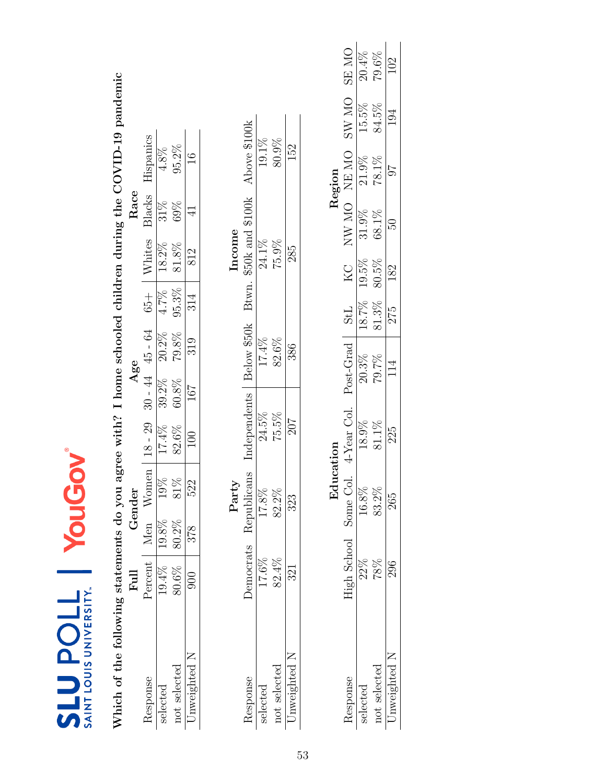| SAINT LOUIS UNIVERSITY.<br><b>SLUPOLL</b> |               |       | YouGov      |                                                                   |                     |             |            |          |                  |               |             |          |
|-------------------------------------------|---------------|-------|-------------|-------------------------------------------------------------------|---------------------|-------------|------------|----------|------------------|---------------|-------------|----------|
| Which of the following statements do you  | $_{\rm Full}$ |       | Gender      | agree with? I home schooled children during the COVID-19 pandemic | Age                 |             |            |          | Race             |               |             |          |
| Response                                  | Percent       | Men   | Women       | $18 - 29$                                                         | $30 - 44$ $45 - 64$ |             | $65 +$     | Whites   | Blacks           | Hispanics     |             |          |
| selected                                  | $19.4\%$      | 19.8% | 19%         | $17.4\%$                                                          | 39.2%               | $20.2\%$    | $4.7\%$    | 18.2%    | $31\%$           | $4.8\%$       |             |          |
| not selected                              | 80.6%         | 80.2% | 81%         | 82.6%                                                             | 60.8%               | 79.8%       | 95.3%      | $81.8\%$ | 69%              | 95.2%         |             |          |
| Unweighted N                              | 900           | 378   | 522         | $\approx$                                                         | 167                 | 319         | 314        | 812      | $\exists$        | $\frac{6}{1}$ |             |          |
|                                           |               |       | Party       |                                                                   |                     |             |            | Income   |                  |               |             |          |
| Response                                  | Democrats     |       | Republicans | Independents                                                      |                     | Below \$50k | Btwn.      |          | \$50k and \$100k | Above \$100k  |             |          |
| selected                                  | 17.6%         |       | 17.8%       | 24.5%                                                             |                     | 17.4%       |            | 24.1%    |                  | 19.1%         |             |          |
| not selected                              | 82.4%         |       | 82.2%       | 75.5%                                                             |                     | 82.6%       |            | 75.9%    |                  | 80.9%         |             |          |
| Unweighted N                              | 321           |       | 323         | 207                                                               |                     | 386         |            | 285      |                  | 152           |             |          |
|                                           |               |       |             |                                                                   |                     |             |            |          |                  |               |             |          |
|                                           |               |       | Education   |                                                                   |                     |             |            |          |                  | Region        |             |          |
| Response                                  | High School   |       | Some Col.   | 4-Year Col.                                                       |                     | Post-Grad   | <b>StL</b> | KC<br>   |                  | NW MO NE MO   | SW MO SE MO |          |
| selected                                  | 22%           |       | 16.8%       | 18.9%                                                             |                     | 20.3%       | 18.7%      | 19.5%    | 31.9%            | 21.9%         | 15.5%       | 20.4%    |
| not selected                              | 78%           |       | 83.2%       | 81.1%                                                             |                     | 79.7%       | 81.3%      | 80.5%    | 68.1%            | $78.1\%$      | 84.5%       | $79.6\%$ |
| Unweighted N                              | 296           |       | 265         | 225                                                               |                     | 114         | 275        | 182      | RG<br>C          | 76            | 194         | 102      |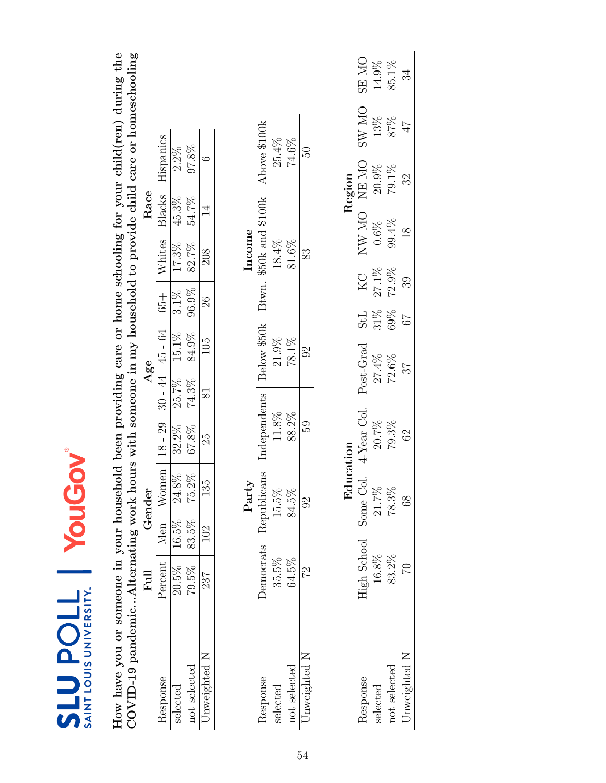| SAINT LOUIS UNIVERSITY.<br><b>TIOdENS</b>                                                                                                                                                                                              |             | Puoy                    | MOI         |                                        |                |                     |         |        |                  |           |              |              |
|----------------------------------------------------------------------------------------------------------------------------------------------------------------------------------------------------------------------------------------|-------------|-------------------------|-------------|----------------------------------------|----------------|---------------------|---------|--------|------------------|-----------|--------------|--------------|
| How have you or someone in your household been providing care or home schooling for your child(ren) during the<br>$\text{COVID-19}$ pandemicAlternating work hours with someone in my household to provide child care or homeschooling |             |                         |             |                                        |                |                     |         |        |                  |           |              |              |
|                                                                                                                                                                                                                                        | Full        | Gender                  |             |                                        | Age            |                     |         |        | Race             |           |              |              |
| Response                                                                                                                                                                                                                               | Percent     | Men Women               |             | $18 - 29$                              |                | $30 - 44$ $45 - 64$ | $65 +$  | Whites | Blacks           | Hispanics |              |              |
| selected                                                                                                                                                                                                                               | 20.5%       | $16.5\%$                | 24.8%       | 32.2%                                  | 25.7%          | $15.1\%$            | $3.1\%$ | 17.3%  | 45.3%            | $2.2\%$   |              |              |
| not selected                                                                                                                                                                                                                           | 79.5%       | 83.5%                   | 75.2%       | 67.8%                                  | 74.3%          | 84.9%               | 96.9%   | 82.7%  | 54.7%            | 97.8%     |              |              |
| Unweighted N                                                                                                                                                                                                                           | 237         | 102                     | LQ<br>$\Xi$ | 25                                     | $\overline{8}$ | 105                 | 26      | 208    | $\overline{1}$   | $\circ$   |              |              |
|                                                                                                                                                                                                                                        |             |                         | Party       |                                        |                |                     |         | Income |                  |           |              |              |
| Response                                                                                                                                                                                                                               | Democrats   | Republicans             |             | Independents                           |                | Below \$50k         | Btwn.   |        | \$50k and \$100k |           | Above \$100k |              |
| selected                                                                                                                                                                                                                               | $35.5\%$    | 15.5%                   |             | 11.8%                                  |                | 21.9%               |         | 18.4%  |                  |           | 25.4%        |              |
| not selected                                                                                                                                                                                                                           | $64.5\%$    | 84.5%                   |             | 88.2%                                  |                | 78.1%               |         | 81.6%  |                  |           | $74.6\%$     |              |
| Unweighted N                                                                                                                                                                                                                           | 22          | $\Im$                   |             | 59                                     |                | $\Im$               |         | 83     |                  |           | 50           |              |
|                                                                                                                                                                                                                                        |             |                         |             |                                        |                |                     |         |        |                  |           |              |              |
|                                                                                                                                                                                                                                        |             |                         | Education   |                                        |                |                     |         |        |                  | Region    |              |              |
| Response                                                                                                                                                                                                                               | High School |                         |             | Some Col. 4-Year Col. Post-Grad StL KC |                |                     |         |        | NW MO NEMO       |           | SW MO        | <b>ON RS</b> |
| selected                                                                                                                                                                                                                               | 16.8%       | $\frac{21.7\%}{21.7\%}$ |             | 20.7%                                  |                | 27.4%               | $31\%$  | 27.1%  | $0.6\%$          | 20.9%     | 13%          | 14.9%        |
| not selected                                                                                                                                                                                                                           | 83.2%       | 78.3%                   |             | 79.3%                                  |                | $72.6\%$            | 69%     | 72.9%  | 99.4%            | $79.1\%$  | 87%          | 85.1%        |
| Unweighted N                                                                                                                                                                                                                           | $\Im$       | 88                      |             | 62                                     |                | 25                  | 79      | 39     | $\frac{8}{18}$   | 32        | 47           | 34           |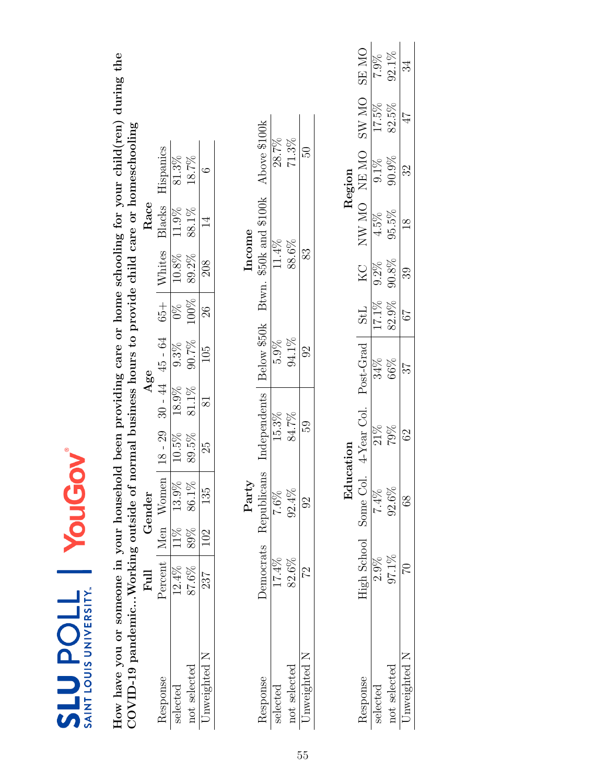| SAINT LOUIS UNIVERSITY.<br><b>TIOdENS</b>                                                                                                             |                                   | <b>PuG</b>      | 20        |              |           |                     |                 |          |                  |                                                              |       |              |
|-------------------------------------------------------------------------------------------------------------------------------------------------------|-----------------------------------|-----------------|-----------|--------------|-----------|---------------------|-----------------|----------|------------------|--------------------------------------------------------------|-------|--------------|
| How have you or someone in your household been providing care or home schooling for your child(ren) during the<br>COVID-19 pandemicWorking outside of |                                   |                 |           |              |           |                     |                 |          |                  | normal business hours to provide child care or homeschooling |       |              |
|                                                                                                                                                       | Full                              | Gender          |           |              | Age       |                     |                 |          | Race             |                                                              |       |              |
| Response                                                                                                                                              | Percent   Men Women               |                 |           | $18 - 29$    |           | $30 - 44$ $45 - 64$ | $65 +$          | Whites   | Blacks           | Hispanics                                                    |       |              |
| selected                                                                                                                                              | $12.4\%$                          | 13.9%<br>$11\%$ |           | 10.5%        | 18.9%     | 9.3%                | $\frac{8}{20}$  | $10.8\%$ | 11.9%            | 81.3%                                                        |       |              |
| not selected                                                                                                                                          | 87.6%                             | 86.1%<br>89%    |           | 89.5%        | 81.1%     | 90.7%               | 100%            | $89.2\%$ | 88.1%            | 18.7%                                                        |       |              |
| Unweighted N                                                                                                                                          | 237                               | 135<br>102      |           | 25           | $\approx$ | 105                 | $\overline{26}$ | 208      | $\overline{14}$  | $\circ$                                                      |       |              |
|                                                                                                                                                       |                                   | Party           |           |              |           |                     |                 | Income   |                  |                                                              |       |              |
| Response                                                                                                                                              | Democrats                         | Republicans     |           | Independents |           | Below \$50k         | Btwn.           |          | \$50k and \$100k | Above \$100k                                                 |       |              |
| selected                                                                                                                                              | 17.4%                             | $7.6\%$         |           | 15.3%        |           | $5.9\%$             |                 | 11.4%    |                  | 28.7%                                                        |       |              |
| not selected                                                                                                                                          | $82.6\%$                          | 92.4%           |           | 84.7%        |           | 94.1%               |                 | 88.6%    |                  | 71.3%                                                        |       |              |
| Unweighted N                                                                                                                                          | 22                                | $\Im$           |           | 59           |           | $\Im$               |                 | 83       |                  | PS.                                                          |       |              |
|                                                                                                                                                       |                                   |                 |           |              |           |                     |                 |          |                  |                                                              |       |              |
|                                                                                                                                                       |                                   |                 | Education |              |           |                     |                 |          |                  | Region                                                       |       |              |
| Response                                                                                                                                              | High School Some Col. 4-Year Col. |                 |           |              |           | Post-Grad           | StL             | KC       |                  | NW MO NEMO                                                   | SW MO | <b>ON RS</b> |
| selected                                                                                                                                              | 2.9%                              | $7.4\%$         |           | 21%          |           | 34%                 | 17.1%           | 9.2%     | 4.5%             | $9.1\%$                                                      | 17.5% | 7.9%         |
| not selected                                                                                                                                          | 97.1%                             | 92.6%           |           | 79%          |           | 66%                 | 82.9%           | 90.8%    | 95.5%            | $90.9\%$                                                     | 82.5% | 92.1%        |
| Unweighted N                                                                                                                                          |                                   | 89              |           | 62           |           | 25                  | 79              | 39       | $\frac{8}{18}$   | Z                                                            | 47    | ಭ            |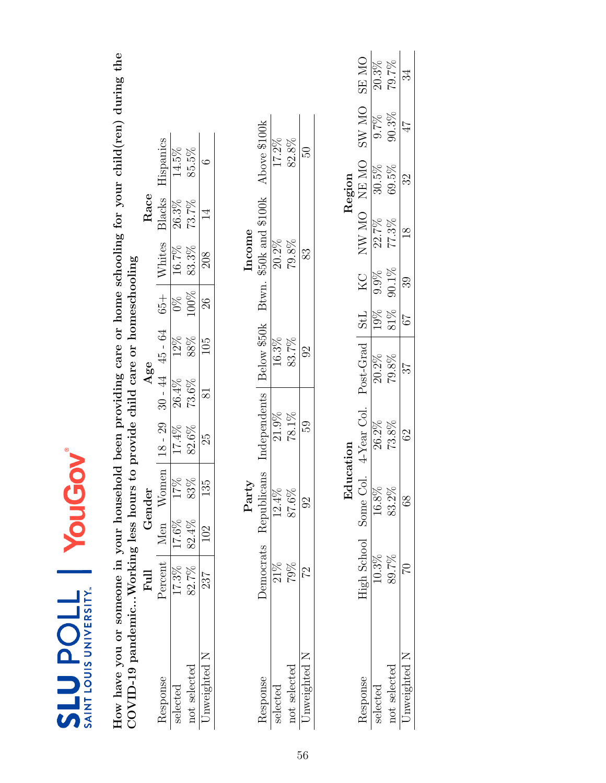| SAINT LOUIS UNIVERSITY.<br><b>TIOUANTS</b>                                                                                                                                                            |             |          | <b>YouGov</b>            |              |                     |             |               |          |                          |              |              |              |
|-------------------------------------------------------------------------------------------------------------------------------------------------------------------------------------------------------|-------------|----------|--------------------------|--------------|---------------------|-------------|---------------|----------|--------------------------|--------------|--------------|--------------|
| How have you or someone in your household been providing care or home schooling for your child(ren) during the<br>$\text{COVID-19}$ pandemicWorking less hours to provide child care or homeschooling |             |          |                          |              |                     |             |               |          |                          |              |              |              |
|                                                                                                                                                                                                       | Ful         |          | Gender                   |              |                     | Age         |               |          | Race                     |              |              |              |
| Response                                                                                                                                                                                              | Percent Men |          | Women                    | $18 - 29$    | $30 - 44$           | $45 - 64$   | $65 +$        | Whites   | Blacks                   | Hispanics    |              |              |
| selected                                                                                                                                                                                              | 17.3%       | $17.6\%$ | 17%                      | 17.4%        | 26.4%               | 12%         | $\frac{8}{2}$ | 16.7%    | $26.3\%$                 | 14.5%        |              |              |
| not selected                                                                                                                                                                                          | 82.7%       | 82.4%    | 83%                      | 82.6%        | 73.6%               | 88%         | 100%          | 83.3%    | 73.7%                    | 85.5%        |              |              |
| Unweighted N                                                                                                                                                                                          | 237         | 102      | $\frac{1}{2}$<br>$\Xi$   | 29           | $\overline{\infty}$ | 105         | $\frac{8}{2}$ | 208      | $\overline{\mathcal{I}}$ | $\circ$      |              |              |
|                                                                                                                                                                                                       |             |          | Party                    |              |                     |             |               | Income   |                          |              |              |              |
| Response                                                                                                                                                                                              | Democrats   |          | Republicans              | Independents |                     | Below \$50k |               |          | Btwn. \$50k and \$100k   | Above \$100k |              |              |
| selected                                                                                                                                                                                              | $21\%$      |          | $12.4\%$                 | 21.9%        |                     | 16.3%       |               | $20.2\%$ |                          |              | 17.2%        |              |
| not selected                                                                                                                                                                                          | 79%         |          | 87.6%                    | $78.1\%$     |                     | 83.7%       |               | 79.8%    |                          | 82.8%        |              |              |
| Unweighted N                                                                                                                                                                                          | 22          |          | $\Im$                    | 59           |                     | $\Im$       |               | 83       |                          | 50           |              |              |
|                                                                                                                                                                                                       |             |          |                          |              |                     |             |               |          |                          |              |              |              |
|                                                                                                                                                                                                       |             |          | Education                |              |                     |             |               |          |                          | Region       |              |              |
| Response                                                                                                                                                                                              | High School |          | Some Col.                | 4-Year Col.  |                     | Post-Grad   | <b>StL</b>    | KC       | NW MO NEMO               |              | <b>OM WS</b> | <b>ON RS</b> |
| selected                                                                                                                                                                                              | 10.3%       |          | $\frac{16.8\%}{25.00\%}$ | 26.2%        |                     | 20.2%       | 19%           | 9.9%     | 22.7%                    | 30.5%        | 9.7%         | $20.3\%$     |
| not selected                                                                                                                                                                                          | 89.7%       |          | 83.2%                    | 73.8%        |                     | $79.8\%$    | 81%           | 90.1%    | 77.3%                    | 69.5%        | 90.3%        | 79.7%        |
| Unweighted N                                                                                                                                                                                          | $\Im$       |          | 88                       | $62\,$       |                     | 25          | 79            | 39       | $\frac{8}{10}$           | 32           | 47           | 34           |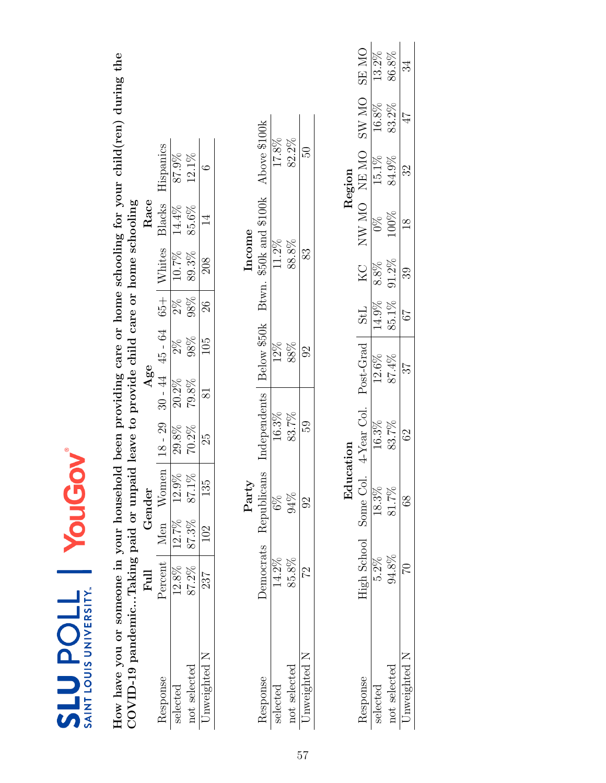| SAINT LOUIS UNIVERSITY.<br><b>SLUPOLL</b>                                                                                                                                                              |                       | YouG        |           |                 |                   |             |            |               |                        |               |              |              |
|--------------------------------------------------------------------------------------------------------------------------------------------------------------------------------------------------------|-----------------------|-------------|-----------|-----------------|-------------------|-------------|------------|---------------|------------------------|---------------|--------------|--------------|
| How have you or someone in your household been providing care or home schooling for your child(ren) during the<br>COVID-19 pandemicTaking paid or unpaid leave to provide child care or home schooling |                       |             |           |                 |                   |             |            |               |                        |               |              |              |
|                                                                                                                                                                                                        | Full                  | Gender      |           |                 | Age               |             |            |               | Race                   |               |              |              |
| Response                                                                                                                                                                                               | Percent   Men Women   |             |           | $18 - 29$       | $30 - 44$ 45 - 64 |             |            | $65 +$ Whites | Blacks                 | Hispanics     |              |              |
| selected                                                                                                                                                                                               | $12.8\%$              | $12.7\%$    | 12.9%     | 29.8%           | $20.2\%$          | $2\%$       | $2\%$      | $10.7\%$      | 14.4%                  | 87.9%         |              |              |
| not selected                                                                                                                                                                                           | 87.2%                 | 87.3%       | $87.1\%$  | 70.2%           | 79.8%             | $98\%$      | 98%        | 89.3%         | 85.6%                  | 12.1%         |              |              |
| Unweighted N                                                                                                                                                                                           | 237                   | 102         | 135       | 25              | $\approx$         | 105         | $26\,$     | 208           | $\overline{1}$         | G             |              |              |
|                                                                                                                                                                                                        |                       | Party       |           |                 |                   |             |            | Income        |                        |               |              |              |
| Response                                                                                                                                                                                               | Democrats             | Republicans |           | Independents    |                   | Below \$50k |            |               | Btwn. \$50k and \$100k | Above \$100k  |              |              |
| selected                                                                                                                                                                                               | 14.2%                 | $6\%$       |           | 16.3%           |                   | 12%         |            | 11.2%         |                        | 17.8%         |              |              |
| not selected                                                                                                                                                                                           | 85.8%                 | 94%         |           | 83.7%           |                   | 88%         |            | 88.8%         |                        | 82.2%         |              |              |
| Unweighted N                                                                                                                                                                                           | 22                    | $\Im$       |           | 59              |                   | $\Im$       |            | 83            |                        | 50            |              |              |
|                                                                                                                                                                                                        |                       |             |           |                 |                   |             |            |               |                        |               |              |              |
|                                                                                                                                                                                                        |                       |             | Education |                 |                   |             |            |               |                        | Region        |              |              |
| Response                                                                                                                                                                                               | High School Some Col. |             |           | 4-Year Col.     | Post-Grad         |             | <b>StL</b> |               |                        | NO NW MO NEMO | <b>OM WS</b> | <b>ON RS</b> |
| selected                                                                                                                                                                                               | $5.2\%$               | 18.3%       |           | 16.3%           | 12.6%             |             | 14.9%      | 8.8%          | $\frac{8}{2}$          | 15.1%         | 16.8%        | 13.2%        |
| not selected                                                                                                                                                                                           | $94.8\%$              | 81.7%       |           | 83.7%           | 87.4%             |             | 85.1%      | $91.2\%$      | 100%                   | 84.9%         | 83.2%        | 86.8%        |
| Unweighted N                                                                                                                                                                                           | $\Im$                 | 89          |           | $\mathcal{S}^2$ | 25                |             | $\sqrt{9}$ | 39            | $\frac{8}{10}$         | 32            | 47           | 34           |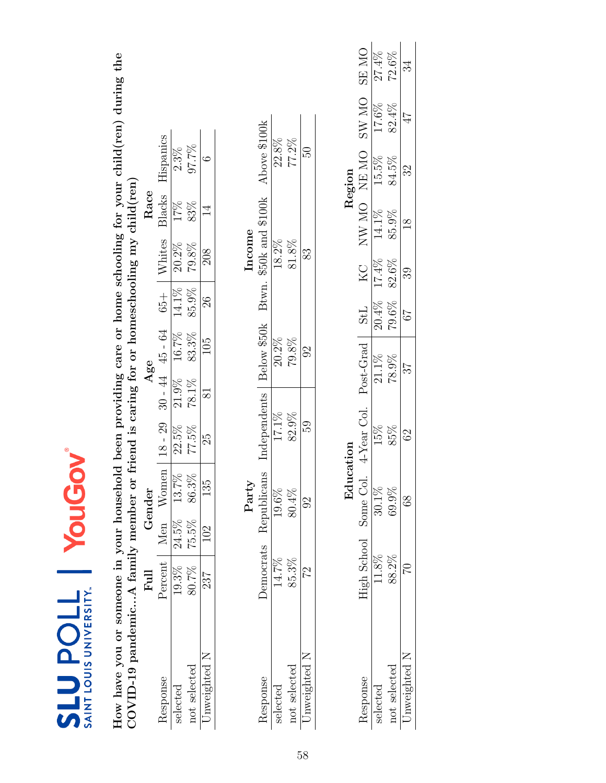| SAINT LOUIS UNIVERSITY<br><b>TIOUNTS</b>                                                                                                                                                                                    |           | PuG       | 20          |                                   |                 |             |            |        |                  |               |             |          |
|-----------------------------------------------------------------------------------------------------------------------------------------------------------------------------------------------------------------------------|-----------|-----------|-------------|-----------------------------------|-----------------|-------------|------------|--------|------------------|---------------|-------------|----------|
| How have you or someone in your household been providing care or home schooling for your child(ren) during the<br>$\text{COVID-19}\text{ pandemicA family member or friend is caring for or homeschooling my child (ren) }$ |           |           |             |                                   |                 |             |            |        |                  |               |             |          |
|                                                                                                                                                                                                                             | Full      | Gender    |             |                                   | Age             |             |            |        | Race             |               |             |          |
| Response                                                                                                                                                                                                                    | Percent   | Men Women |             | $18 - 29$                         | $30 - 44$       | 45 - 64     | $65 +$     | Whites | Blacks           | Hispanics     |             |          |
| selected                                                                                                                                                                                                                    | 19.3%     | $24.5\%$  | 13.7%       | 22.5%                             | 21.9%           | 16.7%       | 14.1%      | 20.2%  | 17%              | $2.3\%$       |             |          |
| not selected                                                                                                                                                                                                                | 80.7%     | 75.5%     | 86.3%       | 77.5%                             | 78.1%           | 83.3%       | 85.9%      | 79.8%  | 83%              | 97.7%         |             |          |
| Unweighted N                                                                                                                                                                                                                | 237       | 102       | 135         | 25                                | $\overline{81}$ | 105         | $26\,$     | 208    | $\overline{1}$   | G             |             |          |
|                                                                                                                                                                                                                             |           |           | Party       |                                   |                 |             |            | Income |                  |               |             |          |
| Response                                                                                                                                                                                                                    | Democrats |           | Republicans | Independents                      |                 | Below \$50k | Btwn.      |        | \$50k and \$100k | Above \$100k  |             |          |
| selected                                                                                                                                                                                                                    | 14.7%     |           | 19.6%       | 17.1%                             |                 | $20.2\%$    |            | 18.2%  |                  | $22.8\%$      |             |          |
| not selected                                                                                                                                                                                                                | 85.3%     |           | 80.4%       | 82.9%                             |                 | 79.8%       |            | 81.8%  |                  | 77.2%         |             |          |
| Unweighted N                                                                                                                                                                                                                | 22        |           | $\Im$       | 59                                |                 | $\Im$       |            | 83     |                  | PS.           |             |          |
|                                                                                                                                                                                                                             |           |           |             |                                   |                 |             |            |        |                  |               |             |          |
|                                                                                                                                                                                                                             |           |           | Education   |                                   |                 |             |            |        |                  | Region        |             |          |
| Response                                                                                                                                                                                                                    |           |           |             | High School Some Col. 4-Year Col. |                 | Post-Grad   | <b>StL</b> |        |                  | KC NW MO NEMO | SW MO SE MO |          |
| selected                                                                                                                                                                                                                    | 11.8%     |           | 30.1%       | 15%                               |                 | 21.1%       | $20.4\%$   | 17.4%  | 14.1%            | 15.5%         | 17.6%       | 27.4%    |
| not selected                                                                                                                                                                                                                | 88.2%     |           | 69.9%       | 85%                               |                 | 78.9%       | 79.6%      | 82.6%  | 85.9%            | 84.5%         | 82.4%       | $72.6\%$ |
| Unweighted N                                                                                                                                                                                                                | $\Im$     |           | 89          | $\Im$                             |                 | 25          | 79         | 89     | $\frac{8}{10}$   | Z             | 47          | 34       |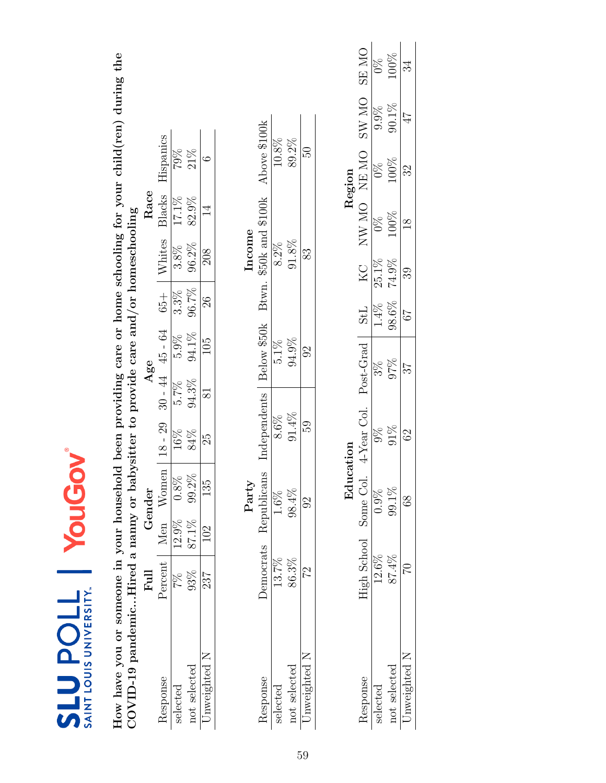| SAINT LOUIS UNIVERSITY.<br><b>TIOUNTS</b>                                                                      |                | YouG          |           |               |                |             |            |         |                  |               |                 |                 |
|----------------------------------------------------------------------------------------------------------------|----------------|---------------|-----------|---------------|----------------|-------------|------------|---------|------------------|---------------|-----------------|-----------------|
| How have you or someone in your household been providing care or home schooling for your child(ren) during the |                |               |           |               |                |             |            |         |                  |               |                 |                 |
| COVID-19 pandemicHired a nanny or babysitter to provide care and/or homeschooling                              |                |               |           |               |                |             |            |         |                  |               |                 |                 |
|                                                                                                                | $_{\rm{Full}}$ | Gender        |           |               | Age            |             |            |         | Race             |               |                 |                 |
| Response                                                                                                       | Percent        | Men           | Women     | $18 - 29$     | $30 - 44$      | 45 - 64     | $65 +$     | Whites  | Blacks           | Hispanics     |                 |                 |
| selected                                                                                                       | R<br>M         | 12.9%         | 0.8%      | 16%           | 5.7%           | $5.9\%$     | $3.3\%$    | $3.8\%$ | 17.1%            | 79%           |                 |                 |
| not selected                                                                                                   | 93%            | 87.1%         | 99.2%     | 84%           | 94.3%          | 94.1%       | 96.7%      | 96.2%   | 82.9%            | 21%           |                 |                 |
| Unweighted N                                                                                                   | 237            | 102           | 135       | 25            | $\approx$      | 105         | $26\,$     | 208     | $\overline{4}$   | G             |                 |                 |
|                                                                                                                |                | Party         |           |               |                |             |            | Income  |                  |               |                 |                 |
| Response                                                                                                       | Democrats      | Republicans   |           | Independents  |                | Below \$50k | Btwn.      |         | \$50k and \$100k | Above \$100k  |                 |                 |
| selected                                                                                                       | 13.7%          | 1.6%          |           | 8.6%          |                | $5.1\%$     |            | 8.2%    |                  | 10.8%         |                 |                 |
| not selected                                                                                                   | 86.3%          | 98.4%         |           | $91.4\%$      |                | 94.9%       |            | 91.8%   |                  | 89.2%         |                 |                 |
| Unweighted N                                                                                                   | 22             | $\Im$         |           | 59            |                | $\Im$       |            | 83      |                  | PS.           |                 |                 |
|                                                                                                                |                |               |           |               |                |             |            |         |                  |               |                 |                 |
|                                                                                                                |                |               | Education |               |                |             |            |         |                  | Region        |                 |                 |
| Response                                                                                                       | High School    | Some Col.     |           | 4-Year Col.   | Post-Grad      |             | <b>TPS</b> | KC      |                  | NW MO NE MO   | SW MO           | <b>ON RS</b>    |
| selected                                                                                                       | $12.6\%$       | $0.9\%$       |           | $\frac{8}{2}$ | $\frac{28}{3}$ |             | $1.4\%$    | 25.1%   | $0\%$            | $\frac{8}{2}$ | 9.9%            | $\int_0^\infty$ |
| not selected                                                                                                   | 87.4%          | 99.1%         |           | 91%           | 97%            |             | 98.6%      | 74.9%   | 100%             | 100%          | 90.1%           | 100%            |
| Unweighted N                                                                                                   | 20             | $\frac{8}{3}$ |           | $\Im$         | 37             |             | $\sqrt{6}$ | 39      | $\frac{8}{10}$   | Z             | $7\overline{P}$ | 34              |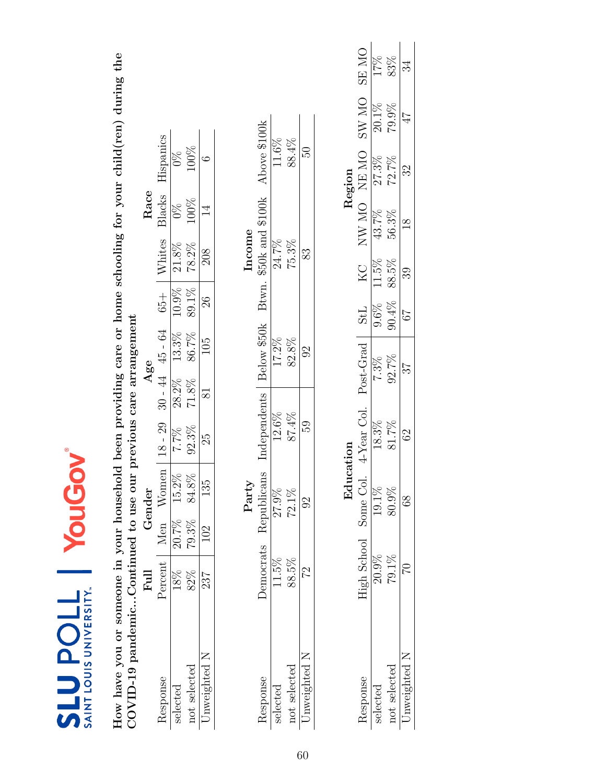| SAINT LOUIS UNIVERSITY.<br><b>7105 PDOLL</b>                                                                   |             | YouGo          |               |              |           |             |                |                        |                |               |              |              |
|----------------------------------------------------------------------------------------------------------------|-------------|----------------|---------------|--------------|-----------|-------------|----------------|------------------------|----------------|---------------|--------------|--------------|
| How have you or someone in your household been providing care or home schooling for your child(ren) during the |             |                |               |              |           |             |                |                        |                |               |              |              |
| COVID-19 pandemicContinued to use our previous care arrangement                                                | Full        | Gender         |               |              | Age       |             |                |                        | Race           |               |              |              |
| Response                                                                                                       | Percent     | Men            | Women         | $18 - 29$    | $30 - 44$ | 45 - 64     | $65 +$         | Whites                 | Blacks         | Hispanics     |              |              |
| selected                                                                                                       | $18\%$      | 20.7%          | 15.2%         | 7.7%         | 28.2%     | 13.3%       | 10.9%          | $21.8\%$               | $\frac{8}{20}$ | $\frac{8}{2}$ |              |              |
| not selected                                                                                                   | 82%         | 79.3%          | $84.8\%$      | 92.3%        | 71.8%     | 86.7%       | 89.1%          | 78.2%                  | 100%           | 100%          |              |              |
| Unweighted N                                                                                                   | 237         | 102            | 135           | 23           | $\approx$ | 105         | $\frac{26}{2}$ | 208                    | $\overline{1}$ | $\circ$       |              |              |
|                                                                                                                |             | Party          |               |              |           |             |                | Income                 |                |               |              |              |
| Response                                                                                                       | Democrats   | Republicans    |               | Independents |           | Below \$50k |                | Btwn. \$50k and \$100k |                | Above \$100k  |              |              |
| selected                                                                                                       | 11.5%       | 27.9%          |               | 12.6%        |           | 17.2%       |                | 24.7%                  |                | 11.6%         |              |              |
| not selected                                                                                                   | 88.5%       | $72.1\%$       |               | 87.4%        |           | 82.8%       |                | 75.3%                  |                | 88.4%         |              |              |
| Unweighted N                                                                                                   | 22          | $\Im$          |               | 59           |           | $\Im$       |                | 83                     |                | 50            |              |              |
|                                                                                                                |             |                |               |              |           |             |                |                        |                |               |              |              |
|                                                                                                                |             |                | cation<br>Edu |              |           |             |                |                        |                | Region        |              |              |
| Response                                                                                                       | High School | Some Col.      |               | 4-Year Col.  |           | Post-Grad   | <b>TPS</b>     | KC                     |                | NW MO NE MO   | <b>SW MO</b> | <b>ON RS</b> |
| selected                                                                                                       | 20.9%       | 19.1%          |               | 18.3%        |           | 7.3%        | 9.6%           | 11.5%                  | 43.7%          | 27.3%         | $20.1\%$     | 17%          |
| not selected                                                                                                   | 79.1%       | 80.9%          |               | 81.7%        | 92.7%     |             | 90.4%          | 88.5%                  | 56.3%          | 72.7%         | 79.9%        | 83%          |
| Unweighted N                                                                                                   | S           | 8 <sup>o</sup> |               | 62           | 27        |             | $\sqrt{9}$     | ೫                      | $\frac{8}{18}$ | 32            | 47           | 34           |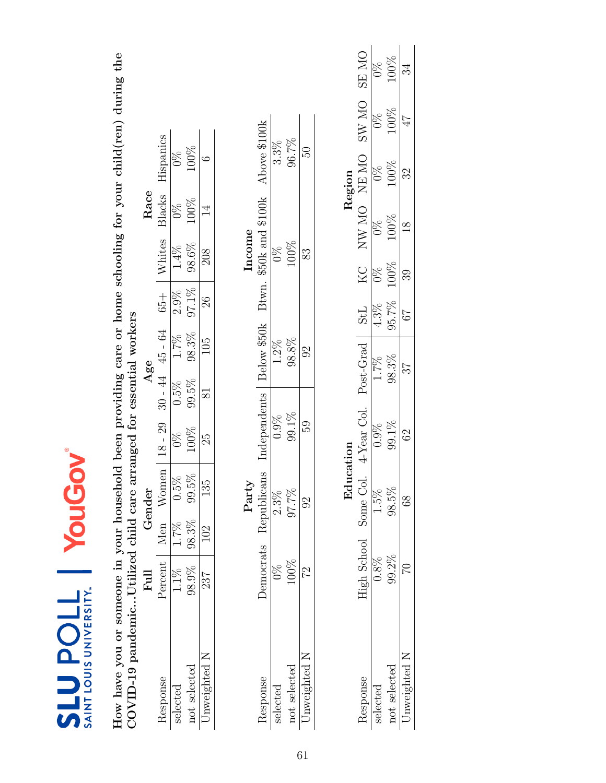| SAINT LOUIS UNIVERSITY.<br><b>710den73</b>                                                                     |               | YouG                                        |               |           |             |                |                  |                |                     |               |               |
|----------------------------------------------------------------------------------------------------------------|---------------|---------------------------------------------|---------------|-----------|-------------|----------------|------------------|----------------|---------------------|---------------|---------------|
| How have you or someone in your household been providing care or home schooling for your child(ren) during the |               |                                             |               |           |             |                |                  |                |                     |               |               |
| COVID-19 pandemicUtilized child care arranged for essential workers                                            |               |                                             |               |           |             |                |                  |                |                     |               |               |
|                                                                                                                | Full          | Gender                                      |               | Age       |             |                |                  | Race           |                     |               |               |
| Response                                                                                                       | Percent       | Women<br>Men                                | $18 - 29$     | $30 - 44$ | $45 - 64$   | $65 +$         | Whites           | Blacks         | Hispanics           |               |               |
| selected                                                                                                       | $1.1\%$       | $0.5\%$<br>$1.7\%$                          | $\frac{8}{2}$ | $0.5\%$   | $1.7\%$     | $2.9\%$        | $1.4\%$          | $\frac{8}{2}$  | $\int_{0}^{\infty}$ |               |               |
| not selected                                                                                                   | 98.9%         | 99.5%<br>98.3%                              | 100%          | 99.5%     | 98.3%       | 97.1%          | 98.6%            | 100%           | 100%                |               |               |
| Unweighted N                                                                                                   | 237           | $\frac{55}{1}$<br>$\approx$                 | 25            | $\approx$ | 105         | $\frac{26}{2}$ | 208              | $\overline{4}$ | $\circ$             |               |               |
|                                                                                                                |               | Party                                       |               |           |             |                | Income           |                |                     |               |               |
| Response                                                                                                       | Democrats     | Republicans                                 | Independents  |           | Below \$50k | Btwn.          | \$50k and \$100k |                | Above \$100k        |               |               |
| selected                                                                                                       | $\frac{8}{2}$ | 2.3%                                        | $0.9\%$       |           | $1.2\%$     |                | 0%               |                | $3.3\%$             |               |               |
| not selected                                                                                                   | 100%          | $97.7\%$                                    | 99.1%         |           | 98.8%       |                | 100%             |                | 96.7%               |               |               |
| Unweighted N                                                                                                   | 27            | $\Im$                                       | 59            |           | $\Im$       |                | 83               |                | 50                  |               |               |
|                                                                                                                |               |                                             |               |           |             |                |                  |                |                     |               |               |
|                                                                                                                |               |                                             | Education     |           |             |                |                  |                | Region              |               |               |
| Response                                                                                                       |               | High School Some Col. 4-Year Col. Post-Grad |               |           |             | <b>StL</b>     | NO NO NE MO      |                |                     | <b>ON WS</b>  | <b>ON RS</b>  |
| selected                                                                                                       | 0.8%          | $1.5\%$                                     | $0.9\%$       | $1.7\%$   |             | 4.3%           | $\frac{8}{2}$    | $0\%$          | $\frac{8}{2}$       | $\frac{8}{2}$ | $\frac{8}{2}$ |
| not selected                                                                                                   | 99.2%         | 98.5%                                       | 99.1%         | 98.3%     |             | 95.7%          | $100\%$          | 100%           | 100%                | 100%          | 100%          |
| Unweighted N                                                                                                   | $\Im$         | 88                                          | 62            | 25        |             | 79             | 39               | $\frac{8}{18}$ | 32                  | 47            | 34            |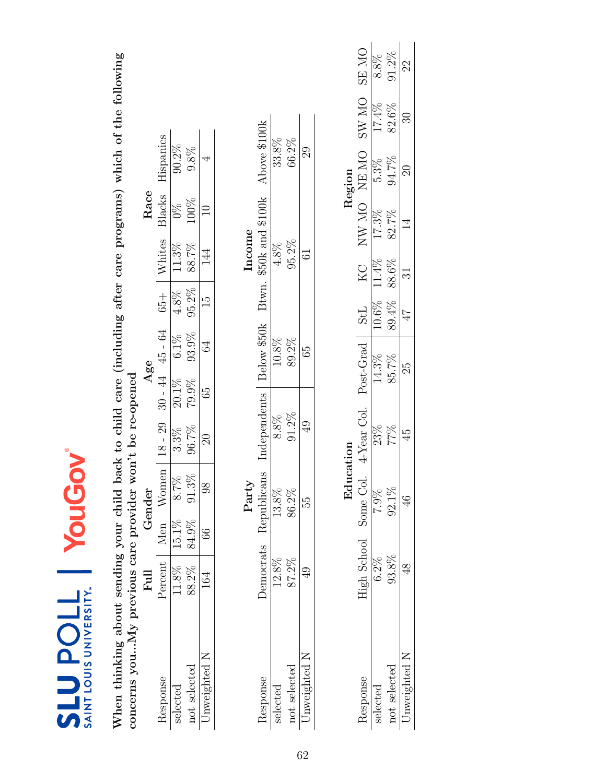| SAINT LOUIS UNIVERSITY.<br><b>SLUPOLL</b>                                                                                                                                    |             | YouGo  |               |                |           |             |        |         |                  |                             |       |              |
|------------------------------------------------------------------------------------------------------------------------------------------------------------------------------|-------------|--------|---------------|----------------|-----------|-------------|--------|---------|------------------|-----------------------------|-------|--------------|
| When thinking about sending your child back to child care (including after care programs) which of the following<br>concerns youMy previous care provider won't be re-opened |             |        |               |                |           |             |        |         |                  |                             |       |              |
|                                                                                                                                                                              | Full        | Gender |               |                | Age       |             |        |         | Race             |                             |       |              |
| Response                                                                                                                                                                     | Percent Men |        | Women         | $18 - 29$      | $30 - 44$ | $45 - 64$   | $65 +$ | Whites  | Blacks           | Hispanics                   |       |              |
| selected                                                                                                                                                                     | 11.8%       | 15.1%  | 8.7%          | $3.3\%$        | 20.1%     | $6.1\%$     | 4.8%   | 11.3%   | $\frac{8}{2}$    | $90.2\%$                    |       |              |
| not selected                                                                                                                                                                 | 88.2%       | 84.9%  | 91.3%         | 96.7%          | 79.9%     | 93.9%       | 95.2%  | 88.7%   | 100%             | 9.8%                        |       |              |
| Unweighted N                                                                                                                                                                 | 164         | 66     | 88            | $\Im$          | 59        | $\Im$       | Ξ      | 14<br>1 | $\Box$           | 4                           |       |              |
|                                                                                                                                                                              |             |        | Party         |                |           |             |        | Income  |                  |                             |       |              |
| Response                                                                                                                                                                     | Democrats   |        | Republicans   | Independents   |           | Below \$50k | Btwn.  |         | \$50k and \$100k | Above \$100k                |       |              |
| selected                                                                                                                                                                     | 12.8%       |        | $13.8\%$      | $8.8\%$        |           | 10.8%       |        | 4.8%    |                  | 33.8%                       |       |              |
| not selected                                                                                                                                                                 | 87.2%       |        | 86.2%         | $91.2\%$       |           | 89.2%       |        | 95.2%   |                  | 66.2%                       |       |              |
| Unweighted N                                                                                                                                                                 | Q)          |        | 55            | $\overline{6}$ |           | 65          |        | 5       |                  | $\mathcal{S}^{\mathcal{O}}$ |       |              |
|                                                                                                                                                                              |             |        |               |                |           |             |        |         |                  |                             |       |              |
|                                                                                                                                                                              |             |        | Education     |                |           |             |        |         |                  | Region                      |       |              |
| Response                                                                                                                                                                     | High School |        | Some Col.     | 4-Year Col.    | Post-Grad |             | StL    | KC      | NW MO NEMO       |                             | SW MO | <b>ON RS</b> |
| selected                                                                                                                                                                     | $6.2\%$     |        | 7.9%          | 23%            | 14.3%     |             | 10.6%  | 11.4%   | 17.3%            | $5.3\%$                     | 17.4% | $8.8\%$      |
| not selected                                                                                                                                                                 | 93.8%       |        | 92.1%         | 77%            | 85.7%     |             | 89.4%  | 88.6%   | 82.7%            | 94.7%                       | 82.6% | $91.2\%$     |
| Unweighted N                                                                                                                                                                 | 48          |        | $\frac{6}{5}$ | 45             | 25        |             | 47     | ಸ       | 14               | $\Xi$                       | ೫     | 22           |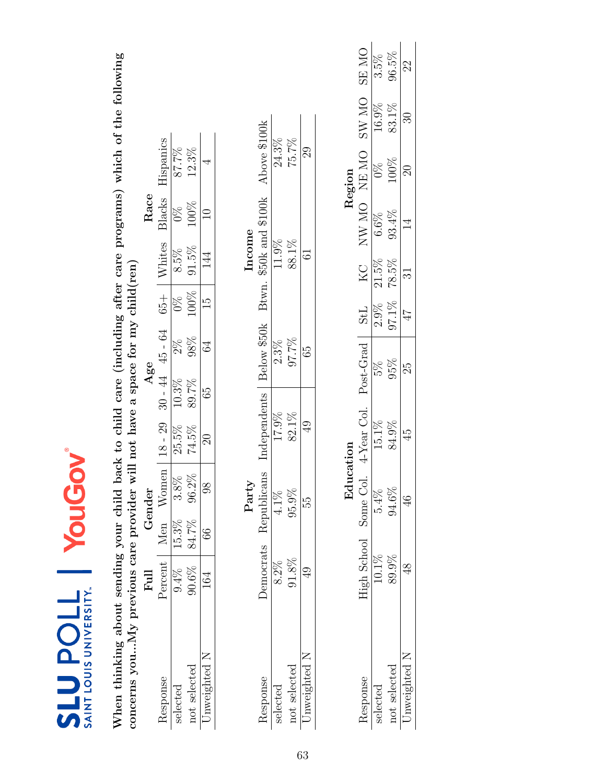| SAINT LOUIS UNIVERSITY.<br><b>TIOUNIS</b>                                                                        |                | YouG          |                |              |          |                     |                |                |                  |                 |              |              |
|------------------------------------------------------------------------------------------------------------------|----------------|---------------|----------------|--------------|----------|---------------------|----------------|----------------|------------------|-----------------|--------------|--------------|
| When thinking about sending your child back to child care (including after care programs) which of the following |                |               |                |              |          |                     |                |                |                  |                 |              |              |
| concerns youMy previous care provider will not have a space for my child(ren)                                    |                |               |                |              |          |                     |                |                |                  |                 |              |              |
|                                                                                                                  | Full           | Gender        |                |              | Age      |                     |                |                | Race             |                 |              |              |
| Response                                                                                                         | Percent   Men  |               | Women          | $18 - 29$    |          | $30 - 44$ $45 - 64$ | $65 +$         | Whites         | Blacks           | Hispanics       |              |              |
| selected                                                                                                         | $9.4\%$        | 15.3%         | 3.8%           | 25.5%        | $10.3\%$ | $2\%$               | $\frac{8}{20}$ | $8.5\%$        | $\frac{8}{2}$    | 87.7%           |              |              |
| not selected                                                                                                     | 90.6%          | 84.7%         | $96.2\%$       | 74.5%        | 89.7%    | $98\%$              | 100%           | 91.5%          | 100%             | 12.3%           |              |              |
| Unweighted N                                                                                                     | 164            | $\frac{6}{6}$ | $\frac{8}{20}$ | $\Im$        | 65       | $\Im$               | IJ             | 14             | $\supseteq$      | 4               |              |              |
|                                                                                                                  |                |               | Party          |              |          |                     |                | Income         |                  |                 |              |              |
| Response                                                                                                         | Democrats      | Republicans   |                | Independents |          | Below \$50k         | Btwn.          |                | \$50k and \$100k | Above \$100k    |              |              |
| selected                                                                                                         | $8.2\%$        |               | 4.1%           | 17.9%        |          | $2.3\%$             |                | 11.9%          |                  | 24.3%           |              |              |
| not selected                                                                                                     | 91.8%          | 95.9%         |                | 82.1%        |          | 97.7%               |                | 88.1%          |                  | 75.7%           |              |              |
| Unweighted N                                                                                                     | $\overline{6}$ | 55            |                | QD           |          | 65                  |                | $\overline{6}$ |                  | $\overline{68}$ |              |              |
|                                                                                                                  |                |               |                |              |          |                     |                |                |                  |                 |              |              |
|                                                                                                                  |                |               | Edu            | cation       |          |                     |                |                |                  | Region          |              |              |
| Response                                                                                                         | High School    |               | Some Col.      | 4-Year Col.  |          | Post-Grad           | <b>StL</b>     | KC             |                  | NW MO NEMO      | <b>ON WS</b> | <b>ON RS</b> |
| selected                                                                                                         | 10.1%          |               | $5.4\%$        | 15.1%        |          | 5%                  | $2.9\%$        | $21.5\%$       | 6.6%             | $\frac{8}{2}$   | 16.9%        | $3.5\%$      |
| not selected                                                                                                     | 89.9%          |               | 94.6%          | 84.9%        |          | 95%                 | $97.1\%$       | 78.5%          | 93.4%            | 100%            | 83.1%        | 96.5%        |
| Unweighted N                                                                                                     | $\frac{8}{3}$  |               | $\frac{6}{4}$  | 45           |          | 25                  | 47             | ನ              | $\overline{4}$   | $\Omega$        | $\Im$        | 22           |
|                                                                                                                  |                |               |                |              |          |                     |                |                |                  |                 |              |              |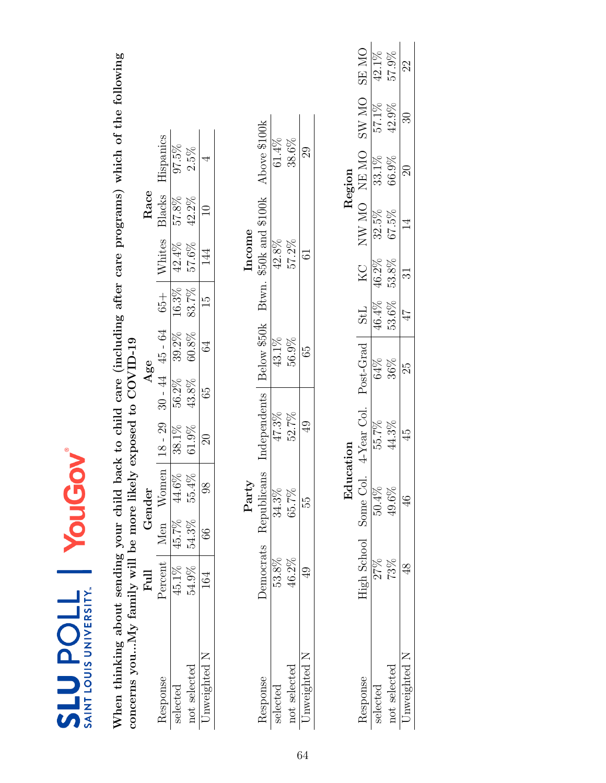| SAINT LOUIS UNIVERSITY.<br><b>TIOUNIS</b>                                                                                                                                         |                     | YouGo         |               |              |                     |               |        |                        |              |       |              |
|-----------------------------------------------------------------------------------------------------------------------------------------------------------------------------------|---------------------|---------------|---------------|--------------|---------------------|---------------|--------|------------------------|--------------|-------|--------------|
| When thinking about sending your child back to child care (including after care programs) which of the following<br>concerns youNy family will be more likely exposed to COVID-19 |                     |               |               |              |                     |               |        |                        |              |       |              |
|                                                                                                                                                                                   | Full                | Gender        |               |              | Age                 |               |        | Race                   |              |       |              |
| Response                                                                                                                                                                          | Percent   Men Women |               |               | $18 - 29$    | $30 - 44$ $45 - 64$ | $65 +$        | Whites | Blacks                 | Hispanics    |       |              |
| selected                                                                                                                                                                          | 45.1%               | 45.7%         | 44.6%         | 38.1%        | $39.2\%$<br>56.2%   | 16.3%         | 42.4%  | 57.8%                  | 97.5%        |       |              |
| not selected                                                                                                                                                                      | 54.9%               | 54.3%         | 55.4%         | 61.9%        | 60.8%<br>43.8%      | 83.7%         | 57.6%  | 42.2%                  | 2.5%         |       |              |
| Unweighted N                                                                                                                                                                      | 164                 | $\frac{6}{6}$ | $\frac{8}{3}$ | $\Xi$        | 34<br>59            | $\frac{5}{2}$ | 144    | $\Xi$                  | 4            |       |              |
|                                                                                                                                                                                   |                     |               | Party         |              |                     |               |        | Income                 |              |       |              |
| Response                                                                                                                                                                          | Democrats           |               | Republicans   | Independents | Below \$50k         |               |        | Btwn. \$50k and \$100k | Above \$100k |       |              |
| selected                                                                                                                                                                          | 53.8%               |               | 34.3%         | 47.3%        | 43.1%               |               | 42.8%  |                        | $61.4\%$     |       |              |
| not selected                                                                                                                                                                      | 46.2%               |               | 65.7%         | 52.7%        | 56.9%               |               | 57.2%  |                        | 38.6%        |       |              |
| Unweighted N                                                                                                                                                                      | QÞ                  |               | 55            | 9            | 65                  |               | 61     |                        | 29           |       |              |
|                                                                                                                                                                                   |                     |               |               |              |                     |               |        |                        |              |       |              |
|                                                                                                                                                                                   |                     |               | Education     |              |                     |               |        |                        | Region       |       |              |
| Response                                                                                                                                                                          | High School         |               | Some Col.     | 4-Year Col.  | Post-Grad           | <b>StL</b>    | KC     | NW MO NEMO             |              | SW MO | <b>ON RS</b> |
| selected                                                                                                                                                                          | 27%                 |               | 50.4%         | 55.7%        | 64%                 | 46.4%         | 46.2%  | $32.5\%$               | 33.1%        | 57.1% | $42.1\%$     |
| not selected                                                                                                                                                                      | 73%                 |               | 49.6%         | 44.3%        | 36%                 | 53.6%         | 53.8%  | 67.5%                  | 66.9%        | 42.9% | 57.9%        |
| Unweighted N                                                                                                                                                                      | 48                  |               | $\frac{4}{6}$ | 45           | 25                  | 47            | ವ      | 14                     | $\mathbb{S}$ | ೫     | 22           |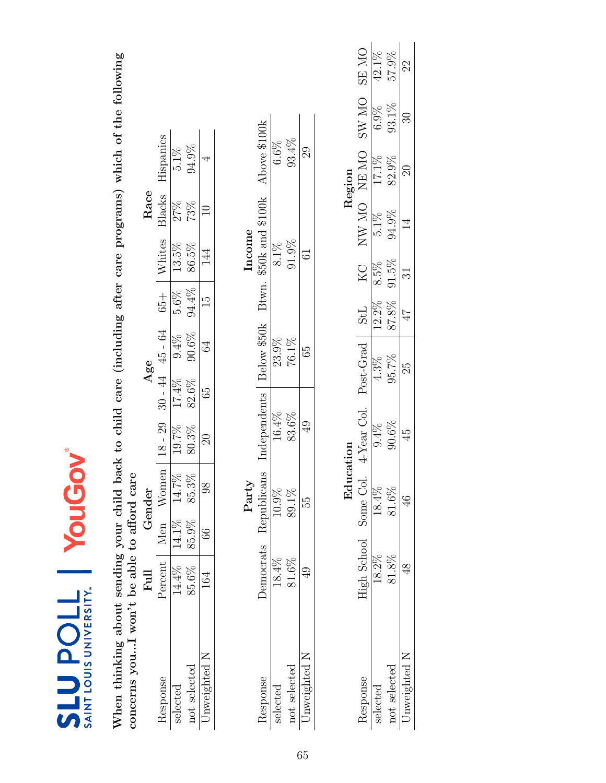| SAINT LOUIS UNIVERSITY.<br><b>11Od NTS</b>                                                                                                                     |                 | YouGo               |                |                       |             |               |                |                        |              |       |              |
|----------------------------------------------------------------------------------------------------------------------------------------------------------------|-----------------|---------------------|----------------|-----------------------|-------------|---------------|----------------|------------------------|--------------|-------|--------------|
| When thinking about sending your child back to child care (including after care programs) which of the following<br>concerns youI won't be able to afford care |                 |                     |                |                       |             |               |                |                        |              |       |              |
|                                                                                                                                                                | Full            | Gender              |                |                       | Age         |               |                | Race                   |              |       |              |
| Response                                                                                                                                                       |                 | Percent   Men Women | $18 - 29$      | $30 - 44$             | $45 - 64$   | $65+$         | Whites         | Blacks                 | Hispanics    |       |              |
| selected                                                                                                                                                       | $14.4\%$        | $14.1\%$ 14.7%      | 19.7%          | 17.4%                 | 9.4%        | $5.6\%$       | 13.5%          | 27%                    | $5.1\%$      |       |              |
| not selected                                                                                                                                                   | 85.6%           | 85.3%<br>85.9%      | 80.3%          | 82.6%                 | $90.6\%$    | 94.4%         | 86.5%          | 73%                    | 94.9%        |       |              |
| Unweighted N                                                                                                                                                   | 164             | $\frac{8}{3}$<br>66 | $\Im$          | 65                    | 64          | $\frac{5}{2}$ | 144            | $\Xi$                  | 4            |       |              |
|                                                                                                                                                                |                 | Party               |                |                       |             |               | Income         |                        |              |       |              |
| Response                                                                                                                                                       | Democrats       | Republicans         | Independents   |                       | Below \$50k |               |                | Btwn. \$50k and \$100k | Above \$100k |       |              |
| selected                                                                                                                                                       | 18.4%           | 10.9%               | 16.4%          |                       | 23.9%       |               | $8.1\%$        |                        | 6.6%         |       |              |
| not selected                                                                                                                                                   | $81.6\%$        | 89.1%               | 83.6%          |                       | 76.1%       |               | 91.9%          |                        | 93.4%        |       |              |
| Unweighted N                                                                                                                                                   | $\overline{49}$ | 55                  | $\overline{6}$ |                       | 65          |               | 5              |                        | 29           |       |              |
|                                                                                                                                                                |                 |                     |                |                       |             |               |                |                        |              |       |              |
|                                                                                                                                                                |                 |                     | Education      |                       |             |               |                |                        | Region       |       |              |
| Response                                                                                                                                                       | High School     | Some Col.           |                | 4-Year Col. Post-Grad |             | StL           | KC             |                        | NW MO NEMO   | SW MO | <b>ON RS</b> |
| selected                                                                                                                                                       | 18.2%           | 18.4%               | $9.4\%$        |                       | $4.3\%$     | 12.2%         | 8.5%           | $5.1\%$                | 17.1%        | 6.9%  | 42.1%        |
| not selected                                                                                                                                                   | 81.8%           | $81.6\%$            | 90.6%          |                       | 95.7%       | 87.8%         | 91.5%          | 94.9%                  | 82.9%        | 93.1% | 57.9%        |
| Unweighted N                                                                                                                                                   | 48              | $\frac{6}{4}$       | 45             |                       | 25          | 17            | $\overline{3}$ | $\overline{1}$         | $\Im$        | ≌     | 22           |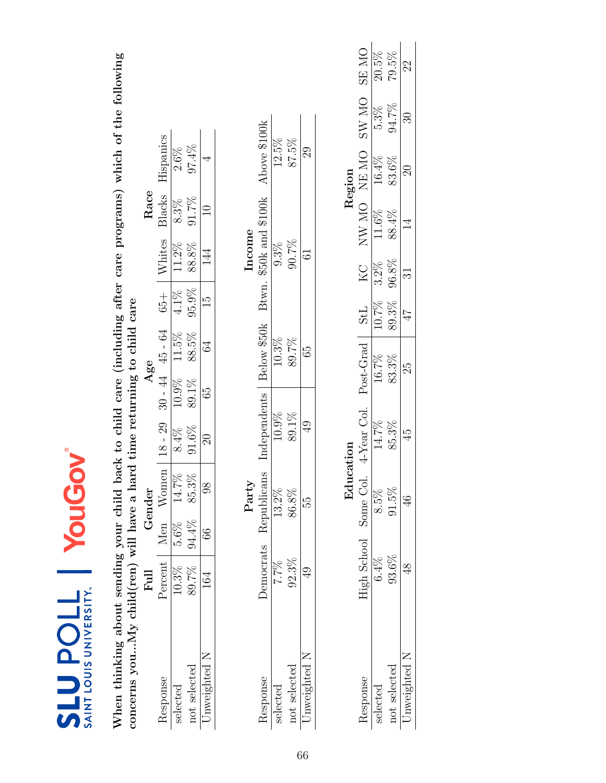| SAINT LOUIS UNIVERSITY.<br><b>SLUPOLL</b>                                                                                                                                                   |                |               | YouGoy         |                       |       |                     |               |        |                        |                 |         |              |
|---------------------------------------------------------------------------------------------------------------------------------------------------------------------------------------------|----------------|---------------|----------------|-----------------------|-------|---------------------|---------------|--------|------------------------|-----------------|---------|--------------|
| When thinking about sending your child back to child care (including after care programs) which of the following<br>concerns youMy child(ren) will have a hard time returning to child care |                |               |                |                       |       |                     |               |        |                        |                 |         |              |
|                                                                                                                                                                                             | $_{\rm{Full}}$ |               | Gender         |                       | Age   |                     |               |        | Race                   |                 |         |              |
| Response                                                                                                                                                                                    | Percent        | Men           | Women          | $18 - 29$             |       | $30 - 44$ $45 - 64$ | $+50$         | Whites | Blacks                 | Hispanics       |         |              |
| selected                                                                                                                                                                                    | $10.3\%$       | $5.6\%$       | 14.7%          | $8.4\%$               | 10.9% | 11.5%               | $4.1\%$       | 11.2%  | $8.3\%$                | $2.6\%$         |         |              |
| not selected                                                                                                                                                                                | 89.7%          | 94.4%         | 85.3%          | $91.6\%$              | 89.1% | 88.5%               | 95.9%         | 88.8%  | 91.7%                  | 97.4%           |         |              |
| Unweighted N                                                                                                                                                                                | 164            | $\frac{6}{6}$ | $\overline{8}$ | $\Im$                 | 65    | $\Im$               | $\frac{1}{2}$ | 144    | $\Box$                 | 4               |         |              |
|                                                                                                                                                                                             |                |               | Party          |                       |       |                     |               | Income |                        |                 |         |              |
| Response                                                                                                                                                                                    | Democrats      |               | Republicans    | Independents          |       | Below \$50k         |               |        | Btwn. \$50k and \$100k | Above \$100k    |         |              |
| selected                                                                                                                                                                                    | 7.7%           |               | 13.2%          | 10.9%                 |       | 10.3%               |               | 9.3%   |                        | $12.5\%$        |         |              |
| not selected                                                                                                                                                                                | $92.3\%$       |               | 86.8%          | 89.1%                 |       | 89.7%               |               | 90.7%  |                        | 87.5%           |         |              |
| Unweighted N                                                                                                                                                                                | Ģ,             |               | 55             | Q)                    |       | 65                  |               | 61     |                        | $\overline{68}$ |         |              |
|                                                                                                                                                                                             |                |               |                |                       |       |                     |               |        |                        |                 |         |              |
|                                                                                                                                                                                             |                |               | Education      |                       |       |                     |               |        |                        | Region          |         |              |
| Response                                                                                                                                                                                    | High School    |               | Some Col.      | 4-Year Col. Post-Grad |       |                     | <b>StL</b>    | KC     |                        | NW MO NE MO     | SW MO   | <b>ON RS</b> |
| selected                                                                                                                                                                                    | $6.4\%$        |               | $8.5\%$        | 14.7%                 |       | 16.7%               | 10.7%         | 3.2%   | 11.6%                  | 16.4%           | $5.3\%$ | 20.5%        |
| not selected                                                                                                                                                                                | $93.6\%$       |               | 91.5%          | 85.3%                 |       | 83.3%               | 89.3%         | 96.8%  | 88.4%                  | 83.6%           | 94.7%   | 79.5%        |
| Unweighted N                                                                                                                                                                                | $\frac{8}{3}$  |               | $\frac{6}{5}$  | $\frac{45}{3}$        |       | 25                  | 47            | 31     | 14                     | $\Im$           | 30      | 22           |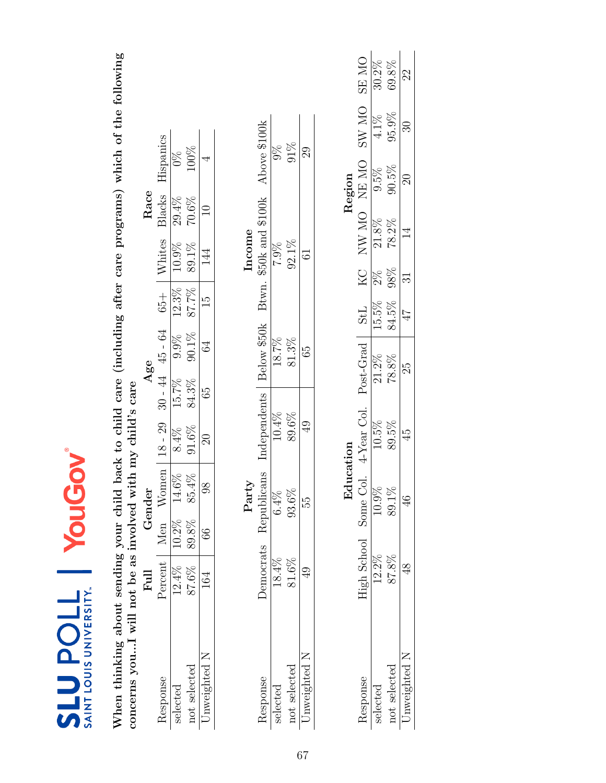| <b>SLUPOLL</b><br>SAINT LOUIS UNIVERSITY.                                                            |                | YouG           | JOV        |                                                                           |                     |             |          |               |                  |                 |       |              |
|------------------------------------------------------------------------------------------------------|----------------|----------------|------------|---------------------------------------------------------------------------|---------------------|-------------|----------|---------------|------------------|-----------------|-------|--------------|
| concerns youI will not be as involved with my child's care<br>When thinking about sending your child |                |                |            | back to child care (including after care programs) which of the following |                     |             |          |               |                  |                 |       |              |
|                                                                                                      | Full           | Gender         |            |                                                                           | Age                 |             |          |               | Race             |                 |       |              |
| Response                                                                                             | Percent        | Men Women      |            | $18 - 29$                                                                 | $30 - 44$ $45 - 64$ |             | $65 +$   | Whites        | Blacks           | Hispanics       |       |              |
| selected                                                                                             | 12.4%          | 10.2%          | 14.6%      | $8.4\%$                                                                   | 15.7%               | 9.9%        | $12.3\%$ | 10.9%         | $29.4\%$         | $\frac{8}{2}$   |       |              |
| not selected                                                                                         | 87.6%          | 85.4<br>89.8%  | $\sqrt{6}$ | $91.6\%$                                                                  | 84.3%               | $90.1\%$    | 87.7%    | 89.1%         | $70.6\%$         | 100%            |       |              |
| Unweighted N                                                                                         | 164            | 66             | 3g         | $\Im$                                                                     | 65                  | 64          | IJ       | 144           | $\frac{1}{1}$    | 4               |       |              |
|                                                                                                      |                | Party          |            |                                                                           |                     |             |          | Income        |                  |                 |       |              |
| Response                                                                                             | Democrats      | Republicans    |            | Independents                                                              |                     | Below \$50k | Btwn.    |               | \$50k and \$100k | Above \$100k    |       |              |
| selected                                                                                             | 18.4%          | $6.4\%$        |            | 10.4%                                                                     |                     | 18.7%       |          | 7.9%          |                  |                 | $\%$  |              |
| not selected                                                                                         | $81.6\%$       | 93.6%          |            | 89.6%                                                                     |                     | 81.3%       |          | 92.1%         |                  | 91%             |       |              |
| Unweighted N                                                                                         | $\overline{6}$ | 55             |            | $\overline{6}$                                                            |                     | 65          |          | 5             |                  | $\overline{68}$ |       |              |
|                                                                                                      |                |                |            |                                                                           |                     |             |          |               |                  |                 |       |              |
|                                                                                                      |                | $_{\rm Ed}$    | lucation   |                                                                           |                     |             |          |               |                  | Region          |       |              |
| Response                                                                                             | High School    |                |            | Some Col. 4-Year Col. Post-Grad   StL                                     |                     |             |          | KC NW MO NEMO |                  |                 | SW MO | <b>ON RS</b> |
| selected                                                                                             | 12.2%          | 10.9%          |            | 10.5%                                                                     | 21.2%               |             | 15.5%    | $2\%$         | 21.8%            | 9.5%            | 4.1%  | $30.2\%$     |
| not selected                                                                                         | 87.8%          | 89.1%          |            | 89.5%                                                                     | 78.8%               |             | 84.5%    | 98%           | 78.2%            | 90.5%           | 95.9% | 69.8%        |
| Unweighted N                                                                                         | $\frac{8}{5}$  | $\frac{46}{5}$ |            | 45                                                                        | 25                  |             | 47       | ವ             | $\overline{1}$   | $\Omega$        | ≌     | 22           |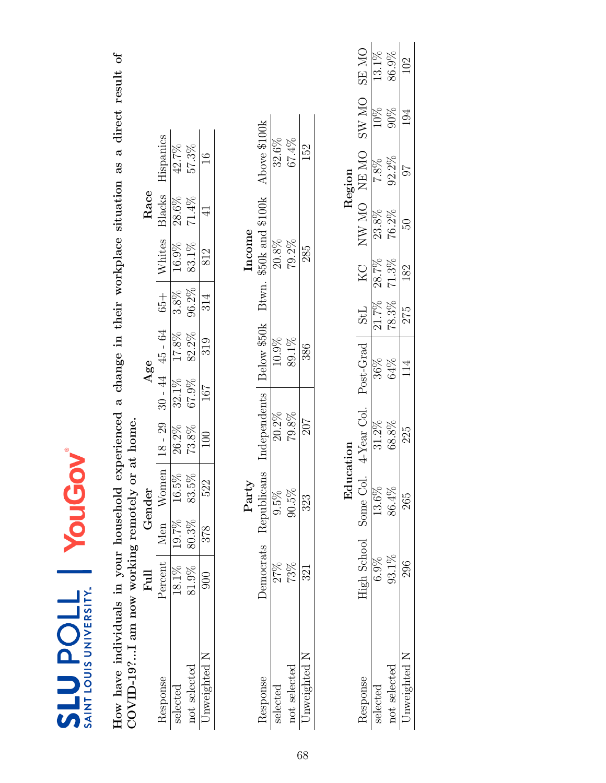| SAINT LOUIS UNIVERSITY.<br><b>TIOUNIS</b>           |                 | NODIC                                             |             |              |                                                                         |         |                        |             |               |             |       |
|-----------------------------------------------------|-----------------|---------------------------------------------------|-------------|--------------|-------------------------------------------------------------------------|---------|------------------------|-------------|---------------|-------------|-------|
| How have individuals in your household              |                 |                                                   |             |              | experienced a change in their workplace situation as a direct result of |         |                        |             |               |             |       |
| $\mathrm{COVID}\text{-}19?$ am now working remotely |                 |                                                   | or at home. |              |                                                                         |         |                        |             |               |             |       |
|                                                     | Full            | Gender                                            |             |              | Age                                                                     |         |                        | Race        |               |             |       |
| Response                                            | Percent         | Women<br>Men                                      |             | $18 - 29$    | $30 - 44$ $45 - 64$                                                     | $65 +$  | Whites                 | Blacks      | Hispanics     |             |       |
| selected                                            | 18.1%           | $16.5\%$<br>19.7%                                 |             | 26.2%        | 17.8%<br>32.1%                                                          | $3.8\%$ | 16.9%                  | 28.6%       | 42.7%         |             |       |
| not selected                                        | 81.9%           | $83.5\%$<br>80.3%                                 |             | 73.8%        | 82.2%<br>67.9%                                                          | 96.2%   | 83.1%                  | 71.4%       | 57.3%         |             |       |
| Unweighted N                                        | $\frac{60}{20}$ | 522<br>378                                        |             | $\approx 0$  | 319<br>167                                                              | 314     | 812                    | 4           | $\frac{6}{1}$ |             |       |
|                                                     |                 | Party                                             |             |              |                                                                         |         | Income                 |             |               |             |       |
| Response                                            | Democrats       | Republicans                                       |             | Independents | Below \$50k                                                             |         | Btwn. \$50k and \$100k |             | Above \$100k  |             |       |
| selected                                            | 27%             | 9.5%                                              |             | $20.2\%$     | 10.9%                                                                   |         | 20.8%                  |             | 32.6%         |             |       |
| not selected                                        | 73%             | 90.5%                                             |             | 79.8%        | 89.1%                                                                   |         | 79.2%                  |             | 67.4%         |             |       |
| Jnweighted N                                        | 321             | 323                                               |             | 207          | 386                                                                     |         | 285                    |             | 152           |             |       |
|                                                     |                 |                                                   |             |              |                                                                         |         |                        |             |               |             |       |
|                                                     |                 |                                                   | Education   |              |                                                                         |         |                        |             | Region        |             |       |
| Response                                            |                 | High School Some Col. 4-Year Col. Post-Grad   StL |             |              |                                                                         |         | KC                     | NW MO NE MO |               | SW MO SE MO |       |
| selected                                            | 6.9%            | 13.6%                                             |             | $31.2\%$     | 36%                                                                     | 21.7%   | 28.7%                  | 23.8%       | 7.8%          | $10\%$      | 13.1% |
| not selected                                        | 93.1%           | 86.4%                                             |             | 68.8%        | 64%                                                                     | 78.3%   | 71.3%                  | 76.2%       | 92.2%         | 90%         | 86.9% |
| Unweighted N                                        | 296             | 265                                               |             | 225          | 114                                                                     | 275     | 182                    | SG.         | 76            | 194         | 102   |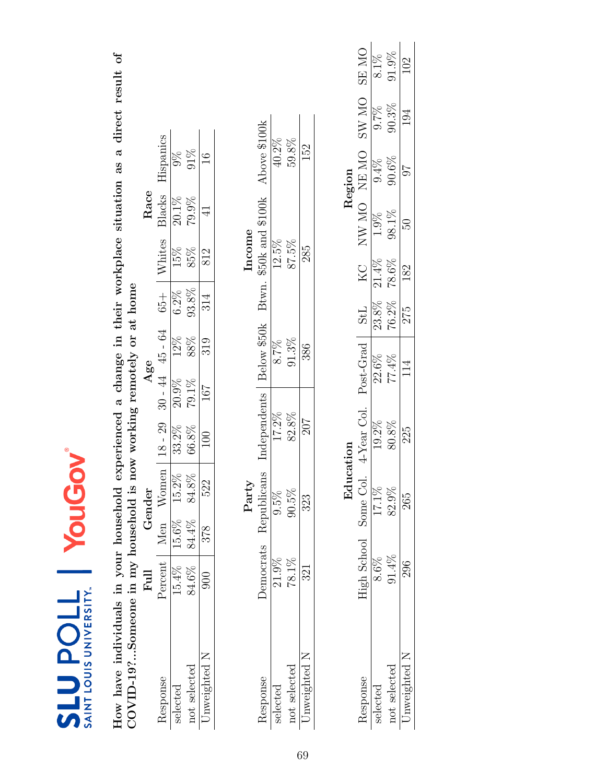| SAINT LOUIS UNIVERSITY.<br><b>JTOdTS</b>                                      |                     | YouG              |           |                                 |                |             |         |        |                        |               |                                                                         |              |
|-------------------------------------------------------------------------------|---------------------|-------------------|-----------|---------------------------------|----------------|-------------|---------|--------|------------------------|---------------|-------------------------------------------------------------------------|--------------|
| COVID-19?Someone in my household is<br>How have individuals in your household |                     |                   |           | now working remotely or at home |                |             |         |        |                        |               | experienced a change in their workplace situation as a direct result of |              |
|                                                                               | $_{\rm{Full}}$      | Gender            |           |                                 | Age            |             |         |        | Race                   |               |                                                                         |              |
| Response                                                                      | Percent   Men Women |                   |           | $18 - 29$                       | $30 - 44$      | $45 - 64$   | $65 +$  | Whites | Blacks                 | Hispanics     |                                                                         |              |
| selected                                                                      | $15.4\%$            | $15.6\%$ $15.2\%$ |           | 33.2%                           | 20.9%          | 12%         | $6.2\%$ | 15%    | $20.1\%$               | $\frac{8}{2}$ |                                                                         |              |
| not selected                                                                  | 84.6%               | 84.4%             | $84.8\%$  | 66.8%                           | 79.1%          | 88%         | 93.8%   | 85%    | 79.9%                  | 91%           |                                                                         |              |
| Unweighted N                                                                  | $\frac{1}{2}$       | 378               | 522       | 100                             | 167            | 319         | 314     | 812    | $\frac{1}{4}$          | $\frac{6}{1}$ |                                                                         |              |
|                                                                               |                     |                   | Party     |                                 |                |             |         | Income |                        |               |                                                                         |              |
| Response                                                                      | Democrats           | Republicans       |           | Independents                    |                | Below \$50k |         |        | Btwn. \$50k and \$100k | Above \$100k  |                                                                         |              |
| selected                                                                      | $21.9\%$            | 9.5%              |           | 17.2%                           |                | 8.7%        |         | 12.5%  |                        | 40.2%         |                                                                         |              |
| not selected                                                                  | 78.1%               | 90.5%             |           | 82.8%                           |                | 91.3%       |         | 87.5%  |                        | 59.8%         |                                                                         |              |
| Jnweighted N                                                                  | 321                 | 323               |           | 207                             |                | 386         |         | 285    |                        | 152           |                                                                         |              |
|                                                                               |                     |                   |           |                                 |                |             |         |        |                        |               |                                                                         |              |
|                                                                               |                     |                   | Education |                                 |                |             |         |        |                        | Region        |                                                                         |              |
| Response                                                                      | High School         | Some Col.         |           | 4-Year Col.                     |                | Post-Grad   | StL     | KC     |                        | NW MO NEMO    | <b>ON WS</b>                                                            | <b>ON RE</b> |
| selected                                                                      | $8.6\%$             | 17.1%             |           | 19.2%                           | 22.6%          |             | 23.8%   | 21.4%  | $1.9\%$                | 9.4%          | $9.7\%$                                                                 | 8.1%         |
| not selected                                                                  | 91.4%               | 82.9%             |           | $80.8\%$                        | 77.4%          |             | 76.2%   | 78.6%  | 98.1%                  | $90.6\%$      | $90.3\%$                                                                | $91.9\%$     |
| Unweighted N                                                                  | 296                 | 265               |           | 225                             | $\frac{4}{11}$ |             | 275     | 182    | <b>SG</b>              | 76            | 194                                                                     | 102          |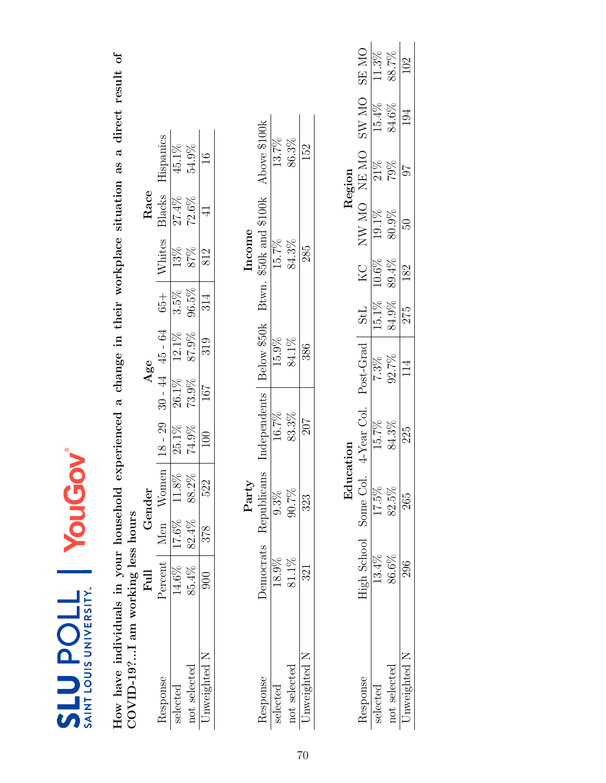| <b>NT LOUIS UNIVERSITY</b><br>$\overline{\mathbf{c}}$ |
|-------------------------------------------------------|

How have individuals in your household experienced a change in their workplace situation as a direct result of COVID-19?...I am working less hours How have individuals in your household experienced a change in their workplace situation as a direct result of COVID-19?...I am working less hours

|              |          |       | ender    |           | Age            |                    |                              |               | ${\rm Rac}$    |                    |
|--------------|----------|-------|----------|-----------|----------------|--------------------|------------------------------|---------------|----------------|--------------------|
| esponse      | ercen    | Vlen  | Women    | $18 - 29$ |                | $-30 - 44$ 45 - 64 |                              | <b>Vhites</b> | 31acks         | <b>Hispanics</b>   |
| relected     | $14.6\%$ | 7.6%  | $11.8\%$ | 25.1%     |                |                    | $\frac{65+}{3.5\%}$<br>96.5% | 13%<br>87%    |                | $\frac{1}{45.1\%}$ |
| not selected | 85.4%    | 32.4% | 88.2%    | 74.9%     | 26.1%<br>73.9% | $12.1\%$<br>87.9%  |                              |               | 27.4%<br>72.6% | 54.9%              |
| Inweightec   |          | 378   | 522      | $\infty$  | 167            | 319                | 314                          | $\frac{2}{3}$ |                | 16                 |

|       | Above \$100k              | 13.7%    | 86.3%        | 152       |
|-------|---------------------------|----------|--------------|-----------|
| ncome | \$50k and \$100k<br>Btwn. | 15.7%    | 84.3%        | 285       |
|       | Below \$50k               | 15.9%    | 84.1%        | 386       |
|       | ndependents               | 16.7%    | 83.3%        | 207       |
| 'arty | ablicans<br>tepu          |          | 261.         | 23        |
|       | emocrats                  |          | 81.1%        |           |
|       | esponse                   | selected | not selected | weighted. |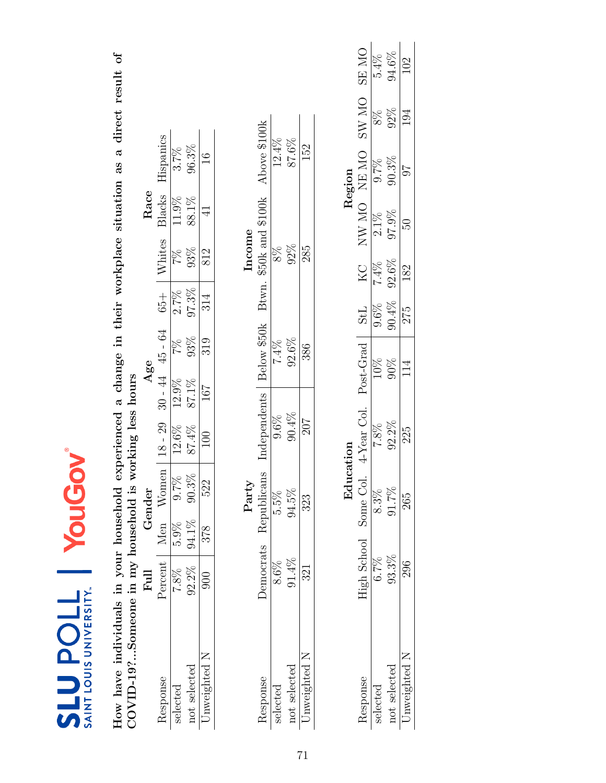| SAINT LOUIS UNIVERSITY.<br><b>710den73</b> |                | YouG                  | S                                                                       |           |               |         |                        |         |               |             |          |
|--------------------------------------------|----------------|-----------------------|-------------------------------------------------------------------------|-----------|---------------|---------|------------------------|---------|---------------|-------------|----------|
| How have individuals in your household     |                |                       | experienced a change in their workplace situation as a direct result of |           |               |         |                        |         |               |             |          |
| COVID-19?Someone in my household is        |                |                       | working less hours                                                      |           |               |         |                        |         |               |             |          |
|                                            | $_{\rm{Full}}$ | Gender                |                                                                         | Age       |               |         |                        | Race    |               |             |          |
| Response                                   | Percent        | Women<br>Men          | $18 - 29$                                                               | $30 - 44$ | 45 - 64       | $65 +$  | Whites                 | Blacks  | Hispanics     |             |          |
| selected                                   | $7.8\%$        | 0.7%<br>5.9%          | 12.6%                                                                   | 12.9%     | $\frac{2}{2}$ | $2.7\%$ | 2%                     | 11.9%   | 3.7%          |             |          |
| not selected                               | 92.2%          | $90.3\%$<br>94.1%     | $87.4\%$                                                                | 87.1%     | 93%           | 97.3%   | 93%                    | 88.1%   | 96.3%         |             |          |
| Unweighted N                               | 900            | 522<br>378            | 100                                                                     | 167       | 319           | 314     | 812                    | ⋥       | $\frac{6}{1}$ |             |          |
|                                            |                | Party                 |                                                                         |           |               |         | Income                 |         |               |             |          |
| Response                                   | Democrats      | Republicans           | Independents                                                            |           | Below \$50k   |         | Btwn. \$50k and \$100k |         | Above \$100k  |             |          |
| selected                                   | $8.6\%$        | $5.5\%$               | 9.6%                                                                    |           | $7.4\%$       |         | $8\%$                  |         | $12.4\%$      |             |          |
| not selected                               | $91.4\%$       | 94.5%                 | 90.4%                                                                   |           | 92.6%         |         | $92\%$                 |         | 87.6%         |             |          |
| Jnweighted N                               | 321            | 323                   | 207                                                                     |           | 386           |         | 285                    |         | 152           |             |          |
|                                            |                |                       |                                                                         |           |               |         |                        |         |               |             |          |
|                                            |                |                       | Education                                                               |           |               |         |                        |         | Region        |             |          |
| Response                                   |                | High School Some Col. | 4-Year Col. Post-Grad                                                   |           |               | StL     | KC                     |         | NW MO NE MO   | SW MO SE MO |          |
| selected                                   | $6.7\%$        | $8.3\%$               | 7.8%                                                                    | 10%       |               | 9.6%    | 7.4%                   | $2.1\%$ | 9.7%          | $8\%$       | 5.4%     |
| not selected                               | 93.3%          | 91.7%                 | $92.2\%$                                                                | 90%       |               | 90.4%   | 92.6%                  | 97.9%   | $90.3\%$      | 92%         | $94.6\%$ |
| Unweighted N                               | 296            | 265                   | 225                                                                     | 114       |               | 275     | 182                    | 50      | 76            | 194         | 102      |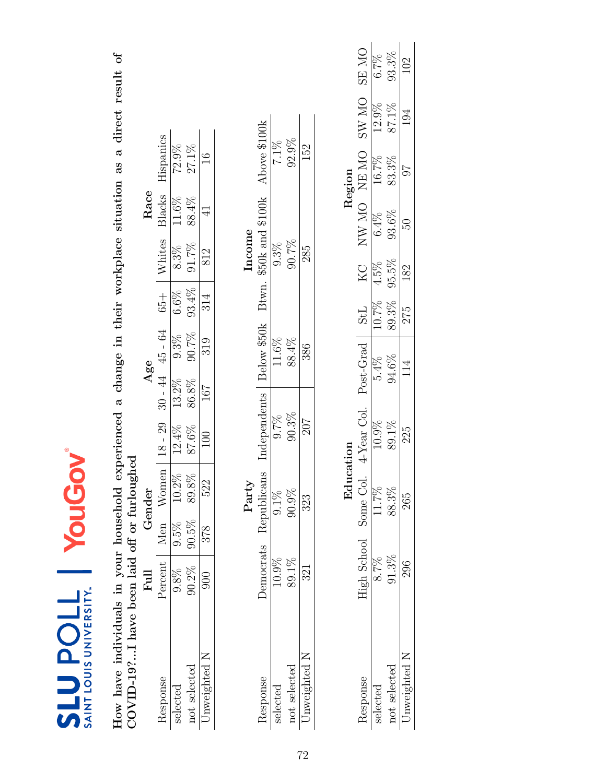| SAINT LOUIS UNIVERSITY.<br><b>710den13</b>  |           | YouGov                |           |                                                                         |                 |             |            |         |                        |               |              |              |
|---------------------------------------------|-----------|-----------------------|-----------|-------------------------------------------------------------------------|-----------------|-------------|------------|---------|------------------------|---------------|--------------|--------------|
| How have individuals in your household      |           |                       |           | experienced a change in their workplace situation as a direct result of |                 |             |            |         |                        |               |              |              |
| COVID-197I have been laid off or furloughed |           |                       |           |                                                                         |                 |             |            |         |                        |               |              |              |
|                                             | Full      | Gender                |           |                                                                         | Age             |             |            |         | Race                   |               |              |              |
| Response                                    | Percent   | Men                   | Women     | $18 - 29$                                                               | $30 - 44$       | $45 - 64$   | $65 +$     | Whites  | Blacks                 | Hispanics     |              |              |
| selected                                    | 9.8%      | $9.5\%$               | 10.2%     | 12.4%                                                                   | 13.2%           | 9.3%        | 6.6%       | $8.3\%$ | 11.6%                  | 72.9%         |              |              |
| not selected                                | 90.2%     | $90.5\%$              | $89.8\%$  | 87.6%                                                                   | 86.8%           | $90.7\%$    | 93.4%      | 91.7%   | 88.4%                  | $27.1\%$      |              |              |
| Unweighted N                                | $\Im$     | 878                   | 522       | $\Xi$                                                                   | 167             | 319         | 314        | 812     | $\exists$              | $\frac{6}{1}$ |              |              |
|                                             |           | ${\rm Party}$         |           |                                                                         |                 |             |            | Income  |                        |               |              |              |
| Response                                    | Democrats | Republicans           |           | Independents                                                            |                 | Below \$50k |            |         | Btwn. \$50k and \$100k | Above \$100k  |              |              |
| selected                                    | 10.9%     | $9.1\%$               |           | 9.7%                                                                    |                 | 11.6%       |            | 9.3%    |                        | 7.1%          |              |              |
| not selected                                | $89.1\%$  | 90.9%                 |           | 90.3%                                                                   |                 | 88.4%       |            | 90.7%   |                        | 92.9%         |              |              |
| Unweighted N                                | 321       | 323                   |           | 207                                                                     |                 | 386         |            | 285     |                        | 152           |              |              |
|                                             |           |                       |           |                                                                         |                 |             |            |         |                        |               |              |              |
|                                             |           |                       | Education |                                                                         |                 |             |            |         |                        | Region        |              |              |
| Response                                    |           | High School Some Col. |           | 4-Year Col. Post-Grad                                                   |                 |             | <b>StL</b> | KC      |                        | NW MO NE MO   | <b>ON WS</b> | <b>SE MO</b> |
| selected                                    | 8.7%      | 11.7%                 |           | 10.9%                                                                   | $5.4\%$         |             | 10.7%      | 4.5%    | 6.4%                   | 16.7%         | 12.9%        | 6.7%         |
| not selected                                | 91.3%     | 88.3%                 |           | 89.1%                                                                   | 94.6%           |             | 89.3%      | 95.5%   | 93.6%                  | 83.3%         | 87.1%        | 93.3%        |
| Unweighted N                                | 296       | 265                   |           | 225                                                                     | $11\frac{4}{5}$ |             | 275        | 182     | $\overline{6}$         | 76            | 194          | 102          |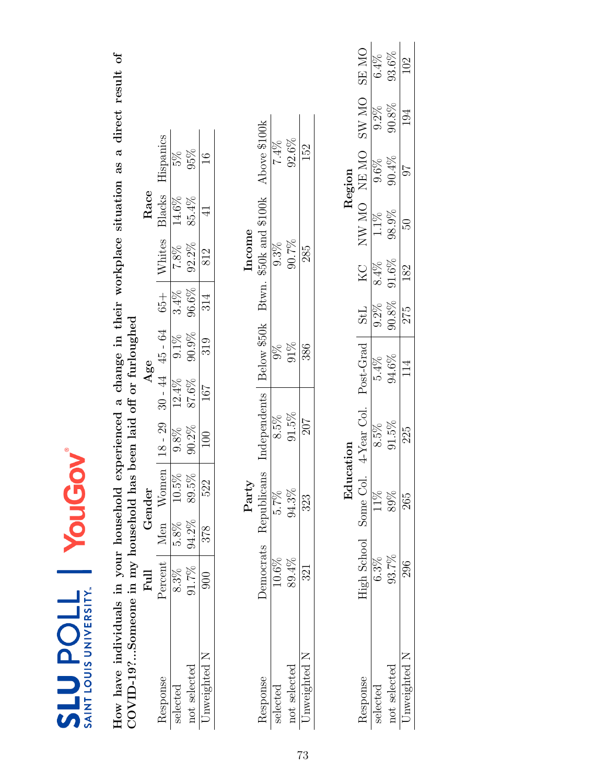| SAINT LOUIS UNIVERSITY.<br><b>TTOdTTS</b>                                                                  |                       | YouG        |           |                                                                         |           |             |         |          |                  |               |          |              |
|------------------------------------------------------------------------------------------------------------|-----------------------|-------------|-----------|-------------------------------------------------------------------------|-----------|-------------|---------|----------|------------------|---------------|----------|--------------|
| COVID-19?Someone in my household has been laid off or furloughed<br>How have individuals in your household |                       |             |           | experienced a change in their workplace situation as a direct result of |           |             |         |          |                  |               |          |              |
|                                                                                                            | $\rm{Fil}$            | Gender      |           |                                                                         | Age       |             |         |          | Race             |               |          |              |
| Response                                                                                                   | Percent   Men Women   |             |           | $18 - 29$                                                               | $30 - 44$ | $45 - 64$   | $65 +$  | Whites   | Blacks           | Hispanics     |          |              |
| selected                                                                                                   | 8.3%                  | $5.8\%$     | $10.5\%$  | 9.8%                                                                    | 12.4%     | $9.1\%$     | 3.4%    | 7.8%     | 14.6%            | 5%            |          |              |
| not selected                                                                                               | 91.7%                 | 94.2%       | 89.5%     | 90.2%                                                                   | 87.6%     | 90.9%       | 96.6%   | $92.2\%$ | 85.4%            | 95%           |          |              |
| Unweighted N                                                                                               | $\frac{60}{20}$       | 378         | 522       | 100                                                                     | 167       | 319         | 314     | 812      | $\frac{1}{4}$    | $\frac{6}{1}$ |          |              |
|                                                                                                            |                       |             | Party     |                                                                         |           |             |         | Income   |                  |               |          |              |
| Response                                                                                                   | Democrats             | Republicans |           | Independents                                                            |           | Below \$50k | Btwn.   |          | \$50k and \$100k | Above \$100k  |          |              |
| selected                                                                                                   | $10.6\%$              | 5.7%        |           | $8.5\%$                                                                 |           | $\%$        |         | 9.3%     |                  | $7.4\%$       |          |              |
| not selected                                                                                               | 89.4%                 | 94.3%       |           | $91.5\%$                                                                |           | $91\%$      |         | 90.7%    |                  | 92.6%         |          |              |
| Unweighted N                                                                                               | 321                   | 323         |           | 207                                                                     |           | 386         |         | 285      |                  | 152           |          |              |
|                                                                                                            |                       |             |           |                                                                         |           |             |         |          |                  |               |          |              |
|                                                                                                            |                       |             | Education |                                                                         |           |             |         |          |                  | Region        |          |              |
| Response                                                                                                   | High School Some Col. |             |           | 4-Year Col.                                                             |           | Post-Grad   | StL     | KC       |                  | NW MO NEMO    | SW MO    | <b>ON RS</b> |
| selected                                                                                                   | $6.3\%$               |             | 11%       | $8.5\%$                                                                 |           | 5.4%        | $9.2\%$ | $8.4\%$  | 1.1%             | 9.6%          | 9.2%     | 6.4%         |
| not selected                                                                                               | 93.7%                 |             | 89%       | 91.5%                                                                   |           | 94.6%       | 90.8%   | $91.6\%$ | 98.9%            | $90.4\%$      | $90.8\%$ | $93.6\%$     |
| Unweighted N                                                                                               | 296                   |             | 265       | 225                                                                     |           | 114         | 275     | 182      | BO.              | 76            | 194      | 102          |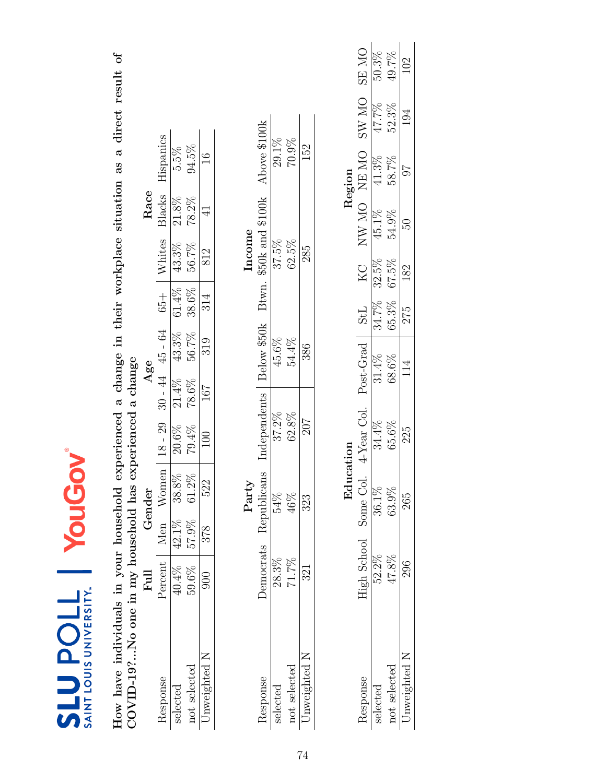| SAINT LOUIS UNIVERSITY<br><b>SLUPOLL</b> |                   | YouG     | 20          |                                                                         |                  |               |          |        |                        |               |       |              |
|------------------------------------------|-------------------|----------|-------------|-------------------------------------------------------------------------|------------------|---------------|----------|--------|------------------------|---------------|-------|--------------|
| How have individuals in your household   |                   |          |             | experienced a change in their workplace situation as a direct result of |                  |               |          |        |                        |               |       |              |
| COVID-19?No one in my household has      |                   |          |             | experienced a change                                                    |                  |               |          |        |                        |               |       |              |
|                                          | Full              | Gender   |             |                                                                         | Age              |               |          |        | Race                   |               |       |              |
| Response                                 | Percent Men Women |          |             | $18 - 29$                                                               | $-144$           | $45 - 64$     | $65 +$   | Whites | Blacks                 | Hispanics     |       |              |
| selected                                 | 40.4%             | $42.1\%$ | 38.8%       | $20.6\%$                                                                | $21.4\%$         | 43.3%         | $61.4\%$ | 43.3%  | 21.8%                  | 5.5%          |       |              |
| not selected                             | 59.6%             | 57.9%    | $61.2\%$    | 79.4%                                                                   | 78.6%            | 56.7%         | 38.6%    | 56.7%  | 78.2%                  | 94.5%         |       |              |
| Unweighted N                             | $\frac{60}{20}$   | 378      | 522         | $\overline{100}$                                                        | 167              | 319           | 314      | 812    | $\frac{1}{4}$          | $\frac{6}{1}$ |       |              |
|                                          |                   |          | Party       |                                                                         |                  |               |          | Income |                        |               |       |              |
| Response                                 | Democrats         |          | Republicans | Independents                                                            |                  | Below \$50k   |          |        | Btwn. \$50k and \$100k | Above \$100k  |       |              |
| selected                                 | $28.3\%$          |          | 54%         | 37.2%                                                                   |                  | 45.6%         |          | 37.5%  |                        | 29.1%         |       |              |
| not selected                             | $71.7\%$          |          | 46%         | $62.8\%$                                                                |                  | 54.4%         |          | 62.5%  |                        | 70.9%         |       |              |
| Unweighted N                             | 321               |          | 323         | 207                                                                     |                  | 386           |          | 285    |                        | 152           |       |              |
|                                          |                   |          |             |                                                                         |                  |               |          |        |                        |               |       |              |
|                                          |                   |          | Education   |                                                                         |                  |               |          |        |                        | Region        |       |              |
| Response                                 | High School       |          | Some Col.   | 4-Year Col.                                                             |                  | Post-Grad StL |          | KC     |                        | NW MO NE MO   | SW MO | <b>ON RS</b> |
| selected                                 | 52.2%             |          | 36.1%       | 34.4%                                                                   | 31.4%            |               | 34.7%    | 32.5%  | 45.1%                  | 41.3%         | 47.7% | 50.3%        |
| not selected                             | 47.8%             |          | 63.9%       | 65.6%                                                                   | 68.6%            |               | 65.3%    | 67.5%  | 54.9%                  | 58.7%         | 52.3% | 49.7%        |
| Unweighted N                             | 296               |          | 265         | 225                                                                     | $11\overline{4}$ |               | 275      | 182    | SG.                    | 76            | 194   | 102          |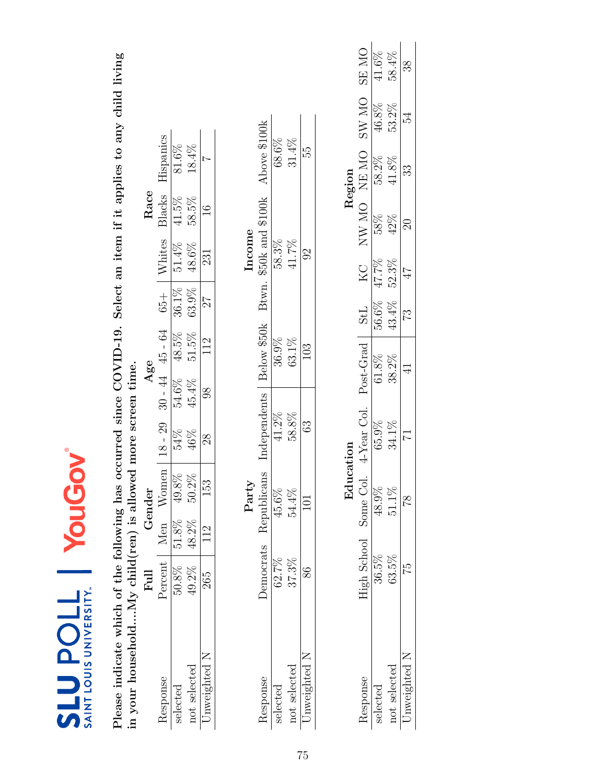| SAINT LOUIS UNIVERSITY.<br><b>TIOUNIS</b>                                                                 |                   | YouGo    |               |                                                                           |                     |             |              |                        |               |              |              |              |
|-----------------------------------------------------------------------------------------------------------|-------------------|----------|---------------|---------------------------------------------------------------------------|---------------------|-------------|--------------|------------------------|---------------|--------------|--------------|--------------|
| in your householdMy child(ren) is allowed more screen time.<br>Please indicate which of the following has |                   |          |               | occurred since COVID-19. Select an item if it applies to any child living |                     |             |              |                        |               |              |              |              |
|                                                                                                           | <b>Full</b>       |          | Gender        |                                                                           | Age                 |             |              |                        | Race          |              |              |              |
| Response                                                                                                  | Percent Men Women |          |               | $18 - 29$                                                                 | $30 - 44$ $45 - 64$ |             | $65 +$       | Whites                 | Blacks        | Hispanics    |              |              |
| selected                                                                                                  | $50.8\%$          | $51.8\%$ | 49.8%         | 54%                                                                       | 54.6%               | 48.5%       | 36.1%        | 51.4%                  | 41.5%         | $81.6\%$     |              |              |
| not selected                                                                                              | 49.2%             | 48.2%    | $50.2\%$      | 46%                                                                       | 45.4%               | 51.5%       | 63.9%        | 48.6%                  | 58.5%         | $18.4\%$     |              |              |
| Unweighted N                                                                                              | 265               | 112      | 153           | $^{28}$                                                                   | $\frac{8}{3}$       | 112         | 27           | 231                    | $\frac{6}{1}$ | $\sim$       |              |              |
|                                                                                                           |                   |          | Party         |                                                                           |                     |             |              | Income                 |               |              |              |              |
| Response                                                                                                  | Democrats         |          | Republicans   | Independents                                                              |                     | Below \$50k |              | Btwn. \$50k and \$100k |               | Above \$100k |              |              |
| selected                                                                                                  | $62.7\%$          |          | 45.6%         | 41.2%                                                                     |                     | 36.9%       |              | 58.3%                  |               | 68.6%        |              |              |
| not selected                                                                                              | 37.3%             |          | 54.4%         | 58.8%                                                                     |                     | 63.1%       |              | 41.7%                  |               | $31.4\%$     |              |              |
| Unweighted N                                                                                              | 86                |          | 101           | 63                                                                        |                     | 103         |              | 92                     |               | 55           |              |              |
|                                                                                                           |                   |          |               |                                                                           |                     |             |              |                        |               |              |              |              |
|                                                                                                           |                   |          | Education     |                                                                           |                     |             |              |                        |               | Region       |              |              |
| Response                                                                                                  | High School       |          | Some Col.     | 4-Year Col.                                                               |                     | Post-Grad   | <b>StL</b>   | KC                     | NW MO NEMO    |              | <b>ON WS</b> | <b>ON RS</b> |
| selected                                                                                                  | $36.5\%$          |          | 48.9%         | 65.9%                                                                     | $61.8\%$            |             | 56.6%        | 47.7%                  | 58%           | 58.2%        | 46.8%        | $41.6\%$     |
| not selected                                                                                              | 63.5%             |          | $51.1\%$      | 34.1%                                                                     | 38.2%               |             | 43.4%        | 52.3%                  | 42%           | 41.8%        | 53.2%        | 58.4%        |
| Unweighted N                                                                                              | 52                |          | $\frac{8}{1}$ | 17                                                                        | $\exists$           |             | $\mathbb{C}$ | 17                     | $\approx$     | 33           | 54           | 38           |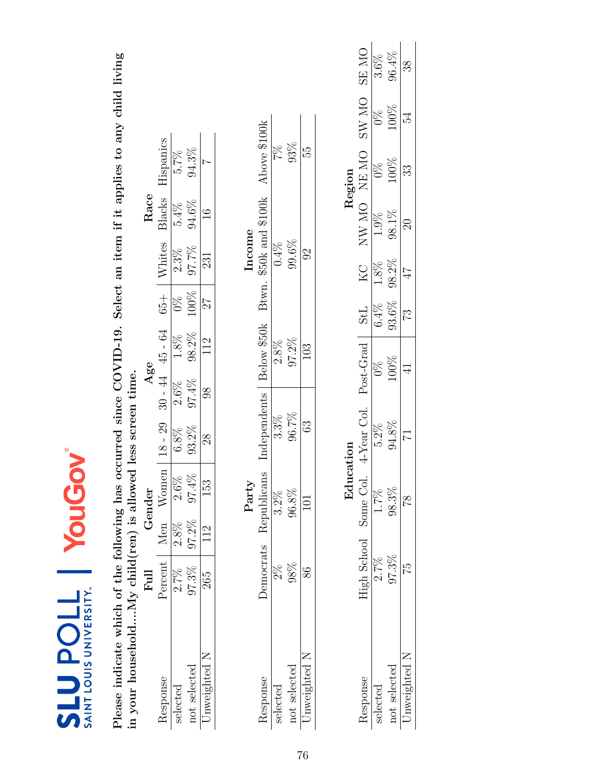| SAINT LOUIS UNIVERSITY.<br><b>SLUPOLL</b>                                                                 |           | YouG   | 20          |                                                                           |       |                     |            |        |                  |                |               |          |
|-----------------------------------------------------------------------------------------------------------|-----------|--------|-------------|---------------------------------------------------------------------------|-------|---------------------|------------|--------|------------------|----------------|---------------|----------|
| in your householdMy child(ren) is allowed less screen time.<br>Please indicate which of the following has |           |        |             | occurred since COVID-19. Select an item if it applies to any child living |       |                     |            |        |                  |                |               |          |
|                                                                                                           | Full      | Gender |             |                                                                           | Age   |                     |            |        | Race             |                |               |          |
| Response                                                                                                  | Percent   | Men    | Women       | $18 - 29$                                                                 |       | $30 - 44$ $45 - 64$ | $65 +$     | Whites | Blacks           | Hispanics      |               |          |
| selected                                                                                                  | $2.7\%$   | 2.8%   | 2.6%        | 6.8%                                                                      | 2.6%  | 1.8%                | 88         | 2.3%   | 5.4%             | 5.7%           |               |          |
| not selected                                                                                              | 97.3%     | 97.2%  | $97.4\%$    | 93.2%                                                                     | 97.4% | 98.2%               | 100%       | 97.7%  | $94.6\%$         | 94.3%          |               |          |
| Unweighted N                                                                                              | 265       | 112    | 153         | 28                                                                        | 98    | 112                 | 27         | 231    | $\frac{6}{1}$    | $\overline{ }$ |               |          |
|                                                                                                           |           |        | Party       |                                                                           |       |                     |            | Income |                  |                |               |          |
| Response                                                                                                  | Democrats |        | Republicans | Independents                                                              |       | Below \$50k         | Btwn.      |        | \$50k and \$100k | Above \$100k   |               |          |
| selected                                                                                                  | $2\%$     |        | 3.2%        | $3.3\%$                                                                   |       | 2.8%                |            | 0.4%   |                  | 7%             |               |          |
| not selected                                                                                              | 98%       |        | 96.8%       | 96.7%                                                                     |       | $97.2\%$            |            | 99.6%  |                  | 93%            |               |          |
| Unweighted N                                                                                              | 86        |        | $\Xi$       | 63                                                                        |       | 103                 |            | 92     |                  | 55             |               |          |
|                                                                                                           |           |        |             |                                                                           |       |                     |            |        |                  |                |               |          |
|                                                                                                           |           |        | Education   |                                                                           |       |                     |            |        |                  | Region         |               |          |
| Response                                                                                                  |           |        |             | High School Some Col. 4-Year Col.                                         |       | Post-Grad           | <b>StL</b> | KC     |                  | NW MO NEMO     | SW MO SE MO   |          |
| selected                                                                                                  | $2.7\%$   |        | $1.7\%$     | $5.2\%$                                                                   |       | $\frac{8}{2}$       | 6.4%       | 1.8%   | 1.9%             | 0%             | $\frac{8}{2}$ | $3.6\%$  |
| not selected                                                                                              | 97.3%     |        | 98.3%       | 94.8%                                                                     |       | 100%                | 93.6%      | 98.2%  | 98.1%            | 100%           | 100%          | $96.4\%$ |
| Unweighted N                                                                                              | 52        |        | 81          | 17                                                                        |       | $\frac{1}{4}$       | 73         | 47     | $\Omega$         | 33             | 54            | 38       |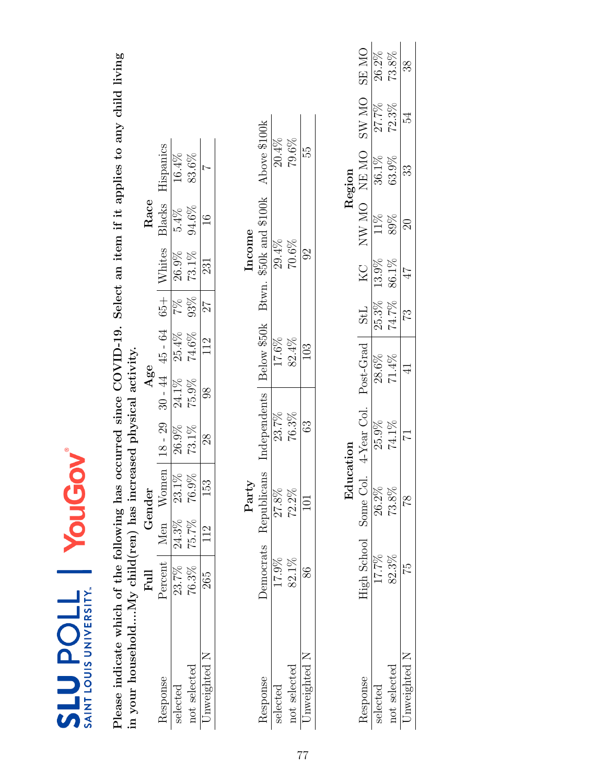| SAINT LOUIS UNIVERSITY.<br><b>710den13</b>                      |                                            | YouG                         | NO                    |              |             |                |          |                  |                                                                           |              |              |
|-----------------------------------------------------------------|--------------------------------------------|------------------------------|-----------------------|--------------|-------------|----------------|----------|------------------|---------------------------------------------------------------------------|--------------|--------------|
| Please indicate which of the following has                      |                                            |                              |                       |              |             |                |          |                  | occurred since COVID-19. Select an item if it applies to any child living |              |              |
| in your householdNy child(ren) has increased physical activity. |                                            |                              |                       |              |             |                |          |                  |                                                                           |              |              |
|                                                                 | $\begin{array}{c} \hbox{Full} \end{array}$ | Gender                       |                       |              | Agee        |                |          | Race             |                                                                           |              |              |
| Response                                                        | Percent Men                                | Women                        | $18 - 29$             | $30 - 44$    | 45 - 64     | $65 +$         | Whites   | Blacks           | Hispanics                                                                 |              |              |
| selected                                                        | 23.7%                                      | $23.\overline{1\%}$<br>24.3% | 26.9%                 | 24.1%        | 25.4%       | 7%             | $26.9\%$ | $5.4\%$          | 16.4%                                                                     |              |              |
| not selected                                                    | 76.3%                                      | $76.9\%$<br>75.7%            | 73.1%                 | 75.9%        | $74.6\%$    | 93%            | $73.1\%$ | 94.6%            | 83.6%                                                                     |              |              |
| Unweighted N                                                    | 265                                        | 153<br>112                   | 28                    | 88           | 112         | 27             | 231      | $\frac{6}{1}$    | $\overline{ }$                                                            |              |              |
|                                                                 |                                            | Party                        |                       |              |             |                | Income   |                  |                                                                           |              |              |
| Response                                                        | Democrats                                  | Republicans                  |                       | Independents | Below \$50k | Btwn.          |          | \$50k and \$100k | Above \$100k                                                              |              |              |
| selected                                                        | 17.9%                                      | 27.8%                        |                       | 23.7%        | 17.6%       |                | 29.4%    |                  | $20.4\%$                                                                  |              |              |
| not selected                                                    | 82.1%                                      | 72.2%                        |                       | 76.3%        | 82.4%       |                | 70.6%    |                  | 79.6%                                                                     |              |              |
| Unweighted N                                                    | 86                                         | $\overline{101}$             |                       | 63           | 103         |                | $\Im$    |                  | 55                                                                        |              |              |
|                                                                 |                                            |                              |                       |              |             |                |          |                  |                                                                           |              |              |
|                                                                 |                                            |                              | Education             |              |             |                |          |                  | Region                                                                    |              |              |
| Response                                                        | High School                                |                              | Some Col. 4-Year Col. |              | Post-Grad   | StL            | KC       |                  | NE NE ON NE                                                               | <b>ON WS</b> | <b>ON RS</b> |
| selected                                                        | 17.7%                                      | 26.2%                        | 25.9%                 |              | 28.6%       | 25.3%          | 13.9%    | 11%              | 36.1%                                                                     | 27.7%        | 26.2%        |
| not selected                                                    | 82.3%                                      | 73.8%                        | $74.1\%$              |              | 71.4%       | 74.7%          | 86.1%    | 89%              | 63.9%                                                                     | 72.3%        | 73.8%        |
| Unweighted N                                                    | 75                                         | $\frac{8}{18}$               | 71                    |              |             | $\mathbb{S}^2$ | 47       | $\Omega$         | 33                                                                        | 54           | 38           |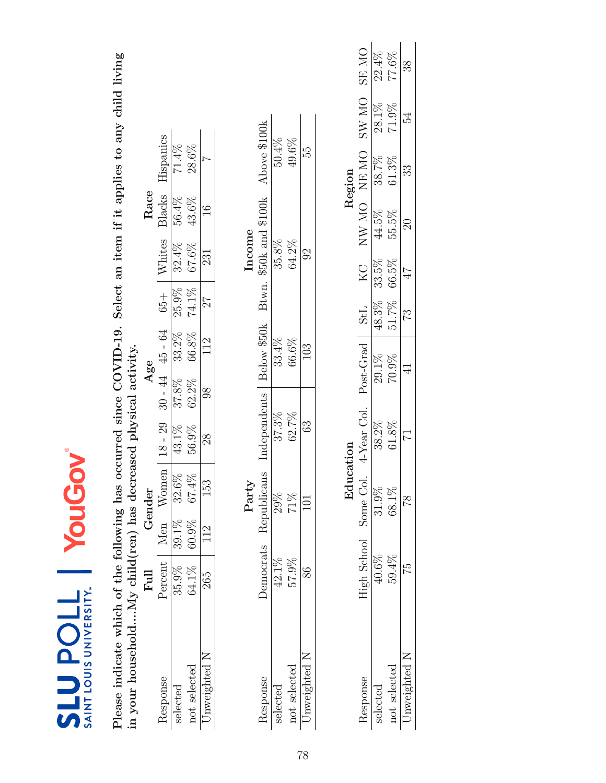| SAINT LOUIS UNIVERSITY.<br><b>SLUPOLL</b>                                                                     |                       |       | YouGov        |                                                                           |                   |             |              |        |               |                                     |              |              |
|---------------------------------------------------------------------------------------------------------------|-----------------------|-------|---------------|---------------------------------------------------------------------------|-------------------|-------------|--------------|--------|---------------|-------------------------------------|--------------|--------------|
| in your householdMy child(ren) has decreased physical activity.<br>Please indicate which of the following has |                       |       |               | occurred since COVID-19. Select an item if it applies to any child living |                   |             |              |        |               |                                     |              |              |
|                                                                                                               | Full                  |       | Gender        |                                                                           | Age               |             |              |        | Race          |                                     |              |              |
| Response                                                                                                      | Percent Men Women     |       |               | $18 - 29$                                                                 | $30 - 44$ 45 - 64 |             | $65 +$       | Whites | Blacks        | Hispanics                           |              |              |
| selected                                                                                                      | 35.9%                 | 39.1% | 32.6%         | 43.1%                                                                     | 37.8%             | 33.2%       | 25.9%        | 32.4%  | 56.4%         | 71.4%                               |              |              |
| not selected                                                                                                  | 64.1%                 | 60.9% | $67.4\%$      | 56.9%                                                                     | $62.2\%$          | 66.8%       | 74.1%        | 67.6%  | 43.6%         | 28.6%                               |              |              |
| Unweighted N                                                                                                  | 265                   | 112   | 153           | 28                                                                        | $\frac{8}{6}$     | 112         | 27           | 231    | $\frac{6}{1}$ |                                     |              |              |
|                                                                                                               |                       |       | Party         |                                                                           |                   |             |              | Income |               |                                     |              |              |
| Response                                                                                                      | Democrats             |       | Republicans   | Independents                                                              |                   | Below \$50k |              |        |               | Btwn. \$50k and \$100k Above \$100k |              |              |
| selected                                                                                                      | 42.1%                 |       | 29%           | $37.3\%$                                                                  |                   | 33.4%       |              | 35.8%  |               | 50.4%                               |              |              |
| not selected                                                                                                  | 57.9%                 |       | 71%           | 62.7%                                                                     |                   | 66.6%       |              | 64.2%  |               | 49.6%                               |              |              |
| Unweighted N                                                                                                  | 86                    |       | 101           | 63                                                                        |                   | 103         |              | $\Im$  |               | 55                                  |              |              |
|                                                                                                               |                       |       |               |                                                                           |                   |             |              |        |               |                                     |              |              |
|                                                                                                               |                       |       | Edu           | cation                                                                    |                   |             |              |        |               | Region                              |              |              |
| Response                                                                                                      | High School Some Col. |       |               | 4-Year Col.                                                               |                   | Post-Grad   | StL          | KC     |               | NE NE ON NE                         | <b>ON WS</b> | <b>ON SE</b> |
| selected                                                                                                      | 40.6%                 |       | 31.9%         | 38.2%                                                                     | 29.1%             |             | 48.3%        | 33.5%  | 44.5%         | 38.7%                               | 28.1%        | $22.4\%$     |
| not selected                                                                                                  | 59.4%                 |       | 68.1%         | $61.8\%$                                                                  |                   | 70.9%       | 51.7%        | 66.5%  | 55.5%         | $61.3\%$                            | $71.9\%$     | 77.6%        |
| Unweighted N                                                                                                  | 52                    |       | $\frac{8}{1}$ | 17                                                                        | $\exists$         |             | $\mathbb{C}$ | 47     | $\Im$         | 33                                  | 54           | 38           |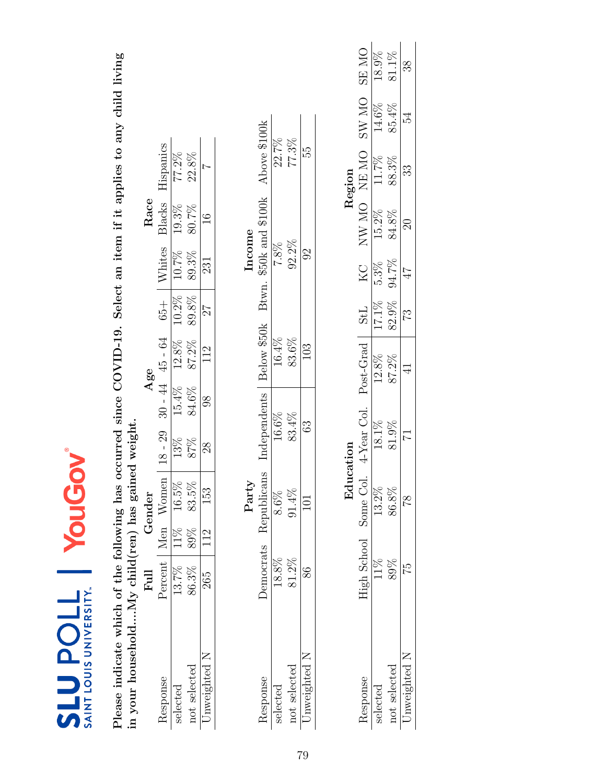| SAINT LOUIS UNIVERSITY.<br><b>710denTS</b>        |                     | YouG     | NO               |                                 |               |               |                |        |                  |                |                                                                           |              |
|---------------------------------------------------|---------------------|----------|------------------|---------------------------------|---------------|---------------|----------------|--------|------------------|----------------|---------------------------------------------------------------------------|--------------|
| Please indicate which of the following has        |                     |          |                  |                                 |               |               |                |        |                  |                | occurred since COVID-19. Select an item if it applies to any child living |              |
| in your householdNy child(ren) has gained weight. |                     |          |                  |                                 |               |               |                |        |                  |                |                                                                           |              |
|                                                   | $_{\rm Full}$       | Gender   |                  |                                 |               | Age           |                |        | Race             |                |                                                                           |              |
| Response                                          | Percent   Men Women |          |                  | $18 - 29$                       | $-44$         | $45 - 64$     | $65 +$         | Whites | Blacks           | Hispanics      |                                                                           |              |
| selected                                          | 13.7%               | 11%      | $16.5\%$         | 13%                             | 15.4%         | 12.8%         | 10.2%          | 10.7%  | 19.3%            | 77.2%          |                                                                           |              |
| not selected                                      | 86.3%               | 89%      | 83.5%            | 87%                             | 84.6%         | 87.2%         | 89.8%          | 89.3%  | 80.7%            | 22.8%          |                                                                           |              |
| Unweighted N                                      | 265                 | 112      | 153              | 28                              | $\frac{8}{3}$ | 112           | 27             | 231    | $\frac{6}{1}$    | $\overline{ }$ |                                                                           |              |
|                                                   |                     |          | Party            |                                 |               |               |                | Income |                  |                |                                                                           |              |
| Response                                          | Democrats           |          | Republicans      | Independents                    |               | Below \$50k   | Btwn.          |        | \$50k and \$100k | Above \$100k   |                                                                           |              |
| selected                                          | 18.8%               |          | $8.6\%$          | 16.6%                           |               | 16.4%         |                | 7.8%   |                  | 22.7%          |                                                                           |              |
| not selected                                      | 81.2%               | $91.4\%$ |                  | 83.4%                           |               | 83.6%         |                | 92.2%  |                  | 77.3%          |                                                                           |              |
| Unweighted N                                      | 86                  |          | $\overline{101}$ | 63                              |               | 103           |                | $\Im$  |                  | 55             |                                                                           |              |
|                                                   |                     |          |                  |                                 |               |               |                |        |                  |                |                                                                           |              |
|                                                   |                     |          | Education        |                                 |               |               |                |        |                  | Region         |                                                                           |              |
| Response                                          | High School         |          |                  | Some Col. 4-Year Col. Post-Grad |               |               | StL            | KC     |                  | NW MO NEMO     | <b>ON WS</b>                                                              | <b>ON RS</b> |
| selected                                          | 11%                 |          | 13.2%            | 18.1%                           |               | 12.8%         | 17.1%          | 5.3%   | 15.2%            | 11.7%          | 14.6%                                                                     | 18.9%        |
| not selected                                      | 89%                 |          | 86.8%            | 81.9%                           |               | 87.2%         | 82.9%          | 94.7%  | 84.8%            | 88.3%          | 85.4%                                                                     | 81.1%        |
| Unweighted N                                      | 52                  |          | $\frac{8}{18}$   | 17                              |               | $\frac{1}{4}$ | $\mathbb{C}^2$ | 47     | $\Omega$         | 33             | 54                                                                        | 38           |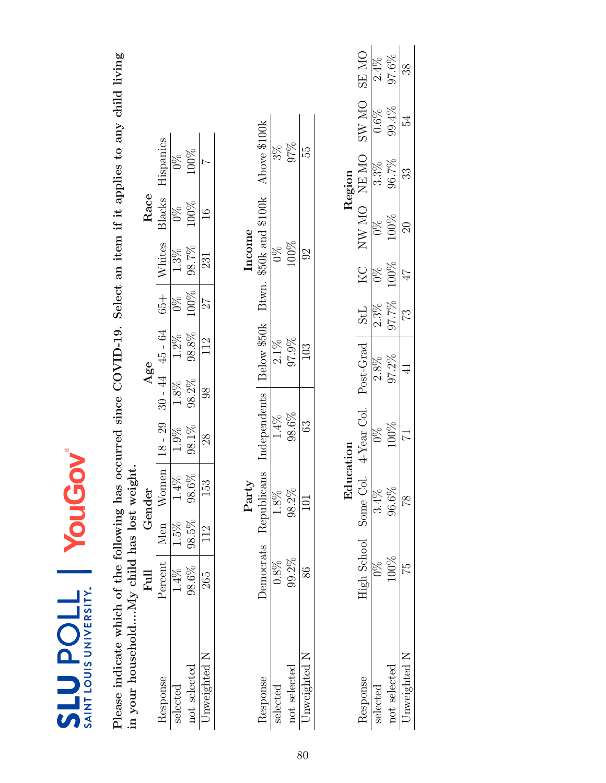| SAINT LOUIS UNIVERSITY.<br><b>TIOUNTS</b>                                                |               | YouG                     | 20                                                                        |                |             |                |                        |               |                |              |       |
|------------------------------------------------------------------------------------------|---------------|--------------------------|---------------------------------------------------------------------------|----------------|-------------|----------------|------------------------|---------------|----------------|--------------|-------|
| in your householdMy child has lost weight.<br>Please indicate which of the following has |               |                          | occurred since COVID-19. Select an item if it applies to any child living |                |             |                |                        |               |                |              |       |
|                                                                                          | Full          | Gender                   |                                                                           | Age            |             |                |                        | Race          |                |              |       |
| Response                                                                                 | Percent       | W <sub>omen</sub><br>Men | $18 - 29$                                                                 | $30 - 44$      | 45 - 64     | $65 +$         | Whites                 | Blacks        | Hispanics      |              |       |
| selected                                                                                 | $1.4\%$       | $1.4\%$<br>$1.5\%$       | 1.9%                                                                      | $1.8\%$        | $1.2\%$     | $\frac{8}{20}$ | $1.3\%$                | 0%            | $\frac{8}{2}$  |              |       |
| not selected                                                                             | 98.6%         | $98.6\%$<br>98.5%        | 98.1%                                                                     | 98.2%          | 98.8%       | 100%           | 98.7%                  | 100%          | 100%           |              |       |
| Unweighted N                                                                             | 265           | 153<br>112               | 28                                                                        | $\frac{8}{6}$  | 112         | 27             | 231                    | $\frac{6}{1}$ | $\overline{1}$ |              |       |
|                                                                                          |               | Party                    |                                                                           |                |             |                | Income                 |               |                |              |       |
| Response                                                                                 | Democrats     | Republicans              | Independents                                                              |                | Below \$50k |                | Btwn. \$50k and \$100k |               | Above \$100k   |              |       |
| selected                                                                                 | 0.8%          | 1.8%                     | $1.4\%$                                                                   |                | $2.1\%$     |                | $\frac{8}{2}$          |               | $3\%$          |              |       |
| not selected                                                                             | 99.2%         | 98.2%                    | 98.6%                                                                     |                | 97.9%       |                | 100%                   |               | 97%            |              |       |
| Unweighted N                                                                             | 86            | 101                      | 63                                                                        |                | 103         |                | $\Im$                  |               | 55             |              |       |
|                                                                                          |               |                          | Education                                                                 |                |             |                |                        |               | Region         |              |       |
| Response                                                                                 |               |                          | High School Some Col. 4-Year Col. Post-Grad                               |                |             | <b>StL</b>     | KC NW MO NE MO         |               |                | <b>ON WS</b> | SE MO |
| selected                                                                                 | $\frac{8}{2}$ | $3.4\%$                  | $\frac{8}{2}$                                                             | 2.8%           |             | 2.3%           | $0\%$                  | $0\%$         | $3.3\%$        | 0.6%         | 2.4%  |
| not selected                                                                             | 100%          | 96.6%                    | 100%                                                                      | $97.2\%$       |             | 97.7%          | 100%                   | 100%          | 96.7%          | 99.4%        | 97.6% |
| Unweighted N                                                                             | 52            | $\frac{8}{1}$            | $\overline{\phantom{0}}$                                                  | $\overline{4}$ |             | $\mathbb{Z}$   | 47                     | $\Omega$      | 33             | 54           | 38    |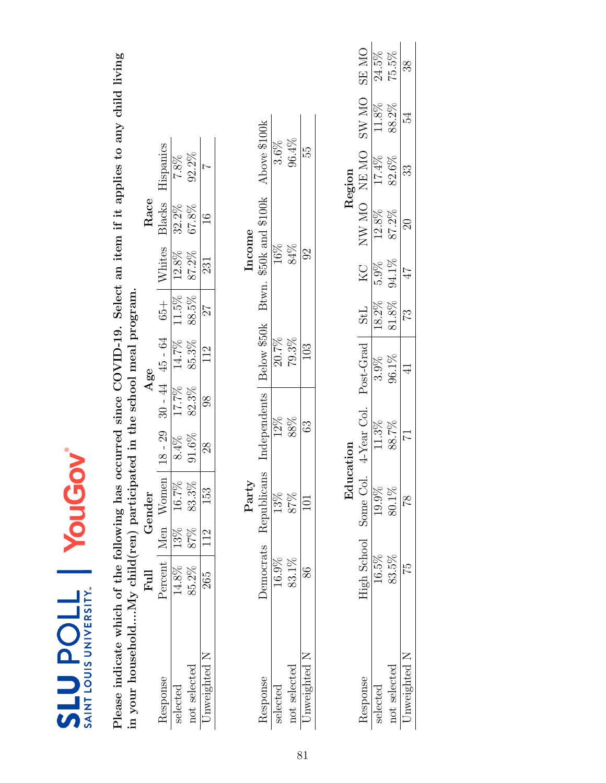| SAINT LOUIS UNIVERSITY.<br><b>710denTS</b>                              |             | YouG        | N         |                       |       |                |                |        |                  |                                                                           |       |              |
|-------------------------------------------------------------------------|-------------|-------------|-----------|-----------------------|-------|----------------|----------------|--------|------------------|---------------------------------------------------------------------------|-------|--------------|
| Please indicate which of the following has                              |             |             |           |                       |       |                |                |        |                  | occurred since COVID-19. Select an item if it applies to any child living |       |              |
| in your householdNy child(ren) participated in the school meal program. |             |             |           |                       |       |                |                |        |                  |                                                                           |       |              |
|                                                                         | Full        | Gender      |           |                       |       | Age            |                |        | Race             |                                                                           |       |              |
| Response                                                                | Percent     | Men Women   |           | $18 - 29$             | $-14$ | $45 - 64$      | $65 +$         | Whites | Blacks           | Hispanics                                                                 |       |              |
| selected                                                                | 14.8%       | 13%         | 16.7%     | 8.4%                  | 17.7% | 14.7%          | 11.5%          | 12.8%  | 32.2%            | $7.8\%$                                                                   |       |              |
| not selected                                                            | 85.2%       | 87%         | 83.3%     | $91.6\%$              | 82.3% | 85.3%          | 88.5%          | 87.2%  | 67.8%            | $92.2\%$                                                                  |       |              |
| Unweighted N                                                            | 265         | 112         | 153       | 28                    | 88    | 112            | 27             | 231    | $\frac{6}{1}$    | $\overline{ }$                                                            |       |              |
|                                                                         |             |             | Party     |                       |       |                |                | Income |                  |                                                                           |       |              |
| Response                                                                | Democrats   | Republicans |           | Independents          |       | Below \$50k    | Btwn.          |        | \$50k and \$100k | Above \$100k                                                              |       |              |
| selected                                                                | 16.9%       | $13\%$      |           | 12%                   |       | 20.7%          |                | 16%    |                  | $3.6\%$                                                                   |       |              |
| not selected                                                            | $83.1\%$    | 87%         |           | 88%                   |       | $79.3\%$       |                | 84%    |                  | 96.4%                                                                     |       |              |
| Unweighted N                                                            | 86          | 101         |           | 63                    |       | 103            |                | $\Im$  |                  | 55                                                                        |       |              |
|                                                                         |             |             |           |                       |       |                |                |        |                  |                                                                           |       |              |
|                                                                         |             |             | Education |                       |       |                |                |        |                  | Region                                                                    |       |              |
| Response                                                                | High School |             |           | Some Col. 4-Year Col. |       | Post-Grad      | <b>StL</b>     | KC     |                  | NW MO NEMO                                                                | SW MO | <b>ON RS</b> |
| selected                                                                | 16.5%       |             | 19.9%     | 11.3%                 |       | 3.9%           | 18.2%          | 5.9%   | 12.8%            | 17.4%                                                                     | 11.8% | 24.5%        |
| not selected                                                            | 83.5%       |             | $80.1\%$  | 88.7%                 |       | 96.1%          | 81.8%          | 94.1%  | 87.2%            | 82.6%                                                                     | 88.2% | 75.5%        |
| Unweighted N                                                            | 52          |             | 81        |                       |       | $\overline{4}$ | $\mathbb{S}^2$ | 47     | $\approx$        | 33                                                                        | 54    | 38           |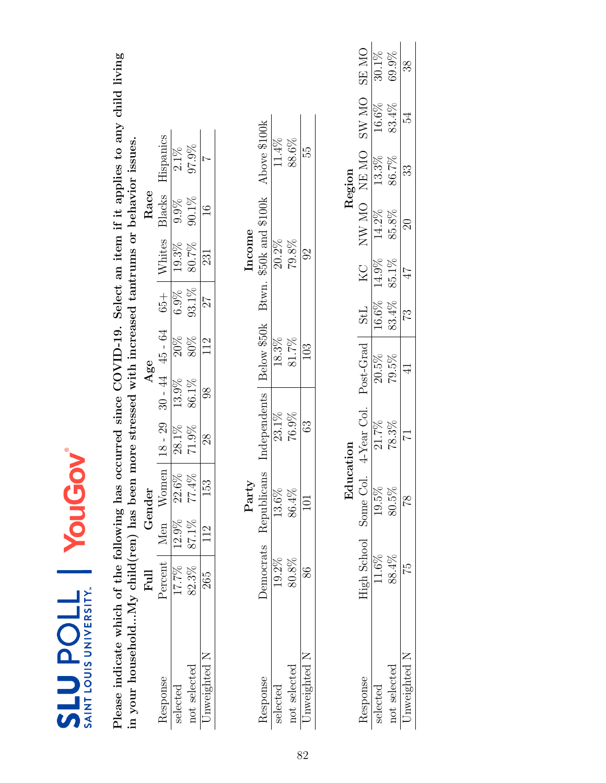| <b>SLUPOLL</b><br>SAINT LOUIS UNIVERSITY.                                                                                                                                                                                 |                   | YouG  |               | TON            |       |                     |            |                        |               |                |       |              |
|---------------------------------------------------------------------------------------------------------------------------------------------------------------------------------------------------------------------------|-------------------|-------|---------------|----------------|-------|---------------------|------------|------------------------|---------------|----------------|-------|--------------|
| Please indicate which of the following has occurred since COVID-19. Select an item if it applies to any child living<br>in your householdMy child(ren) has been more stressed with increased tantrums or behavior issues. |                   |       |               |                |       |                     |            |                        |               |                |       |              |
|                                                                                                                                                                                                                           | Full              |       | Gender        |                |       | Age                 |            |                        | Race          |                |       |              |
| Response                                                                                                                                                                                                                  | Percent Men Women |       |               | $18 - 29$      |       | $30 - 44$ $45 - 64$ | $65 +$     | Whites                 | Blacks        | Hispanics      |       |              |
| selected                                                                                                                                                                                                                  | 17.7%             | 12.9% | $22.6\%$      | 28.1%          | 13.9% | 20%                 | 6.9%       | 19.3%                  | 9.9%          | $2.1\%$        |       |              |
| not selected                                                                                                                                                                                                              | 82.3%             | 87.1% | $77.4\%$      | 71.9%          | 86.1% | $80\%$              | $93.1\%$   | 80.7%                  | $90.1\%$      | 97.9%          |       |              |
| Unweighted N                                                                                                                                                                                                              | 265               | 112   | 153           | $^{28}$        | 98    | 112                 | 27         | 231                    | $\frac{6}{1}$ | $\overline{ }$ |       |              |
|                                                                                                                                                                                                                           |                   |       | Party         |                |       |                     |            | Income                 |               |                |       |              |
| Response                                                                                                                                                                                                                  | <b>Democrats</b>  |       | Republicans   | Independents   |       | Below \$50k         |            | Btwn. \$50k and \$100k |               | Above \$100k   |       |              |
| selected                                                                                                                                                                                                                  | 19.2%             |       | 13.6%         | $23.1\%$       |       | 18.3%               |            | $20.2\%$               |               | 11.4%          |       |              |
| not selected                                                                                                                                                                                                              | 80.8%             |       | 86.4%         | 76.9%          |       | 81.7%               |            | 79.8%                  |               | 88.6%          |       |              |
| Unweighted N                                                                                                                                                                                                              | 86                |       | $\Box$        | 63             |       | 103                 |            | $\Im$                  |               | 55             |       |              |
|                                                                                                                                                                                                                           |                   |       |               |                |       |                     |            |                        |               |                |       |              |
|                                                                                                                                                                                                                           |                   |       | Education     |                |       |                     |            |                        |               | Region         |       |              |
| Response                                                                                                                                                                                                                  | High School       |       | Some Col.     | 4-Year Col.    |       | Post-Grad           | <b>StL</b> | KC                     | NW MO NEMO    |                | SW MO | <b>ON RS</b> |
| selected                                                                                                                                                                                                                  | 11.6%             |       | $19.5\%$      | 21.7%          |       | $20.5\%$            | 16.6%      | 14.9%                  | 14.2%         | 13.3%          | 16.6% | $30.1\%$     |
| not selected                                                                                                                                                                                                              | 88.4%             |       | 80.5%         | 78.3%          |       | 79.5%               | 83.4%      | 85.1%                  | 85.8%         | 86.7%          | 83.4% | 69.9%        |
| Unweighted N                                                                                                                                                                                                              | 52                |       | $\frac{8}{1}$ | $\overline{1}$ |       | $\overline{4}$      | 73         | 47                     | $\Im$         | 33             | 54    | 38           |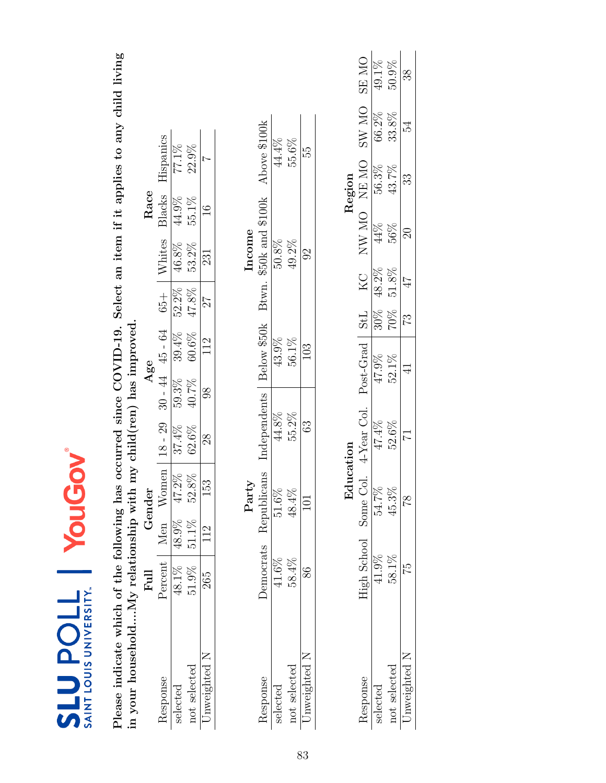| <b>SLUPOLL</b><br>SAINT LOUIS UNIVERSITY.                                                                       |                               | YouG  | <b>NO</b>     |                                                                           |       |                     |        |          |                        |              |       |              |
|-----------------------------------------------------------------------------------------------------------------|-------------------------------|-------|---------------|---------------------------------------------------------------------------|-------|---------------------|--------|----------|------------------------|--------------|-------|--------------|
| in your householdMy relationship with my child(ren) has improved.<br>Please indicate which of the following has |                               |       |               | occurred since COVID-19. Select an item if it applies to any child living |       |                     |        |          |                        |              |       |              |
|                                                                                                                 | Full                          |       | Gender        |                                                                           |       | Age                 |        |          | Race                   |              |       |              |
| Response                                                                                                        | Percent   Men Women   18 - 29 |       |               |                                                                           |       | $30 - 44$ $45 - 64$ | $65 +$ | Whites   | Blacks                 | Hispanics    |       |              |
| selected                                                                                                        | 48.1%                         | 48.9% | $47.2\%$      | 37.4%                                                                     | 59.3% | 39.4%               | 52.2%  | 46.8%    | 44.9%                  | 77.1%        |       |              |
| not selected                                                                                                    | 51.9%                         | 51.1% | $52.8\%$      | 62.6%                                                                     | 40.7% | $60.6\%$            | 47.8%  | 53.2%    | 55.1%                  | 22.9%        |       |              |
| Unweighted N                                                                                                    | 265                           | 112   | 153           | 28                                                                        | 98    | 112                 | 77     | 231      | $\frac{6}{1}$          |              |       |              |
|                                                                                                                 |                               |       | Party         |                                                                           |       |                     |        |          | Income                 |              |       |              |
| Response                                                                                                        | Democrats                     |       | Republicans   | Independents                                                              |       | Below \$50k         |        |          | Btwn. \$50k and \$100k | Above \$100k |       |              |
| selected                                                                                                        | $41.6\%$                      |       | 51.6%         | $44.8\%$                                                                  |       | 43.9%               |        | 50.8%    |                        |              | 44.4% |              |
| not selected                                                                                                    | 58.4%                         |       | 48.4%         | 55.2%                                                                     |       | 56.1%               |        | 49.2%    |                        |              | 55.6% |              |
| Unweighted N                                                                                                    | 86                            |       | 101           | 63                                                                        |       | 103                 |        | $\Im$    |                        |              | 55    |              |
|                                                                                                                 |                               |       |               |                                                                           |       |                     |        |          |                        |              |       |              |
|                                                                                                                 |                               |       | Education     |                                                                           |       |                     |        |          |                        | Region       |       |              |
| Response                                                                                                        | High School                   |       |               | Some Col. 4-Year Col. Post-Grad   StL                                     |       |                     |        | KC       | NW MO NEMO             |              | SW MO | <b>ON RS</b> |
| selected                                                                                                        | $41.9\%$                      |       | 54.7%         | 47.4%                                                                     |       | 47.9%               | 30%    | 48.2%    | 44%                    | 56.3%        | 66.2% | 49.1%        |
| not selected                                                                                                    | 58.1%                         |       | $45.3\%$      | 52.6%                                                                     |       | 52.1%               | 70%    | $51.8\%$ | 56%                    | 43.7%        | 33.8% | $50.9\%$     |
| Unweighted N                                                                                                    | 52                            |       | $\frac{8}{1}$ | 17                                                                        |       | $\overline{4}$      | 73     | 47       | $\approx$              | 33           | 54    | 38           |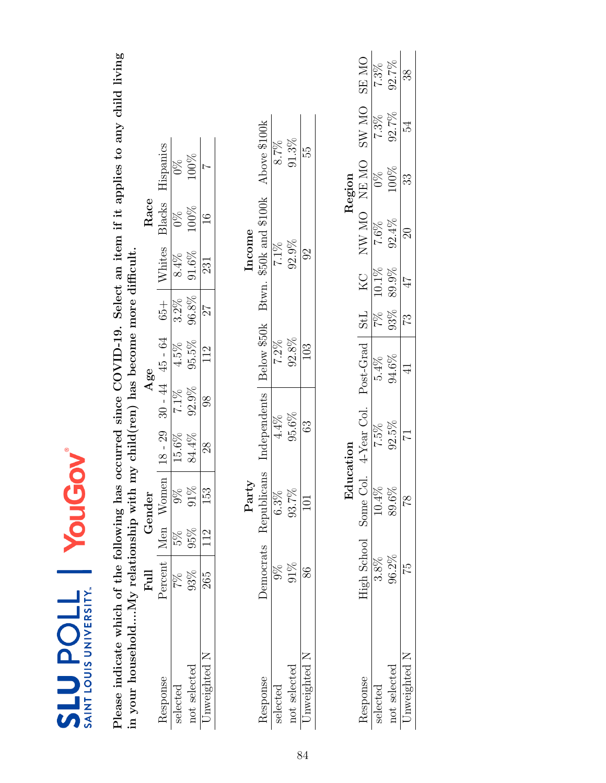| SAINT LOUIS UNIVERSITY.<br><b>TTOdTTS</b>                                                                                                                                                              |                     |     | YouGov        |                                 |                |                |            |          |                        |                |              |              |
|--------------------------------------------------------------------------------------------------------------------------------------------------------------------------------------------------------|---------------------|-----|---------------|---------------------------------|----------------|----------------|------------|----------|------------------------|----------------|--------------|--------------|
| Please indicate which of the following has occurred since COVID-19. Select an item if it applies to any child living<br>in your householdMy relationship with my child(ren) has become more difficult. |                     |     |               |                                 |                |                |            |          |                        |                |              |              |
|                                                                                                                                                                                                        | Full                |     | Gender        |                                 |                | Age            |            |          | Race                   |                |              |              |
| Response                                                                                                                                                                                               | Percent   Men Women |     |               | $18 - 29$                       | $30 - 44$      | 45 - 64        | $65 +$     | Whites   | Blacks                 | Hispanics      |              |              |
| selected                                                                                                                                                                                               | 26                  | 5%  | $9\%$         | 15.6%                           | $7.1\%$        | 4.5%           | $3.2\%$    | $8.4\%$  | $\frac{8}{2}$          | $\frac{8}{2}$  |              |              |
| not selected                                                                                                                                                                                           | 93%                 | 95% | 91%           | 84.4%                           | 92.9%          | 95.5%          | 96.8%      | $91.6\%$ | 100%                   | 100%           |              |              |
| Unweighted N                                                                                                                                                                                           | 265                 | 112 | 153           | 28                              | $\overline{8}$ | 112            | 27         | 231      | $\frac{6}{1}$          | $\overline{ }$ |              |              |
|                                                                                                                                                                                                        |                     |     | Party         |                                 |                |                |            |          | Income                 |                |              |              |
| Response                                                                                                                                                                                               | <b>Democrats</b>    |     | Republicans   | Independents                    |                | Below \$50k    |            |          | Btwn. \$50k and \$100k | Above \$100k   |              |              |
| selected                                                                                                                                                                                               | $\%$                |     | $6.3\%$       | $4.4\%$                         |                | $7.2\%$        |            |          | 7.1%                   |                | 8.7%         |              |
| not selected                                                                                                                                                                                           | 91%                 |     | 93.7%         | 95.6%                           |                | 92.8%          |            |          | 92.9%                  |                | $91.3\%$     |              |
| Unweighted N                                                                                                                                                                                           | 86                  |     | 101           | 63                              |                | 103            |            | $\Im$    |                        |                | 55           |              |
|                                                                                                                                                                                                        |                     |     |               |                                 |                |                |            |          |                        |                |              |              |
|                                                                                                                                                                                                        |                     |     | Education     |                                 |                |                |            |          |                        | Region         |              |              |
| Response                                                                                                                                                                                               | High School         |     |               | Some Col. 4-Year Col. Post-Grad |                |                | <b>StL</b> | KC       |                        | NW MO NEMO     | <b>ON WS</b> | <b>ON RS</b> |
| selected                                                                                                                                                                                               | $3.8\%$             |     | 10.4%         | $7.5\%$                         |                | 5.4%           | 7%         | 10.1%    | 7.6%                   | $0\%$          | 7.3%         | 7.3%         |
| not selected                                                                                                                                                                                           | 96.2%               |     | 89.6%         | 92.5%                           |                | 94.6%          | 93%        | 89.9%    | 92.4%                  | 100%           | 92.7%        | 92.7%        |
| Unweighted N                                                                                                                                                                                           | 52                  |     | $\frac{8}{1}$ | 17                              |                | $\overline{4}$ | 32         | 47       | $\Im$                  | 33             | 54           | 38           |